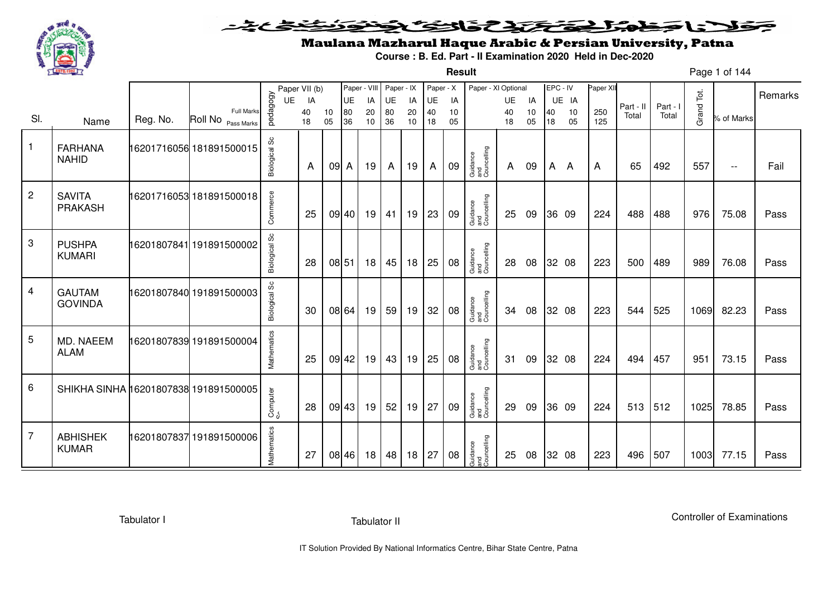

### فلانا حطمته المتختص والتكنافي <u> 11</u> 二名とき

# Maulana Mazharul Haque Arabic & Persian University, Patna

**Course : B. Ed. Part - II Examination 2020 Held in Dec-2020**

**Result**

Page 1 of 144

|                 |                                       |          |                                            |                      | Paper VII (b) |          | Paper - VIII                            |                 | Paper - IX |           | Paper - X |          | Paper - XI Optional            |              |          | EPC - IV     |          | Paper XII  |                    |                   |            |               |         |
|-----------------|---------------------------------------|----------|--------------------------------------------|----------------------|---------------|----------|-----------------------------------------|-----------------|------------|-----------|-----------|----------|--------------------------------|--------------|----------|--------------|----------|------------|--------------------|-------------------|------------|---------------|---------|
|                 |                                       |          |                                            | UE                   | IA            |          | UE                                      | IA              | UE         | IA        | UE        | IA       |                                | UE           | IA       |              | UE IA    |            |                    |                   |            |               | Remarks |
| SI.             | Name                                  | Reg. No. | <b>Full Marks</b><br>Roll No<br>Pass Marks | pedagogy             | 40<br>18      | 10<br>05 | $\begin{array}{c} 80 \\ 36 \end{array}$ | 20<br>10        | 80<br>36   | 20<br>10  | 40<br>18  | 10<br>05 |                                | 40<br>18     | 10<br>05 | 40<br>18     | 10<br>05 | 250<br>125 | Part - II<br>Total | Part - I<br>Total | Grand Tot. | % of Marks    |         |
| $\mathbf{1}$    | <b>FARHANA</b><br><b>NAHID</b>        |          | 16201716056 181891500015                   | <b>Biological Sc</b> | A             | 09 A     |                                         | 19              | A          | 19        | A         | 09       | Guidance<br>and<br>Councelling | $\mathsf{A}$ | 09       | $\mathsf{A}$ | A        | A          | 65                 | 492               | 557        | $\sim$ $\sim$ | Fail    |
| $\overline{2}$  | <b>SAVITA</b><br><b>PRAKASH</b>       |          | 16201716053 181891500018                   | Commerce             | 25            |          | 09 40                                   | 19 <sup>1</sup> |            | $41$   19 | 23        | 09       | Guidance<br>and<br>Councelling | 25           | 09       |              | 36 09    | 224        | 488                | 488               | 976        | 75.08         | Pass    |
| $\mathbf{3}$    | <b>PUSHPA</b><br><b>KUMARI</b>        |          | 16201807841 191891500002                   | <b>Biological Sc</b> | 28            | 08 51    |                                         | 18              | 45         | 18        | 25        | 08       | Guidance<br>and<br>Councelling | 28           | 08       |              | 32 08    | 223        | 500                | 489               | 989        | 76.08         | Pass    |
| $\overline{4}$  | <b>GAUTAM</b><br><b>GOVINDA</b>       |          | 16201807840 191891500003                   | Biological Sc        | 30            |          | 08 64                                   | 19              | 59         | 19        | 32        | 08       | Guidance<br>and<br>Councelling | 34           | 08       |              | 32 08    | 223        | 544                | 525               | 1069       | 82.23         | Pass    |
| $5\phantom{.0}$ | MD. NAEEM<br><b>ALAM</b>              |          | 16201807839 191891500004                   | Mathematics          | 25            |          | 09 42                                   | 19              | 43         | 19        | 25        | 08       | Guidance<br>and<br>Councelling | 31           | 09       |              | 32 08    | 224        | 494                | 457               | 951        | 73.15         | Pass    |
| 6               | SHIKHA SINHA 16201807838 191891500005 |          |                                            | Computer             | 28            |          | 09 43                                   | 19              | 52         | 19        | 27        | 09       | Guidance<br>and<br>Councelling | 29           | 09       |              | 36 09    | 224        | 513                | 512               | 1025       | 78.85         | Pass    |
| $\overline{7}$  | <b>ABHISHEK</b><br><b>KUMAR</b>       |          | 16201807837 191891500006                   | Mathematics          | 27            |          | 08 46                                   | 18              | 48         | 18        | 27        | 08       | Guidance<br>and<br>Councelling | 25           | 08       |              | 32 08    | 223        | 496                | 507               | 1003       | 77.15         | Pass    |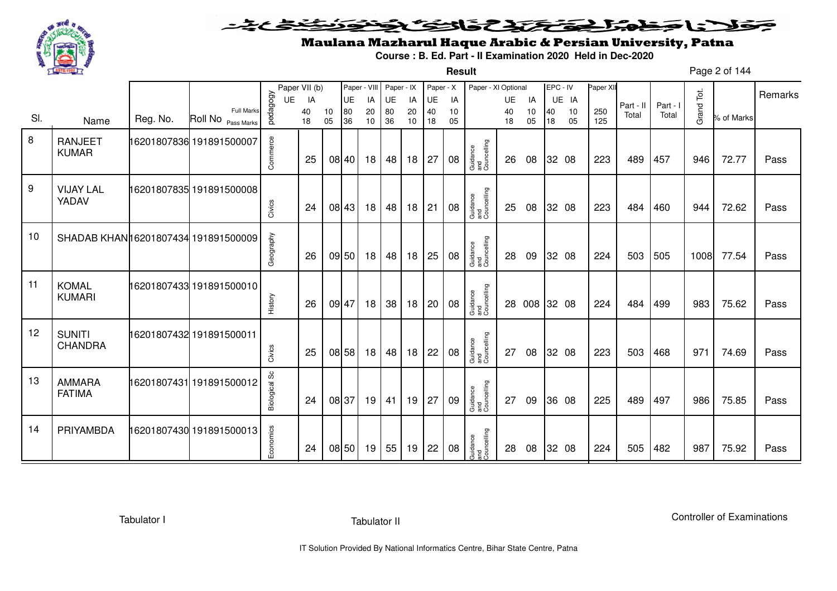

**Result**

# Maulana Mazharul Haque Arabic & Persian University, Patna

**Course : B. Ed. Part - II Examination 2020 Held in Dec-2020**

Page 2 of 144

|                  |                                     |          |                                         |               | Paper VII (b) |          | Paper - VIII |          | Paper - IX |          | Paper - X |          | Paper - XI Optional            |          |              |          | EPC - IV | Paper XII  |           |          |            |            |         |
|------------------|-------------------------------------|----------|-----------------------------------------|---------------|---------------|----------|--------------|----------|------------|----------|-----------|----------|--------------------------------|----------|--------------|----------|----------|------------|-----------|----------|------------|------------|---------|
|                  |                                     |          |                                         | UE            | IA            |          | UE           | IA       | UE         | IA       | UE        | IA       |                                | UE       | IA           |          | UE IA    |            | Part - II | Part - I |            |            | Remarks |
| SI.              | Name                                | Reg. No. | <b>Full Marks</b><br>Roll No Pass Marks | pedagogy      | 40<br>18      | 10<br>05 | 80<br>36     | 20<br>10 | 80<br>36   | 20<br>10 | 40<br>18  | 10<br>05 |                                | 40<br>18 | 10<br>05     | 40<br>18 | 10<br>05 | 250<br>125 | Total     | Total    | Grand Tot. | % of Marks |         |
|                  |                                     |          |                                         |               |               |          |              |          |            |          |           |          |                                |          |              |          |          |            |           |          |            |            |         |
| 8                | <b>RANJEET</b>                      |          | 16201807836 191891500007                | Commerce      |               |          |              |          |            |          |           |          |                                |          |              |          |          |            |           |          |            |            |         |
|                  | <b>KUMAR</b>                        |          |                                         |               | 25            |          | 08 40        | 18       | 48         | 18       | 27        | 08       | Guidance<br>and<br>Councelling | 26       | 08           |          | 32 08    | 223        | 489       | 457      | 946        | 72.77      | Pass    |
|                  |                                     |          |                                         |               |               |          |              |          |            |          |           |          |                                |          |              |          |          |            |           |          |            |            |         |
| $\boldsymbol{9}$ | <b>VIJAY LAL</b>                    |          | 16201807835 191891500008                |               |               |          |              |          |            |          |           |          |                                |          |              |          |          |            |           |          |            |            |         |
|                  | YADAV                               |          |                                         |               |               |          |              |          |            |          |           |          |                                |          |              |          |          |            |           |          |            |            |         |
|                  |                                     |          |                                         | Civics        | 24            |          | 08 43        | 18       | 48         | 18       | 21        | 08       | Guidance<br>and<br>Councelling | 25       | 08           |          | 32 08    | 223        | 484       | 460      | 944        | 72.62      | Pass    |
| 10               |                                     |          |                                         |               |               |          |              |          |            |          |           |          |                                |          |              |          |          |            |           |          |            |            |         |
|                  | SHADAB KHAN16201807434 191891500009 |          |                                         |               |               |          |              |          |            |          |           |          |                                |          |              |          |          |            |           |          |            |            |         |
|                  |                                     |          |                                         | Geography     | 26            |          | 09 50        | 18       | 48         | 18       | 25        | 08       | Guidance<br>and<br>Councelling | 28       | 09           |          | 32 08    | 224        | 503       | 505      | 1008       | 77.54      | Pass    |
|                  |                                     |          |                                         |               |               |          |              |          |            |          |           |          |                                |          |              |          |          |            |           |          |            |            |         |
| 11               | <b>KOMAL</b>                        |          | 16201807433 191891500010                |               |               |          |              |          |            |          |           |          |                                |          |              |          |          |            |           |          |            |            |         |
|                  | <b>KUMARI</b>                       |          |                                         | History       | 26            |          | 09 47        | 18       | 38         | 18       | 20        | 08       | Guidance<br>and<br>Councelling |          | 28 008 32 08 |          |          | 224        | 484       | 499      | 983        | 75.62      | Pass    |
|                  |                                     |          |                                         |               |               |          |              |          |            |          |           |          |                                |          |              |          |          |            |           |          |            |            |         |
| 12               | <b>SUNITI</b>                       |          | 16201807432 191891500011                |               |               |          |              |          |            |          |           |          |                                |          |              |          |          |            |           |          |            |            |         |
|                  | <b>CHANDRA</b>                      |          |                                         | Civics        | 25            |          | 08 58        | 18       | 48         | 18       | 22        | 08       | Guidance<br>and<br>Councelling | 27       | 08           |          | 32 08    | 223        | 503       | 468      | 971        | 74.69      | Pass    |
|                  |                                     |          |                                         |               |               |          |              |          |            |          |           |          |                                |          |              |          |          |            |           |          |            |            |         |
| 13               | <b>AMMARA</b>                       |          | 16201807431 191891500012                |               |               |          |              |          |            |          |           |          |                                |          |              |          |          |            |           |          |            |            |         |
|                  | <b>FATIMA</b>                       |          |                                         |               |               |          |              |          |            |          |           |          |                                |          |              |          |          |            |           |          |            |            |         |
|                  |                                     |          |                                         | Biological Sc | 24            |          | 08 37        | 19       | 41         | 19       | 27        | 09       | Guidance<br>and<br>Councelling | 27       | 09           |          | 36 08    | 225        | 489       | 497      | 986        | 75.85      | Pass    |
|                  |                                     |          |                                         |               |               |          |              |          |            |          |           |          |                                |          |              |          |          |            |           |          |            |            |         |
| 14               | PRIYAMBDA                           |          | 16201807430 191891500013                |               |               |          |              |          |            |          |           |          |                                |          |              |          |          |            |           |          |            |            |         |
|                  |                                     |          |                                         | Economics     | 24            |          | 08 50        | 19       | 55         | 19       | 22        | 08       | Guidance<br>and<br>Councelling | 28       | 08           |          | 32 08    | 224        | 505       | 482      | 987        | 75.92      | Pass    |
|                  |                                     |          |                                         |               |               |          |              |          |            |          |           |          |                                |          |              |          |          |            |           |          |            |            |         |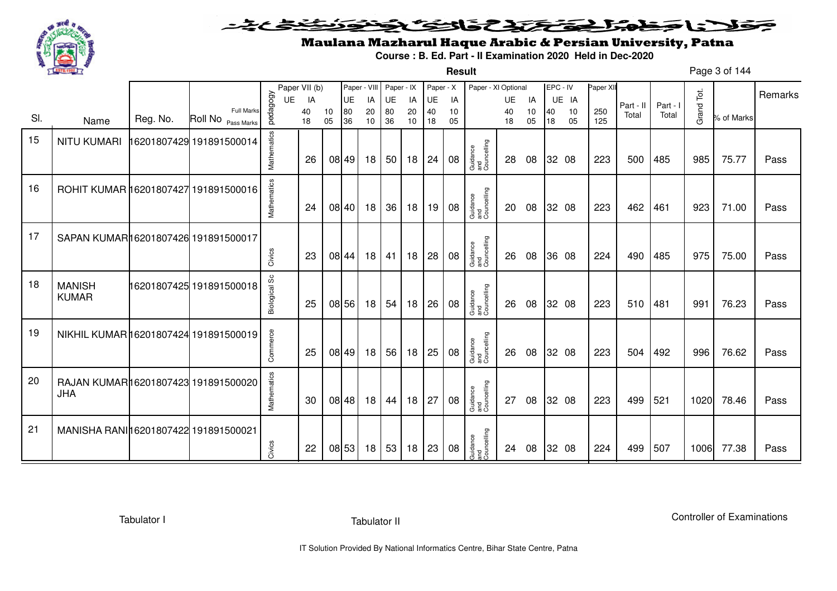

#### こさとき فتختخذ فخافى فخذ كلانا جماعة ◒

**Result**

# Maulana Mazharul Haque Arabic & Persian University, Patna

**Course : B. Ed. Part - II Examination 2020 Held in Dec-2020**

Page 3 of 144

|     |                                       |          |                                         |               | Paper VII (b) |          | Paper - VIII |          | Paper - IX |          | Paper - X |          | Paper - XI Optional            |          |          | EPC - IV |          | Paper XII  |           |          |            |            |         |
|-----|---------------------------------------|----------|-----------------------------------------|---------------|---------------|----------|--------------|----------|------------|----------|-----------|----------|--------------------------------|----------|----------|----------|----------|------------|-----------|----------|------------|------------|---------|
|     |                                       |          |                                         | UE            | IA            |          | UE           | IA       | UE         | IA       | UE        | IA       |                                | UE       | IA       |          | UE IA    |            | Part - II | Part - I |            |            | Remarks |
| SI. | Name                                  | Reg. No. | <b>Full Marks</b><br>Roll No Pass Marks | pedagogy      | 40<br>18      | 10<br>05 | 80<br>36     | 20<br>10 | 80<br>36   | 20<br>10 | 40<br>18  | 10<br>05 |                                | 40<br>18 | 10<br>05 | 40<br>18 | 10<br>05 | 250<br>125 | Total     | Total    | Grand Tot. | % of Marks |         |
|     |                                       |          |                                         |               |               |          |              |          |            |          |           |          |                                |          |          |          |          |            |           |          |            |            |         |
| 15  | <b>NITU KUMARI</b>                    |          | 16201807429 191891500014                | Mathematics   |               |          |              |          |            |          |           |          |                                |          |          |          |          |            |           |          |            |            |         |
|     |                                       |          |                                         |               | 26            |          | 08 49        | 18       | 50         | 18       | 24        | 08       | Guidance<br>and<br>Councelling | 28       | 08       |          | 32 08    | 223        | 500       | 485      | 985        | 75.77      | Pass    |
|     |                                       |          |                                         |               |               |          |              |          |            |          |           |          |                                |          |          |          |          |            |           |          |            |            |         |
| 16  |                                       |          |                                         |               |               |          |              |          |            |          |           |          |                                |          |          |          |          |            |           |          |            |            |         |
|     | ROHIT KUMAR 16201807427 191891500016  |          |                                         |               |               |          |              |          |            |          |           |          |                                |          |          |          |          |            |           |          |            |            |         |
|     |                                       |          |                                         | Mathematics   | 24            |          | 08 40        | 18       | 36         | 18       | 19        | 08       | Guidance<br>and<br>Councelling | 20       | 08       |          | 32 08    | 223        | 462       | 461      | 923        | 71.00      | Pass    |
|     |                                       |          |                                         |               |               |          |              |          |            |          |           |          |                                |          |          |          |          |            |           |          |            |            |         |
| 17  | SAPAN KUMAR16201807426 191891500017   |          |                                         |               |               |          |              |          |            |          |           |          |                                |          |          |          |          |            |           |          |            |            |         |
|     |                                       |          |                                         | Civics        | 23            |          | 08 44        | 18       | 41         | 18       | 28        | 08       | Guidance<br>and<br>Councelling | 26       | 08       |          | 36 08    | 224        | 490       | 485      | 975        | 75.00      | Pass    |
|     |                                       |          |                                         |               |               |          |              |          |            |          |           |          |                                |          |          |          |          |            |           |          |            |            |         |
| 18  | <b>MANISH</b>                         |          | 16201807425 191891500018                |               |               |          |              |          |            |          |           |          |                                |          |          |          |          |            |           |          |            |            |         |
|     | <b>KUMAR</b>                          |          |                                         |               |               |          |              |          |            |          |           |          |                                |          |          |          |          |            |           |          |            |            |         |
|     |                                       |          |                                         | Biological Sc | 25            |          | 08 56        | 18       | 54         | 18       | 26        | 08       | Guidance<br>and<br>Councelling | 26       | 08       |          | 32 08    | 223        | 510       | 481      | 991        | 76.23      | Pass    |
|     |                                       |          |                                         |               |               |          |              |          |            |          |           |          |                                |          |          |          |          |            |           |          |            |            |         |
| 19  | NIKHIL KUMAR 16201807424 191891500019 |          |                                         |               |               |          |              |          |            |          |           |          |                                |          |          |          |          |            |           |          |            |            |         |
|     |                                       |          |                                         | Commerce      | 25            |          | 08 49        | 18       | 56         | 18       | 25        | 08       | Guidance<br>and<br>Councelling | 26       | 08       |          | 32 08    | 223        | 504       | 492      | 996        | 76.62      | Pass    |
|     |                                       |          |                                         |               |               |          |              |          |            |          |           |          |                                |          |          |          |          |            |           |          |            |            |         |
| 20  | RAJAN KUMAR16201807423 191891500020   |          |                                         |               |               |          |              |          |            |          |           |          |                                |          |          |          |          |            |           |          |            |            |         |
|     | <b>JHA</b>                            |          |                                         |               |               |          |              |          |            |          |           |          |                                |          |          |          |          |            |           |          |            |            |         |
|     |                                       |          |                                         | Mathematics   | 30            |          | 08 48        | 18       | 44         | 18       | 27        | 08       | Guidance<br>and<br>Councelling | 27       | 08       |          | 32 08    | 223        | 499       | 521      | 1020       | 78.46      | Pass    |
|     |                                       |          |                                         |               |               |          |              |          |            |          |           |          |                                |          |          |          |          |            |           |          |            |            |         |
| 21  | MANISHA RANI 16201807422 191891500021 |          |                                         |               |               |          |              |          |            |          |           |          |                                |          |          |          |          |            |           |          |            |            |         |
|     |                                       |          |                                         | Civics        | 22            |          | 08 53        | 18       | 53         | 18       | 23        | 08       | Guidance<br>and<br>Councelling | 24       | 08       |          | 32 08    | 224        | 499       | 507      | 1006       | 77.38      | Pass    |
|     |                                       |          |                                         |               |               |          |              |          |            |          |           |          |                                |          |          |          |          |            |           |          |            |            |         |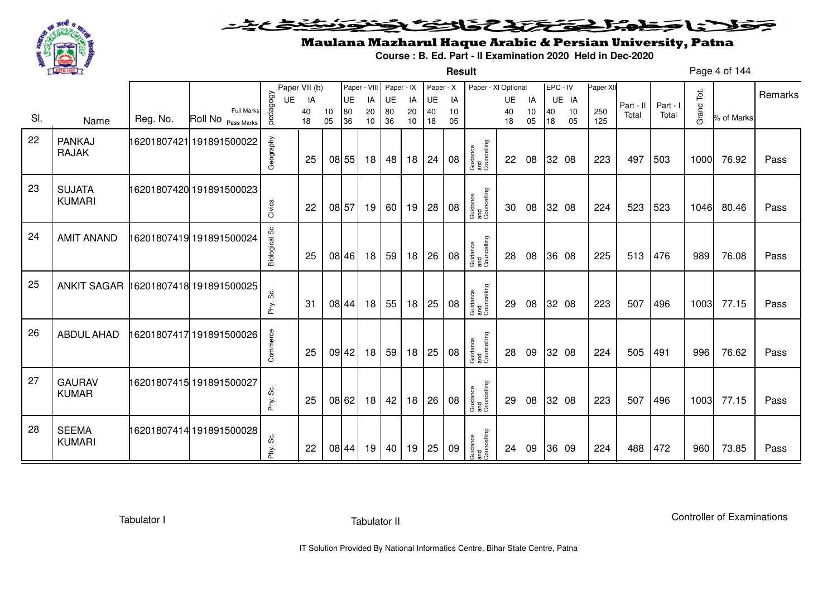

**Result**

# Maulana Mazharul Haque Arabic & Persian University, Patna

**Course : B. Ed. Part - II Examination 2020 Held in Dec-2020**

Page 4 of 144

|     |                                      |          |                                  |                      | Paper VII (b) |          | Paper - VIII |          | Paper - IX |          | Paper - X |          | Paper - XI Optional            |          |          | EPC - IV |          | Paper XII  |           |          |            |            | Remarks |
|-----|--------------------------------------|----------|----------------------------------|----------------------|---------------|----------|--------------|----------|------------|----------|-----------|----------|--------------------------------|----------|----------|----------|----------|------------|-----------|----------|------------|------------|---------|
|     |                                      |          |                                  | UE                   | IA            |          | UE           | IA       | UE         | IA       | UE        | IA       |                                | UE       | IA       |          | UE IA    |            | Part - II | Part - I |            |            |         |
| SI. | Name                                 | Reg. No. | Full Marks<br>Roll No Pass Marks | pedagogy             | 40<br>18      | 10<br>05 | 80<br>36     | 20<br>10 | 80<br>36   | 20<br>10 | 40<br>18  | 10<br>05 |                                | 40<br>18 | 10<br>05 | 40<br>18 | 10<br>05 | 250<br>125 | Total     | Total    | Grand Tot. | % of Marks |         |
| 22  | <b>PANKAJ</b><br><b>RAJAK</b>        |          | 16201807421 191891500022         | Geography            | 25            |          | 08 55        | 18       | 48         | 18       | 24        | 08       | Guidance<br>and<br>Councelling | 22       | 08       |          | 32 08    | 223        | 497       | 503      | 1000       | 76.92      | Pass    |
| 23  | <b>SUJATA</b><br><b>KUMARI</b>       |          | 16201807420 191891500023         | Civics               | 22            |          | 08 57        | 19       | 60         | 19       | 28        | 08       | Guidance<br>and<br>Councelling | 30       | 08       |          | 32 08    | 224        | 523       | 523      | 1046       | 80.46      | Pass    |
| 24  | <b>AMIT ANAND</b>                    |          | 16201807419 191891500024         | <b>Biological Sc</b> | 25            |          | 08 46        | 18       | 59         | 18       | 26        | 08       | Guidance<br>and<br>Councelling | 28       | 08       |          | 36 08    | 225        | 513       | 476      | 989        | 76.08      | Pass    |
| 25  | ANKIT SAGAR 16201807418 191891500025 |          |                                  | တိ<br>Phy.           | -31           |          | 08 44        | 18       | 55         | 18       | 25        | 08       | Guidance<br>and<br>Councelling | 29       | 08       |          | 32 08    | 223        | 507       | 496      | 1003       | 77.15      | Pass    |
| 26  | <b>ABDUL AHAD</b>                    |          | 16201807417 191891500026         | Commerce             | 25            |          | 09 42        | 18       | 59         | 18       | 25        | 08       | Guidance<br>and<br>Councelling | 28       | 09       |          | 32 08    | 224        | 505       | 491      | 996        | 76.62      | Pass    |
| 27  | <b>GAURAV</b><br><b>KUMAR</b>        |          | 16201807415 191891500027         | Phy. Sc.             | 25            |          | 08 62        | 18       | 42         | 18       | 26        | 08       | Guidance<br>and<br>Councelling | 29       | 08       |          | 32 08    | 223        | 507       | 496      | 1003       | 77.15      | Pass    |
| 28  | <b>SEEMA</b><br><b>KUMARI</b>        |          | 16201807414 191891500028         | ပ္လိ<br>Phy.         | 22            |          | 08 44        | 19       | 40         | 19       | 25        | 09       | Guidance<br>and<br>Councelling | 24       | 09       |          | 36 09    | 224        | 488       | 472      | 960        | 73.85      | Pass    |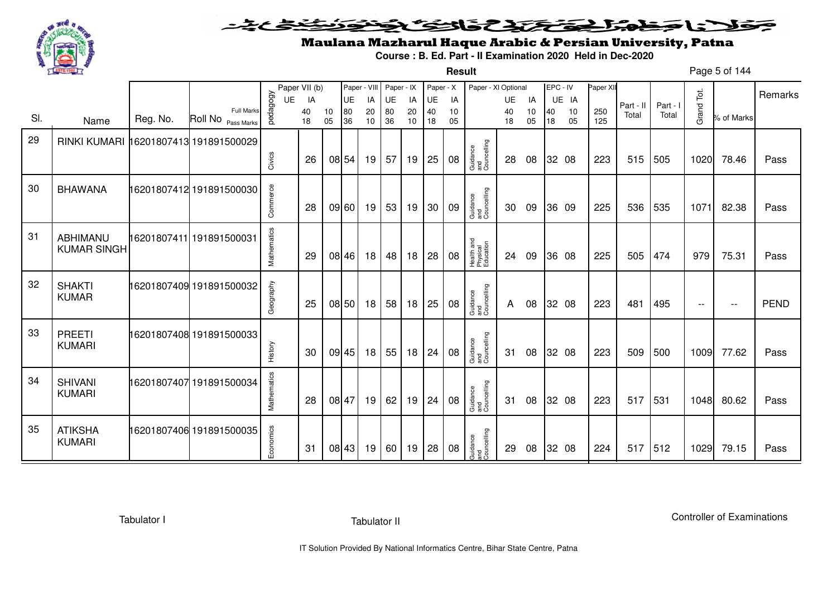

**Result**

# Maulana Mazharul Haque Arabic & Persian University, Patna

**Course : B. Ed. Part - II Examination 2020 Held in Dec-2020**

Page 5 of 144

|     |                                       |          |                                                    |             | Paper VII (b) |          | Paper - VIII |          | Paper - IX |          | Paper - X |          | Paper - XI Optional                 |          |          |          | EPC - IV | Paper XII  |           |          |                          |            |             |
|-----|---------------------------------------|----------|----------------------------------------------------|-------------|---------------|----------|--------------|----------|------------|----------|-----------|----------|-------------------------------------|----------|----------|----------|----------|------------|-----------|----------|--------------------------|------------|-------------|
|     |                                       |          |                                                    | <b>UE</b>   | IA            |          | UE           | IA       | UE         | IA       | UE        | IA       |                                     | UE       | IA       |          | UE IA    |            | Part - II | Part - I |                          |            | Remarks     |
| SI. | Name                                  | Reg. No. | <b>Full Marks</b><br>Roll No <sub>Pass Marks</sub> | pedagogy    | 40<br>18      | 10<br>05 | 80<br>36     | 20<br>10 | 80<br>36   | 20<br>10 | 40<br>18  | 10<br>05 |                                     | 40<br>18 | 10<br>05 | 40<br>18 | 10<br>05 | 250<br>125 | Total     | Total    | Grand Tot.               | % of Marks |             |
| 29  | RINKI KUMARI 16201807413 191891500029 |          |                                                    |             |               |          |              |          |            |          |           |          |                                     |          |          |          |          |            |           |          |                          |            |             |
|     |                                       |          |                                                    | Civics      | 26            |          | 08 54        | 19       | 57         | 19       | 25        | 08       | Guidance<br>and<br>Councelling      | 28       | 08       |          | 32 08    | 223        | 515       | 505      | 1020                     | 78.46      | Pass        |
| 30  | <b>BHAWANA</b>                        |          | 16201807412 191891500030                           | Commerce    | 28            |          | 09 60        | 19       | 53         | 19       | 30        | 09       | Guidance<br>and<br>Councelling      | 30       | 09       |          | 36 09    | 225        | 536       | 535      | 1071                     | 82.38      | Pass        |
| 31  | ABHIMANU<br><b>KUMAR SINGH</b>        |          |                                                    | Mathematics | 29            |          | 08 46        | 18       | 48         | 18       | 28        | 08       | Health and<br>Physical<br>Education | 24       | 09       |          | 36 08    | 225        | 505       | 474      | 979                      | 75.31      | Pass        |
| 32  | <b>SHAKTI</b><br><b>KUMAR</b>         |          | 16201807409 191891500032                           | Geography   | 25            |          | 08 50        | 18       | 58         | 18       | 25        | 08       | Guidance<br>and<br>Councelling      | A        | 08       |          | 32 08    | 223        | 481       | 495      | $\overline{\phantom{a}}$ | $- -$      | <b>PEND</b> |
| 33  | <b>PREETI</b><br><b>KUMARI</b>        |          | 16201807408 191891500033                           | History     | 30            |          | 09 45        | 18       | 55         | 18       | 24        | 08       | Guidance<br>and<br>Councelling      | 31       | 08       |          | 32 08    | 223        | 509       | 500      | 1009                     | 77.62      | Pass        |
| 34  | <b>SHIVANI</b><br><b>KUMARI</b>       |          | 16201807407 191891500034                           | Mathematics | 28            |          | 08 47        | 19       | 62         | 19       | 24        | 08       | Guidance<br>and<br>Councelling      | 31       | 08       |          | 32 08    | 223        | 517       | 531      | 1048                     | 80.62      | Pass        |
| 35  | <b>ATIKSHA</b><br><b>KUMARI</b>       |          | 16201807406 191891500035                           | Economics   | 31            |          | 08 43        | 19       | 60         | 19       | 28        | 08       | Guidance<br>and<br>Councelling      | 29       | 08       |          | 32 08    | 224        | 517       | 512      | 1029                     | 79.15      | Pass        |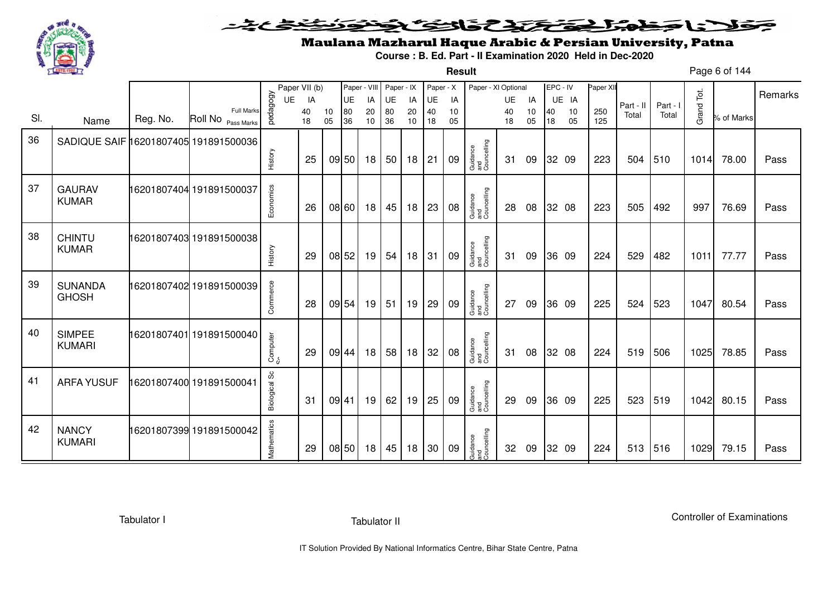

**Result**

# Maulana Mazharul Haque Arabic & Persian University, Patna

**Course : B. Ed. Part - II Examination 2020 Held in Dec-2020**

Page 6 of 144

|     |                                       |          |                                  |               | Paper VII (b) |          | Paper - VIII |          | Paper - IX |          | Paper - X |          | Paper - XI Optional            |          |          | EPC - IV |          | Paper XII  |           |          |            |            | Remarks |
|-----|---------------------------------------|----------|----------------------------------|---------------|---------------|----------|--------------|----------|------------|----------|-----------|----------|--------------------------------|----------|----------|----------|----------|------------|-----------|----------|------------|------------|---------|
|     |                                       |          |                                  | UE            | IA            |          | UE           | IA       | UE         | IA       | UE        | IA       |                                | UE       | IA       |          | UE IA    |            | Part - II | Part - I |            |            |         |
| SI. | Name                                  | Reg. No. | Full Marks<br>Roll No Pass Marks | pedagogy      | 40<br>18      | 10<br>05 | 80<br>36     | 20<br>10 | 80<br>36   | 20<br>10 | 40<br>18  | 10<br>05 |                                | 40<br>18 | 10<br>05 | 40<br>18 | 10<br>05 | 250<br>125 | Total     | Total    | Grand Tot. | % of Marks |         |
| 36  | SADIQUE SAIF 16201807405 191891500036 |          |                                  |               |               |          |              |          |            |          |           |          |                                |          |          |          |          |            |           |          |            |            |         |
|     |                                       |          |                                  | History       | 25            |          | 09 50        | 18       | 50         | 18       | 21        | 09       | Guidance<br>and<br>Councelling | 31       | 09       |          | 32 09    | 223        | 504       | 510      | 1014       | 78.00      | Pass    |
| 37  | <b>GAURAV</b>                         |          | 16201807404 191891500037         |               |               |          |              |          |            |          |           |          |                                |          |          |          |          |            |           |          |            |            |         |
|     | <b>KUMAR</b>                          |          |                                  | Economics     | 26            |          | 08 60        | 18       | 45         | 18       | 23        | 08       | Guidance<br>and<br>Councelling | 28       | 08       |          | 32 08    | 223        | 505       | 492      | 997        | 76.69      | Pass    |
| 38  | <b>CHINTU</b>                         |          | 16201807403 191891500038         |               |               |          |              |          |            |          |           |          |                                |          |          |          |          |            |           |          |            |            |         |
|     | <b>KUMAR</b>                          |          |                                  | History       | 29            |          | 08 52        | 19       | 54         | 18       | 31        | 09       | Guidance<br>and<br>Councelling | -31      | 09       |          | 36 09    | 224        | 529       | 482      | 1011       | 77.77      | Pass    |
| 39  | <b>SUNANDA</b>                        |          | 16201807402 191891500039         |               |               |          |              |          |            |          |           |          |                                |          |          |          |          |            |           |          |            |            |         |
|     | <b>GHOSH</b>                          |          |                                  | Commerce      | 28            |          | 09 54        | 19       | 51         | 19       | 29        | 09       | Guidance<br>and<br>Councelling | 27       | 09       |          | 36 09    | 225        | 524       | 523      | 1047       | 80.54      | Pass    |
| 40  | <b>SIMPEE</b>                         |          | 16201807401 191891500040         |               |               |          |              |          |            |          |           |          |                                |          |          |          |          |            |           |          |            |            |         |
|     | <b>KUMARI</b>                         |          |                                  | Computer      | 29            |          | 09 44        | 18       | 58         | 18       | 32        | 08       | Guidance<br>and<br>Councelling | 31       | 08       |          | 32 08    | 224        | 519       | 506      | 1025       | 78.85      | Pass    |
| 41  | <b>ARFA YUSUF</b>                     |          | 16201807400 191891500041         |               |               |          |              |          |            |          |           |          |                                |          |          |          |          |            |           |          |            |            |         |
|     |                                       |          |                                  | Biological Sc | 31            | 09 41    |              | 19       | 62         | 19       | 25        | 09       | Guidance<br>and<br>Councelling | 29       | 09       |          | 36 09    | 225        | 523       | 519      | 1042       | 80.15      | Pass    |
| 42  | <b>NANCY</b>                          |          | 16201807399 191891500042         |               |               |          |              |          |            |          |           |          |                                |          |          |          |          |            |           |          |            |            |         |
|     | <b>KUMARI</b>                         |          |                                  | Mathematics   | 29            |          | 08 50        | 18       | 45         | 18       | 30        | 09       | Guidance<br>and<br>Councelling | 32       | 09       |          | 32 09    | 224        | 513       | 516      | 1029       | 79.15      | Pass    |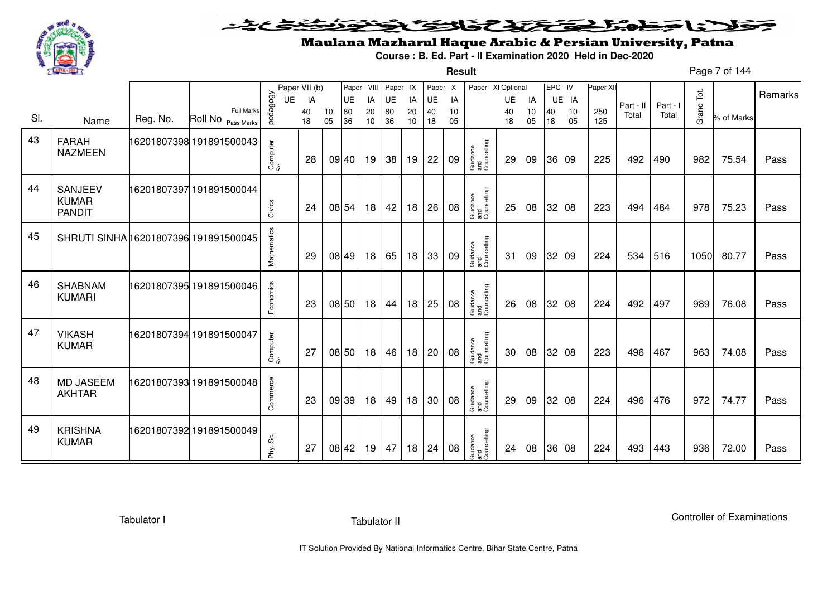

**Result**

# Maulana Mazharul Haque Arabic & Persian University, Patna

**Course : B. Ed. Part - II Examination 2020 Held in Dec-2020**

Page 7 of 144

|     |                                          |          |                                         |             | Paper VII (b) |          | Paper - VIII |                 | Paper - IX |          | Paper - X |          | Paper - XI Optional            |          |          | EPC - IV |          | Paper XII  |           |          |            |            | Remarks |
|-----|------------------------------------------|----------|-----------------------------------------|-------------|---------------|----------|--------------|-----------------|------------|----------|-----------|----------|--------------------------------|----------|----------|----------|----------|------------|-----------|----------|------------|------------|---------|
|     |                                          |          |                                         | UE          | IA            |          | <b>UE</b>    | IA              | UE         | IA       | UE        | IA       |                                | UE       | IA       |          | UE IA    |            | Part - II | Part - I |            |            |         |
| SI. | Name                                     | Reg. No. | <b>Full Marks</b><br>Roll No Pass Marks | pedagogy    | 40<br>18      | 10<br>05 | 80<br>36     | 20<br>10        | 80<br>36   | 20<br>10 | 40<br>18  | 10<br>05 |                                | 40<br>18 | 10<br>05 | 40<br>18 | 10<br>05 | 250<br>125 | Total     | Total    | Grand Tot. | % of Marks |         |
| 43  | <b>FARAH</b><br><b>NAZMEEN</b>           |          | 16201807398 191891500043                | Computer    | 28            |          | 09 40        | 19              | 38         | 19       | 22        | 09       | Guidance<br>and<br>Councelling | 29       | 09       |          | 36 09    | 225        | 492       | 490      | 982        | 75.54      | Pass    |
| 44  | SANJEEV<br><b>KUMAR</b><br><b>PANDIT</b> |          | 16201807397 191891500044                | Civics      | 24            |          | 08 54        | 18              | 42         | 18       | 26        | 08       | Guidance<br>and<br>Councelling | 25       | 08       |          | 32 08    | 223        | 494       | 484      | 978        | 75.23      | Pass    |
| 45  | SHRUTI SINHA 16201807396 191891500045    |          |                                         | Mathematics | 29            |          | 08 49        | 18              | 65         | 18       | 33        | 09       | Guidance<br>and<br>Councelling | 31       | 09       |          | 32 09    | 224        | 534       | 516      | 1050       | 80.77      | Pass    |
| 46  | <b>SHABNAM</b><br><b>KUMARI</b>          |          | 16201807395 191891500046                | Economics   | 23            |          | 08 50        | 18              | 44         | 18       | 25        | 08       | Guidance<br>and<br>Councelling | 26       | 08       |          | 32 08    | 224        | 492       | 497      | 989        | 76.08      | Pass    |
| 47  | <b>VIKASH</b><br><b>KUMAR</b>            |          | 16201807394 191891500047                | Computer    | 27            |          | 08 50        | 18              | 46         | 18       | 20        | 08       | Guidance<br>and<br>Councelling | 30       | 08       |          | 32 08    | 223        | 496       | 467      | 963        | 74.08      | Pass    |
| 48  | <b>MD JASEEM</b><br><b>AKHTAR</b>        |          | 16201807393 191891500048                | Commerce    | 23            |          | 09 39        | 18              | 49         | 18       | 30        | 08       | Guidance<br>and<br>Councelling | 29       | 09       |          | 32 08    | 224        | 496       | 476      | 972        | 74.77      | Pass    |
| 49  | <b>KRISHNA</b><br><b>KUMAR</b>           |          | 16201807392 191891500049                | Phy. Sc.    | 27            |          | 08 42        | 19 <sup>1</sup> | 47         | 18       | 24        | 08       | Guidance<br>and<br>Councelling | 24       | 08       |          | 36 08    | 224        | 493       | 443      | 936        | 72.00      | Pass    |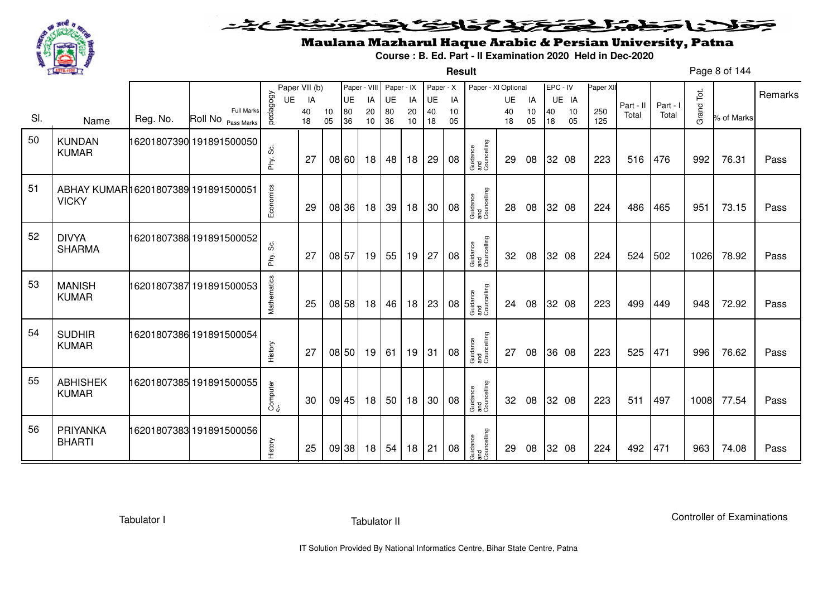

**Result**

# Maulana Mazharul Haque Arabic & Persian University, Patna

**Course : B. Ed. Part - II Examination 2020 Held in Dec-2020**

Page 8 of 144

|     |                                                     |          |                                         |              | Paper VII (b) |          | Paper - VIII |                 | Paper - IX |          | Paper - X |          | Paper - XI Optional            |          |          | EPC - IV |          | Paper XII  |           |          |            |            | Remarks |
|-----|-----------------------------------------------------|----------|-----------------------------------------|--------------|---------------|----------|--------------|-----------------|------------|----------|-----------|----------|--------------------------------|----------|----------|----------|----------|------------|-----------|----------|------------|------------|---------|
|     |                                                     |          |                                         | UE           | IA            |          | UE           | IA              | UE         | IA       | UE        | IA       |                                | UE       | IA       |          | UE IA    |            | Part - II | Part - I |            |            |         |
| SI. | Name                                                | Reg. No. | <b>Full Marks</b><br>Roll No Pass Marks | pedagogy     | 40<br>18      | 10<br>05 | 80<br>36     | 20<br>10        | 80<br>36   | 20<br>10 | 40<br>18  | 10<br>05 |                                | 40<br>18 | 10<br>05 | 40<br>18 | 10<br>05 | 250<br>125 | Total     | Total    | Grand Tot. | % of Marks |         |
| 50  | <b>KUNDAN</b><br><b>KUMAR</b>                       |          | 16201807390 191891500050                | ပ္တဲ<br>Phy. | 27            |          | 08 60        | 18 <sup>1</sup> | 48         | 18       | 29        | 08       | Guidance<br>and<br>Councelling | 29       | 08       |          | 32 08    | 223        | 516       | 476      | 992        | 76.31      | Pass    |
| 51  | ABHAY KUMAR16201807389 191891500051<br><b>VICKY</b> |          |                                         | Economics    | 29            |          | 08 36        | 18              | 39         | 18       | 30        | 08       | Guidance<br>and<br>Councelling | 28       | 08       |          | 32 08    | 224        | 486       | 465      | 951        | 73.15      | Pass    |
| 52  | <b>DIVYA</b><br><b>SHARMA</b>                       |          | 16201807388 191891500052                | Phy. Sc.     | 27            | 08 57    |              | 19              | 55         | 19       | 27        | 08       | Guidance<br>and<br>Councelling | 32       | 08       |          | 32 08    | 224        | 524       | 502      | 1026       | 78.92      | Pass    |
| 53  | <b>MANISH</b><br><b>KUMAR</b>                       |          | 16201807387191891500053                 | Mathematics  | 25            |          | 08 58        | 18              | 46         | 18       | 23        | 08       | Guidance<br>and<br>Councelling | 24       | 08       |          | 32 08    | 223        | 499       | 449      | 948        | 72.92      | Pass    |
| 54  | <b>SUDHIR</b><br><b>KUMAR</b>                       |          | 16201807386 191891500054                | History      | 27            |          | 08 50        | 19              | 61         | 19       | 31        | 08       | Guidance<br>and<br>Councelling | 27       | 08       |          | 36 08    | 223        | 525       | 471      | 996        | 76.62      | Pass    |
| 55  | <b>ABHISHEK</b><br><b>KUMAR</b>                     |          | 16201807385 191891500055                | Computer     | 30            |          | 09 45        | 18              | 50         | 18       | 30        | 08       | Guidance<br>and<br>Councelling | 32       | 08       |          | 32 08    | 223        | 511       | 497      | 1008       | 77.54      | Pass    |
| 56  | PRIYANKA<br><b>BHARTI</b>                           |          | 16201807383 191891500056                | History      | 25            |          | 09 38        | 18              | 54         | 18       | 21        | 08       | Guidance<br>and<br>Councelling | 29       | 08       |          | 32 08    | 224        | 492       | 471      | 963        | 74.08      | Pass    |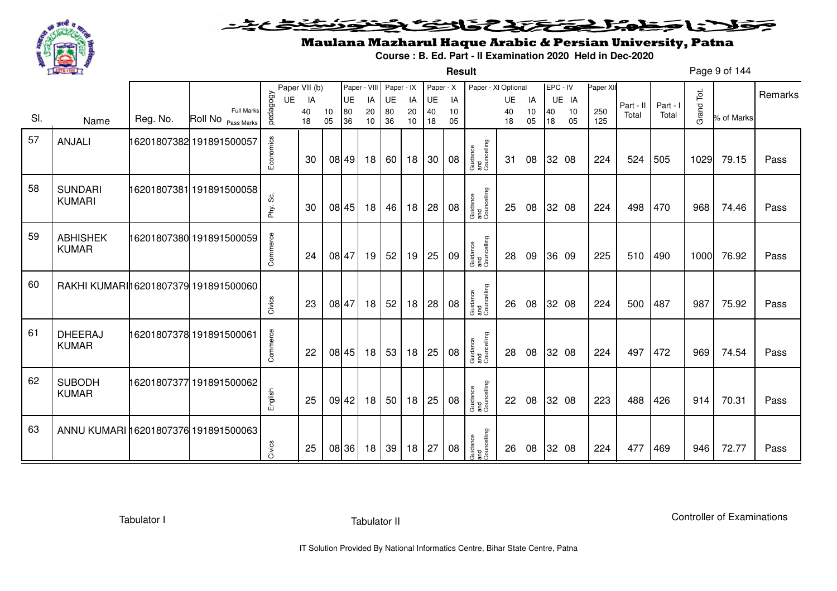

**Result**

# Maulana Mazharul Haque Arabic & Persian University, Patna

**Course : B. Ed. Part - II Examination 2020 Held in Dec-2020**

Page 9 of 144

|     |                                      |          |                                         |           | Paper VII (b) |          | Paper - VIII |                 | Paper - IX |          | Paper - X |          | Paper - XI Optional            |          |          | EPC - IV |          | Paper XII  |           |          |            |            | Remarks |
|-----|--------------------------------------|----------|-----------------------------------------|-----------|---------------|----------|--------------|-----------------|------------|----------|-----------|----------|--------------------------------|----------|----------|----------|----------|------------|-----------|----------|------------|------------|---------|
|     |                                      |          |                                         | UE        | IA            |          | UE           | IA              | UE         | IA       | UE        | IA       |                                | UE       | IA       |          | UE IA    |            | Part - II | Part - I |            |            |         |
| SI. | Name                                 | Reg. No. | <b>Full Marks</b><br>Roll No Pass Marks | pedagogy  | 40<br>18      | 10<br>05 | 80<br>36     | 20<br>10        | 80<br>36   | 20<br>10 | 40<br>18  | 10<br>05 |                                | 40<br>18 | 10<br>05 | 40<br>18 | 10<br>05 | 250<br>125 | Total     | Total    | Grand Tot. | % of Marks |         |
|     |                                      |          |                                         |           |               |          |              |                 |            |          |           |          |                                |          |          |          |          |            |           |          |            |            |         |
| 57  | ANJALI                               |          | 16201807382 191891500057                |           |               |          |              |                 |            |          |           |          |                                |          |          |          |          |            |           |          |            |            |         |
|     |                                      |          |                                         | Economics | 30            |          | 08 49        | 18              | 60         | 18       | 30        | 08       | Guidance<br>and<br>Councelling | 31       | 08       |          | 32 08    | 224        | 524       | 505      | 1029       | 79.15      | Pass    |
|     |                                      |          |                                         |           |               |          |              |                 |            |          |           |          |                                |          |          |          |          |            |           |          |            |            |         |
| 58  |                                      |          |                                         |           |               |          |              |                 |            |          |           |          |                                |          |          |          |          |            |           |          |            |            |         |
|     | <b>SUNDARI</b><br><b>KUMARI</b>      |          | 16201807381 191891500058                |           |               |          |              |                 |            |          |           |          |                                |          |          |          |          |            |           |          |            |            |         |
|     |                                      |          |                                         | Phy. Sc.  | 30            |          | 08 45        | 18              | 46         | 18       | 28        | 08       | Guidance<br>and<br>Councelling | 25       | 08       |          | 32 08    | 224        | 498       | 470      | 968        | 74.46      | Pass    |
|     |                                      |          |                                         |           |               |          |              |                 |            |          |           |          |                                |          |          |          |          |            |           |          |            |            |         |
| 59  | <b>ABHISHEK</b>                      |          | 16201807380 191891500059                |           |               |          |              |                 |            |          |           |          |                                |          |          |          |          |            |           |          |            |            |         |
|     | <b>KUMAR</b>                         |          |                                         | Commerce  | 24            |          | 08 47        | 19              | 52         | 19       | 25        | 09       | Guidance<br>and<br>Councelling | 28       | 09       |          | 36 09    | 225        | 510       | 490      | 1000       | 76.92      | Pass    |
|     |                                      |          |                                         |           |               |          |              |                 |            |          |           |          |                                |          |          |          |          |            |           |          |            |            |         |
| 60  |                                      |          |                                         |           |               |          |              |                 |            |          |           |          |                                |          |          |          |          |            |           |          |            |            |         |
|     | RAKHI KUMARI16201807379 191891500060 |          |                                         |           |               |          |              |                 |            |          |           |          |                                |          |          |          |          |            |           |          |            |            |         |
|     |                                      |          |                                         | Civics    | 23            |          | 08 47        | 18              | 52         | 18       | 28        | 08       | Guidance<br>and<br>Councelling | 26       | 08       |          | 32 08    | 224        | 500       | 487      | 987        | 75.92      | Pass    |
|     |                                      |          |                                         |           |               |          |              |                 |            |          |           |          |                                |          |          |          |          |            |           |          |            |            |         |
| 61  | <b>DHEERAJ</b>                       |          | 16201807378 191891500061                |           |               |          |              |                 |            |          |           |          |                                |          |          |          |          |            |           |          |            |            |         |
|     | <b>KUMAR</b>                         |          |                                         | Commerce  | 22            |          | 08 45        | 18              | 53         | 18       | 25        | 08       | Guidance<br>and<br>Councelling | 28       | 08       |          | 32 08    | 224        | 497       | 472      | 969        | 74.54      | Pass    |
|     |                                      |          |                                         |           |               |          |              |                 |            |          |           |          |                                |          |          |          |          |            |           |          |            |            |         |
| 62  |                                      |          |                                         |           |               |          |              |                 |            |          |           |          |                                |          |          |          |          |            |           |          |            |            |         |
|     | <b>SUBODH</b><br><b>KUMAR</b>        |          | 16201807377 191891500062                |           |               |          |              |                 |            |          |           |          |                                |          |          |          |          |            |           |          |            |            |         |
|     |                                      |          |                                         | English   | 25            |          | 09 42        | 18              | 50         | 18       | 25        | 08       | Guidance<br>and<br>Councelling | 22       | 08       |          | 32 08    | 223        | 488       | 426      | 914        | 70.31      | Pass    |
|     |                                      |          |                                         |           |               |          |              |                 |            |          |           |          |                                |          |          |          |          |            |           |          |            |            |         |
| 63  | ANNU KUMARI 16201807376 191891500063 |          |                                         |           |               |          |              |                 |            |          |           |          |                                |          |          |          |          |            |           |          |            |            |         |
|     |                                      |          |                                         |           | 25            |          | 08 36        | 18 <sup>1</sup> | 39         | 18       | 27        | 08       | Guidance<br>and<br>Councelling | 26       | 08       |          | 32 08    | 224        | 477       | 469      | 946        | 72.77      | Pass    |
|     |                                      |          |                                         | Civics    |               |          |              |                 |            |          |           |          |                                |          |          |          |          |            |           |          |            |            |         |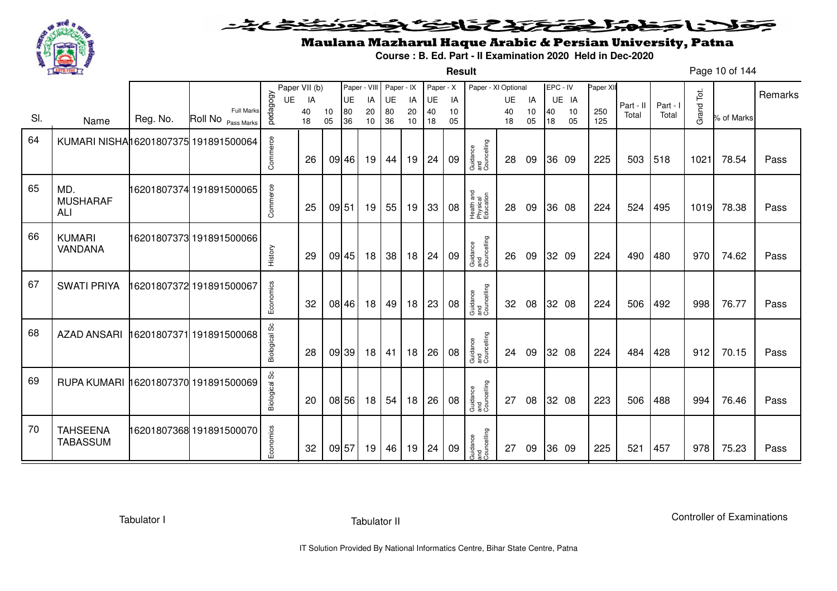

**Result**

# Maulana Mazharul Haque Arabic & Persian University, Patna

**Course : B. Ed. Part - II Examination 2020 Held in Dec-2020**

Page 10 of 144

|     |                                      |          |                                         |                      | Paper VII (b) |          | Paper - VIII |          | Paper - IX |          | Paper - X |          | Paper - XI Optional                 |          |          | EPC - IV |          | Paper XII  |           |          |            |            |         |
|-----|--------------------------------------|----------|-----------------------------------------|----------------------|---------------|----------|--------------|----------|------------|----------|-----------|----------|-------------------------------------|----------|----------|----------|----------|------------|-----------|----------|------------|------------|---------|
|     |                                      |          |                                         | UE                   | IA            |          | UE           | IA       | UE         | IA       | UE        | IA       |                                     | UE       | IA       |          | UE IA    |            | Part - II | Part - I |            |            | Remarks |
| SI. | Name                                 | Reg. No. | <b>Full Marks</b><br>Roll No Pass Marks | pedagogy             | 40<br>18      | 10<br>05 | 80<br>36     | 20<br>10 | 80<br>36   | 20<br>10 | 40<br>18  | 10<br>05 |                                     | 40<br>18 | 10<br>05 | 40<br>18 | 10<br>05 | 250<br>125 | Total     | Total    | Grand Tot. | % of Marks |         |
|     |                                      |          |                                         |                      |               |          |              |          |            |          |           |          |                                     |          |          |          |          |            |           |          |            |            |         |
| 64  | KUMARI NISHA16201807375 191891500064 |          |                                         |                      |               |          |              |          |            |          |           |          |                                     |          |          |          |          |            |           |          |            |            |         |
|     |                                      |          |                                         | Commerce             | 26            |          | 09 46        | 19       | 44         | 19       | 24        | 09       | Guidance<br>and<br>Councelling      | 28       | 09       |          | 36 09    | 225        | 503       | 518      | 1021       | 78.54      | Pass    |
|     |                                      |          |                                         |                      |               |          |              |          |            |          |           |          |                                     |          |          |          |          |            |           |          |            |            |         |
| 65  | MD.                                  |          | 16201807374 191891500065                |                      |               |          |              |          |            |          |           |          |                                     |          |          |          |          |            |           |          |            |            |         |
|     | <b>MUSHARAF</b>                      |          |                                         | Commerce             |               |          |              |          |            |          |           |          |                                     |          |          |          |          |            |           |          |            |            |         |
|     | <b>ALI</b>                           |          |                                         |                      | 25            | 09 51    |              | 19       | 55         | 19       | 33        | 08       | Health and<br>Physical<br>Education | 28       | 09       |          | 36 08    | 224        | 524       | 495      | 1019       | 78.38      | Pass    |
|     |                                      |          |                                         |                      |               |          |              |          |            |          |           |          |                                     |          |          |          |          |            |           |          |            |            |         |
| 66  | <b>KUMARI</b>                        |          | 16201807373 191891500066                |                      |               |          |              |          |            |          |           |          |                                     |          |          |          |          |            |           |          |            |            |         |
|     | VANDANA                              |          |                                         | History              | 29            |          | 09 45        | 18       | 38         | 18       | 24        | 09       | Guidance<br>and<br>Councelling      | 26       | 09       |          | 32 09    | 224        | 490       | 480      | 970        | 74.62      | Pass    |
|     |                                      |          |                                         |                      |               |          |              |          |            |          |           |          |                                     |          |          |          |          |            |           |          |            |            |         |
| 67  | <b>SWATI PRIYA</b>                   |          | 16201807372 191891500067                |                      |               |          |              |          |            |          |           |          |                                     |          |          |          |          |            |           |          |            |            |         |
|     |                                      |          |                                         | Economics            | 32            |          | 08 46        | 18       | 49         | 18       | 23        | 08       | Guidance<br>and<br>Councelling      | 32       | 08       |          | 32 08    | 224        | 506       | 492      | 998        | 76.77      | Pass    |
|     |                                      |          |                                         |                      |               |          |              |          |            |          |           |          |                                     |          |          |          |          |            |           |          |            |            |         |
| 68  |                                      |          |                                         |                      |               |          |              |          |            |          |           |          |                                     |          |          |          |          |            |           |          |            |            |         |
|     | <b>AZAD ANSARI</b>                   |          | 16201807371191891500068                 |                      |               |          |              |          |            |          |           |          |                                     |          |          |          |          |            |           |          |            |            |         |
|     |                                      |          |                                         | <b>Biological Sc</b> | 28            |          | 09 39        | 18       | 41         | 18       | 26        | 08       | Guidance<br>and<br>Councelling      | 24       | 09       |          | 32 08    | 224        | 484       | 428      | 912        | 70.15      | Pass    |
|     |                                      |          |                                         |                      |               |          |              |          |            |          |           |          |                                     |          |          |          |          |            |           |          |            |            |         |
| 69  | RUPA KUMARI 16201807370 191891500069 |          |                                         | <b>Biological Sc</b> |               |          |              |          |            |          |           |          |                                     |          |          |          |          |            |           |          |            |            |         |
|     |                                      |          |                                         |                      | 20            |          | 08 56        | 18       | 54         | 18       | 26        | 08       | Guidance<br>and<br>Councelling      | 27       | 08       |          | 32 08    | 223        | 506       | 488      | 994        | 76.46      | Pass    |
|     |                                      |          |                                         |                      |               |          |              |          |            |          |           |          |                                     |          |          |          |          |            |           |          |            |            |         |
| 70  | <b>TAHSEENA</b>                      |          | 16201807368 191891500070                |                      |               |          |              |          |            |          |           |          |                                     |          |          |          |          |            |           |          |            |            |         |
|     | <b>TABASSUM</b>                      |          |                                         | Economics            |               |          |              |          |            |          |           |          |                                     |          |          |          |          |            |           |          |            |            |         |
|     |                                      |          |                                         |                      | 32            | 09 57    |              | 19       | 46         | 19       | 24        | 09       | Guidance<br>and<br>Councelling      | 27       | 09       |          | 36 09    | 225        | 521       | 457      | 978        | 75.23      | Pass    |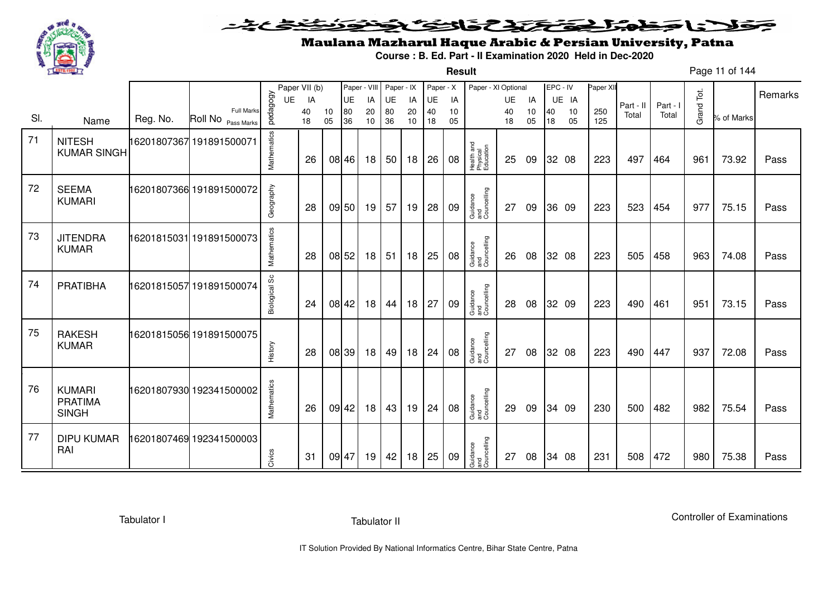

### <u>یٹی ٹ</u>ے۔ فلانا وخدا يقتحنك فالتف ونونوذ ∍

**Result**

# Maulana Mazharul Haque Arabic & Persian University, Patna

**Course : B. Ed. Part - II Examination 2020 Held in Dec-2020**

Page 11 of 144

|     |                                                 |          |                                         |               | Paper VII (b) |          | Paper - VIII |          | Paper - IX |          | Paper - X |          | Paper - XI Optional                 |           |          |          | EPC - IV | Paper XI   |           |          |            |            |         |
|-----|-------------------------------------------------|----------|-----------------------------------------|---------------|---------------|----------|--------------|----------|------------|----------|-----------|----------|-------------------------------------|-----------|----------|----------|----------|------------|-----------|----------|------------|------------|---------|
|     |                                                 |          |                                         | <b>UE</b>     | IA            |          | UE           | IA       | <b>UE</b>  | IA       | UE        | IA       |                                     | <b>UE</b> | IA       |          | UE IA    |            | Part - II | Part - I |            |            | Remarks |
| SI. | Name                                            | Reg. No. | <b>Full Marks</b><br>Roll No Pass Marks | pedagogy      | 40<br>18      | 10<br>05 | 80<br>36     | 20<br>10 | 80<br>36   | 20<br>10 | 40<br>18  | 10<br>05 |                                     | 40<br>18  | 10<br>05 | 40<br>18 | 10<br>05 | 250<br>125 | Total     | Total    | Grand Tot. | % of Marks |         |
| 71  | <b>NITESH</b><br><b>KUMAR SINGH</b>             |          | 16201807367 191891500071                | Mathematics   | 26            |          | 08 46        | 18       | 50         | 18       | 26        | 08       | Health and<br>Physical<br>Education | 25        | 09       |          | 32 08    | 223        | 497       | 464      | 961        | 73.92      | Pass    |
| 72  | <b>SEEMA</b><br><b>KUMARI</b>                   |          | 16201807366 191891500072                | Geography     | 28            |          | 09 50        | 19       | 57         | 19       | 28        | 09       | Guidance<br>and<br>Councelling      | 27        | 09       |          | 36 09    | 223        | 523       | 454      | 977        | 75.15      | Pass    |
| 73  | <b>JITENDRA</b><br><b>KUMAR</b>                 |          | 16201815031 191891500073                | Mathematics   | 28            |          | 08 52        | 18       | 51         | 18       | 25        | 08       | Guidance<br>and<br>Councelling      | 26        | 08       |          | 32 08    | 223        | 505       | 458      | 963        | 74.08      | Pass    |
| 74  | <b>PRATIBHA</b>                                 |          | 16201815057 191891500074                | Biological Sc | 24            |          | 08 42        | 18       | 44         | 18       | 27        | 09       | Guidance<br>and<br>Councelling      | 28        | 08       |          | 32 09    | 223        | 490       | 461      | 951        | 73.15      | Pass    |
| 75  | <b>RAKESH</b><br><b>KUMAR</b>                   |          | 16201815056 191891500075                | History       | 28            |          | 08 39        | 18       | 49         | 18       | 24        | 08       | Guidance<br>and<br>Councelling      | 27        | 08       |          | 32 08    | 223        | 490       | 447      | 937        | 72.08      | Pass    |
| 76  | <b>KUMARI</b><br><b>PRATIMA</b><br><b>SINGH</b> |          | 16201807930 192341500002                | Mathematics   | 26            |          | 09 42        | 18       | 43         | 19       | 24        | 08       | Guidance<br>and<br>Councelling      | 29        | 09       |          | 34 09    | 230        | 500       | 482      | 982        | 75.54      | Pass    |
| 77  | <b>DIPU KUMAR</b><br>RAI                        |          | 6201807469 192341500003                 | Civics        | 31            |          | 09 47        | 19       | 42         | 18       | 25        | 09       | Guidance<br>and<br>Councelling      | 27        | 08       |          | 34 08    | 231        | 508       | 472      | 980        | 75.38      | Pass    |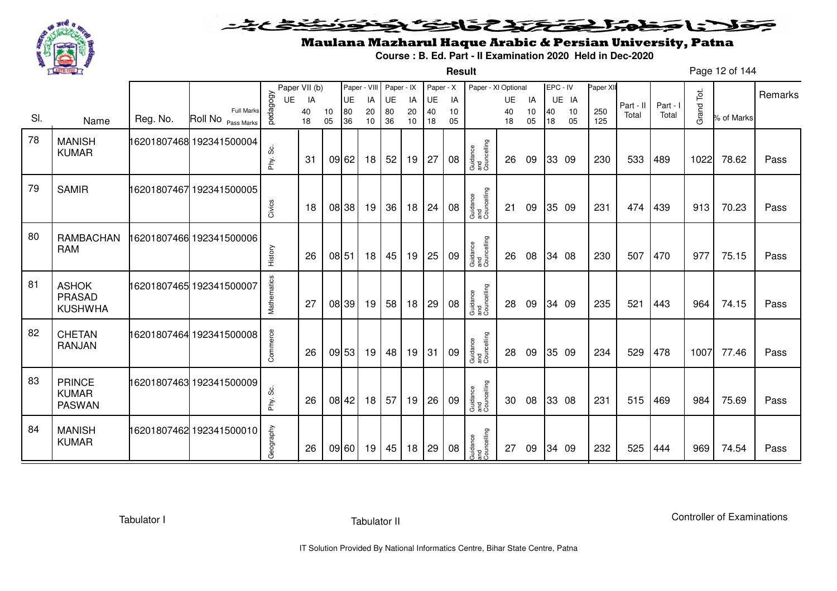

**Result**

# Maulana Mazharul Haque Arabic & Persian University, Patna

**Course : B. Ed. Part - II Examination 2020 Held in Dec-2020**

Page 12 of 144

|     |                                                |          |                                         |             | Paper VII (b) |          | Paper - VIII |          | Paper - IX |          | Paper - X |          | Paper - XI Optional            |           |          | EPC - IV |          | Paper XII  |           |        |            |            | Remarks |
|-----|------------------------------------------------|----------|-----------------------------------------|-------------|---------------|----------|--------------|----------|------------|----------|-----------|----------|--------------------------------|-----------|----------|----------|----------|------------|-----------|--------|------------|------------|---------|
|     |                                                |          |                                         | UE          | IA            |          | <b>UE</b>    | IA       | UE         | IA       | UE        | IA       |                                | <b>UE</b> | IA       |          | UE IA    |            | Part - II | Part - |            |            |         |
| SI. | Name                                           | Reg. No. | <b>Full Marks</b><br>Roll No Pass Marks | pedagogy    | 40<br>18      | 10<br>05 | 80<br>36     | 20<br>10 | 80<br>36   | 20<br>10 | 40<br>18  | 10<br>05 |                                | 40<br>18  | 10<br>05 | 40<br>18 | 10<br>05 | 250<br>125 | Total     | Total  | Grand Tot. | % of Marks |         |
| 78  | <b>MANISH</b><br><b>KUMAR</b>                  |          |                                         | တိ<br>Phy.  | -31           |          | 09 62        | 18       | 52         | 19       | 27        | 08       | Guidance<br>and<br>Councelling | 26        | 09       |          | 33 09    | 230        | 533       | 489    | 1022       | 78.62      | Pass    |
| 79  | <b>SAMIR</b>                                   |          | 16201807467 192341500005                | Civics      | 18            |          | 08 38        | 19       | 36         | 18       | 24        | 08       | Guidance<br>and<br>Councelling | 21        | 09       |          | 35 09    | 231        | 474       | 439    | 913        | 70.23      | Pass    |
| 80  | <b>RAMBACHAN</b><br><b>RAM</b>                 |          | 16201807466 192341500006                | History     | 26            |          | 08 51        | 18       | 45         | 19       | 25        | 09       | Guidance<br>and<br>Councelling | 26        | 08       |          | 34 08    | 230        | 507       | 470    | 977        | 75.15      | Pass    |
| 81  | <b>ASHOK</b><br>PRASAD<br><b>KUSHWHA</b>       |          | 16201807465 192341500007                | Mathematics | 27            |          | 08 39        | 19       | 58         | 18       | 29        | 08       | Guidance<br>and<br>Councelling | 28        | 09       |          | 34 09    | 235        | 521       | 443    | 964        | 74.15      | Pass    |
| 82  | <b>CHETAN</b><br><b>RANJAN</b>                 |          | 16201807464 192341500008                | Commerce    | 26            |          | 09 53        | 19       | 48         | 19       | 31        | 09       | Guidance<br>and<br>Councelling | 28        | 09       |          | 35 09    | 234        | 529       | 478    | 1007       | 77.46      | Pass    |
| 83  | <b>PRINCE</b><br><b>KUMAR</b><br><b>PASWAN</b> |          | 16201807463 192341500009                | တိ<br>Phy.  | 26            |          | 08 42        | 18       | 57         | 19       | 26        | 09       | Guidance<br>and<br>Councelling | 30        | 08       |          | 33 08    | 231        | 515       | 469    | 984        | 75.69      | Pass    |
| 84  | <b>MANISH</b><br><b>KUMAR</b>                  |          | 16201807462 192341500010                | Geography   | 26            |          | 09 60        | 19       | 45         | 18       | 29        | 08       | Guidance<br>and<br>Councelling | 27        | 09       | 34 09    |          | 232        | 525       | 444    | 969        | 74.54      | Pass    |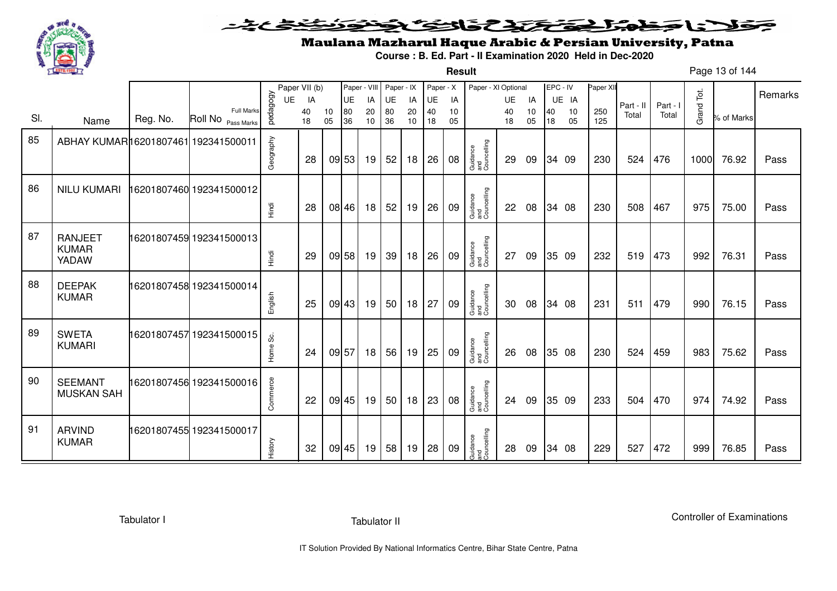

**Result**

# Maulana Mazharul Haque Arabic & Persian University, Patna

**Course : B. Ed. Part - II Examination 2020 Held in Dec-2020**

Page 13 of 144

|     |                                         |          |                                  |           | Paper VII (b) |          | Paper - VIII |          | Paper - IX      |          | Paper - X |          | Paper - XI Optional            |          |          | EPC - IV |          | Paper XII  |           |          |            |            | Remarks |
|-----|-----------------------------------------|----------|----------------------------------|-----------|---------------|----------|--------------|----------|-----------------|----------|-----------|----------|--------------------------------|----------|----------|----------|----------|------------|-----------|----------|------------|------------|---------|
|     |                                         |          |                                  | UE        | IA            |          | UE           | IA       | UE              | IA       | UE        | IA       |                                | UE       | IA       |          | UE IA    |            | Part - II | Part - I |            |            |         |
| SI. | Name                                    | Reg. No. | Full Marks<br>Roll No Pass Marks | pedagogy  | 40<br>18      | 10<br>05 | 80<br>36     | 20<br>10 | 80<br>36        | 20<br>10 | 40<br>18  | 10<br>05 |                                | 40<br>18 | 10<br>05 | 40<br>18 | 10<br>05 | 250<br>125 | Total     | Total    | Grand Tot. | % of Marks |         |
| 85  | ABHAY KUMAR16201807461 192341500011     |          |                                  | Geography | 28            |          | 09 53        | 19       | 52              | 18       | 26        | 08       | Guidance<br>and<br>Councelling | 29       | 09       |          | 34 09    | 230        | 524       | 476      | 1000       | 76.92      | Pass    |
| 86  | <b>NILU KUMARI</b>                      |          | 16201807460 192341500012         | Hindi     | 28            |          | 08 46        | 18       | 52              | 19       | 26        | 09       | Guidance<br>and<br>Councelling | 22       | 08       |          | 34 08    | 230        | 508       | 467      | 975        | 75.00      | Pass    |
| 87  | <b>RANJEET</b><br><b>KUMAR</b><br>YADAW |          | 16201807459 192341500013         | Hindi     | 29            |          | 09 58        | 19       | 39              | 18       | 26        | 09       | Guidance<br>and<br>Councelling | 27       | 09       |          | 35 09    | 232        | 519       | 473      | 992        | 76.31      | Pass    |
| 88  | <b>DEEPAK</b><br><b>KUMAR</b>           |          | 16201807458 192341500014         | English   | 25            |          | 09 43        | 19       | 50 <sub>1</sub> | 18       | 27        | 09       | Guidance<br>and<br>Councelling | 30       | 08       |          | 34 08    | 231        | 511       | 479      | 990        | 76.15      | Pass    |
| 89  | <b>SWETA</b><br><b>KUMARI</b>           |          | 16201807457 192341500015         | Home Sc.  | 24            |          | 09 57        | 18       | 56              | 19       | 25        | 09       | Guidance<br>and<br>Councelling | 26       | 08       |          | 35 08    | 230        | 524       | 459      | 983        | 75.62      | Pass    |
| 90  | <b>SEEMANT</b><br><b>MUSKAN SAH</b>     |          | 16201807456 192341500016         | Commerce  | 22            |          | 09 45        | 19       | 50 <sub>1</sub> | 18       | 23        | 08       | Guidance<br>and<br>Councelling | 24       | 09       |          | 35 09    | 233        | 504       | 470      | 974        | 74.92      | Pass    |
| 91  | <b>ARVIND</b><br><b>KUMAR</b>           |          | 16201807455 192341500017         | History   | 32            |          | 09 45        | 19       | 58              | 19       | 28        | 09       | Guidance<br>and<br>Councelling | 28       | 09       |          | 34 08    | 229        | 527       | 472      | 999        | 76.85      | Pass    |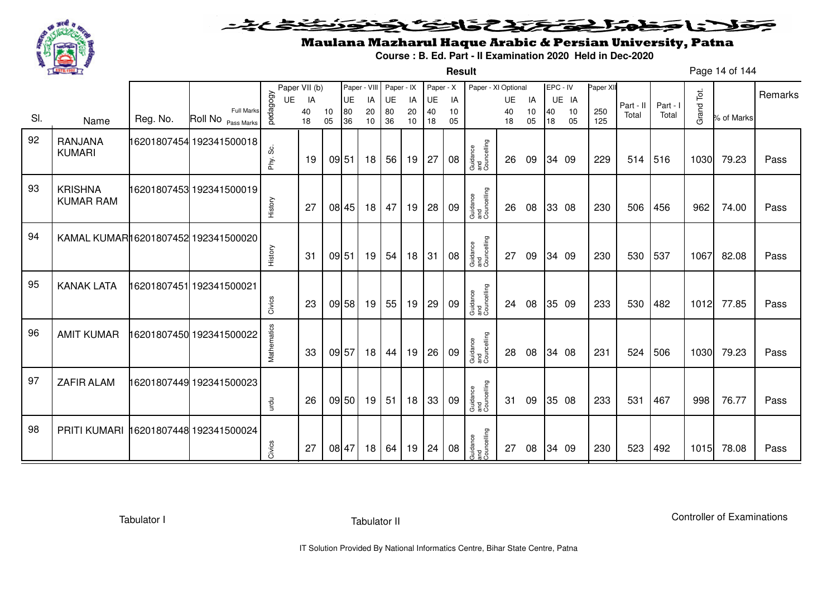

#### فتختخذ فخافى فخذ こえとさ كلانا جنادبل ◒

**Result**

# Maulana Mazharul Haque Arabic & Persian University, Patna

**Course : B. Ed. Part - II Examination 2020 Held in Dec-2020**

Page 14 of 144

|     |                                      |          |                                         |              | Paper VII (b) |          | Paper - VIII |                 | Paper - IX |           | Paper - X |          | Paper - XI Optional            |          |          | EPC - IV |          | Paper XII  |           |          |            |            |         |
|-----|--------------------------------------|----------|-----------------------------------------|--------------|---------------|----------|--------------|-----------------|------------|-----------|-----------|----------|--------------------------------|----------|----------|----------|----------|------------|-----------|----------|------------|------------|---------|
|     |                                      |          |                                         | <b>UE</b>    | IA            |          | UE           | IA              | UE         | IA        | UE        | IA       |                                | UE       | IA       |          | UE IA    |            | Part - II | Part - I |            |            | Remarks |
| SI. | Name                                 | Reg. No. | <b>Full Marks</b><br>Roll No Pass Marks | pedagogy     | 40<br>18      | 10<br>05 | 80<br>36     | 20<br>10        | 80<br>36   | 20<br>10  | 40<br>18  | 10<br>05 |                                | 40<br>18 | 10<br>05 | 40<br>18 | 10<br>05 | 250<br>125 | Total     | Total    | Grand Tot. | % of Marks |         |
| 92  | RANJANA<br><b>KUMARI</b>             |          | 16201807454 192341500018                | ပ္တဲ<br>Phy. | 19            | 09 51    |              | 18              | 56         | $19$   27 |           | 08       | Guidance<br>and<br>Councelling | 26       | 09       |          | 34 09    | 229        | 514       | 516      | 1030       | 79.23      | Pass    |
| 93  | <b>KRISHNA</b><br><b>KUMAR RAM</b>   |          | 16201807453 192341500019                | History      | 27            |          | 08 45        | 18 <sup>1</sup> | 47         | 19        | 28        | 09       | Guidance<br>and<br>Councelling | 26       | 08       |          | 33 08    | 230        | 506       | 456      | 962        | 74.00      | Pass    |
| 94  | KAMAL KUMARI16201807452 192341500020 |          |                                         | History      | 31            | 09 51    |              | 19              | 54         | 18        | 31        | 08       | Guidance<br>and<br>Councelling | 27       | 09       |          | 34 09    | 230        | 530       | 537      | 1067       | 82.08      | Pass    |
| 95  | <b>KANAK LATA</b>                    |          | 16201807451 192341500021                | Civics       | 23            |          | 09 58        | 19              | 55         | 19        | 29        | 09       | Guidance<br>and<br>Councelling | 24       | 08       |          | 35 09    | 233        | 530       | 482      | 1012       | 77.85      | Pass    |
| 96  | <b>AMIT KUMAR</b>                    |          | 16201807450 192341500022                | Mathematics  | 33            | 09 57    |              | 18              | 44         | 19        | 26        | 09       | Guidance<br>and<br>Councelling | 28       | 08       |          | 34 08    | 231        | 524       | 506      | 1030       | 79.23      | Pass    |
| 97  | <b>ZAFIR ALAM</b>                    |          | 16201807449 192341500023                | urdu         | 26            |          | 09 50        | 19              | 51         | 18        | 33        | 09       | Guidance<br>and<br>Councelling | 31       | 09       |          | 35 08    | 233        | 531       | 467      | 998        | 76.77      | Pass    |
| 98  | <b>PRITI KUMARI</b>                  |          | 16201807448 192341500024                | Civics       | 27            | 08 47    |              | 18 <sup>1</sup> | 64         | 19        | 24        | 08       | Guidance<br>and<br>Councelling | 27       | 08       |          | 34 09    | 230        | 523       | 492      | 1015       | 78.08      | Pass    |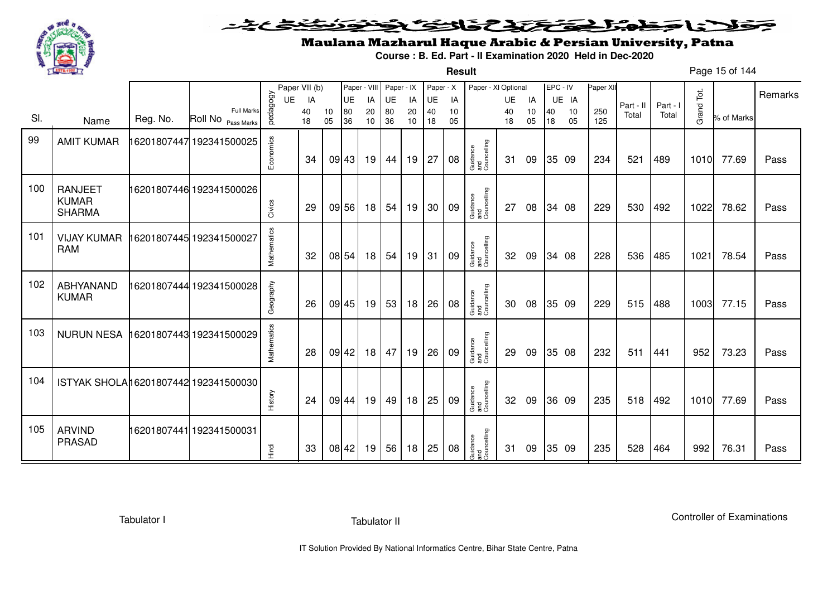

**Result**

# Maulana Mazharul Haque Arabic & Persian University, Patna

**Course : B. Ed. Part - II Examination 2020 Held in Dec-2020**

Page 15 of 144

|     |                                                 |          |                          |                | Paper VII (b) |    | Paper - VIII    |          | Paper - IX |          | Paper - X       |          | Paper - XI Optional            |                 |          |    | EPC - IV    | Paper XII |                    |                   |            |            | Remarks |
|-----|-------------------------------------------------|----------|--------------------------|----------------|---------------|----|-----------------|----------|------------|----------|-----------------|----------|--------------------------------|-----------------|----------|----|-------------|-----------|--------------------|-------------------|------------|------------|---------|
|     |                                                 |          | <b>Full Marks</b>        | pedagogy<br>UE | IA<br>40      | 10 | <b>UE</b><br>80 | IA<br>20 | UE<br>80   | IA<br>20 | <b>UE</b><br>40 | IA<br>10 |                                | <b>UE</b><br>40 | IA<br>10 | 40 | UE IA<br>10 | 250       | Part - II<br>Total | Part - I<br>Total | Grand Tot. |            |         |
| SI. | Name                                            | Reg. No. | Roll No Pass Marks       |                | 18            | 05 | 36              | 10       | 36         | 10       | 18              | 05       |                                | 18              | 05       | 18 | 05          | 125       |                    |                   |            | % of Marks |         |
| 99  | <b>AMIT KUMAR</b>                               |          | 16201807447 192341500025 | Economics      | 34            |    | 09 43           | 19       | 44         | 19       | 27              | 08       | Guidance<br>and<br>Councelling | 31              | 09       |    | 35 09       | 234       | 521                | 489               | 1010       | 77.69      | Pass    |
| 100 | <b>RANJEET</b><br><b>KUMAR</b><br><b>SHARMA</b> |          | 16201807446 192341500026 | Civics         | 29            |    | 09 56           | 18       | 54         | 19       | 30              | 09       | Guidance<br>and<br>Councelling | 27              | 08       |    | 34 08       | 229       | 530                | 492               | 1022       | 78.62      | Pass    |
| 101 | <b>VIJAY KUMAR</b><br><b>RAM</b>                |          | 16201807445 192341500027 | Mathematics    | 32            |    | 08 54           | 18       | 54         | 19       | 31              | 09       | Guidance<br>and<br>Councelling | 32              | 09       |    | 34 08       | 228       | 536                | 485               | 1021       | 78.54      | Pass    |
| 102 | ABHYANAND<br><b>KUMAR</b>                       |          | 16201807444 192341500028 | Geography      | 26            |    | 09 45           | 19       | 53         | 18       | 26              | 08       | Guidance<br>and<br>Councelling | 30              | 08       |    | 35 09       | 229       | 515                | 488               | 1003       | 77.15      | Pass    |
| 103 | <b>NURUN NESA</b>                               |          | 16201807443 192341500029 | Mathematics    | 28            |    | 09 42           | 18       | 47         | 19       | 26              | 09       | Guidance<br>and<br>Councelling | 29              | 09       |    | 35 08       | 232       | 511                | 441               | 952        | 73.23      | Pass    |
| 104 | ISTYAK SHOLA16201807442 192341500030            |          |                          | History        | 24            |    | 09 44           | 19       | 49         | 18       | 25              | 09       | Guidance<br>and<br>Councelling | 32              | 09       |    | 36 09       | 235       | 518                | 492               | 1010       | 77.69      | Pass    |
| 105 | <b>ARVIND</b><br><b>PRASAD</b>                  |          | 16201807441 192341500031 | Hindi          | 33            |    | 08 42           | 19       | 56         | 18       | 25              | 08       | Guidance<br>and<br>Councelling | 31              | 09       |    | 35 09       | 235       | 528                | 464               | 992        | 76.31      | Pass    |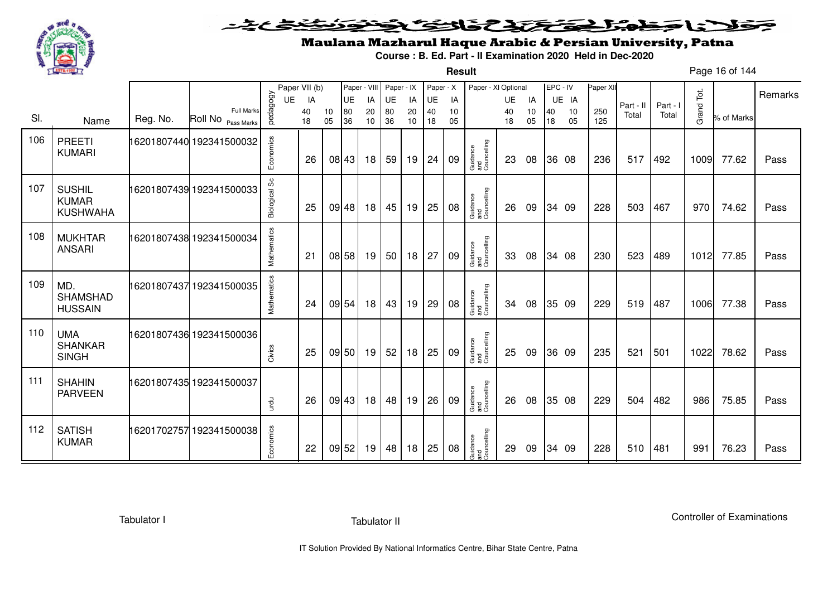

**Result**

# Maulana Mazharul Haque Arabic & Persian University, Patna

**Course : B. Ed. Part - II Examination 2020 Held in Dec-2020**

Page 16 of 144

|     |                                                  |          |                                         |               | Paper VII (b) |          | Paper - VIII |          | Paper - IX |          | Paper - X |          | Paper - XI Optional            |          |          | EPC - IV |          | Paper XII  |           |          |            |            |         |
|-----|--------------------------------------------------|----------|-----------------------------------------|---------------|---------------|----------|--------------|----------|------------|----------|-----------|----------|--------------------------------|----------|----------|----------|----------|------------|-----------|----------|------------|------------|---------|
|     |                                                  |          |                                         | <b>UE</b>     | IA            |          | <b>UE</b>    | IA       | UE         | IA       | UE        | IA       |                                | UE       | IA       |          | UE IA    |            | Part - II | Part - I |            |            | Remarks |
| SI. | Name                                             | Reg. No. | <b>Full Marks</b><br>Roll No Pass Marks | pedagogy      | 40<br>18      | 10<br>05 | 80<br>36     | 20<br>10 | 80<br>36   | 20<br>10 | 40<br>18  | 10<br>05 |                                | 40<br>18 | 10<br>05 | 40<br>18 | 10<br>05 | 250<br>125 | Total     | Total    | Grand Tot. | % of Marks |         |
| 106 | <b>PREETI</b><br><b>KUMARI</b>                   |          | 16201807440 192341500032                | Economics     | 26            |          | 08 43        | 18       | 59         | 19       | 24        | 09       | Guidance<br>and<br>Councelling | 23       | 08       |          | 36 08    | 236        | 517       | 492      | 1009       | 77.62      | Pass    |
| 107 | <b>SUSHIL</b><br><b>KUMAR</b><br><b>KUSHWAHA</b> |          | 16201807439 192341500033                | Biological Sc | 25            |          | 09 48        | 18       | 45         | 19       | 25        | 08       | Guidance<br>and<br>Councelling | 26       | 09       |          | 34 09    | 228        | 503       | 467      | 970        | 74.62      | Pass    |
| 108 | <b>MUKHTAR</b><br><b>ANSARI</b>                  |          | 16201807438 192341500034                | Mathematics   | 21            |          | 08 58        | 19       | 50         | 18       | 27        | 09       | Guidance<br>and<br>Councelling | 33       | 08       |          | 34 08    | 230        | 523       | 489      | 1012       | 77.85      | Pass    |
| 109 | MD.<br><b>SHAMSHAD</b><br><b>HUSSAIN</b>         |          | 16201807437192341500035                 | Mathematics   | 24            |          | 09 54        | 18       | 43         | 19       | 29        | 08       | Guidance<br>and<br>Councelling | 34       | 08       |          | 35 09    | 229        | 519       | 487      | 1006       | 77.38      | Pass    |
| 110 | <b>UMA</b><br><b>SHANKAR</b><br><b>SINGH</b>     |          | 16201807436 192341500036                | Civics        | 25            |          | 09 50        | 19       | 52         | 18       | 25        | 09       | Guidance<br>and<br>Councelling | 25       | 09       |          | 36 09    | 235        | 521       | 501      | 1022       | 78.62      | Pass    |
| 111 | <b>SHAHIN</b><br><b>PARVEEN</b>                  |          | 16201807435 192341500037                | urdu          | 26            |          | 09 43        | 18       | 48         | 19       | 26        | 09       | Guidance<br>and<br>Councelling | 26       | 08       |          | 35 08    | 229        | 504       | 482      | 986        | 75.85      | Pass    |
| 112 | <b>SATISH</b><br><b>KUMAR</b>                    |          | 16201702757 192341500038                | Economics     | 22            |          | 09 52        | 19       | 48         | 18       | 25        | 08       | Guidance<br>and<br>Councelling | 29       | 09       |          | 34 09    | 228        | 510       | 481      | 991        | 76.23      | Pass    |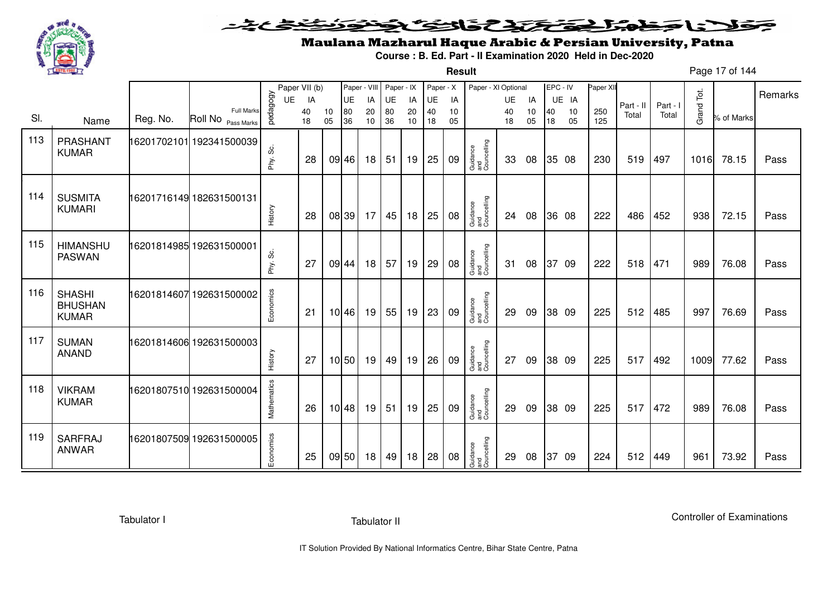

### <u>یٹی ٹ</u>ے۔ فلانا وخدا يقتحنك فالتف ونونوذ ∍

**Result**

# Maulana Mazharul Haque Arabic & Persian University, Patna

**Course : B. Ed. Part - II Examination 2020 Held in Dec-2020**

Page 17 of 144

|     |                                                 |          |                                                    |             | Paper VII (b) |          |          | Paper - VIII    | Paper - IX |          | Paper - X |          | Paper - XI Optional            |          |          | EPC - IV |          | Paper XI   |           |          |            |            |         |
|-----|-------------------------------------------------|----------|----------------------------------------------------|-------------|---------------|----------|----------|-----------------|------------|----------|-----------|----------|--------------------------------|----------|----------|----------|----------|------------|-----------|----------|------------|------------|---------|
|     |                                                 |          |                                                    | <b>UE</b>   | IA            |          | UE       | IA              | UE         | IA       | UE        | IA       |                                | UE       | IA       |          | UE IA    |            | Part - II | Part - I |            |            | Remarks |
| SI. | Name                                            | Reg. No. | <b>Full Marks</b><br>Roll No <sub>Pass Marks</sub> | pedagogy    | 40<br>18      | 10<br>05 | 80<br>36 | 20<br>10        | 80<br>36   | 20<br>10 | 40<br>18  | 10<br>05 |                                | 40<br>18 | 10<br>05 | 40<br>18 | 10<br>05 | 250<br>125 | Total     | Total    | Grand Tot. | % of Marks |         |
| 113 | PRASHANT                                        |          | 16201702101 192341500039                           |             |               |          |          |                 |            |          |           |          |                                |          |          |          |          |            |           |          |            |            |         |
|     | <b>KUMAR</b>                                    |          |                                                    | တိ<br>Phy.  | 28            |          | 09 46    | 18              | 51         | 19       | 25        | 09       | Guidance<br>and<br>Councelling | 33       | 08       |          | 35 08    | 230        | 519       | 497      | 1016       | 78.15      | Pass    |
| 114 | <b>SUSMITA</b><br><b>KUMARI</b>                 |          | 16201716149 182631500131                           |             |               |          |          |                 |            |          |           |          | Guidance<br>and<br>Councelling |          |          |          |          |            |           |          |            |            |         |
|     |                                                 |          |                                                    | History     | 28            |          | 08 39    | 17              | 45         | 18       | 25        | 08       |                                | 24       | 08       |          | 36 08    | 222        | 486       | 452      | 938        | 72.15      | Pass    |
| 115 | <b>HIMANSHU</b><br><b>PASWAN</b>                |          | 16201814985 192631500001                           | Phy. Sc.    | 27            |          | 09 44    | 18 <sup>1</sup> | 57         | 19       | 29        | 08       | Guidance<br>and<br>Councelling | 31       | 08       |          | 37 09    | 222        | 518       | 471      | 989        | 76.08      | Pass    |
| 116 | <b>SHASHI</b><br><b>BHUSHAN</b><br><b>KUMAR</b> |          | 16201814607192631500002                            | Economics   | 21            |          | $10$ 46  | 19              | 55         | 19       | 23        | 09       | Guidance<br>and<br>Councelling | 29       | 09       |          | 38 09    | 225        | 512       | 485      | 997        | 76.69      | Pass    |
| 117 | <b>SUMAN</b><br><b>ANAND</b>                    |          | 16201814606 192631500003                           | History     | 27            |          | 10 50    | 19              | 49         | 19       | 26        | 09       | Guidance<br>and<br>Councelling | 27       | 09       |          | 38 09    | 225        | 517       | 492      | 1009       | 77.62      | Pass    |
| 118 | <b>VIKRAM</b><br><b>KUMAR</b>                   |          | 16201807510 192631500004                           | Mathematics | 26            |          | 10 48    | 19 <sup>1</sup> | 51         | 19       | 25        | 09       | Guidance<br>and<br>Councelling | 29       | 09       |          | 38 09    | 225        | 517       | 472      | 989        | 76.08      | Pass    |
| 119 | <b>SARFRAJ</b><br><b>ANWAR</b>                  |          | 16201807509 192631500005                           | Economics   | 25            |          | 09 50    | 18 <sup>1</sup> | 49         | 18       | 28        | 08       | Guidance<br>and<br>Councelling | 29       | 08       | 37 09    |          | 224        | 512       | 449      | 961        | 73.92      | Pass    |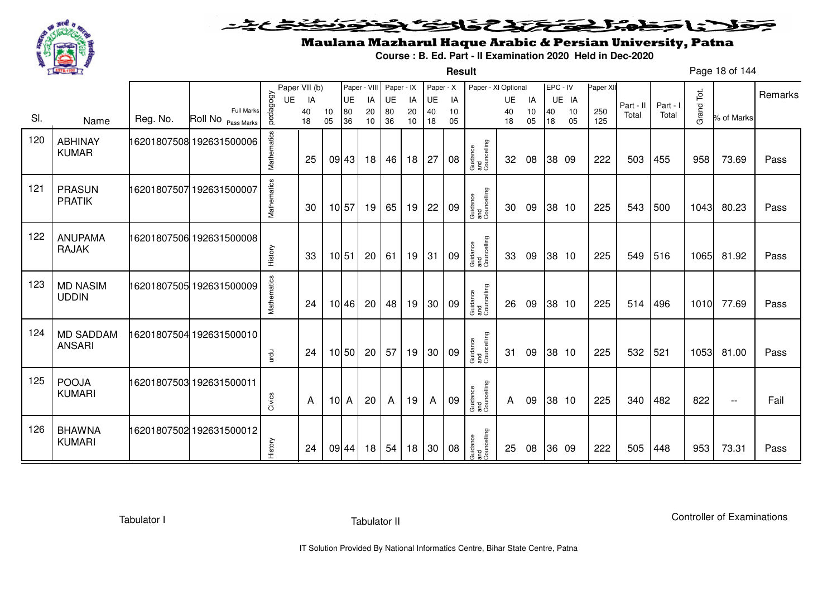

**Result**

# Maulana Mazharul Haque Arabic & Persian University, Patna

**Course : B. Ed. Part - II Examination 2020 Held in Dec-2020**

Page 18 of 144

|     |                                   |          |                                  |             | Paper VII (b) |          | Paper - VIII |          | Paper - IX |          | Paper - X |          | Paper - XI Optional            |          |          | EPC - IV |          | Paper XII  |           |          |            |                          |         |
|-----|-----------------------------------|----------|----------------------------------|-------------|---------------|----------|--------------|----------|------------|----------|-----------|----------|--------------------------------|----------|----------|----------|----------|------------|-----------|----------|------------|--------------------------|---------|
|     |                                   |          |                                  | UE          | IA            |          | UE           | IA       | UE         | IA       | UE        | IA       |                                | UE       | IA       |          | UE IA    |            | Part - II | Part - I |            |                          | Remarks |
| SI. | Name                              | Reg. No. | Full Marks<br>Roll No Pass Marks | pedagogy    | 40<br>18      | 10<br>05 | 80<br>36     | 20<br>10 | 80<br>36   | 20<br>10 | 40<br>18  | 10<br>05 |                                | 40<br>18 | 10<br>05 | 40<br>18 | 10<br>05 | 250<br>125 | Total     | Total    | Grand Tot. | % of Marks               |         |
| 120 | <b>ABHINAY</b><br><b>KUMAR</b>    |          | 16201807508 192631500006         | Mathematics | 25            |          | 09 43        | 18       | 46         | 18       | 27        | 08       | Guidance<br>and<br>Councelling | 32       | 08       |          | 38 09    | 222        | 503       | 455      | 958        | 73.69                    | Pass    |
| 121 | <b>PRASUN</b><br><b>PRATIK</b>    |          | 16201807507 192631500007         | Mathematics | 30            |          | 10 57        | 19       | 65         | 19       | 22        | 09       | Guidance<br>and<br>Councelling | 30       | 09       |          | 38 10    | 225        | 543       | 500      | 1043       | 80.23                    | Pass    |
| 122 | <b>ANUPAMA</b><br><b>RAJAK</b>    |          | 16201807506 192631500008         | History     | 33            |          | 10 51        | 20       | 61         | 19       | 31        | 09       | Guidance<br>and<br>Councelling | 33       | 09       |          | 38 10    | 225        | 549       | 516      | 1065       | 81.92                    | Pass    |
| 123 | <b>MD NASIM</b><br><b>UDDIN</b>   |          | 16201807505 192631500009         | Mathematics | 24            |          | 10 46        | 20       | 48         | 19       | 30        | 09       | Guidance<br>and<br>Councelling | 26       | 09       |          | 38 10    | 225        | 514       | 496      | 1010       | 77.69                    | Pass    |
| 124 | <b>MD SADDAM</b><br><b>ANSARI</b> |          | 16201807504 192631500010         | urdu        | 24            |          | 10 50        | 20       | 57         | 19       | 30        | 09       | Guidance<br>and<br>Councelling | 31       | 09       |          | 38 10    | 225        | 532       | 521      | 1053       | 81.00                    | Pass    |
| 125 | <b>POOJA</b><br><b>KUMARI</b>     |          | 16201807503 192631500011         | Civics      | A             | $107$ A  |              | 20       | A          | 19       | A         | 09       | Guidance<br>and<br>Councelling | A        | 09       |          | 38 10    | 225        | 340       | 482      | 822        | $\overline{\phantom{a}}$ | Fail    |
| 126 | <b>BHAWNA</b><br><b>KUMARI</b>    |          | 16201807502 192631500012         | History     | 24            |          | 09 44        | 18       | 54         | 18       | 30        | 08       | Guidance<br>and<br>Councelling | 25       | 08       |          | 36 09    | 222        | 505       | 448      | 953        | 73.31                    | Pass    |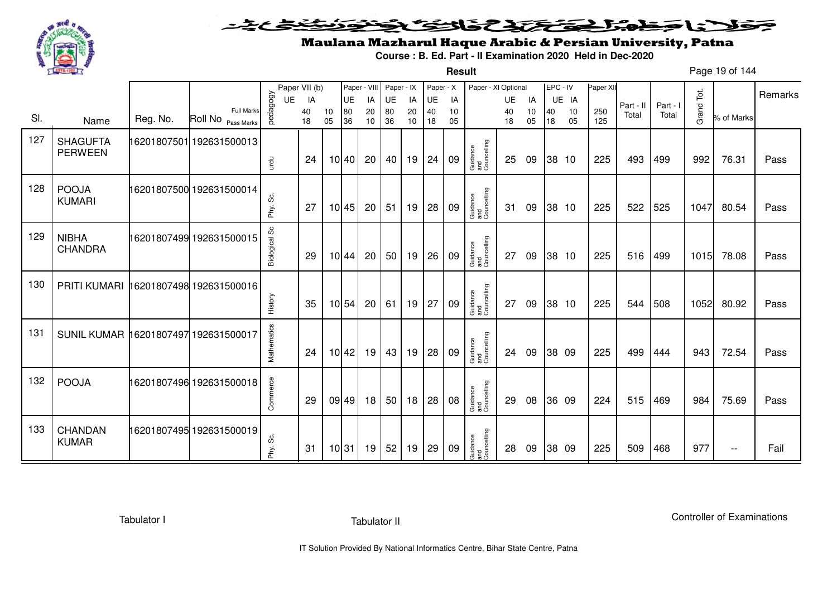

**Result**

# Maulana Mazharul Haque Arabic & Persian University, Patna

**Course : B. Ed. Part - II Examination 2020 Held in Dec-2020**

Page 19 of 144

|     |                                      |             |                                         |               | Paper VII (b) |          | Paper - VIII |          | Paper - IX |          | Paper - X |          | Paper - XI Optional            |          |          | EPC - IV |          | Paper XI   |           |          |            |                          |         |
|-----|--------------------------------------|-------------|-----------------------------------------|---------------|---------------|----------|--------------|----------|------------|----------|-----------|----------|--------------------------------|----------|----------|----------|----------|------------|-----------|----------|------------|--------------------------|---------|
|     |                                      |             |                                         | UE            | IA            |          | UE           | IA       | UE         | IA       | UE        | IA       |                                | UE       | IA       |          | UE IA    |            | Part - II | Part - I |            |                          | Remarks |
| SI. | Name                                 | Reg. No.    | <b>Full Marks</b><br>Roll No Pass Marks | vedagogy      | 40<br>18      | 10<br>05 | 80<br>36     | 20<br>10 | 80<br>36   | 20<br>10 | 40<br>18  | 10<br>05 |                                | 40<br>18 | 10<br>05 | 40<br>18 | 10<br>05 | 250<br>125 | Total     | Total    | Grand Tot. | % of Marks               |         |
|     |                                      |             |                                         |               |               |          |              |          |            |          |           |          |                                |          |          |          |          |            |           |          |            |                          |         |
| 127 | <b>SHAGUFTA</b>                      | 16201807501 | 192631500013                            |               |               |          |              |          |            |          |           |          |                                |          |          |          |          |            |           |          |            |                          |         |
|     | <b>PERWEEN</b>                       |             |                                         |               | 24            |          | 10 40        | 20       | 40         | 19       | 24        | 09       | Guidance<br>and<br>Councelling | 25       | 09       | 38 10    |          | 225        | 493       | 499      | 992        | 76.31                    | Pass    |
|     |                                      |             |                                         | urdu          |               |          |              |          |            |          |           |          |                                |          |          |          |          |            |           |          |            |                          |         |
| 128 | <b>POOJA</b>                         |             | 16201807500 192631500014                |               |               |          |              |          |            |          |           |          |                                |          |          |          |          |            |           |          |            |                          |         |
|     | <b>KUMARI</b>                        |             |                                         |               |               |          |              |          |            |          |           |          |                                |          |          |          |          |            |           |          |            |                          |         |
|     |                                      |             |                                         | Phy. Sc.      | 27            |          | 10 45        | 20       | 51         | 19       | 28        | 09       | Guidance<br>and<br>Councelling | 31       | 09       | 38 10    |          | 225        | 522       | 525      | 1047       | 80.54                    | Pass    |
|     |                                      |             |                                         |               |               |          |              |          |            |          |           |          |                                |          |          |          |          |            |           |          |            |                          |         |
| 129 | <b>NIBHA</b>                         |             | 16201807499 192631500015                | Biological Sc |               |          |              |          |            |          |           |          |                                |          |          |          |          |            |           |          |            |                          |         |
|     | CHANDRA                              |             |                                         |               | 29            |          | 10 44        | 20       | 50         | 19       | 26        | 09       | Guidance<br>and<br>Councelling | 27       | 09       | 38 10    |          | 225        | 516       | 499      | 1015       | 78.08                    | Pass    |
|     |                                      |             |                                         |               |               |          |              |          |            |          |           |          |                                |          |          |          |          |            |           |          |            |                          |         |
| 130 | PRITI KUMARI                         |             | 16201807498 192631500016                |               |               |          |              |          |            |          |           |          |                                |          |          |          |          |            |           |          |            |                          |         |
|     |                                      |             |                                         |               |               |          |              |          |            |          |           |          |                                |          |          |          |          |            |           |          |            |                          |         |
|     |                                      |             |                                         | History       | 35            |          | 10 54        | 20       | 61         | 19       | 27        | 09       | Guidance<br>and<br>Councelling | 27       | 09       |          | 38 10    | 225        | 544       | 508      | 1052       | 80.92                    | Pass    |
|     |                                      |             |                                         |               |               |          |              |          |            |          |           |          |                                |          |          |          |          |            |           |          |            |                          |         |
| 131 | SUNIL KUMAR 16201807497 192631500017 |             |                                         |               |               |          |              |          |            |          |           |          |                                |          |          |          |          |            |           |          |            |                          |         |
|     |                                      |             |                                         | Mathematics   | 24            |          | 10 42        | 19       | 43         | 19       | 28        | 09       | Guidance<br>and<br>Councelling | 24       | 09       | 38 09    |          | 225        | 499       | 444      | 943        | 72.54                    | Pass    |
|     |                                      |             |                                         |               |               |          |              |          |            |          |           |          |                                |          |          |          |          |            |           |          |            |                          |         |
| 132 | <b>POOJA</b>                         |             | 16201807496 192631500018                |               |               |          |              |          |            |          |           |          |                                |          |          |          |          |            |           |          |            |                          |         |
|     |                                      |             |                                         | Commerce      |               |          |              |          |            |          |           |          |                                |          |          |          |          |            |           |          |            |                          |         |
|     |                                      |             |                                         |               | 29            |          | 09 49        | 18       | 50         | 18       | 28        | 08       | Guidance<br>and<br>Councelling | 29       | 08       | 36 09    |          | 224        | 515       | 469      | 984        | 75.69                    | Pass    |
|     |                                      |             |                                         |               |               |          |              |          |            |          |           |          |                                |          |          |          |          |            |           |          |            |                          |         |
| 133 | CHANDAN                              |             | 16201807495 192631500019                | ပ္တိ          |               |          |              |          |            |          |           |          |                                |          |          |          |          |            |           |          |            |                          |         |
|     | <b>KUMAR</b>                         |             |                                         | Phy.          | 31            |          | 10 31        | 19       | 52         | 19       | 29        | 09       | Guidance<br>and<br>Councelling | 28       | 09       | 38 09    |          | 225        | 509       | 468      | 977        | $\overline{\phantom{m}}$ | Fail    |
|     |                                      |             |                                         |               |               |          |              |          |            |          |           |          |                                |          |          |          |          |            |           |          |            |                          |         |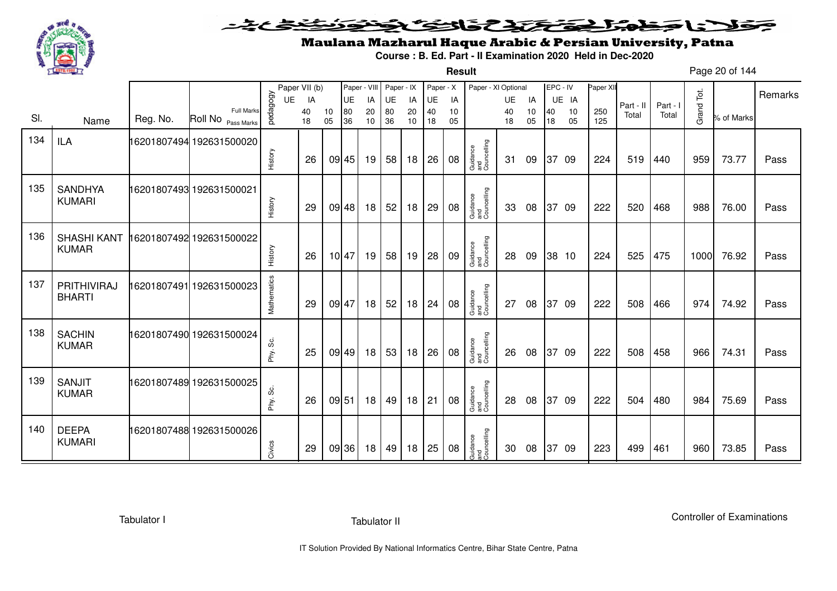

**Result**

# Maulana Mazharul Haque Arabic & Persian University, Patna

**Course : B. Ed. Part - II Examination 2020 Held in Dec-2020**

Page 20 of 144

|     |                                    |          |                                         |             | Paper VII (b) |          | Paper - VIII |          | Paper - IX |          | Paper - X |          | Paper - XI Optional            |          |          | EPC - IV |          | Paper XII  |           |          |            |            |         |
|-----|------------------------------------|----------|-----------------------------------------|-------------|---------------|----------|--------------|----------|------------|----------|-----------|----------|--------------------------------|----------|----------|----------|----------|------------|-----------|----------|------------|------------|---------|
|     |                                    |          |                                         | UE          | IA            |          | UE           | IA       | UE         | IA       | UE        | IA       |                                | UE       | IA       |          | UE IA    |            | Part - II | Part - I |            |            | Remarks |
| SI. | Name                               | Reg. No. | <b>Full Marks</b><br>Roll No Pass Marks | vedagogy    | 40<br>18      | 10<br>05 | 80<br>36     | 20<br>10 | 80<br>36   | 20<br>10 | 40<br>18  | 10<br>05 |                                | 40<br>18 | 10<br>05 | 40<br>18 | 10<br>05 | 250<br>125 | Total     | Total    | Grand Tot. | % of Marks |         |
| 134 | <b>ILA</b>                         |          | 16201807494 192631500020                | History     | 26            |          | 09 45        | 19       | 58         | 18       | 26        | 08       | Guidance<br>and<br>Councelling | 31       | 09       |          | 37 09    | 224        | 519       | 440      | 959        | 73.77      | Pass    |
|     |                                    |          |                                         |             |               |          |              |          |            |          |           |          |                                |          |          |          |          |            |           |          |            |            |         |
| 135 | <b>SANDHYA</b><br><b>KUMARI</b>    |          | 16201807493 192631500021                | History     | 29            |          | 09 48        | 18       | 52         | 18       | 29        | 08       | Guidance<br>and<br>Councelling | 33       | 08       |          | 37 09    | 222        | 520       | 468      | 988        | 76.00      | Pass    |
| 136 | <b>SHASHI KANT</b><br><b>KUMAR</b> |          | 16201807492 192631500022                | History     | 26            |          | 10 47        | 19       | 58         | 19       | 28        | 09       | Guidance<br>and<br>Councelling | 28       | 09       |          | 38 10    | 224        | 525       | 475      | 1000       | 76.92      | Pass    |
| 137 | PRITHIVIRAJ<br><b>BHARTI</b>       |          | 16201807491 192631500023                | Mathematics | 29            | 09 47    |              | 18       | 52         | 18       | 24        | 08       | Guidance<br>and<br>Councelling | 27       | 08       |          | 37 09    | 222        | 508       | 466      | 974        | 74.92      | Pass    |
| 138 | <b>SACHIN</b><br><b>KUMAR</b>      |          | 16201807490 192631500024                | Phy. Sc.    | 25            |          | 09 49        | 18       | 53         | 18       | 26        | 08       | Guidance<br>and<br>Councelling | 26       | 08       |          | 37 09    | 222        | 508       | 458      | 966        | 74.31      | Pass    |
| 139 | <b>SANJIT</b><br><b>KUMAR</b>      |          | 16201807489 192631500025                | တိ<br>Phy.  | 26            | 09 51    |              | 18       | 49         | 18       | 21        | 08       | Guidance<br>and<br>Councelling | 28       | 08       |          | 37 09    | 222        | 504       | 480      | 984        | 75.69      | Pass    |
| 140 | <b>DEEPA</b><br><b>KUMARI</b>      |          | 16201807488 192631500026                | Civics      | 29            |          | 09 36        | 18       | 49         | 18       | 25        | 08       | Guidance<br>and<br>Councelling | 30       | 08       | 37       | -09      | 223        | 499       | 461      | 960        | 73.85      | Pass    |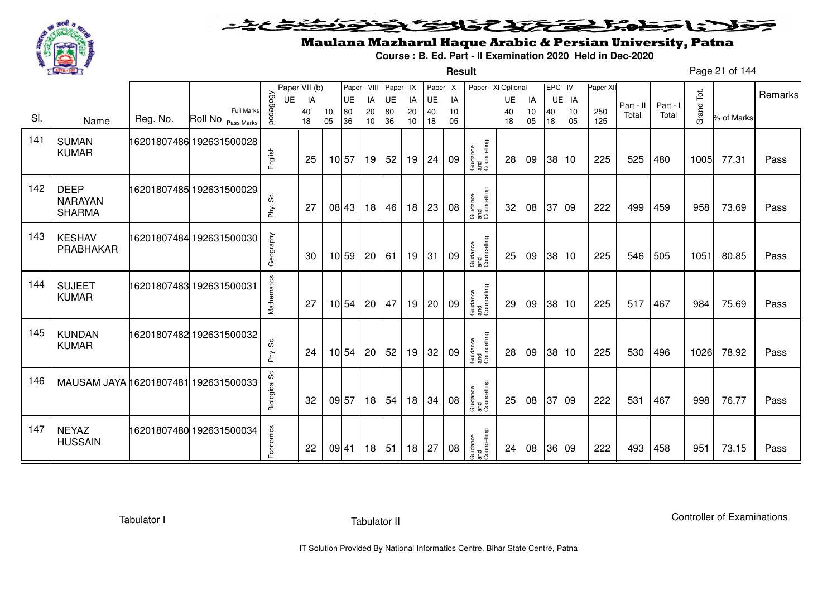

**Result**

# Maulana Mazharul Haque Arabic & Persian University, Patna

**Course : B. Ed. Part - II Examination 2020 Held in Dec-2020**

Page 21 of 144

|     |                                                |          |                          |                | Paper VII (b) |    | Paper - VIII    |          | Paper - IX |          | Paper - X       |          | Paper - XI Optional            |                 |          | EPC - IV |             | Paper XII |                    |                   |            |            | Remarks |
|-----|------------------------------------------------|----------|--------------------------|----------------|---------------|----|-----------------|----------|------------|----------|-----------------|----------|--------------------------------|-----------------|----------|----------|-------------|-----------|--------------------|-------------------|------------|------------|---------|
|     |                                                |          | <b>Full Marks</b>        | pedagogy<br>UE | IA<br>40      | 10 | <b>UE</b><br>80 | IA<br>20 | UE<br>80   | IA<br>20 | <b>UE</b><br>40 | IA<br>10 |                                | <b>UE</b><br>40 | IA<br>10 | 40       | UE IA<br>10 | 250       | Part - II<br>Total | Part - I<br>Total | Grand Tot. |            |         |
| SI. | Name                                           | Reg. No. | Roll No Pass Marks       |                | 18            | 05 | 36              | 10       | 36         | 10       | 18              | 05       |                                | 18              | 05       | 18       | 05          | 125       |                    |                   |            | % of Marks |         |
| 141 | <b>SUMAN</b><br><b>KUMAR</b>                   |          | 16201807486 192631500028 | English        | 25            |    | 10 57           | 19       | 52         | 19       | 24              | 09       | Guidance<br>and<br>Councelling | 28              | 09       |          | 38 10       | 225       | 525                | 480               | 1005       | 77.31      | Pass    |
| 142 | <b>DEEP</b><br><b>NARAYAN</b><br><b>SHARMA</b> |          | 16201807485 192631500029 | Phy. Sc.       | 27            |    | 08 43           | 18       | 46         | 18       | 23              | 08       | Guidance<br>and<br>Councelling | 32              | 08       |          | 37 09       | 222       | 499                | 459               | 958        | 73.69      | Pass    |
| 143 | <b>KESHAV</b><br>PRABHAKAR                     |          | 16201807484 192631500030 | Geography      | 30            |    | 10 59           | 20       | 61         | 19       | 31              | 09       | Guidance<br>and<br>Councelling | 25              | 09       |          | 38 10       | 225       | 546                | 505               | 1051       | 80.85      | Pass    |
| 144 | <b>SUJEET</b><br><b>KUMAR</b>                  |          | 16201807483 192631500031 | Mathematics    | 27            |    | 10 54           | 20       | 47         | 19       | 20              | 09       | Guidance<br>and<br>Councelling | 29              | 09       |          | 38 10       | 225       | 517                | 467               | 984        | 75.69      | Pass    |
| 145 | <b>KUNDAN</b><br><b>KUMAR</b>                  |          | 16201807482 192631500032 | Phy. Sc.       | 24            |    | 10 54           | 20       | 52         | 19       | 32              | 09       | Guidance<br>and<br>Councelling | 28              | 09       |          | 38 10       | 225       | 530                | 496               | 1026       | 78.92      | Pass    |
| 146 | MAUSAM JAYA 16201807481 192631500033           |          |                          | Biological Sc  | 32            |    | 09 57           | 18       | 54         | 18       | 34              | 08       | Guidance<br>and<br>Councelling | 25              | 08       |          | 37 09       | 222       | 531                | 467               | 998        | 76.77      | Pass    |
| 147 | <b>NEYAZ</b><br><b>HUSSAIN</b>                 |          | 16201807480 192631500034 | Economics      | 22            |    | 09 41           | 18       | 51         | 18       | 27              | 08       | Guidance<br>and<br>Councelling | 24              | 08       |          | 36 09       | 222       | 493                | 458               | 951        | 73.15      | Pass    |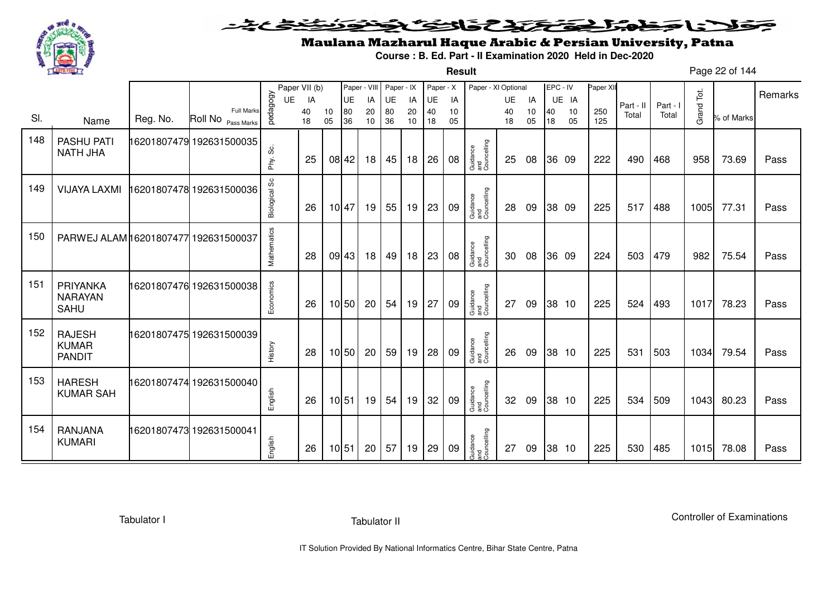

**Result**

# Maulana Mazharul Haque Arabic & Persian University, Patna

**Course : B. Ed. Part - II Examination 2020 Held in Dec-2020**

Page 22 of 144

|     |                                                |          |                                         |               | Paper VII (b) |          | Paper - VIII |          | Paper - IX |          | Paper - X |          | Paper - XI Optional            |          |          | EPC - IV |          | Paper XII  |           |          |            |            |         |
|-----|------------------------------------------------|----------|-----------------------------------------|---------------|---------------|----------|--------------|----------|------------|----------|-----------|----------|--------------------------------|----------|----------|----------|----------|------------|-----------|----------|------------|------------|---------|
|     |                                                |          |                                         | <b>UE</b>     | IA            |          | <b>UE</b>    | IA       | <b>UE</b>  | IA       | UE        | IA       |                                | UE       | IA       |          | UE IA    |            | Part - II | Part - I |            |            | Remarks |
| SI. | Name                                           | Reg. No. | <b>Full Marks</b><br>Roll No Pass Marks | vedagogy      | 40<br>18      | 10<br>05 | 80<br>36     | 20<br>10 | 80<br>36   | 20<br>10 | 40<br>18  | 10<br>05 |                                | 40<br>18 | 10<br>05 | 40<br>18 | 10<br>05 | 250<br>125 | Total     | Total    | Grand Tot. | % of Marks |         |
| 148 | <b>PASHU PATI</b><br><b>NATH JHA</b>           |          | 16201807479 192631500035                | တိ<br>Phy.    | 25            |          | 08 42        | 18       | 45         | 18       | 26        | 08       | Guidance<br>and<br>Councelling | 25       | 08       |          | 36 09    | 222        | 490       | 468      | 958        | 73.69      | Pass    |
| 149 | <b>VIJAYA LAXMI</b>                            |          | 16201807478 192631500036                | Biological Sc | 26            |          | 10 47        | 19       | 55         | 19       | 23        | 09       | Guidance<br>and<br>Councelling | 28       | 09       |          | 38 09    | 225        | 517       | 488      | 1005       | 77.31      | Pass    |
| 150 | PARWEJ ALAM 16201807477 192631500037           |          |                                         | Mathematics   | 28            |          | 09 43        | 18       | 49         | 18       | 23        | 08       | Guidance<br>and<br>Councelling | 30       | 08       |          | 36 09    | 224        | 503       | 479      | 982        | 75.54      | Pass    |
| 151 | PRIYANKA<br><b>NARAYAN</b><br>SAHU             |          | 16201807476 192631500038                | Economics     | 26            |          | 10 50        | 20       | 54         | 19       | 27        | 09       | Guidance<br>and<br>Councelling | 27       | 09       |          | 38 10    | 225        | 524       | 493      | 1017       | 78.23      | Pass    |
| 152 | <b>RAJESH</b><br><b>KUMAR</b><br><b>PANDIT</b> |          | 16201807475 192631500039                | History       | 28            |          | 10 50        | 20       | 59         | 19       | 28        | 09       | Guidance<br>and<br>Councelling | 26       | 09       |          | 38 10    | 225        | 531       | 503      | 1034       | 79.54      | Pass    |
| 153 | <b>HARESH</b><br><b>KUMAR SAH</b>              |          | 16201807474 192631500040                | English       | 26            |          | 10 51        | 19       | 54         | 19       | 32        | 09       | Guidance<br>and<br>Councelling | 32       | 09       |          | 38 10    | 225        | 534       | 509      | 1043       | 80.23      | Pass    |
| 154 | <b>RANJANA</b><br><b>KUMARI</b>                |          | 16201807473 192631500041                | English       | 26            |          | 10 51        | 20       | 57         | 19       | 29        | 09       | Guidance<br>and<br>Councelling | 27       | 09       |          | 38 10    | 225        | 530       | 485      | 1015       | 78.08      | Pass    |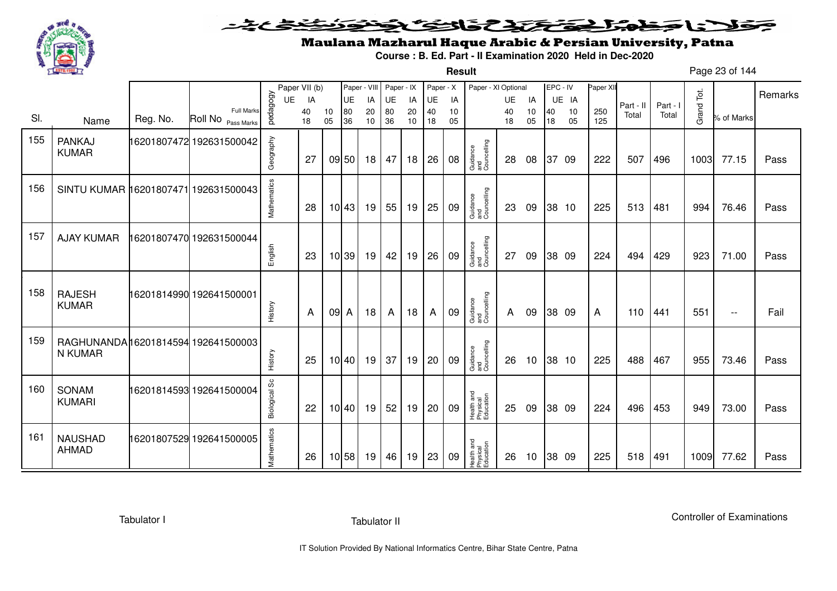

### <u>یٹی ٹ</u>ے۔ فلانا وخدا يقتحنك فالتف ونونوذ ∍

**Result**

# Maulana Mazharul Haque Arabic & Persian University, Patna

**Course : B. Ed. Part - II Examination 2020 Held in Dec-2020**

Page 23 of 144

|     |                                      |          |                          |               | Paper VII (b) |      |                   | Paper - VIII | Paper - IX |    | Paper - X |    | Paper - XI Optional                 |    |    | EPC - IV |       | Paper XII |           |          |            |                          |         |
|-----|--------------------------------------|----------|--------------------------|---------------|---------------|------|-------------------|--------------|------------|----|-----------|----|-------------------------------------|----|----|----------|-------|-----------|-----------|----------|------------|--------------------------|---------|
|     |                                      |          |                          | UE            | IA            |      | UE                | IA           | UE         | IA | UE        | IA |                                     | UE | IA |          | UE IA |           | Part - II | Part - I |            |                          | Remarks |
| SI. |                                      |          | <b>Full Marks</b>        | pedagogy      | 40            | 10   | 80                | 20           | 80         | 20 | 40        | 10 |                                     | 40 | 10 | 40       | 10    | 250       | Total     | Total    | Grand Tot. | % of Marks               |         |
|     | Name                                 | Reg. No. | Roll No Pass Marks       |               | 18            | 05   | 36                | 10           | 36         | 10 | 18        | 05 |                                     | 18 | 05 | 18       | 05    | 125       |           |          |            |                          |         |
| 155 | <b>PANKAJ</b>                        |          | 16201807472 192631500042 |               |               |      |                   |              |            |    |           |    |                                     |    |    |          |       |           |           |          |            |                          |         |
|     | <b>KUMAR</b>                         |          |                          | Geography     |               |      |                   |              | 47         |    |           |    |                                     |    |    |          |       |           |           |          |            | 77.15                    |         |
|     |                                      |          |                          |               | 27            |      | 09 50             | 18           |            | 18 | 26        | 08 | Guidance<br>and<br>Councelling      | 28 | 08 |          | 37 09 | 222       | 507       | 496      | 1003       |                          | Pass    |
| 156 | SINTU KUMAR 16201807471 192631500043 |          |                          |               |               |      |                   |              |            |    |           |    |                                     |    |    |          |       |           |           |          |            |                          |         |
|     |                                      |          |                          |               |               |      |                   |              |            |    |           |    |                                     |    |    |          |       |           |           |          |            |                          |         |
|     |                                      |          |                          | Mathematics   | 28            |      | 10 43             | 19           | 55         | 19 | 25        | 09 | Guidance<br>and<br>Councelling      | 23 | 09 |          | 38 10 | 225       | 513       | 481      | 994        | 76.46                    | Pass    |
|     |                                      |          |                          |               |               |      |                   |              |            |    |           |    |                                     |    |    |          |       |           |           |          |            |                          |         |
| 157 | <b>AJAY KUMAR</b>                    |          | 16201807470 192631500044 |               |               |      |                   |              |            |    |           |    |                                     |    |    |          |       |           |           |          |            |                          |         |
|     |                                      |          |                          | English       | 23            |      | 10 39             | 19           | 42         | 19 | 26        | 09 | Guidance<br>and<br>Councelling      | 27 | 09 |          | 38 09 | 224       | 494       | 429      | 923        | 71.00                    | Pass    |
|     |                                      |          |                          |               |               |      |                   |              |            |    |           |    |                                     |    |    |          |       |           |           |          |            |                          |         |
|     |                                      |          |                          |               |               |      |                   |              |            |    |           |    |                                     |    |    |          |       |           |           |          |            |                          |         |
| 158 | <b>RAJESH</b>                        |          | 16201814990 192641500001 |               |               |      |                   |              |            |    |           |    |                                     |    |    |          |       |           |           |          |            |                          |         |
|     | <b>KUMAR</b>                         |          |                          | History       | A             | 09 A |                   | 18           | A          | 18 | A         | 09 | Guidance<br>and<br>Councelling      | A  | 09 |          | 38 09 | A         | 110       | 441      | 551        | $\overline{\phantom{a}}$ | Fail    |
|     |                                      |          |                          |               |               |      |                   |              |            |    |           |    |                                     |    |    |          |       |           |           |          |            |                          |         |
| 159 | RAGHUNANDA16201814594192641500003    |          |                          |               |               |      |                   |              |            |    |           |    |                                     |    |    |          |       |           |           |          |            |                          |         |
|     | N KUMAR                              |          |                          | History       | 25            |      | 10 40             | 19           | 37         | 19 | 20        | 09 | Guidance<br>and<br>Councelling      | 26 | 10 |          | 38 10 | 225       | 488       | 467      | 955        | 73.46                    | Pass    |
|     |                                      |          |                          |               |               |      |                   |              |            |    |           |    |                                     |    |    |          |       |           |           |          |            |                          |         |
| 160 | <b>SONAM</b>                         |          | 16201814593 192641500004 |               |               |      |                   |              |            |    |           |    |                                     |    |    |          |       |           |           |          |            |                          |         |
|     | <b>KUMARI</b>                        |          |                          | Biological Sc |               |      |                   |              |            |    |           |    |                                     |    |    |          |       |           |           |          |            |                          |         |
|     |                                      |          |                          |               | 22            |      | 10 40             | 19           | 52         | 19 | 20        | 09 | Health and<br>Physical<br>Education | 25 | 09 |          | 38 09 | 224       | 496       | 453      | 949        | 73.00                    | Pass    |
|     |                                      |          |                          |               |               |      |                   |              |            |    |           |    |                                     |    |    |          |       |           |           |          |            |                          |         |
| 161 | <b>NAUSHAD</b>                       |          | 16201807529 192641500005 |               |               |      |                   |              |            |    |           |    |                                     |    |    |          |       |           |           |          |            |                          |         |
|     | <b>AHMAD</b>                         |          |                          | Mathematics   | 26            |      | $10\overline{58}$ | 19           | 46         | 19 | 23        | 09 | Health and<br>Physical<br>Education | 26 | 10 |          | 38 09 | 225       | 518       | 491      | 1009       | 77.62                    | Pass    |
|     |                                      |          |                          |               |               |      |                   |              |            |    |           |    |                                     |    |    |          |       |           |           |          |            |                          |         |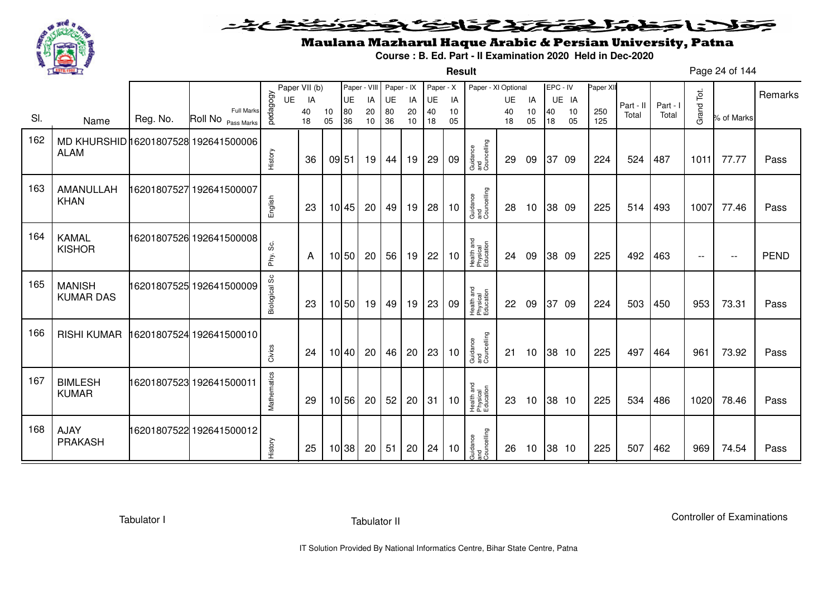

**Result**

# Maulana Mazharul Haque Arabic & Persian University, Patna

**Course : B. Ed. Part - II Examination 2020 Held in Dec-2020**

Page 24 of 144

|     |                                                     |          |                                         |               | Paper VII (b) |          | Paper - VIII |          | Paper - IX |          | Paper - X |          | Paper - XI Optional                 |          |                 | EPC - IV |          | Paper XII  |           |          |                          |            | Remarks     |
|-----|-----------------------------------------------------|----------|-----------------------------------------|---------------|---------------|----------|--------------|----------|------------|----------|-----------|----------|-------------------------------------|----------|-----------------|----------|----------|------------|-----------|----------|--------------------------|------------|-------------|
|     |                                                     |          |                                         | UE            | IA            |          | UE           | IA       | UE         | IA       | UE        | IA       |                                     | UE       | IA              |          | UE IA    |            | Part - II | Part - I |                          |            |             |
| SI. | Name                                                | Reg. No. | <b>Full Marks</b><br>Roll No Pass Marks | pedagogy      | 40<br>18      | 10<br>05 | 80<br>36     | 20<br>10 | 80<br>36   | 20<br>10 | 40<br>18  | 10<br>05 |                                     | 40<br>18 | 10<br>05        | 40<br>18 | 10<br>05 | 250<br>125 | Total     | Total    | Grand Tot.               | % of Marks |             |
| 162 | MD KHURSHID 16201807528 192641500006<br><b>ALAM</b> |          |                                         | History       | 36            | 09 51    |              | 19       | 44         | 19       | 29        | 09       | Guidance<br>and<br>Councelling      | 29       | 09              | 37       | -09      | 224        | 524       | 487      | 1011                     | 77.77      | Pass        |
| 163 | AMANULLAH<br><b>KHAN</b>                            |          | 6201807527 192641500007                 | English       | 23            |          | 10 45        | 20       | 49         | 19       | 28        | 10       | Guidance<br>and<br>Councelling      | 28       | 10              |          | 38 09    | 225        | 514       | 493      | 1007                     | 77.46      | Pass        |
| 164 | <b>KAMAL</b><br><b>KISHOR</b>                       |          | 16201807526 192641500008                | တွ<br>Phy.    | A             |          | 10 50        | 20       | 56         | 19       | 22        | 10       | Health and<br>Physical<br>Education | 24       | 09              |          | 38 09    | 225        | 492       | 463      | $\overline{\phantom{a}}$ | $- -$      | <b>PEND</b> |
| 165 | <b>MANISH</b><br><b>KUMAR DAS</b>                   |          | 16201807525 192641500009                | Biological Sc | 23            |          | 10 50        | 19       | 49         | 19       | 23        | 09       | Health and<br>Physical<br>Education | 22       | 09              |          | 37 09    | 224        | 503       | 450      | 953                      | 73.31      | Pass        |
| 166 | <b>RISHI KUMAR</b>                                  |          | 16201807524 192641500010                | Civics        | 24            |          | 10 40        | 20       | 46         | 20       | 23        | 10       | Guidance<br>and<br>Councelling      | 21       | 10              |          | 38 10    | 225        | 497       | 464      | 961                      | 73.92      | Pass        |
| 167 | <b>BIMLESH</b><br><b>KUMAR</b>                      |          | 16201807523 192641500011                | Mathematics   | 29            |          | 10 56        | 20       | 52         | 20       | 31        | 10       | Health and<br>Physical<br>Education | 23       | 10              |          | 38 10    | 225        | 534       | 486      | 1020                     | 78.46      | Pass        |
| 168 | <b>AJAY</b><br><b>PRAKASH</b>                       |          | 16201807522 192641500012                | History       | 25            |          | 10 38        | 20       | 51         | 20       | 24        | 10       | Guidance<br>and<br>Councelling      | 26       | 10 <sup>°</sup> |          | 38 10    | 225        | 507       | 462      | 969                      | 74.54      | Pass        |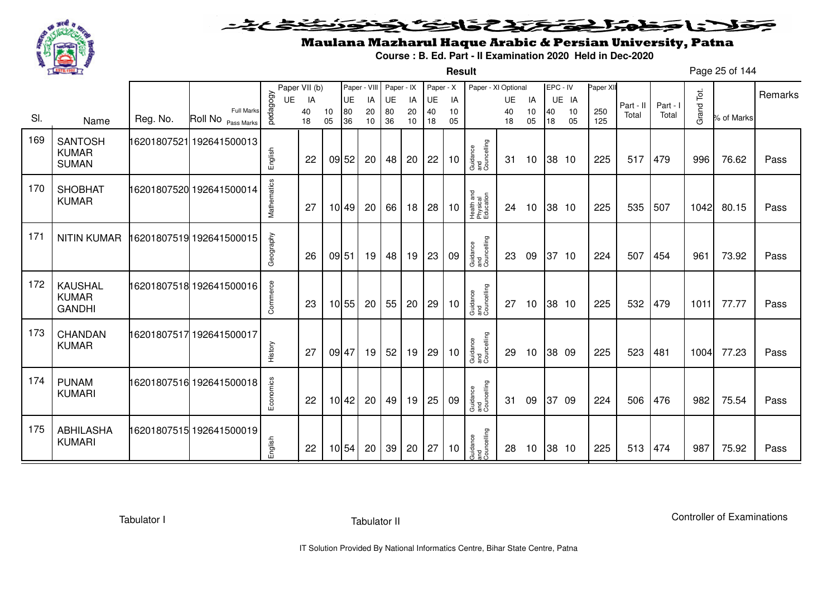

**Result**

# Maulana Mazharul Haque Arabic & Persian University, Patna

**Course : B. Ed. Part - II Examination 2020 Held in Dec-2020**

Page 25 of 144

|     |                                |          |                                         |             | Paper VII (b) |          | Paper - VIII |          | Paper - IX |          | Paper - X |          | Paper - XI Optional                 |          |                 | EPC - IV |          | Paper XII  |           |          |            |            |         |
|-----|--------------------------------|----------|-----------------------------------------|-------------|---------------|----------|--------------|----------|------------|----------|-----------|----------|-------------------------------------|----------|-----------------|----------|----------|------------|-----------|----------|------------|------------|---------|
|     |                                |          |                                         | UE          | IA            |          | UE           | IA       | UE         | IA       | <b>UE</b> | IA       |                                     | UE       | IA              |          | UE IA    |            | Part - II | Part - I |            |            | Remarks |
| SI. | Name                           | Reg. No. | <b>Full Marks</b><br>Roll No Pass Marks | pedagogy    | 40<br>18      | 10<br>05 | 80<br>36     | 20<br>10 | 80<br>36   | 20<br>10 | 40<br>18  | 10<br>05 |                                     | 40<br>18 | 10<br>05        | 40<br>18 | 10<br>05 | 250<br>125 | Total     | Total    | Grand Tot. | % of Marks |         |
|     |                                |          |                                         |             |               |          |              |          |            |          |           |          |                                     |          |                 |          |          |            |           |          |            |            |         |
| 169 | <b>SANTOSH</b><br><b>KUMAR</b> |          | 16201807521 192641500013                | English     |               |          |              |          |            |          |           |          | Guidance<br>and<br>Councelling      |          |                 |          |          |            |           |          |            |            |         |
|     | <b>SUMAN</b>                   |          |                                         |             | 22            |          | 09 52        | 20       | 48         | 20       | 22        | 10       |                                     | 31       | 10              |          | 38 10    | 225        | 517       | 479      | 996        | 76.62      | Pass    |
| 170 | <b>SHOBHAT</b>                 |          | 16201807520 192641500014                |             |               |          |              |          |            |          |           |          |                                     |          |                 |          |          |            |           |          |            |            |         |
|     | <b>KUMAR</b>                   |          |                                         | Mathematics | 27            |          | 10 49        | 20       | 66         | 18       | 28        | 10       | Health and<br>Physical<br>Education | 24       | 10              |          | 38 10    | 225        | 535       | 507      | 1042       | 80.15      | Pass    |
|     |                                |          |                                         |             |               |          |              |          |            |          |           |          |                                     |          |                 |          |          |            |           |          |            |            |         |
| 171 | NITIN KUMAR                    |          | 16201807519 192641500015                | Geography   |               |          |              |          |            |          |           |          |                                     |          |                 |          |          |            |           |          |            |            |         |
|     |                                |          |                                         |             | 26            | 09 51    |              | 19       | 48         | 19       | 23        | 09       | Guidance<br>and<br>Councelling      | 23       | 09              |          | 37 10    | 224        | 507       | 454      | 961        | 73.92      | Pass    |
| 172 | <b>KAUSHAL</b>                 |          | 16201807518 192641500016                |             |               |          |              |          |            |          |           |          |                                     |          |                 |          |          |            |           |          |            |            |         |
|     | <b>KUMAR</b><br><b>GANDHI</b>  |          |                                         | Commerce    | 23            |          | 10 55        | 20       | 55         | 20       | 29        | 10       | Guidance<br>and<br>Councelling      | 27       | 10              |          | 38 10    | 225        | 532       | 479      | 1011       | 77.77      | Pass    |
| 173 |                                |          |                                         |             |               |          |              |          |            |          |           |          |                                     |          |                 |          |          |            |           |          |            |            |         |
|     | CHANDAN<br><b>KUMAR</b>        |          | 16201807517 192641500017                |             |               |          |              |          |            |          |           |          | Guidance<br>and<br>Councelling      |          |                 |          |          |            |           |          |            |            |         |
|     |                                |          |                                         | History     | 27            | 09 47    |              | 19       | 52         | 19       | 29        | 10       |                                     | 29       | 10 <sup>°</sup> |          | 38 09    | 225        | 523       | 481      | 1004       | 77.23      | Pass    |
| 174 | <b>PUNAM</b>                   |          | 16201807516 192641500018                |             |               |          |              |          |            |          |           |          |                                     |          |                 |          |          |            |           |          |            |            |         |
|     | <b>KUMARI</b>                  |          |                                         | Economics   | 22            |          | 10 42        | 20       | 49         | 19       | 25        | 09       | Guidance<br>and<br>Councelling      | 31       | 09              |          | 37 09    | 224        | 506       | 476      | 982        | 75.54      | Pass    |
|     |                                |          |                                         |             |               |          |              |          |            |          |           |          |                                     |          |                 |          |          |            |           |          |            |            |         |
| 175 | <b>ABHILASHA</b>               |          | 16201807515 192641500019                |             |               |          |              |          |            |          |           |          |                                     |          |                 |          |          |            |           |          |            |            |         |
|     | <b>KUMARI</b>                  |          |                                         | English     | 22            |          | 10 54        | 20       | 39         | 20       | 27        | 10       | Guidance<br>and<br>Councelling      | 28       | 10 <sup>°</sup> |          | 38 10    | 225        | 513       | 474      | 987        | 75.92      | Pass    |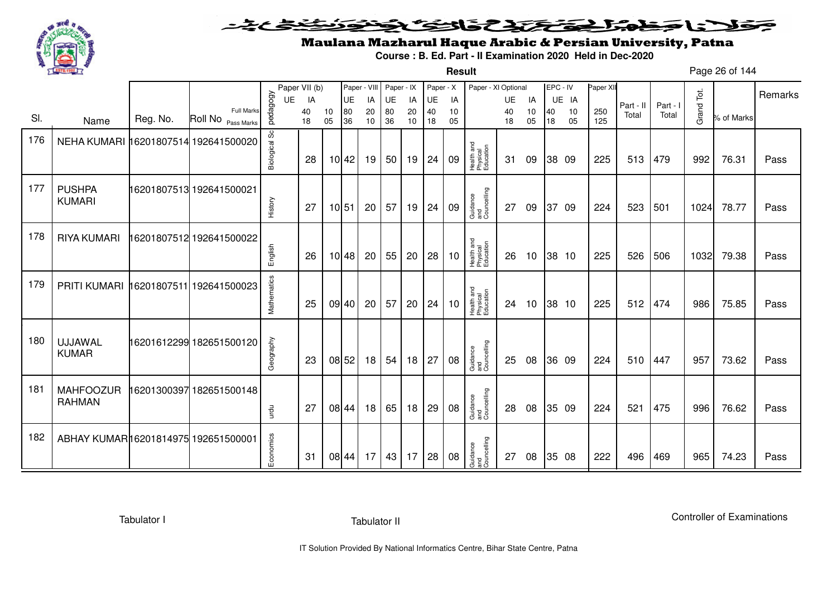

### <u>یٹی ٹ</u>ے۔ فلانا وخدا يقتحنك فالتف ونونوذ ∍

**Result**

# Maulana Mazharul Haque Arabic & Persian University, Patna

**Course : B. Ed. Part - II Examination 2020 Held in Dec-2020**

Page 26 of 144

|     |                                      |          |                               |                | Paper VII (b) |          |                  | Paper - VIII | Paper - IX |          | Paper - X |          | Paper - XI Optional                 |           |          | EPC - IV |          | Paper XII  |           |          |            |            | Remarks |
|-----|--------------------------------------|----------|-------------------------------|----------------|---------------|----------|------------------|--------------|------------|----------|-----------|----------|-------------------------------------|-----------|----------|----------|----------|------------|-----------|----------|------------|------------|---------|
|     |                                      |          | Full Marks                    | pedagogy<br>UE | IA            |          | <b>UE</b>        | IA           | UE         | IA       | UE        | IA       |                                     | <b>UE</b> | IA       |          | UE IA    |            | Part - II | Part - I | Grand Tot. |            |         |
| SI. | Name                                 | Reg. No. | Roll No <sub>Pass Marks</sub> |                | 40<br>18      | 10<br>05 | ${\bf 80}$<br>36 | 20<br>10     | 80<br>36   | 20<br>10 | 40<br>18  | 10<br>05 |                                     | 40<br>18  | 10<br>05 | 40<br>18 | 10<br>05 | 250<br>125 | Total     | Total    |            | % of Marks |         |
| 176 | NEHA KUMARI 16201807514 192641500020 |          |                               | Biological Sc  | 28            |          | 10 42            | 19           | 50         | 19       | 24        | 09       | Health and<br>Physical<br>Education | 31        | 09       |          | 38 09    | 225        | 513       | 479      | 992        | 76.31      | Pass    |
| 177 | <b>PUSHPA</b><br><b>KUMARI</b>       |          | 16201807513 192641500021      | History        | -27           |          | 10 51            | 20           | 57         | 19       | 24        | 09       | Guidance<br>and<br>Councelling      | 27        | 09       | 37 09    |          | 224        | 523       | 501      | 1024       | 78.77      | Pass    |
| 178 | <b>RIYA KUMARI</b>                   |          | 16201807512 192641500022      | English        | 26            |          | 10 48            | 20           | 55         | 20       | 28        | 10       | Health and<br>Physical<br>Education | 26        | 10       |          | 38 10    | 225        | 526       | 506      | 1032       | 79.38      | Pass    |
| 179 | PRITI KUMARI                         |          | 16201807511 192641500023      | Mathematics    | 25            |          | 09 40            | 20           | 57         | 20       | 24        | 10       | Health and<br>Physical<br>Education | 24        | 10       |          | 38 10    | 225        | 512       | 474      | 986        | 75.85      | Pass    |
| 180 | <b>UJJAWAL</b><br><b>KUMAR</b>       |          | 16201612299 182651500120      | Geography      | 23            |          | 08 52            | 18           | 54         | 18       | 27        | 08       | Guidance<br>and<br>Councelling      | 25        | 08       |          | 36 09    | 224        | 510       | 447      | 957        | 73.62      | Pass    |
| 181 | <b>MAHFOOZUR</b><br><b>RAHMAN</b>    |          | 16201300397 182651500148      | urdu           | 27            |          | 08 44            | 18           | 65         | 18       | 29        | 08       | Guidance<br>and<br>Councelling      | 28        | 08       |          | 35 09    | 224        | 521       | 475      | 996        | 76.62      | Pass    |
| 182 | ABHAY KUMAR16201814975 192651500001  |          |                               | Economics      | 31            |          | 08 44            | 17           | 43         | 17       | 28        | 08       | Guidance<br>and<br>Councelling      | 27        | 08       |          | 35 08    | 222        | 496       | 469      | 965        | 74.23      | Pass    |

Tabulator I

Tabulator II

Controller of Examinations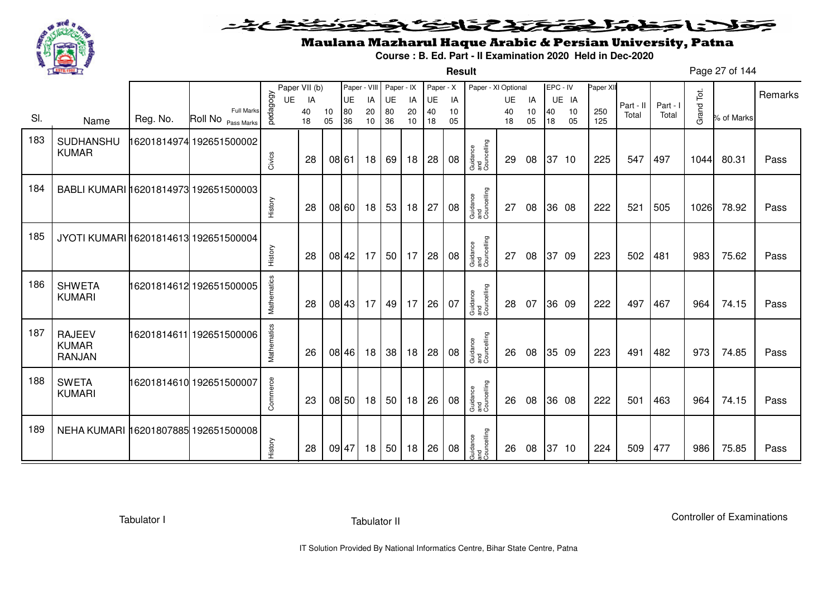

**Result**

# Maulana Mazharul Haque Arabic & Persian University, Patna

**Course : B. Ed. Part - II Examination 2020 Held in Dec-2020**

Page 27 of 144

|     |                                                |          |                                                    |             | Paper VII (b) |          | Paper - VIII |          | Paper - IX      |          | Paper - X |          | Paper - XI Optional            |          |          | EPC - IV |          | Paper XII  |           |          |            |            | Remarks |
|-----|------------------------------------------------|----------|----------------------------------------------------|-------------|---------------|----------|--------------|----------|-----------------|----------|-----------|----------|--------------------------------|----------|----------|----------|----------|------------|-----------|----------|------------|------------|---------|
|     |                                                |          |                                                    | UE          | IA            |          | UE           | IA       | UE              | IA       | UE        | IA       |                                | UE       | IA       |          | UE IA    |            | Part - II | Part - I |            |            |         |
| SI. | Name                                           | Reg. No. | <b>Full Marks</b><br>Roll No <sub>Pass Marks</sub> | pedagogy    | 40<br>18      | 10<br>05 | 80<br>36     | 20<br>10 | 80<br>36        | 20<br>10 | 40<br>18  | 10<br>05 |                                | 40<br>18 | 10<br>05 | 40<br>18 | 10<br>05 | 250<br>125 | Total     | Total    | Grand Tot. | % of Marks |         |
| 183 | SUDHANSHU<br><b>KUMAR</b>                      |          | 16201814974 192651500002                           | Civics      | 28            |          | 08 61        | 18       | 69              | 18       | 28        | 08       | Guidance<br>and<br>Councelling | 29       | 08       |          | 37 10    | 225        | 547       | 497      | 1044       | 80.31      | Pass    |
| 184 | BABLI KUMARI 16201814973 192651500003          |          |                                                    | History     | 28            |          | 08 60        | 18       | 53              | 18       | 27        | 08       | Guidance<br>and<br>Councelling | 27       | 08       |          | 36 08    | 222        | 521       | 505      | 1026       | 78.92      | Pass    |
| 185 | JYOTI KUMARI 16201814613 192651500004          |          |                                                    | History     | 28            |          | 08 42        | 17       | 50 <sub>1</sub> | 17       | 28        | 08       | Guidance<br>and<br>Councelling | 27       | 08       | 37       | -09      | 223        | 502       | 481      | 983        | 75.62      | Pass    |
| 186 | <b>SHWETA</b><br><b>KUMARI</b>                 |          | 16201814612 192651500005                           | Mathematics | 28            |          | 08 43        | 17       | 49              | 17       | 26        | 07       | Guidance<br>and<br>Councelling | 28       | 07       |          | 36 09    | 222        | 497       | 467      | 964        | 74.15      | Pass    |
| 187 | <b>RAJEEV</b><br><b>KUMAR</b><br><b>RANJAN</b> |          | 16201814611 192651500006                           | Mathematics | 26            |          | 08 46        | 18       | 38              | 18       | 28        | 08       | Guidance<br>and<br>Councelling | 26       | 08       |          | 35 09    | 223        | 491       | 482      | 973        | 74.85      | Pass    |
| 188 | <b>SWETA</b><br><b>KUMARI</b>                  |          | 16201814610 192651500007                           | Commerce    | 23            |          | 08 50        | 18       | 50 <sub>1</sub> | 18       | 26        | 08       | Guidance<br>and<br>Councelling | 26       | 08       |          | 36 08    | 222        | 501       | 463      | 964        | 74.15      | Pass    |
| 189 | NEHA KUMARI 16201807885 192651500008           |          |                                                    | History     | 28            |          | 09 47        | 18       | 50 <sub>1</sub> | 18       | 26        | 08       | Guidance<br>and<br>Councelling | 26       | 08       |          | 37 10    | 224        | 509       | 477      | 986        | 75.85      | Pass    |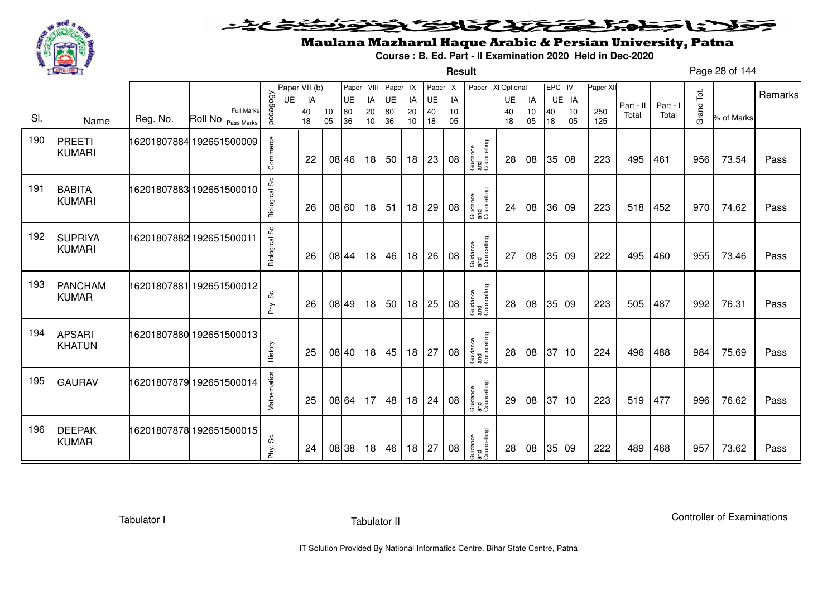

**Result**

# Maulana Mazharul Haque Arabic & Persian University, Patna

**Course : B. Ed. Part - II Examination 2020 Held in Dec-2020**

Page 28 of 144

|     |                                 |          |                                  |               | Paper VII (b) |          | Paper - VIII |          | Paper - IX      |          | Paper - X |          | Paper - XI Optional            |           |          | EPC - IV |          | Paper XII  |           |          |            |            | Remarks |
|-----|---------------------------------|----------|----------------------------------|---------------|---------------|----------|--------------|----------|-----------------|----------|-----------|----------|--------------------------------|-----------|----------|----------|----------|------------|-----------|----------|------------|------------|---------|
|     |                                 |          |                                  | UE            | IA            |          | <b>UE</b>    | IA       | UE              | IA       | UE        | IA       |                                | <b>UE</b> | IA       |          | UE IA    |            | Part - II | Part - I |            |            |         |
| SI. | Name                            | Reg. No. | Full Marks<br>Roll No Pass Marks | pedagogy      | 40<br>18      | 10<br>05 | 80<br>36     | 20<br>10 | 80<br>36        | 20<br>10 | 40<br>18  | 10<br>05 |                                | 40<br>18  | 10<br>05 | 40<br>18 | 10<br>05 | 250<br>125 | Total     | Total    | Grand Tot. | % of Marks |         |
| 190 | <b>PREETI</b><br><b>KUMARI</b>  |          | 16201807884 192651500009         | Commerce      | 22            |          | 08 46        | 18       | 50 <sup>1</sup> | 18       | 23        | 08       | Guidance<br>and<br>Councelling | 28        | 08       |          | 35 08    | 223        | 495       | 461      | 956        | 73.54      | Pass    |
| 191 | <b>BABITA</b><br><b>KUMARI</b>  |          | 16201807883 192651500010         | Biological Sc | 26            |          | 08 60        | 18       | 51              | 18       | 29        | 08       | Guidance<br>and<br>Councelling | 24        | 08       |          | 36 09    | 223        | 518       | 452      | 970        | 74.62      | Pass    |
| 192 | <b>SUPRIYA</b><br><b>KUMARI</b> |          | 16201807882 192651500011         | Biological Sc | 26            |          | 08 44        | 18       | 46              | 18       | 26        | 08       | Guidance<br>and<br>Councelling | 27        | 08       |          | 35 09    | 222        | 495       | 460      | 955        | 73.46      | Pass    |
| 193 | <b>PANCHAM</b><br><b>KUMAR</b>  |          | 16201807881 192651500012         | Phy. Sc.      | 26            |          | 08 49        | 18       | 50              | 18       | 25        | 08       | Guidance<br>and<br>Councelling | 28        | 08       |          | 35 09    | 223        | 505       | 487      | 992        | 76.31      | Pass    |
| 194 | <b>APSARI</b><br><b>KHATUN</b>  |          | 16201807880 192651500013         | History       | 25            |          | 08 40        | 18       | 45              | 18       | 27        | 08       | Guidance<br>and<br>Councelling | 28        | 08       |          | 37 10    | 224        | 496       | 488      | 984        | 75.69      | Pass    |
| 195 | <b>GAURAV</b>                   |          | 16201807879 192651500014         | Mathematics   | 25            |          | 08 64        | 17       | 48              | 18       | 24        | 08       | Guidance<br>and<br>Councelling | 29        | 08       |          | 37 10    | 223        | 519       | 477      | 996        | 76.62      | Pass    |
| 196 | <b>DEEPAK</b><br><b>KUMAR</b>   |          | 16201807878 192651500015         | ပ္တိ<br>Phy.  | 24            |          | 08 38        | 18       | 46              | 18       | 27        | 08       | Guidance<br>and<br>Councelling | 28        | 08       |          | 35 09    | 222        | 489       | 468      | 957        | 73.62      | Pass    |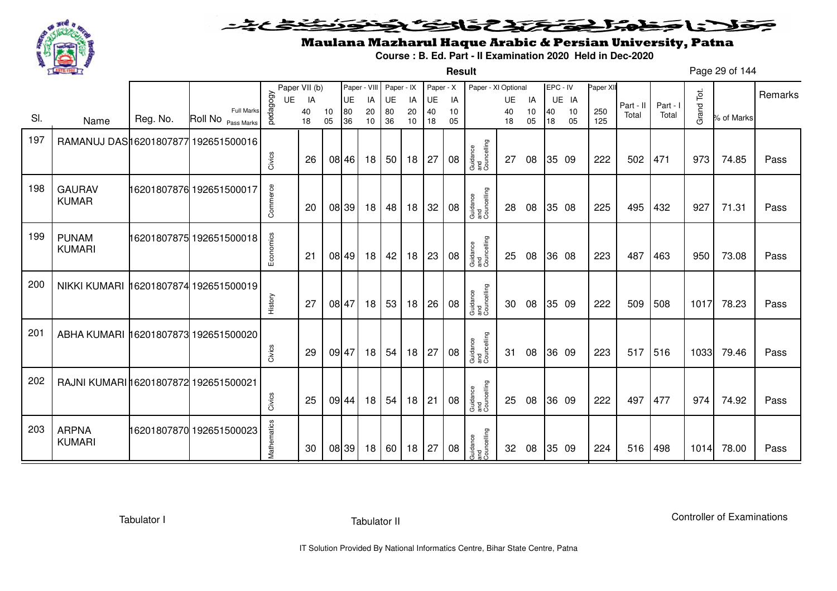

**Result**

# Maulana Mazharul Haque Arabic & Persian University, Patna

**Course : B. Ed. Part - II Examination 2020 Held in Dec-2020**

Page 29 of 144

|     |                                       |          |                                         |             | Paper VII (b) |          | Paper - VIII |          | Paper - IX      |          | Paper - X |          | Paper - XI Optional            |          |          | EPC - IV |          | Paper XII  |           |          |            |            | Remarks |
|-----|---------------------------------------|----------|-----------------------------------------|-------------|---------------|----------|--------------|----------|-----------------|----------|-----------|----------|--------------------------------|----------|----------|----------|----------|------------|-----------|----------|------------|------------|---------|
|     |                                       |          |                                         | <b>UE</b>   | IA            |          | <b>UE</b>    | IA       | UE              | IA       | UE        | IA       |                                | UE       | IA       |          | UE IA    |            | Part - II | Part - I |            |            |         |
| SI. | Name                                  | Reg. No. | <b>Full Marks</b><br>Roll No Pass Marks | pedagogy    | 40<br>18      | 10<br>05 | 80<br>36     | 20<br>10 | 80<br>36        | 20<br>10 | 40<br>18  | 10<br>05 |                                | 40<br>18 | 10<br>05 | 40<br>18 | 10<br>05 | 250<br>125 | Total     | Total    | Grand Tot. | % of Marks |         |
| 197 | RAMANUJ DAS16201807877 192651500016   |          |                                         |             |               |          |              |          |                 |          |           |          |                                |          |          |          |          |            |           |          |            |            |         |
|     |                                       |          |                                         | Civics      | 26            |          | 08 46        | 18       | 50 <sub>1</sub> | 18       | 27        | 08       | Guidance<br>and<br>Councelling | 27       | 08       |          | 35 09    | 222        | 502       | 471      | 973        | 74.85      | Pass    |
| 198 | <b>GAURAV</b><br><b>KUMAR</b>         |          | 16201807876 192651500017                | Commerce    | 20            |          | 08 39        | 18       | 48              | 18       | 32        | 08       | Guidance<br>and<br>Councelling | 28       | 08       |          | 35 08    | 225        | 495       | 432      | 927        | 71.31      | Pass    |
| 199 | <b>PUNAM</b><br><b>KUMARI</b>         |          | 16201807875 192651500018                | Economics   | 21            |          | 08 49        | 18       | 42              | 18       | 23        | 08       | Guidance<br>and<br>Councelling | 25       | 08       |          | 36 08    | 223        | 487       | 463      | 950        | 73.08      | Pass    |
| 200 | NIKKI KUMARI 16201807874 192651500019 |          |                                         | History     | 27            |          | 08 47        | 18       | 53              | 18       | 26        | 08       | Guidance<br>and<br>Councelling | 30       | 08       |          | 35 09    | 222        | 509       | 508      | 1017       | 78.23      | Pass    |
| 201 | ABHA KUMARI 16201807873 192651500020  |          |                                         | Civics      | 29            |          | 09 47        | 18       | 54              | 18       | 27        | 08       | Guidance<br>and<br>Councelling | 31       | 08       |          | 36 09    | 223        | 517       | 516      | 1033       | 79.46      | Pass    |
| 202 | RAJNI KUMARI 16201807872 192651500021 |          |                                         | Civics      | 25            |          | 09 44        | 18       | 54              | 18       | 21        | 08       | Guidance<br>and<br>Councelling | 25       | 08       |          | 36 09    | 222        | 497       | 477      | 974        | 74.92      | Pass    |
| 203 | <b>ARPNA</b><br><b>KUMARI</b>         |          | 16201807870 192651500023                | Mathematics | 30            |          | 08 39        | 18       | 60              | 18       | 27        | 08       | Guidance<br>and<br>Councelling | 32       | 08       |          | 35 09    | 224        | 516       | 498      | 1014       | 78.00      | Pass    |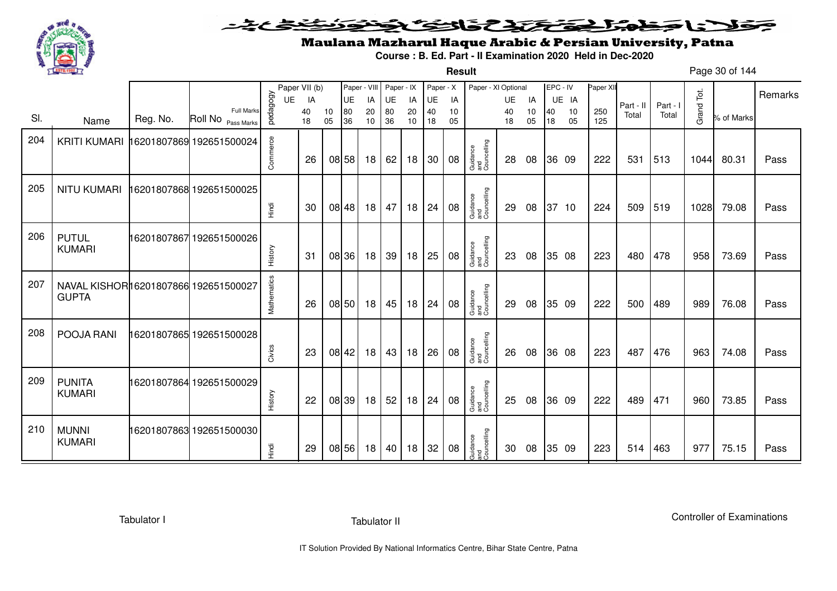

**Result**

# Maulana Mazharul Haque Arabic & Persian University, Patna

**Course : B. Ed. Part - II Examination 2020 Held in Dec-2020**

Page 30 of 144

|     |                                                      |          |                                  |             | Paper VII (b) |          | Paper - VIII |          | Paper - IX |          | Paper - X |          | Paper - XI Optional            |          |          | EPC - IV |          | Paper XII  |           |        |            |            | Remarks |
|-----|------------------------------------------------------|----------|----------------------------------|-------------|---------------|----------|--------------|----------|------------|----------|-----------|----------|--------------------------------|----------|----------|----------|----------|------------|-----------|--------|------------|------------|---------|
|     |                                                      |          |                                  | UE          | IA            |          | <b>UE</b>    | IA       | UE         | IA       | UE        | IA       |                                | UE       | IA       |          | UE IA    |            | Part - II | Part - |            |            |         |
| SI. | Name                                                 | Reg. No. | Full Marks<br>Roll No Pass Marks | pedagogy    | 40<br>18      | 10<br>05 | 80<br>36     | 20<br>10 | 80<br>36   | 20<br>10 | 40<br>18  | 10<br>05 |                                | 40<br>18 | 10<br>05 | 40<br>18 | 10<br>05 | 250<br>125 | Total     | Total  | Grand Tot. | % of Marks |         |
| 204 | KRITI KUMARI 16201807869 192651500024                |          |                                  | Commerce    | 26            |          | 08 58        | 18       | 62         | 18       | 30        | 08       | Guidance<br>and<br>Councelling | 28       | 08       |          | 36 09    | 222        | 531       | 513    | 1044       | 80.31      | Pass    |
| 205 | <b>NITU KUMARI</b>                                   |          | 16201807868 192651500025         | Tingi       | 30            |          | 08 48        | 18       | 47         | 18       | 24        | 08       | Guidance<br>and<br>Councelling | 29       | 08       |          | 37 10    | 224        | 509       | 519    | 1028       | 79.08      | Pass    |
| 206 | <b>PUTUL</b><br><b>KUMARI</b>                        |          | 16201807867192651500026          | History     | -31           |          | 08 36        | 18       | 39         | 18       | 25        | 08       | Guidance<br>and<br>Councelling | 23       | 08       |          | 35 08    | 223        | 480       | 478    | 958        | 73.69      | Pass    |
| 207 | NAVAL KISHOR16201807866 192651500027<br><b>GUPTA</b> |          |                                  | Mathematics | 26            |          | 08 50        | 18       | 45         | 18       | 24        | 08       | Guidance<br>and<br>Councelling | 29       | 08       |          | 35 09    | 222        | 500       | 489    | 989        | 76.08      | Pass    |
| 208 | POOJA RANI                                           |          | 16201807865 192651500028         | Civics      | 23            |          | 08 42        | 18       | 43         | 18       | 26        | 08       | Guidance<br>and<br>Councelling | 26       | 08       |          | 36 08    | 223        | 487       | 476    | 963        | 74.08      | Pass    |
| 209 | <b>PUNITA</b><br><b>KUMARI</b>                       |          | 16201807864 192651500029         | History     | 22            |          | 08 39        | 18       | 52         | 18       | 24        | 08       | Guidance<br>and<br>Councelling | 25       | 08       |          | 36 09    | 222        | 489       | 471    | 960        | 73.85      | Pass    |
| 210 | <b>MUNNI</b><br><b>KUMARI</b>                        |          | 16201807863 192651500030         | Hindi       | 29            |          | 08 56        | 18       | 40         | 18       | 32        | 08       | Guidance<br>and<br>Councelling | 30       | 08       |          | 35 09    | 223        | 514       | 463    | 977        | 75.15      | Pass    |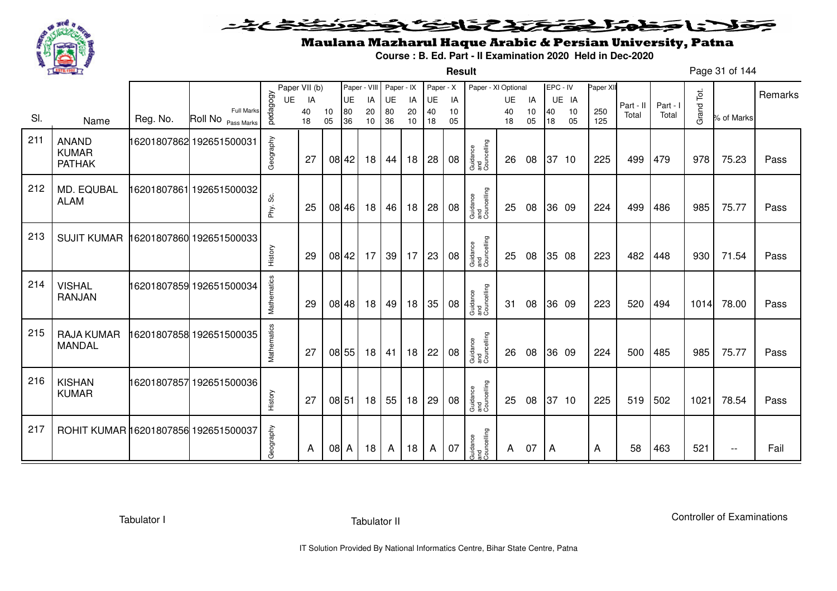

**Result**

# Maulana Mazharul Haque Arabic & Persian University, Patna

**Course : B. Ed. Part - II Examination 2020 Held in Dec-2020**

Page 31 of 144

|     |                                               |          |                                                    |             | Paper VII (b) |          | Paper - VIII |                 | Paper - IX |              | Paper - X |          | Paper - XI Optional            |          |          | EPC - IV |          | Paper XII  |           |          |            |            | Remarks |
|-----|-----------------------------------------------|----------|----------------------------------------------------|-------------|---------------|----------|--------------|-----------------|------------|--------------|-----------|----------|--------------------------------|----------|----------|----------|----------|------------|-----------|----------|------------|------------|---------|
|     |                                               |          |                                                    | <b>UE</b>   | IA            |          | <b>UE</b>    | IA              | UE         | IA           | UE        | IA       |                                | UE       | IA       |          | UE IA    |            | Part - II | Part - I |            |            |         |
| SI. | Name                                          | Reg. No. | <b>Full Marks</b><br>Roll No <sub>Pass Marks</sub> | pedagogy    | 40<br>18      | 10<br>05 | 80<br>36     | 20<br>10        | 80<br>36   | 20<br>10     | 40<br>18  | 10<br>05 |                                | 40<br>18 | 10<br>05 | 40<br>18 | 10<br>05 | 250<br>125 | Total     | Total    | Grand Tot. | % of Marks |         |
| 211 | <b>ANAND</b><br><b>KUMAR</b><br><b>PATHAK</b> |          | 16201807862 192651500031                           | Geography   | 27            |          | 08 42        | 18              | 44         | 18           | 28        | 08       | Guidance<br>and<br>Councelling | 26       | 08       |          | 37 10    | 225        | 499       | 479      | 978        | 75.23      | Pass    |
| 212 | MD. EQUBAL<br><b>ALAM</b>                     |          | 16201807861 192651500032                           | Phy. Sc.    | 25            |          | 08 46        | 18              | 46         | 18           | 28        | 08       | Guidance<br>and<br>Councelling | 25       | 08       |          | 36 09    | 224        | 499       | 486      | 985        | 75.77      | Pass    |
| 213 | <b>SUJIT KUMAR</b>                            |          | 16201807860 192651500033                           | History     | 29            |          | 08 42        | 17              | 39         | $17 \mid 23$ |           | 08       | Guidance<br>and<br>Councelling | 25       | 08       |          | 35 08    | 223        | 482       | 448      | 930        | 71.54      | Pass    |
| 214 | <b>VISHAL</b><br><b>RANJAN</b>                |          | 16201807859 192651500034                           | Mathematics | 29            |          | 08 48        | 18 <sup>1</sup> | 49         | 18           | 35        | 08       | Guidance<br>and<br>Councelling | 31       | 08       |          | 36 09    | 223        | 520       | 494      | 1014       | 78.00      | Pass    |
| 215 | <b>RAJA KUMAR</b><br><b>MANDAL</b>            |          | 16201807858 192651500035                           | Mathematics | 27            |          | 08 55        | 18              | 41         | 18           | 22        | 08       | Guidance<br>and<br>Councelling | 26       | 08       |          | 36 09    | 224        | 500       | 485      | 985        | 75.77      | Pass    |
| 216 | <b>KISHAN</b><br><b>KUMAR</b>                 |          | 16201807857192651500036                            | History     | 27            | 08 51    |              | 18              | 55         | 18           | 29        | 08       | Guidance<br>and<br>Councelling | 25       | 08       |          | 37 10    | 225        | 519       | 502      | 1021       | 78.54      | Pass    |
| 217 | ROHIT KUMAR 16201807856 192651500037          |          |                                                    | Geography   | A             | 08 A     |              | 18              | A          | 18           | A         | 07       | Guidance<br>and<br>Councelling | A        | 07       | A        |          | A          | 58        | 463      | 521        | $- -$      | Fail    |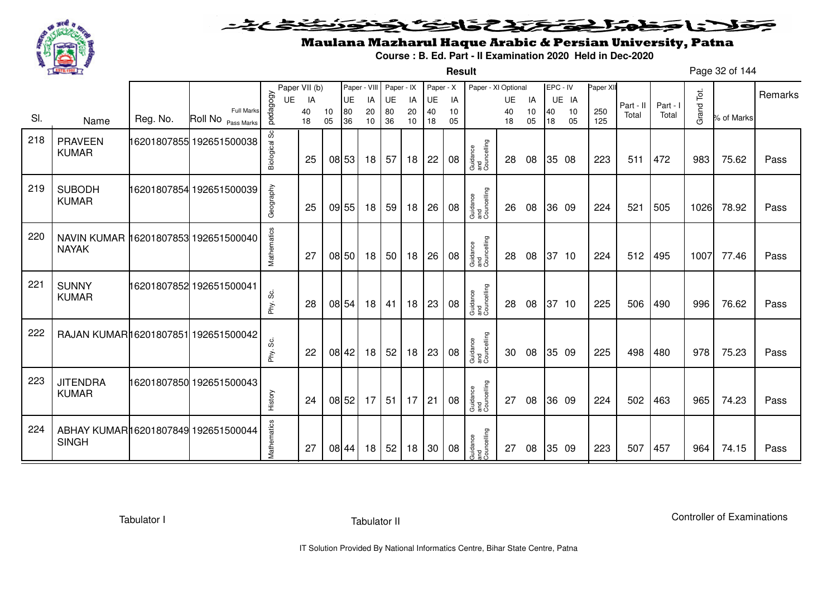

**Result**

# Maulana Mazharul Haque Arabic & Persian University, Patna

**Course : B. Ed. Part - II Examination 2020 Held in Dec-2020**

Page 32 of 144

|     |                                                      |          |                                         |               | Paper VII (b) |          |          | Paper - VIII | Paper - IX |          | Paper - X |          | Paper - XI Optional            |          |          | EPC - IV |          | Paper XII  |           |          |            |            |         |
|-----|------------------------------------------------------|----------|-----------------------------------------|---------------|---------------|----------|----------|--------------|------------|----------|-----------|----------|--------------------------------|----------|----------|----------|----------|------------|-----------|----------|------------|------------|---------|
|     |                                                      |          |                                         | UE            | IA            |          | UE       | IA           | UE         | IA       | UE        | IA       |                                | UE       | IA       |          | UE IA    |            | Part - II | Part - I |            |            | Remarks |
| SI. | Name                                                 | Reg. No. | <b>Full Marks</b><br>Roll No Pass Marks | pedagogy      | 40<br>18      | 10<br>05 | 80<br>36 | 20<br>10     | 80<br>36   | 20<br>10 | 40<br>18  | 10<br>05 |                                | 40<br>18 | 10<br>05 | 40<br>18 | 10<br>05 | 250<br>125 | Total     | Total    | Grand Tot. | % of Marks |         |
| 218 | <b>PRAVEEN</b><br><b>KUMAR</b>                       |          | 16201807855 192651500038                | Biological Sc | 25            |          | 08 53    | 18           | 57         | 18       | 22        | 08       | Guidance<br>and<br>Councelling | 28       | 08       |          | 35 08    | 223        | 511       | 472      | 983        | 75.62      | Pass    |
| 219 | <b>SUBODH</b><br><b>KUMAR</b>                        |          | 16201807854 192651500039                | Geography     | 25            |          | 09 55    | 18           | 59         | 18       | 26        | 08       | Guidance<br>and<br>Councelling | 26       | 08       |          | 36 09    | 224        | 521       | 505      | 1026       | 78.92      | Pass    |
| 220 | NAVIN KUMAR 16201807853 192651500040<br><b>NAYAK</b> |          |                                         | Mathematics   | 27            |          | 08 50    | 18           | 50         | 18       | 26        | 08       | Guidance<br>and<br>Councelling | 28       | 08       |          | 37 10    | 224        | 512       | 495      | 1007       | 77.46      | Pass    |
| 221 | <b>SUNNY</b><br><b>KUMAR</b>                         |          | 16201807852 192651500041                | Phy. Sc.      | 28            |          | 08 54    | 18           | 41         | 18       | 23        | 08       | Guidance<br>and<br>Councelling | 28       | 08       |          | 37 10    | 225        | 506       | 490      | 996        | 76.62      | Pass    |
| 222 | RAJAN KUMAR16201807851 192651500042                  |          |                                         | Phy. Sc.      | 22            |          | 08 42    | 18           | 52         | 18       | 23        | 08       | Guidance<br>and<br>Councelling | 30       | 08       |          | 35 09    | 225        | 498       | 480      | 978        | 75.23      | Pass    |
| 223 | <b>JITENDRA</b><br><b>KUMAR</b>                      |          | 16201807850 192651500043                | History       | 24            |          | 08 52    | 17           | 51         | 17       | 21        | 08       | Guidance<br>and<br>Councelling | 27       | 08       |          | 36 09    | 224        | 502       | 463      | 965        | 74.23      | Pass    |
| 224 | ABHAY KUMAR16201807849 192651500044<br><b>SINGH</b>  |          |                                         | Mathematics   | 27            |          | 08 44    | 18           | 52         | 18       | 30        | 08       | Guidance<br>and<br>Councelling | 27       | 08       |          | 35 09    | 223        | 507       | 457      | 964        | 74.15      | Pass    |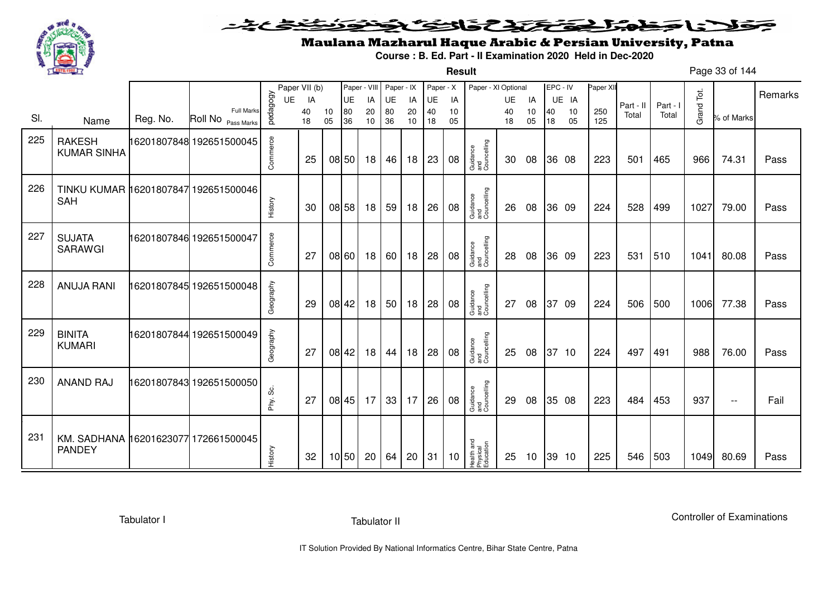

### <u>یٹی ٹ</u>ے فلانا وخدا يقتحنك فالتف ونونوذ ∍

**Result**

# Maulana Mazharul Haque Arabic & Persian University, Patna

**Course : B. Ed. Part - II Examination 2020 Held in Dec-2020**

Page 33 of 144

|     |                                      |          |                                         |           | Paper VII (b) |    |           | Paper - VIII Paper - IX |                 |    | Paper - X |    | Paper - XI Optional                 |           |    | EPC - IV |       | Paper XII |           |          |            |                          |         |
|-----|--------------------------------------|----------|-----------------------------------------|-----------|---------------|----|-----------|-------------------------|-----------------|----|-----------|----|-------------------------------------|-----------|----|----------|-------|-----------|-----------|----------|------------|--------------------------|---------|
|     |                                      |          |                                         | UE        | IA            |    | <b>UE</b> | IA                      | UE              | IA | UE        | IA |                                     | <b>UE</b> | IA |          | UE IA |           | Part - II | Part - I |            |                          | Remarks |
| SI. |                                      | Reg. No. | <b>Full Marks</b><br>Roll No Pass Marks | pedagogy  | 40            | 10 | 80        | 20                      | 80              | 20 | 40        | 10 |                                     | 40        | 10 | 40       | 10    | 250       | Total     | Total    | Grand Tot. | % of Marks               |         |
|     | Name                                 |          |                                         |           | 18            | 05 | 36        | 10                      | 36              | 10 | 18        | 05 |                                     | 18        | 05 | 18       | 05    | 125       |           |          |            |                          |         |
| 225 | <b>RAKESH</b>                        |          | 16201807848 192651500045                |           |               |    |           |                         |                 |    |           |    |                                     |           |    |          |       |           |           |          |            |                          |         |
|     | <b>KUMAR SINHA</b>                   |          |                                         | Commerce  | 25            |    | 08 50     | 18                      | 46              | 18 | 23        | 08 | Guidance<br>and<br>Councelling      | 30        | 08 |          | 36 08 | 223       | 501       | 465      | 966        | 74.31                    | Pass    |
|     |                                      |          |                                         |           |               |    |           |                         |                 |    |           |    |                                     |           |    |          |       |           |           |          |            |                          |         |
| 226 | TINKU KUMAR 16201807847 192651500046 |          |                                         |           |               |    |           |                         |                 |    |           |    |                                     |           |    |          |       |           |           |          |            |                          |         |
|     | <b>SAH</b>                           |          |                                         |           |               |    |           |                         |                 |    |           |    |                                     |           |    |          |       |           |           |          |            |                          |         |
|     |                                      |          |                                         | History   | 30            |    | 08 58     | 18                      | 59              | 18 | 26        | 08 | Guidance<br>and<br>Councelling      | 26        | 08 |          | 36 09 | 224       | 528       | 499      | 1027       | 79.00                    | Pass    |
| 227 |                                      |          |                                         |           |               |    |           |                         |                 |    |           |    |                                     |           |    |          |       |           |           |          |            |                          |         |
|     | <b>SUJATA</b><br><b>SARAWGI</b>      |          | 16201807846 192651500047                |           |               |    |           |                         |                 |    |           |    |                                     |           |    |          |       |           |           |          |            |                          |         |
|     |                                      |          |                                         | Commerce  | 27            |    | 08 60     | 18                      | 60              | 18 | 28        | 08 | Guidance<br>and<br>Councelling      | 28        | 08 |          | 36 09 | 223       | 531       | 510      | 1041       | 80.08                    | Pass    |
|     |                                      |          |                                         |           |               |    |           |                         |                 |    |           |    |                                     |           |    |          |       |           |           |          |            |                          |         |
| 228 | <b>ANUJA RANI</b>                    |          | 16201807845 192651500048                |           |               |    |           |                         |                 |    |           |    |                                     |           |    |          |       |           |           |          |            |                          |         |
|     |                                      |          |                                         | Geography | 29            |    | 08 42     | 18                      | 50              | 18 | 28        | 08 | Guidance<br>and<br>Councelling      | 27        | 08 |          | 37 09 | 224       | 506       | 500      | 1006       | 77.38                    | Pass    |
|     |                                      |          |                                         |           |               |    |           |                         |                 |    |           |    |                                     |           |    |          |       |           |           |          |            |                          |         |
| 229 | <b>BINITA</b>                        |          | 16201807844 192651500049                |           |               |    |           |                         |                 |    |           |    |                                     |           |    |          |       |           |           |          |            |                          |         |
|     | <b>KUMARI</b>                        |          |                                         | Geography | 27            |    | 08 42     | 18                      | 44              | 18 | 28        | 08 | Guidance<br>and<br>Councelling      | 25        | 08 |          | 37 10 | 224       | 497       | 491      | 988        | 76.00                    | Pass    |
|     |                                      |          |                                         |           |               |    |           |                         |                 |    |           |    |                                     |           |    |          |       |           |           |          |            |                          |         |
| 230 | <b>ANAND RAJ</b>                     |          | 16201807843 192651500050                |           |               |    |           |                         |                 |    |           |    |                                     |           |    |          |       |           |           |          |            |                          |         |
|     |                                      |          |                                         | တိ        |               |    |           |                         |                 |    |           |    |                                     |           |    |          |       |           |           |          |            |                          |         |
|     |                                      |          |                                         | Phy.      | 27            |    | 08 45     | 17                      | 33 <sup>1</sup> | 17 | 26        | 08 | Guidance<br>and<br>Councelling      | 29        | 08 |          | 35 08 | 223       | 484       | 453      | 937        | $\overline{\phantom{m}}$ | Fail    |
|     |                                      |          |                                         |           |               |    |           |                         |                 |    |           |    |                                     |           |    |          |       |           |           |          |            |                          |         |
| 231 | KM. SADHANA 16201623077 172661500045 |          |                                         |           |               |    |           |                         |                 |    |           |    |                                     |           |    |          |       |           |           |          |            |                          |         |
|     | <b>PANDEY</b>                        |          |                                         | History   | 32            |    | 10 50     | 20                      | 64              | 20 | 31        | 10 | Health and<br>Physical<br>Education | 25        | 10 |          | 39 10 | 225       | 546       | 503      | 1049       | 80.69                    | Pass    |
|     |                                      |          |                                         |           |               |    |           |                         |                 |    |           |    |                                     |           |    |          |       |           |           |          |            |                          |         |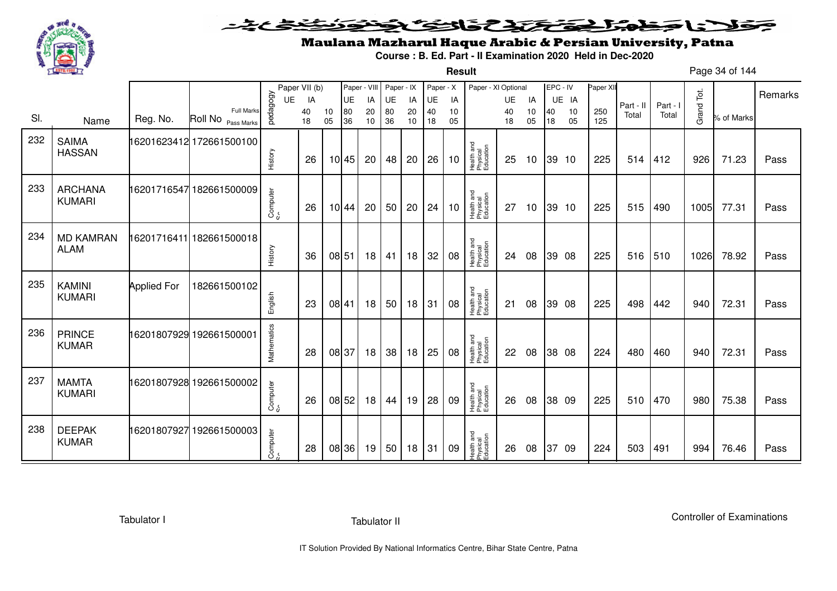

**Result**

# Maulana Mazharul Haque Arabic & Persian University, Patna

**Course : B. Ed. Part - II Examination 2020 Held in Dec-2020**

Page 34 of 144

|     |                                 |                    |                                         |             | Paper VII (b) |          | Paper - VIII |          | Paper - IX |          | Paper - X |          | Paper - XI Optional                 |          |                 | EPC - IV |          | Paper XII  |           |          |            |            |         |
|-----|---------------------------------|--------------------|-----------------------------------------|-------------|---------------|----------|--------------|----------|------------|----------|-----------|----------|-------------------------------------|----------|-----------------|----------|----------|------------|-----------|----------|------------|------------|---------|
|     |                                 |                    |                                         | UE          | IA            |          | UE           | IA       | UE         | IA       | UE        | IA       |                                     | UE       | IA              |          | UE IA    |            | Part - II | Part - I |            |            | Remarks |
| SI. | Name                            | Reg. No.           | <b>Full Marks</b><br>Roll No Pass Marks | pedagogy    | 40<br>18      | 10<br>05 | 80<br>36     | 20<br>10 | 80<br>36   | 20<br>10 | 40<br>18  | 10<br>05 |                                     | 40<br>18 | 10<br>05        | 40<br>18 | 10<br>05 | 250<br>125 | Total     | Total    | Grand Tot. | % of Marks |         |
| 232 | <b>SAIMA</b><br><b>HASSAN</b>   |                    | 16201623412 172661500100                | History     | 26            |          | 10 45        | 20       | 48         | 20       | 26        | 10       | Health and<br>Physical<br>Education | 25       | 10              |          | 39 10    | 225        | 514       | 412      | 926        | 71.23      | Pass    |
| 233 | <b>ARCHANA</b><br><b>KUMARI</b> |                    | 16201716547 182661500009                | Computer    | 26            |          | 10 44        | 20       | 50         | 20       | 24        | 10       | Health and<br>Physical<br>Education | 27       | 10 <sup>°</sup> |          | 39 10    | 225        | 515       | 490      | 1005       | 77.31      | Pass    |
| 234 | <b>MD KAMRAN</b><br><b>ALAM</b> |                    | 16201716411 182661500018                | History     | 36            | 08 51    |              | 18       | 41         | 18       | 32        | 08       | Health and<br>Physical<br>Education | 24       | 08              |          | 39 08    | 225        | 516       | 510      | 1026       | 78.92      | Pass    |
| 235 | <b>KAMINI</b><br><b>KUMARI</b>  | <b>Applied For</b> | 182661500102                            | English     | 23            | 08 41    |              | 18       | 50         | 18       | 31        | 08       | Health and<br>Physical<br>Education | 21       | 08              |          | 39 08    | 225        | 498       | 442      | 940        | 72.31      | Pass    |
| 236 | <b>PRINCE</b><br><b>KUMAR</b>   |                    | 16201807929 192661500001                | Mathematics | 28            | 08 37    |              | 18       | 38         | 18       | 25        | 08       | Health and<br>Physical<br>Education | 22       | 08              |          | 38 08    | 224        | 480       | 460      | 940        | 72.31      | Pass    |
| 237 | <b>MAMTA</b><br><b>KUMARI</b>   |                    | 16201807928 192661500002                | Computer    | 26            | 08 52    |              | 18       | 44         | 19       | 28        | 09       | Health and<br>Physical<br>Education | 26       | 08              |          | 38 09    | 225        | 510       | 470      | 980        | 75.38      | Pass    |
| 238 | <b>DEEPAK</b><br><b>KUMAR</b>   | 16201807927        | 192661500003                            | Computer    | 28            |          | 08 36        | 19       | 50         | 18       | 31        | 09       | Health and<br>Physical<br>Education | 26       | 08              | 37       | -09      | 224        | 503       | 491      | 994        | 76.46      | Pass    |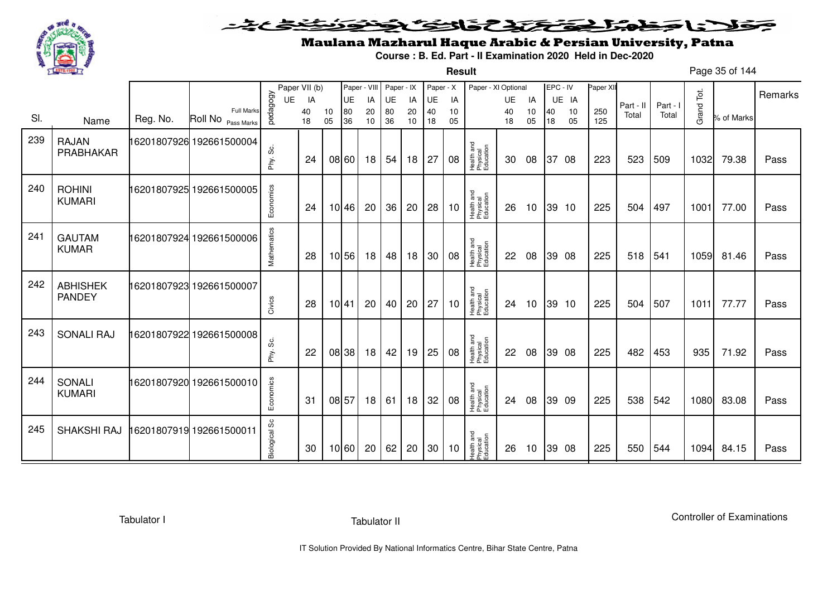

**Result**

# Maulana Mazharul Haque Arabic & Persian University, Patna

**Course : B. Ed. Part - II Examination 2020 Held in Dec-2020**

Page 35 of 144

|     |                                  |          |                                                    |               | Paper VII (b) |          | Paper - VIII |          | Paper - IX |          | Paper - X |          | Paper - XI Optional                 |          |          | EPC - IV |          | Paper XII  |           |          |            |            | Remarks |
|-----|----------------------------------|----------|----------------------------------------------------|---------------|---------------|----------|--------------|----------|------------|----------|-----------|----------|-------------------------------------|----------|----------|----------|----------|------------|-----------|----------|------------|------------|---------|
|     |                                  |          |                                                    | UE            | IA            |          | UE           | IA       | UE         | IA       | UE        | IA       |                                     | UE       | IA       |          | UE IA    |            | Part - II | Part - I |            |            |         |
| SI. | Name                             | Reg. No. | <b>Full Marks</b><br>Roll No <sub>Pass Marks</sub> | pedagogy      | 40<br>18      | 10<br>05 | 80<br>36     | 20<br>10 | 80<br>36   | 20<br>10 | 40<br>18  | 10<br>05 |                                     | 40<br>18 | 10<br>05 | 40<br>18 | 10<br>05 | 250<br>125 | Total     | Total    | Grand Tot. | % of Marks |         |
| 239 | <b>RAJAN</b><br>PRABHAKAR        |          | 16201807926 192661500004                           | ပ္တဲ<br>Phy.  | 24            |          | 08 60        | 18       | 54         | 18       | 27        | 08       | Health and<br>Physical<br>Education | 30       | 08       | 37       | 08       | 223        | 523       | 509      | 1032       | 79.38      | Pass    |
| 240 | <b>ROHINI</b><br><b>KUMARI</b>   |          | 16201807925 192661500005                           | Economics     | 24            |          | 10 46        | 20       | 36         | 20       | 28        | 10       | Health and<br>Physical<br>Education | 26       | 10       |          | 39 10    | 225        | 504       | 497      | 1001       | 77.00      | Pass    |
| 241 | <b>GAUTAM</b><br><b>KUMAR</b>    |          | 16201807924 192661500006                           | Mathematics   | 28            |          | 10 56        | 18       | 48         | 18       | 30        | 08       | Health and<br>Physical<br>Education | 22       | 08       |          | 39 08    | 225        | 518       | 541      | 1059       | 81.46      | Pass    |
| 242 | <b>ABHISHEK</b><br><b>PANDEY</b> |          | 16201807923 192661500007                           | Civics        | 28            | 10141    |              | 20       | 40         | 20       | 27        | 10       | Health and<br>Physical<br>Education | 24       | 10       |          | 39 10    | 225        | 504       | 507      | 1011       | 77.77      | Pass    |
| 243 | <b>SONALI RAJ</b>                |          | 16201807922 192661500008                           | Phy. Sc.      | 22            |          | 08 38        | 18       | 42         | 19       | 25        | 08       | Health and<br>Physical<br>Education | 22       | 08       |          | 39 08    | 225        | 482       | 453      | 935        | 71.92      | Pass    |
| 244 | SONALI<br><b>KUMARI</b>          |          | 16201807920 192661500010                           | Economics     | 31            |          | 08 57        | 18       | 61         | 18       | 32        | 08       | Health and<br>Physical<br>Education | 24       | 08       |          | 39 09    | 225        | 538       | 542      | 1080       | 83.08      | Pass    |
| 245 | SHAKSHI RAJ                      |          | 16201807919 192661500011                           | Biological Sc | 30            |          | 10 60        | 20       | 62         | 20       | 30        | 10       | Health and<br>Physical<br>Education | 26       | 10       |          | 39 08    | 225        | 550       | 544      | 1094       | 84.15      | Pass    |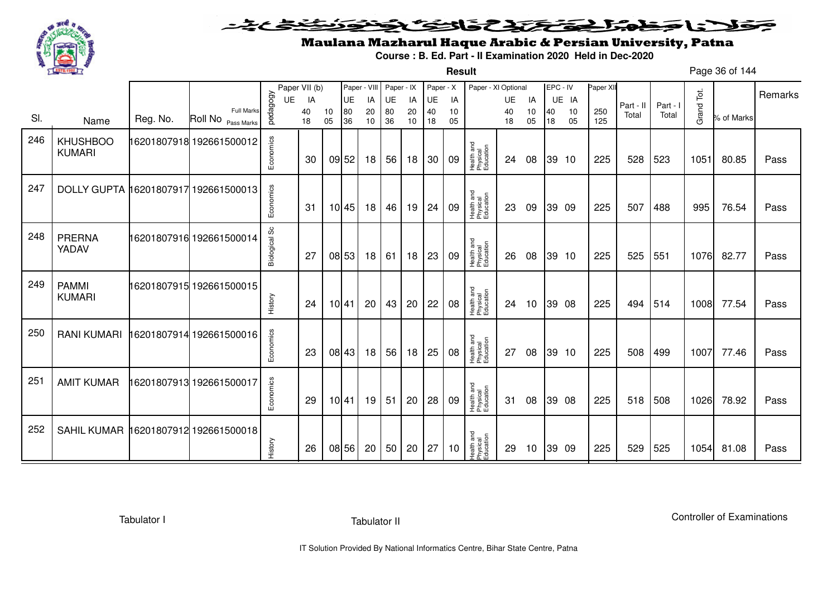

#### こさとき فتختخذ فخافى فخذ كلانا جنادبل ◒

**Result**

# Maulana Mazharul Haque Arabic & Persian University, Patna

**Course : B. Ed. Part - II Examination 2020 Held in Dec-2020**

Page 36 of 144

|     |                                      |          |                                  |               | Paper VII (b) |          | Paper - VIII |          | Paper - IX |          | Paper - X |          | Paper - XI Optional                 |          |          | EPC - IV |          | Paper XI   |           |          |            |            | Remarks |
|-----|--------------------------------------|----------|----------------------------------|---------------|---------------|----------|--------------|----------|------------|----------|-----------|----------|-------------------------------------|----------|----------|----------|----------|------------|-----------|----------|------------|------------|---------|
|     |                                      |          |                                  | UE            | IA            |          | UE           | IA       | UE         | IA       | UE        | IA       |                                     | UE       | IA       |          | UE IA    |            | Part - II | Part - I |            |            |         |
| SI. | Name                                 | Reg. No. | Full Marks<br>Roll No Pass Marks | pedagogy      | 40<br>18      | 10<br>05 | 80<br>36     | 20<br>10 | 80<br>36   | 20<br>10 | 40<br>18  | 10<br>05 |                                     | 40<br>18 | 10<br>05 | 40<br>18 | 10<br>05 | 250<br>125 | Total     | Total    | Grand Tot. | % of Marks |         |
| 246 | <b>KHUSHBOO</b><br><b>KUMARI</b>     |          |                                  | Economics     | 30            |          | 09 52        | 18       | 56         | 18       | 30        | 09       | Health and<br>Physical<br>Education | 24       | 08       |          | 39 10    | 225        | 528       | 523      | 1051       | 80.85      | Pass    |
| 247 | DOLLY GUPTA 16201807917 192661500013 |          |                                  | Economics     | 31            |          | 10 45        | 18       | 46         | 19       | 24        | 09       | Health and<br>Physical<br>Education | 23       | 09       |          | 39 09    | 225        | 507       | 488      | 995        | 76.54      | Pass    |
| 248 | <b>PRERNA</b><br>YADAV               |          | 16201807916 192661500014         | Biological Sc | 27            |          | 08 53        | 18       | 61         | 18       | 23        | 09       | Health and<br>Physical<br>Education | -26      | 08       |          | 39 10    | 225        | 525       | 551      | 1076       | 82.77      | Pass    |
| 249 | <b>PAMMI</b><br><b>KUMARI</b>        |          | 16201807915 192661500015         | History       | 24            |          | 10 41        | 20       | 43         | 20       | 22        | 08       | Health and<br>Physical<br>Education | 24       | 10       |          | 39 08    | 225        | 494       | 514      | 1008       | 77.54      | Pass    |
| 250 | <b>RANI KUMARI</b>                   |          | 16201807914 192661500016         | Economics     | 23            |          | 08 43        | 18       | 56         | 18       | 25        | 08       | Health and<br>Physical<br>Education | 27       | 08       |          | 39 10    | 225        | 508       | 499      | 1007       | 77.46      | Pass    |
| 251 | <b>AMIT KUMAR</b>                    |          | 6201807913 192661500017          | Economics     | 29            |          | 10 41        | 19       | 51         | 20       | 28        | 09       | Health and<br>Physical<br>Education | 31       | 08       |          | 39 08    | 225        | 518       | 508      | 1026       | 78.92      | Pass    |
| 252 | <b>SAHIL KUMAR</b>                   |          | 16201807912 192661500018         | History       | 26            |          | 08 56        | 20       | 50         | 20       | 27        | 10       | Health and<br>Physical<br>Education | 29       | 10       |          | 39 09    | 225        | 529       | 525      | 1054       | 81.08      | Pass    |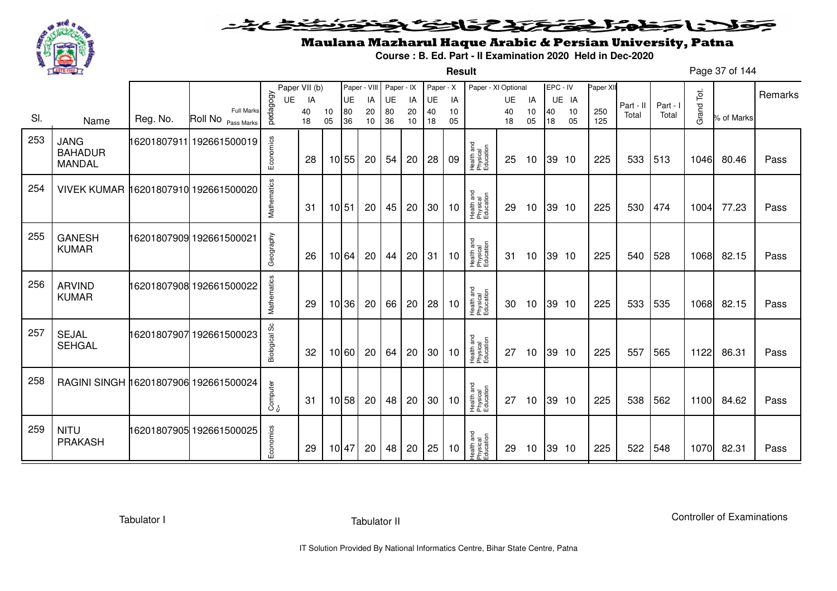

**Result**

# Maulana Mazharul Haque Arabic & Persian University, Patna

**Course : B. Ed. Part - II Examination 2020 Held in Dec-2020**

Page 37 of 144

|     |                                                |             |                                         |                      | Paper VII (b) |          | Paper - VIII |    | Paper - IX |    | Paper - X |    | Paper - XI Optional                 |    |    | EPC - IV |       | Paper XII |           |          |            |            |         |
|-----|------------------------------------------------|-------------|-----------------------------------------|----------------------|---------------|----------|--------------|----|------------|----|-----------|----|-------------------------------------|----|----|----------|-------|-----------|-----------|----------|------------|------------|---------|
|     |                                                |             |                                         | UE                   | IA            |          | UE           | IA | UE         | IA | UE        | IA |                                     | UE | IA |          | UE IA |           | Part - II | Part - I |            |            | Remarks |
| SI. |                                                | Reg. No.    | <b>Full Marks</b><br>Roll No Pass Marks | pedagogy             | 40            | 10<br>05 | 80           | 20 | 80         | 20 | 40        | 10 |                                     | 40 | 10 | 40       | 10    | 250       | Total     | Total    | Grand Tot. | % of Marks |         |
|     | Name                                           |             |                                         |                      | 18            |          | 36           | 10 | 36         | 10 | 18        | 05 |                                     | 18 | 05 | 18       | 05    | 125       |           |          |            |            |         |
| 253 | <b>JANG</b><br><b>BAHADUR</b><br><b>MANDAL</b> |             | 16201807911 192661500019                | Economics            | 28            |          | 10 55        | 20 | 54         | 20 | 28        | 09 | Health and<br>Physical<br>Education | 25 | 10 | 39 10    |       | 225       | 533       | 513      | 1046       | 80.46      | Pass    |
| 254 | VIVEK KUMAR 16201807910 192661500020           |             |                                         | Mathematics          | 31            | 10 51    |              | 20 | 45         | 20 | 30        | 10 | Health and<br>Physical<br>Education | 29 | 10 | 39 10    |       | 225       | 530       | 474      | 1004       | 77.23      | Pass    |
| 255 | <b>GANESH</b><br><b>KUMAR</b>                  |             | 16201807909 192661500021                | Geography            | 26            |          | 10 64        | 20 | 44         | 20 | 31        | 10 | Health and<br>Physical<br>Education | 31 | 10 | 39 10    |       | 225       | 540       | 528      | 1068       | 82.15      | Pass    |
| 256 | <b>ARVIND</b><br><b>KUMAR</b>                  |             | 16201807908 192661500022                | Mathematics          | 29            |          | 10 36        | 20 | 66         | 20 | 28        | 10 | Health and<br>Physical<br>Education | 30 | 10 | 39 10    |       | 225       | 533       | 535      | 1068       | 82.15      | Pass    |
| 257 | <b>SEJAL</b><br><b>SEHGAL</b>                  | 16201807907 | 192661500023                            | <b>Biological Sc</b> | 32            |          | 10 60        | 20 | 64         | 20 | 30        | 10 | Health and<br>Physical<br>Education | 27 | 10 | 39 10    |       | 225       | 557       | 565      | 1122       | 86.31      | Pass    |
| 258 | RAGINI SINGH 16201807906 192661500024          |             |                                         | Computer             | -31           |          | 10 58        | 20 | 48         | 20 | 30        | 10 | Health and<br>Physical<br>Education | 27 | 10 | 39 10    |       | 225       | 538       | 562      | 1100       | 84.62      | Pass    |
| 259 | <b>NITU</b><br><b>PRAKASH</b>                  |             | 16201807905 192661500025                | Economics            | 29            |          | 10 47        | 20 | 48         | 20 | 25        | 10 | Health and<br>Physical<br>Education | 29 | 10 |          | 39 10 | 225       | 522       | 548      | 1070       | 82.31      | Pass    |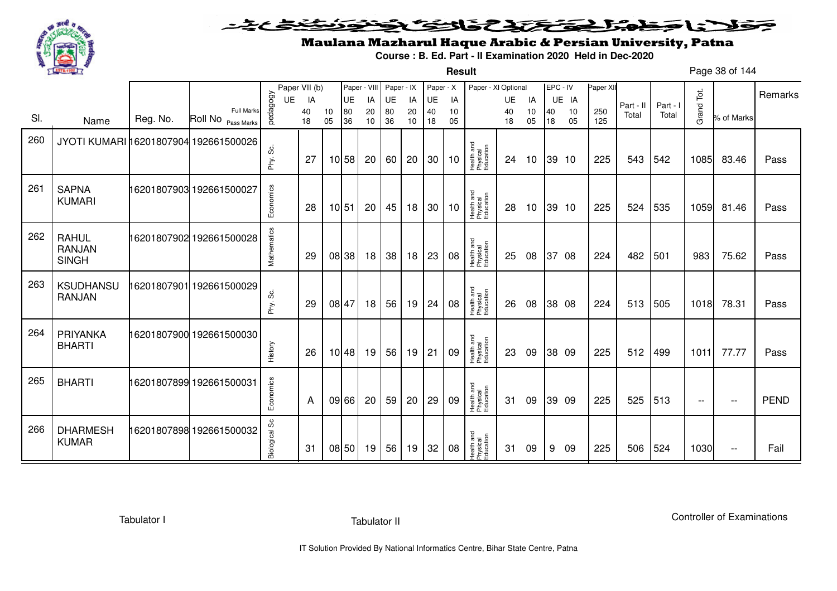

**Result**

# Maulana Mazharul Haque Arabic & Persian University, Patna

**Course : B. Ed. Part - II Examination 2020 Held in Dec-2020**

Page 38 of 144

|     |                                               |          |                                         |               | Paper VII (b) |          | Paper - VIII |          | Paper - IX |          | Paper - X |          | Paper - XI Optional                 |          |          | EPC - IV |          | Paper XI   |           |          |                          |                          | Remarks     |
|-----|-----------------------------------------------|----------|-----------------------------------------|---------------|---------------|----------|--------------|----------|------------|----------|-----------|----------|-------------------------------------|----------|----------|----------|----------|------------|-----------|----------|--------------------------|--------------------------|-------------|
|     |                                               |          |                                         | <b>UE</b>     | IA            |          | UE           | IA       | UE         | IA       | UE        | IA       |                                     | UE       | IA       |          | UE IA    |            | Part - II | Part - I |                          |                          |             |
| SI. | Name                                          | Reg. No. | <b>Full Marks</b><br>Roll No Pass Marks | pedagogy      | 40<br>18      | 10<br>05 | 80<br>36     | 20<br>10 | 80<br>36   | 20<br>10 | 40<br>18  | 10<br>05 |                                     | 40<br>18 | 10<br>05 | 40<br>18 | 10<br>05 | 250<br>125 | Total     | Total    | Grand Tot.               | % of Marks               |             |
| 260 | JYOTI KUMARI 16201807904 192661500026         |          |                                         | ပ္တဲ<br>Phy.  | 27            |          | 10 58        | 20       | 60         | 20       | 30        | 10       | Health and<br>Physical<br>Education | 24       | 10       | 39 10    |          | 225        | 543       | 542      | 1085                     | 83.46                    | Pass        |
| 261 | <b>SAPNA</b><br><b>KUMARI</b>                 |          | 16201807903 192661500027                | Economics     | 28            |          | 10 51        | 20       | 45         | 18       | 30        | 10       | Health and<br>Physical<br>Education | 28       | 10       | 39 10    |          | 225        | 524       | 535      | 1059                     | 81.46                    | Pass        |
| 262 | <b>RAHUL</b><br><b>RANJAN</b><br><b>SINGH</b> |          | 16201807902 192661500028                | Mathematics   | 29            |          | 08 38        | 18       | 38         | 18       | 23        | 08       | Health and<br>Physical<br>Education | 25       | 08       | 37 08    |          | 224        | 482       | 501      | 983                      | 75.62                    | Pass        |
| 263 | <b>KSUDHANSU</b><br><b>RANJAN</b>             |          | 16201807901 192661500029                | ပ္တဲ<br>Phy.  | 29            |          | 08 47        | 18       | 56         | 19       | 24        | 08       | Health and<br>Physical<br>Education | 26       | 08       |          | 38 08    | 224        | 513       | 505      | 1018                     | 78.31                    | Pass        |
| 264 | PRIYANKA<br><b>BHARTI</b>                     |          | 16201807900 192661500030                | History       | 26            |          | 10 48        | 19       | 56         | 19       | 21        | 09       | Health and<br>Physical<br>Education | 23       | 09       | 38 09    |          | 225        | 512       | 499      | 1011                     | 77.77                    | Pass        |
| 265 | <b>BHARTI</b>                                 |          | 16201807899 192661500031                | Economics     | A             |          | 09 66        | 20       | 59         | 20       | 29        | 09       | Health and<br>Physical<br>Education | 31       | 09       | 39 09    |          | 225        | 525       | 513      | $\overline{\phantom{a}}$ | $\overline{\phantom{m}}$ | <b>PEND</b> |
| 266 | <b>DHARMESH</b><br><b>KUMAR</b>               |          | 16201807898 192661500032                | Biological Sc | 31            |          | 08 50        | 19       | 56         | 19       | 32        | 08       | Health and<br>Physical<br>Education | 31       | 09       | -9       | 09       | 225        | 506       | 524      | 1030                     | $\overline{\phantom{m}}$ | Fail        |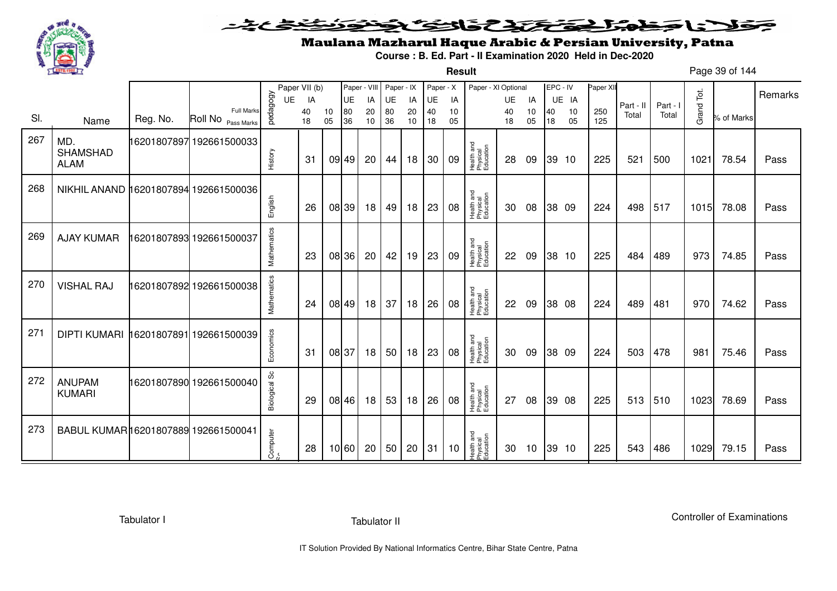

**Result**

# Maulana Mazharul Haque Arabic & Persian University, Patna

**Course : B. Ed. Part - II Examination 2020 Held in Dec-2020**

Page 39 of 144

|     |                                           |          |                                         |                  | Paper VII (b) |          | Paper - VIII |          | Paper - IX |          | Paper - X |          | Paper - XI Optional                 |          |          | EPC - IV |          | Paper XI   |           |          |            |            | Remarks |
|-----|-------------------------------------------|----------|-----------------------------------------|------------------|---------------|----------|--------------|----------|------------|----------|-----------|----------|-------------------------------------|----------|----------|----------|----------|------------|-----------|----------|------------|------------|---------|
|     |                                           |          |                                         | UE               | IA            |          | UE           | IA       | UE         | IA       | UE        | IA       |                                     | UE       | IA       |          | UE IA    |            | Part - II | Part - I |            |            |         |
| SI. | Name                                      | Reg. No. | <b>Full Marks</b><br>Roll No Pass Marks | pedagogy         | 40<br>18      | 10<br>05 | 80<br>36     | 20<br>10 | 80<br>36   | 20<br>10 | 40<br>18  | 10<br>05 |                                     | 40<br>18 | 10<br>05 | 40<br>18 | 10<br>05 | 250<br>125 | Total     | Total    | Grand Tot. | % of Marks |         |
| 267 | MD.<br><b>SHAMSHAD</b><br><b>ALAM</b>     |          | 16201807897 192661500033                | History          | 31            |          | 09 49        | 20       | 44         | 18       | 30        | 09       | Health and<br>Physical<br>Education | 28       | 09       |          | 39 10    | 225        | 521       | 500      | 1021       | 78.54      | Pass    |
| 268 | NIKHIL ANAND 16201807894 192661500036     |          |                                         | English          | 26            |          | 08 39        | 18       | 49         | 18       | 23        | 08       | Health and<br>Physical<br>Education | 30       | 08       |          | 38 09    | 224        | 498       | 517      | 1015       | 78.08      | Pass    |
| 269 | <b>AJAY KUMAR</b>                         |          | 16201807893 192661500037                | Mathematics      | 23            |          | 08 36        | 20       | 42         | 19       | 23        | 09       | Health and<br>Physical<br>Education | 22       | 09       |          | 38 10    | 225        | 484       | 489      | 973        | 74.85      | Pass    |
| 270 | <b>VISHAL RAJ</b>                         |          | 16201807892 192661500038                | Mathematics      | 24            |          | 08 49        | 18       | 37         | 18       | 26        | 08       | Health and<br>Physical<br>Education | 22       | 09       |          | 38 08    | 224        | 489       | 481      | 970        | 74.62      | Pass    |
| 271 | DIPTI KUMARI   16201807891   192661500039 |          |                                         | Economics        | 31            |          | 08 37        | 18       | 50         | 18       | 23        | 08       | Health and<br>Physical<br>Education | 30       | 09       |          | 38 09    | 224        | 503       | 478      | 981        | 75.46      | Pass    |
| 272 | <b>ANUPAM</b><br><b>KUMARI</b>            |          | 16201807890 192661500040                | တိ<br>Biological | 29            |          | 08 46        | 18       | 53         | 18       | 26        | 08       | Health and<br>Physical<br>Education | 27       | 08       |          | 39 08    | 225        | 513       | 510      | 1023       | 78.69      | Pass    |
| 273 | BABUL KUMAR16201807889 192661500041       |          |                                         | Computer         | 28            |          | 10 60        | 20       | 50         | 20       | 31        | 10       | Health and<br>Physical<br>Education | 30       | 10       |          | 39 10    | 225        | 543       | 486      | 1029       | 79.15      | Pass    |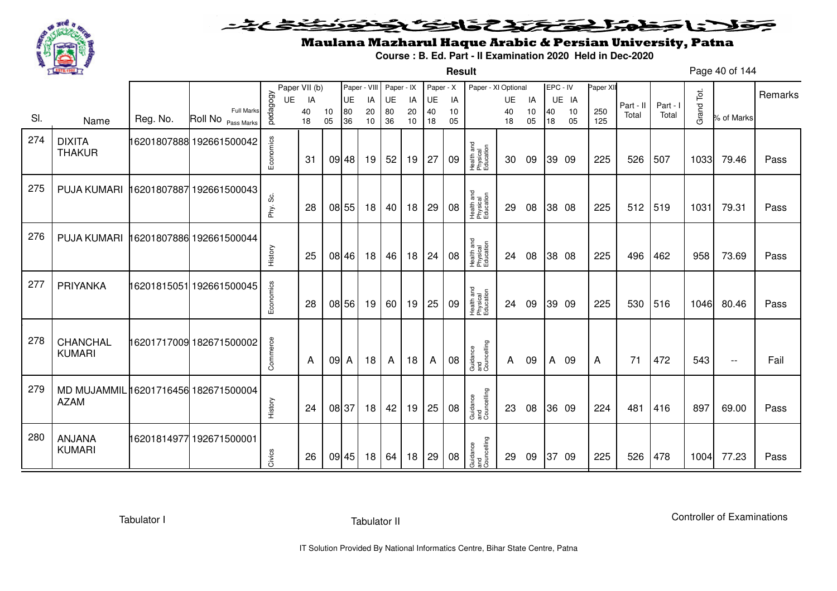

#### <u>یٹی ٹ</u>ے فلانا جمام المتختص والتكافي ≂

**Result**

# Maulana Mazharul Haque Arabic & Persian University, Patna

**Course : B. Ed. Part - II Examination 2020 Held in Dec-2020**

Page 40 of 144

|     |                                                     |          |                                         |           | Paper VII (b) |          |          | Paper - VIII | Paper - IX |          | Paper - X |          | Paper - XI Optional                 |              |          | EPC - IV |          | Paper XII  |           |          |            |                          |         |
|-----|-----------------------------------------------------|----------|-----------------------------------------|-----------|---------------|----------|----------|--------------|------------|----------|-----------|----------|-------------------------------------|--------------|----------|----------|----------|------------|-----------|----------|------------|--------------------------|---------|
|     |                                                     |          |                                         | UE        | IA            |          | UE       | IA           | UE         | IA       | UE        | IA       |                                     | UE           | IA       |          | UE IA    |            | Part - II | Part - I |            |                          | Remarks |
| SI. | Name                                                | Reg. No. | <b>Full Marks</b><br>Roll No Pass Marks | pedagogy  | 40<br>18      | 10<br>05 | 80<br>36 | 20<br>10     | 80<br>36   | 20<br>10 | 40<br>18  | 10<br>05 |                                     | 40<br>18     | 10<br>05 | 40<br>18 | 10<br>05 | 250<br>125 | Total     | Total    | Grand Tot. | % of Marks               |         |
| 274 | <b>DIXITA</b><br><b>THAKUR</b>                      |          | 16201807888 192661500042                | Economics | 31            |          | 09 48    | 19           | 52         | 19       | 27        | 09       | Health and<br>Physical<br>Education | 30           | 09       |          | 39 09    | 225        | 526       | 507      | 1033       | 79.46                    | Pass    |
| 275 | <b>PUJA KUMARI</b>                                  |          | 16201807887 192661500043                | Phy. Sc.  | 28            |          | 08 55    | 18           | 40         | 18       | 29        | 08       | Health and<br>Physical<br>Education | 29           | 08       |          | 38 08    | 225        | 512       | 519      | 1031       | 79.31                    | Pass    |
| 276 | <b>PUJA KUMARI</b>                                  |          | 16201807886 192661500044                | History   | 25            |          | 08 46    | 18           | 46         | 18       | 24        | 08       | Health and<br>Physical<br>Education | 24           | 08       |          | 38 08    | 225        | 496       | 462      | 958        | 73.69                    | Pass    |
| 277 | PRIYANKA                                            |          | 16201815051 192661500045                | Economics | 28            |          | 08 56    | 19           | 60         | 19       | 25        | 09       | Health and<br>Physical<br>Education | 24           | 09       |          | 39 09    | 225        | 530       | 516      | 1046       | 80.46                    | Pass    |
| 278 | CHANCHAL<br><b>KUMARI</b>                           |          | 16201717009 182671500002                | Commerce  | A             | 09 A     |          | 18           | A          | 18       | A         | 08       | Guidance<br>and<br>Councelling      | $\mathsf{A}$ | 09       | A        | -09      | A          | 71        | 472      | 543        | $\overline{\phantom{m}}$ | Fail    |
| 279 | MD MUJAMMIL 16201716456 182671500004<br><b>AZAM</b> |          |                                         | History   | 24            |          | 08 37    | 18           | 42         | 19       | 25        | 08       | Guidance<br>and<br>Councelling      | 23           | 08       |          | 36 09    | 224        | 481       | 416      | 897        | 69.00                    | Pass    |
| 280 | ANJANA<br><b>KUMARI</b>                             |          | 16201814977 192671500001                | Civics    | 26            |          | 09 45    | 18           | 64         | 18       | 29        | 08       | Guidance<br>and<br>Councelling      | 29           | 09       |          | 37 09    | 225        | 526       | 478      | 1004       | 77.23                    | Pass    |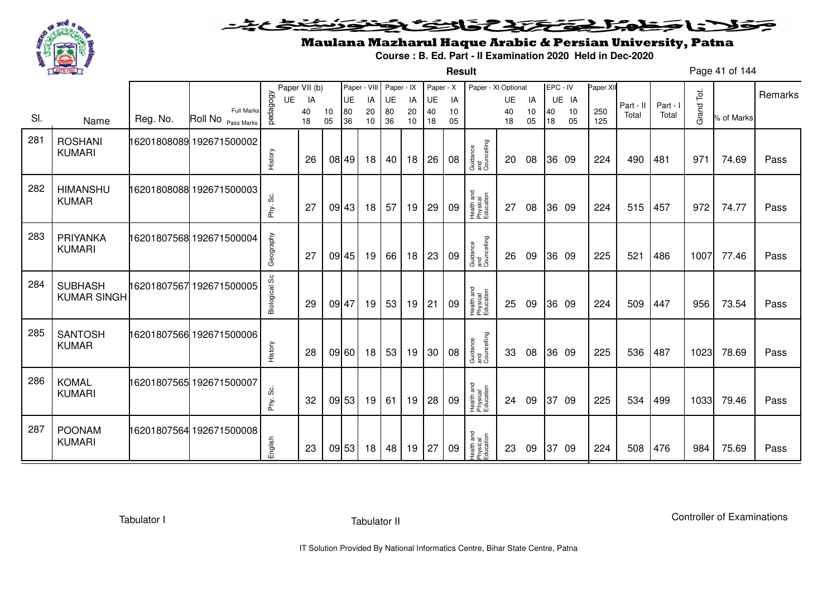

**Result**

# Maulana Mazharul Haque Arabic & Persian University, Patna

**Course : B. Ed. Part - II Examination 2020 Held in Dec-2020**

Page 41 of 144

|     |                                      |          |                                         | UE            | Paper VII (b)<br>IA |          | Paper - VIII<br><b>UE</b> | IA       | Paper - IX<br>UE | IA       | Paper - X<br><b>UE</b> | IA       | Paper - XI Optional                 | <b>UE</b> | IA       |          | EPC - IV<br>UE IA | Paper XII  |                    |                   |            |            | Remarks |
|-----|--------------------------------------|----------|-----------------------------------------|---------------|---------------------|----------|---------------------------|----------|------------------|----------|------------------------|----------|-------------------------------------|-----------|----------|----------|-------------------|------------|--------------------|-------------------|------------|------------|---------|
| SI. | Name                                 | Reg. No. | <b>Full Marks</b><br>Roll No Pass Marks | pedagogy      | 40<br>18            | 10<br>05 | 80<br>36                  | 20<br>10 | 80<br>36         | 20<br>10 | 40<br>18               | 10<br>05 |                                     | 40<br>18  | 10<br>05 | 40<br>18 | 10<br>05          | 250<br>125 | Part - II<br>Total | Part - I<br>Total | Grand Tot. | % of Marks |         |
| 281 | <b>ROSHANI</b><br><b>KUMARI</b>      |          | 16201808089 192671500002                | History       | 26                  |          | 08 49                     | 18       | 40               | 18       | 26                     | 08       | Guidance<br>and<br>Councelling      | <b>20</b> | 08       |          | 36 09             | 224        | 490                | 481               | 971        | 74.69      | Pass    |
| 282 | <b>HIMANSHU</b><br><b>KUMAR</b>      |          | 16201808088 192671500003                | Phy. Sc.      | 27                  |          | 09 43                     | 18       | 57               | 19       | 29                     | 09       | Health and<br>Physical<br>Education | 27        | 08       |          | 36 09             | 224        | 515                | 457               | 972        | 74.77      | Pass    |
| 283 | PRIYANKA<br><b>KUMARI</b>            |          | 16201807568 192671500004                | Geography     | 27                  |          | 09 45                     | 19       | 66               | 18       | 23                     | 09       | Guidance<br>and<br>Councelling      | 26        | 09       |          | 36 09             | 225        | 521                | 486               | 1007       | 77.46      | Pass    |
| 284 | <b>SUBHASH</b><br><b>KUMAR SINGH</b> |          | 16201807567 192671500005                | Biological Sc | 29                  |          | 09 47                     | 19       | 53               | 19       | 21                     | 09       | Health and<br>Physical<br>Education | 25        | 09       |          | 36 09             | 224        | 509                | 447               | 956        | 73.54      | Pass    |
| 285 | <b>SANTOSH</b><br><b>KUMAR</b>       |          | 16201807566 192671500006                | History       | 28                  |          | 09 60                     | 18       | 53               | 19       | 30                     | 08       | Guidance<br>and<br>Councelling      | 33        | 08       |          | 36 09             | 225        | 536                | 487               | 1023       | 78.69      | Pass    |
| 286 | <b>KOMAL</b><br><b>KUMARI</b>        |          | 16201807565 192671500007                | တိ<br>Phy.    | 32                  |          | 09 53                     | 19       | 61               | 19       | 28                     | 09       | Health and<br>Physical<br>Education | 24        | 09       | 37       | - 09              | 225        | 534                | 499               | 1033       | 79.46      | Pass    |
| 287 | <b>POONAM</b><br><b>KUMARI</b>       |          | 16201807564 192671500008                | English       | 23                  |          | 09 53                     | 18       | 48               | 19       | 27                     | 09       | Health and<br>Physical<br>Education | 23        | 09       | 37       | 09                | 224        | 508                | 476               | 984        | 75.69      | Pass    |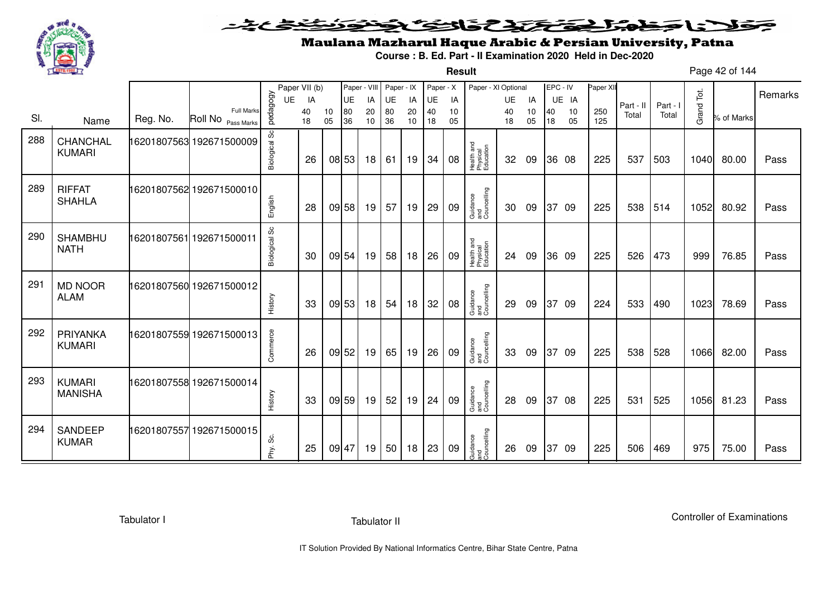

**Result**

# Maulana Mazharul Haque Arabic & Persian University, Patna

**Course : B. Ed. Part - II Examination 2020 Held in Dec-2020**

Page 42 of 144

|     |                                 |          |                                         |                      | Paper VII (b) |          | Paper - VIII |          | Paper - IX |          | Paper - X |          | Paper - XI Optional                 |          |          | EPC - IV |          | Paper XII  |           |          |            |            |         |
|-----|---------------------------------|----------|-----------------------------------------|----------------------|---------------|----------|--------------|----------|------------|----------|-----------|----------|-------------------------------------|----------|----------|----------|----------|------------|-----------|----------|------------|------------|---------|
|     |                                 |          |                                         | UE                   | IA            |          | <b>UE</b>    | IA       | UE         | IA       | UE        | IA       |                                     | UE       | IA       |          | UE IA    |            | Part - II | Part - I |            |            | Remarks |
| SI. | Name                            | Reg. No. | <b>Full Marks</b><br>Roll No Pass Marks | pedagogy             | 40<br>18      | 10<br>05 | 80<br>36     | 20<br>10 | 80<br>36   | 20<br>10 | 40<br>18  | 10<br>05 |                                     | 40<br>18 | 10<br>05 | 40<br>18 | 10<br>05 | 250<br>125 | Total     | Total    | Grand Tot. | % of Marks |         |
| 288 | CHANCHAL<br><b>KUMARI</b>       |          | 16201807563 192671500009                | Biological Sc        | 26            |          | 08 53        | 18       | 61         | 19       | 34        | 08       | Health and<br>Physical<br>Education | 32       | 09       |          | 36 08    | 225        | 537       | 503      | 1040       | 80.00      | Pass    |
| 289 | <b>RIFFAT</b><br><b>SHAHLA</b>  |          | 16201807562 192671500010                | English              | 28            |          | 09 58        | 19       | 57         | 19       | 29        | 09       | Guidance<br>and<br>Councelling      | 30       | 09       |          | 37 09    | 225        | 538       | 514      | 1052       | 80.92      | Pass    |
| 290 | <b>SHAMBHU</b><br><b>NATH</b>   |          | 16201807561 192671500011                | <b>Biological Sc</b> | 30            |          | 09 54        | 19       | 58         | 18       | 26        | 09       | Health and<br>Physical<br>Education | 24       | 09       |          | 36 09    | 225        | 526       | 473      | 999        | 76.85      | Pass    |
| 291 | <b>MD NOOR</b><br><b>ALAM</b>   |          | 16201807560 192671500012                | History              | 33            |          | 09 53        | 18       | 54         | 18       | 32        | 08       | Guidance<br>and<br>Councelling      | 29       | 09       |          | 37 09    | 224        | 533       | 490      | 1023       | 78.69      | Pass    |
| 292 | PRIYANKA<br><b>KUMARI</b>       |          | 16201807559 192671500013                | Commerce             | 26            |          | 09 52        | 19       | 65         | 19       | 26        | 09       | Guidance<br>and<br>Councelling      | 33       | 09       | 37       | 09       | 225        | 538       | 528      | 1066       | 82.00      | Pass    |
| 293 | <b>KUMARI</b><br><b>MANISHA</b> |          | 16201807558 192671500014                | History              | 33            |          | 09 59        | 19       | 52         | 19       | 24        | 09       | Guidance<br>and<br>Councelling      | 28       | 09       |          | 37 08    | 225        | 531       | 525      | 1056       | 81.23      | Pass    |
| 294 | <b>SANDEEP</b><br><b>KUMAR</b>  |          | 16201807557 192671500015                | ပ္တ<br>Phy.          | 25            |          | 09 47        | 19       | 50         | 18       | 23        | 09       | Guidance<br>and<br>Councelling      | 26       | 09       | 37       | -09      | 225        | 506       | 469      | 975        | 75.00      | Pass    |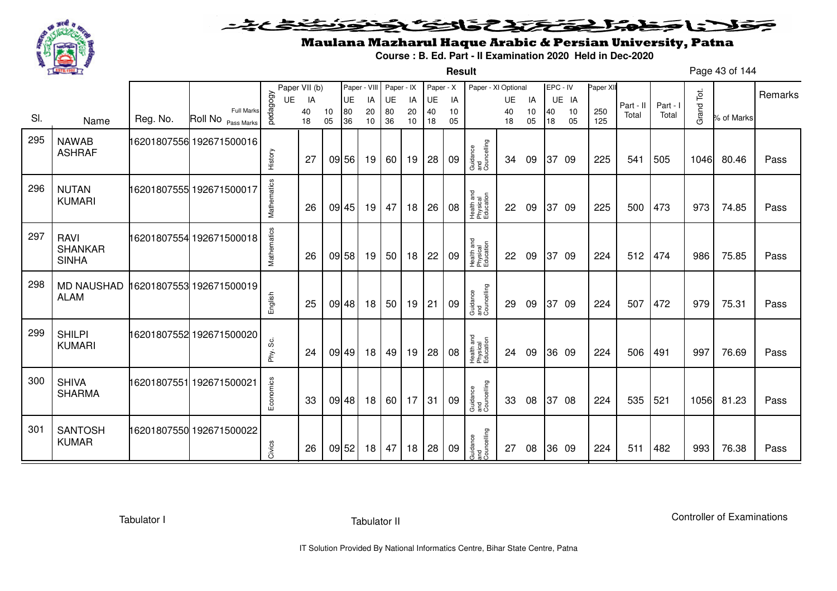

**Result**

# Maulana Mazharul Haque Arabic & Persian University, Patna

**Course : B. Ed. Part - II Examination 2020 Held in Dec-2020**

Page 43 of 144

|     |                                               |          |                                         |                | Paper VII (b)  |          | Paper - VIII          |                | Paper - IX      |                | Paper - X             |                | Paper - XI Optional                 |                       |                |          | EPC - IV          | Paper XII  |                    |                   |            |            | Remarks |
|-----|-----------------------------------------------|----------|-----------------------------------------|----------------|----------------|----------|-----------------------|----------------|-----------------|----------------|-----------------------|----------------|-------------------------------------|-----------------------|----------------|----------|-------------------|------------|--------------------|-------------------|------------|------------|---------|
| SI. | Name                                          | Reg. No. | <b>Full Marks</b><br>Roll No Pass Marks | pedagogy<br>UE | IA<br>40<br>18 | 10<br>05 | <b>UE</b><br>80<br>36 | IA<br>20<br>10 | UE<br>80<br>36  | IA<br>20<br>10 | <b>UE</b><br>40<br>18 | IA<br>10<br>05 |                                     | <b>UE</b><br>40<br>18 | IA<br>10<br>05 | 40<br>18 | UE IA<br>10<br>05 | 250<br>125 | Part - II<br>Total | Part - I<br>Total | Grand Tot. | % of Marks |         |
| 295 | <b>NAWAB</b><br><b>ASHRAF</b>                 |          | 16201807556 192671500016                | History        | 27             |          | 09 56                 | 19             | 60 l            | 19             | 28                    | 09             | Guidance<br>and<br>Councelling      | 34                    | 09             |          | 37 09             | 225        | 541                | 505               | 1046       | 80.46      | Pass    |
| 296 | <b>NUTAN</b><br><b>KUMARI</b>                 |          | 16201807555 192671500017                | Mathematics    | 26             |          | 09 45                 | 19             | 47              | 18             | 26                    | 08             | Health and<br>Physical<br>Education | 22                    | 09             |          | 37 09             | 225        | 500                | 473               | 973        | 74.85      | Pass    |
| 297 | <b>RAVI</b><br><b>SHANKAR</b><br><b>SINHA</b> |          | 16201807554 192671500018                | Mathematics    | 26             |          | 09 58                 | 19             | 50              | 18             | 22                    | 09             | Health and<br>Physical<br>Education | 22                    | 09             |          | 37 09             | 224        | 512                | 474               | 986        | 75.85      | Pass    |
| 298 | <b>MD NAUSHAD</b><br><b>ALAM</b>              |          | 16201807553 192671500019                | English        | 25             |          | 09 48                 | 18             | 50 <sup>1</sup> | 19             | 21                    | 09             | Guidance<br>and<br>Councelling      | 29                    | 09             |          | 37 09             | 224        | 507                | 472               | 979        | 75.31      | Pass    |
| 299 | <b>SHILPI</b><br><b>KUMARI</b>                |          | 16201807552 192671500020                | Phy. Sc.       | 24             |          | 09 49                 | 18             | 49              | 19             | 28                    | 08             | Health and<br>Physical<br>Education | 24                    | 09             |          | 36 09             | 224        | 506                | 491               | 997        | 76.69      | Pass    |
| 300 | <b>SHIVA</b><br><b>SHARMA</b>                 |          | 16201807551 192671500021                | Economics      | 33             |          | 09 48                 | 18             | 60 17           |                | 31                    | 09             | Guidance<br>and<br>Councelling      | 33                    | 08             |          | 37 08             | 224        | 535                | 521               | 1056       | 81.23      | Pass    |
| 301 | <b>SANTOSH</b><br><b>KUMAR</b>                |          | 16201807550 192671500022                | Civics         | 26             |          | 09 52                 | 18             | 47              | 18             | 28                    | 09             | Guidance<br>and<br>Councelling      | 27                    | 08             |          | 36 09             | 224        | 511                | 482               | 993        | 76.38      | Pass    |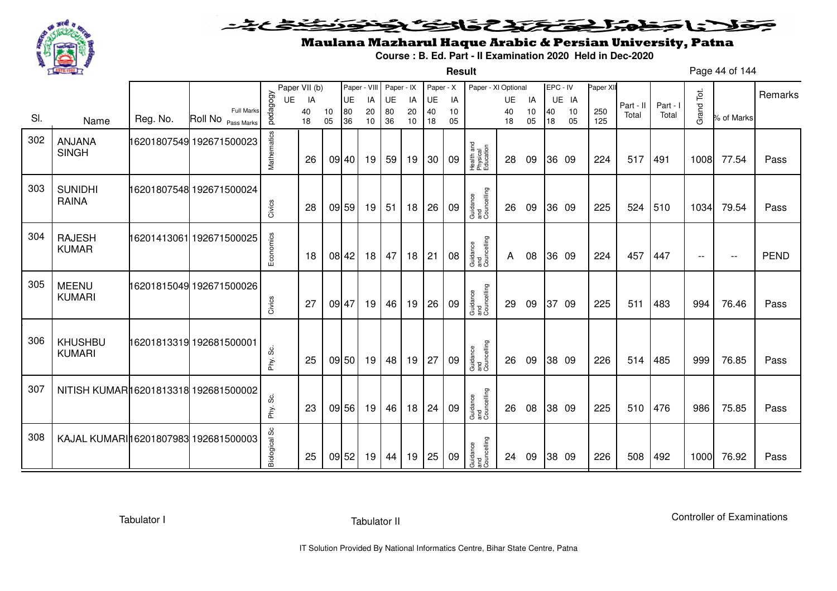

#### <u>یٹی ٹ</u>ے فلانا وخدا يقتحنك فالتف ونونوذ ∍

**Result**

### Maulana Mazharul Haque Arabic & Persian University, Patna

**Course : B. Ed. Part - II Examination 2020 Held in Dec-2020**

Page 44 of 144

|     |                                       |          |                                  |                      | Paper VII (b) |          | Paper - VIII |          | Paper - IX |          | Paper - X |          | Paper - XI Optional                 |          |          | EPC - IV |          | Paper XII  |           |          |                          |            |             |
|-----|---------------------------------------|----------|----------------------------------|----------------------|---------------|----------|--------------|----------|------------|----------|-----------|----------|-------------------------------------|----------|----------|----------|----------|------------|-----------|----------|--------------------------|------------|-------------|
|     |                                       |          |                                  | <b>UE</b>            | IA            |          | UE           | IA       | <b>UE</b>  | IA       | UE        | IA       |                                     | UE       | IA       |          | UE IA    |            | Part - II | Part - I |                          |            | Remarks     |
| SI. | Name                                  | Reg. No. | Full Marks<br>Roll No Pass Marks | pedagogy             | 40<br>18      | 10<br>05 | 80<br>36     | 20<br>10 | 80<br>36   | 20<br>10 | 40<br>18  | 10<br>05 |                                     | 40<br>18 | 10<br>05 | 40<br>18 | 10<br>05 | 250<br>125 | Total     | Total    | Grand Tot.               | % of Marks |             |
|     |                                       |          |                                  |                      |               |          |              |          |            |          |           |          |                                     |          |          |          |          |            |           |          |                          |            |             |
| 302 | ANJANA<br><b>SINGH</b>                |          | 16201807549 192671500023         |                      |               |          |              |          |            |          |           |          |                                     |          |          |          |          |            |           |          |                          |            |             |
|     |                                       |          |                                  | Mathematics          | 26            |          | 09 40        | 19       | 59         | 19       | 30        | 09       | Health and<br>Physical<br>Education | 28       | 09       |          | 36 09    | 224        | 517       | 491      | 1008                     | 77.54      | Pass        |
|     |                                       |          |                                  |                      |               |          |              |          |            |          |           |          |                                     |          |          |          |          |            |           |          |                          |            |             |
| 303 | <b>SUNIDHI</b><br><b>RAINA</b>        |          | 16201807548 192671500024         |                      |               |          |              |          |            |          |           |          |                                     |          |          |          |          |            |           |          |                          |            |             |
|     |                                       |          |                                  | Civics               | 28            | 09 59    |              | 19       | 51         | 18       | 26        | 09       | Guidance<br>and<br>Councelling      | 26       | 09       |          | 36 09    | 225        | 524       | 510      | 1034                     | 79.54      | Pass        |
|     |                                       |          |                                  |                      |               |          |              |          |            |          |           |          |                                     |          |          |          |          |            |           |          |                          |            |             |
| 304 | <b>RAJESH</b><br><b>KUMAR</b>         |          | 16201413061 192671500025         |                      |               |          |              |          |            |          |           |          |                                     |          |          |          |          |            |           |          |                          |            |             |
|     |                                       |          |                                  | Economics            | 18            | 08 42    |              | 18       | 47         | 18       | 21        | 08       | Guidance<br>and<br>Councelling      | A        | 08       |          | 36 09    | 224        | 457       | 447      | $\overline{\phantom{a}}$ | $- -$      | <b>PEND</b> |
|     |                                       |          |                                  |                      |               |          |              |          |            |          |           |          |                                     |          |          |          |          |            |           |          |                          |            |             |
| 305 | <b>MEENU</b><br><b>KUMARI</b>         |          | 16201815049 192671500026         |                      |               |          |              |          |            |          |           |          |                                     |          |          |          |          |            |           |          |                          |            |             |
|     |                                       |          |                                  | Civics               | 27            | 09 47    |              | 19       | 46         | 19       | 26        | 09       | Guidance<br>and<br>Councelling      | 29       | 09       |          | 37 09    | 225        | 511       | 483      | 994                      | 76.46      | Pass        |
|     |                                       |          |                                  |                      |               |          |              |          |            |          |           |          |                                     |          |          |          |          |            |           |          |                          |            |             |
| 306 | <b>KHUSHBU</b>                        |          | 16201813319 192681500001         |                      |               |          |              |          |            |          |           |          |                                     |          |          |          |          |            |           |          |                          |            |             |
|     | <b>KUMARI</b>                         |          |                                  | Phy. Sc.             | 25            | 09 50    |              | 19       | 48         | 19       | 27        | 09       | Guidance<br>and<br>Councelling      | 26       | 09       |          | 38 09    | 226        | 514       | 485      | 999                      | 76.85      | Pass        |
|     |                                       |          |                                  |                      |               |          |              |          |            |          |           |          |                                     |          |          |          |          |            |           |          |                          |            |             |
| 307 | NITISH KUMARI16201813318 192681500002 |          |                                  |                      |               |          |              |          |            |          |           |          |                                     |          |          |          |          |            |           |          |                          |            |             |
|     |                                       |          |                                  | Phy. Sc.             | 23            |          | 09 56        | 19       | 46         | 18       | 24        | 09       | Guidance<br>and<br>Councelling      | 26       | 08       |          | 38 09    | 225        | 510       | 476      | 986                      | 75.85      | Pass        |
|     |                                       |          |                                  |                      |               |          |              |          |            |          |           |          |                                     |          |          |          |          |            |           |          |                          |            |             |
| 308 | KAJAL KUMARIH 6201807983 192681500003 |          |                                  |                      |               |          |              |          |            |          |           |          |                                     |          |          |          |          |            |           |          |                          |            |             |
|     |                                       |          |                                  | <b>Biological Sc</b> | 25            | 09 52    |              | 19       | 44         | 19       | 25        | 09       | Guidance<br>and<br>Councelling      | 24       | 09       |          | 38 09    | 226        | 508       | 492      | 1000                     | 76.92      | Pass        |
|     |                                       |          |                                  |                      |               |          |              |          |            |          |           |          |                                     |          |          |          |          |            |           |          |                          |            |             |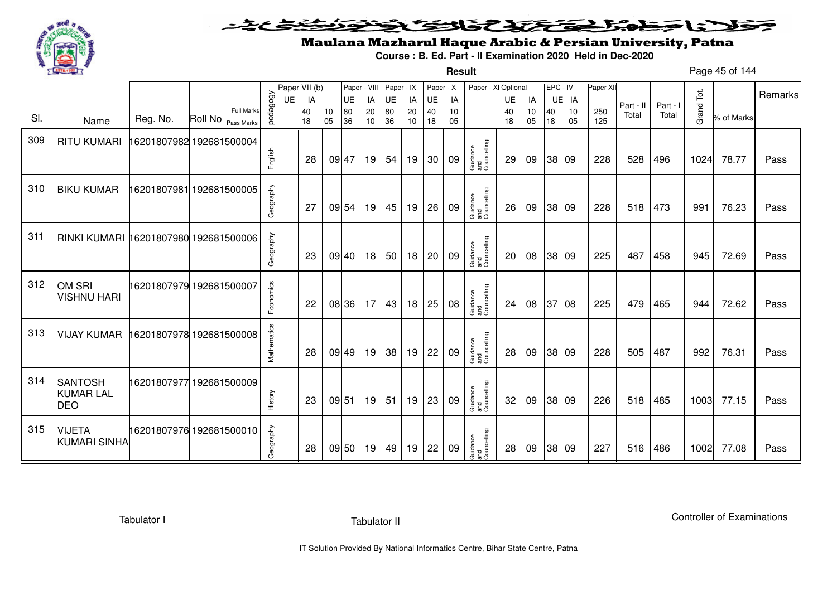

**Result**

# Maulana Mazharul Haque Arabic & Persian University, Patna

**Course : B. Ed. Part - II Examination 2020 Held in Dec-2020**

Page 45 of 144

|     |                                                  |          |                                         |             | Paper VII (b) |          | Paper - VIII |          | Paper - IX      |          | Paper - X |          | Paper - XI Optional            |          |          | EPC - IV |          | Paper XII  |           |          |            |            |         |
|-----|--------------------------------------------------|----------|-----------------------------------------|-------------|---------------|----------|--------------|----------|-----------------|----------|-----------|----------|--------------------------------|----------|----------|----------|----------|------------|-----------|----------|------------|------------|---------|
|     |                                                  |          |                                         | <b>UE</b>   | IA            |          | <b>UE</b>    | IA       | UE              | IA       | UE        | IA       |                                | UE       | IA       |          | UE IA    |            | Part - II | Part - I |            |            | Remarks |
| SI. | Name                                             | Reg. No. | <b>Full Marks</b><br>Roll No Pass Marks | pedagogy    | 40<br>18      | 10<br>05 | 80<br>36     | 20<br>10 | 80<br>36        | 20<br>10 | 40<br>18  | 10<br>05 |                                | 40<br>18 | 10<br>05 | 40<br>18 | 10<br>05 | 250<br>125 | Total     | Total    | Grand Tot. | % of Marks |         |
| 309 | <b>RITU KUMARI</b>                               |          | 16201807982 192681500004                |             |               |          |              |          |                 |          |           |          |                                |          |          |          |          |            |           |          |            |            |         |
|     |                                                  |          |                                         | English     | 28            |          | 09 47        | 19       | 54              | 19       | 30        | 09       | Guidance<br>and<br>Councelling | 29       | 09       |          | 38 09    | 228        | 528       | 496      | 1024       | 78.77      | Pass    |
| 310 | <b>BIKU KUMAR</b>                                |          | 16201807981 192681500005                | Geography   | 27            |          | 09 54        | 19       | 45              | 19       | 26        | 09       | Guidance<br>and<br>Councelling | 26       | 09       |          | 38 09    | 228        | 518       | 473      | 991        | 76.23      | Pass    |
|     |                                                  |          |                                         |             |               |          |              |          |                 |          |           |          |                                |          |          |          |          |            |           |          |            |            |         |
| 311 | RINKI KUMARI 16201807980 192681500006            |          |                                         | Geography   | -23           |          | 09 40        | 18       | 50 <sup>1</sup> | 18       | 20        | 09       | Guidance<br>and<br>Councelling | 20       | 08       |          | 38 09    | 225        | 487       | 458      | 945        | 72.69      | Pass    |
| 312 | OM SRI<br><b>VISHNU HARI</b>                     |          | 16201807979 192681500007                | Economics   | 22            |          | 08 36        | 17       | 43              | 18       | 25        | 08       | Guidance<br>and<br>Councelling | 24       | 08       |          | 37 08    | 225        | 479       | 465      | 944        | 72.62      | Pass    |
| 313 | <b>VIJAY KUMAR</b>                               |          | 16201807978 192681500008                | Mathematics | 28            |          | 09 49        | 19       | 38              | 19       | 22        | 09       | Guidance<br>and<br>Councelling | 28       | 09       |          | 38 09    | 228        | 505       | 487      | 992        | 76.31      | Pass    |
| 314 | <b>SANTOSH</b><br><b>KUMAR LAL</b><br><b>DEO</b> |          | 16201807977 192681500009                | History     | 23            |          | 09 51        | 19       | 51              | 19       | 23        | 09       | Guidance<br>and<br>Councelling | 32       | 09       |          | 38 09    | 226        | 518       | 485      | 1003       | 77.15      | Pass    |
| 315 | <b>VIJETA</b><br><b>KUMARI SINHA</b>             |          | 16201807976 192681500010                | Geography   | 28            |          | 09 50        | 19       | 49              | 19       | 22        | 09       | Guidance<br>and<br>Councelling | 28       | 09       |          | 38 09    | 227        | 516       | 486      | 1002       | 77.08      | Pass    |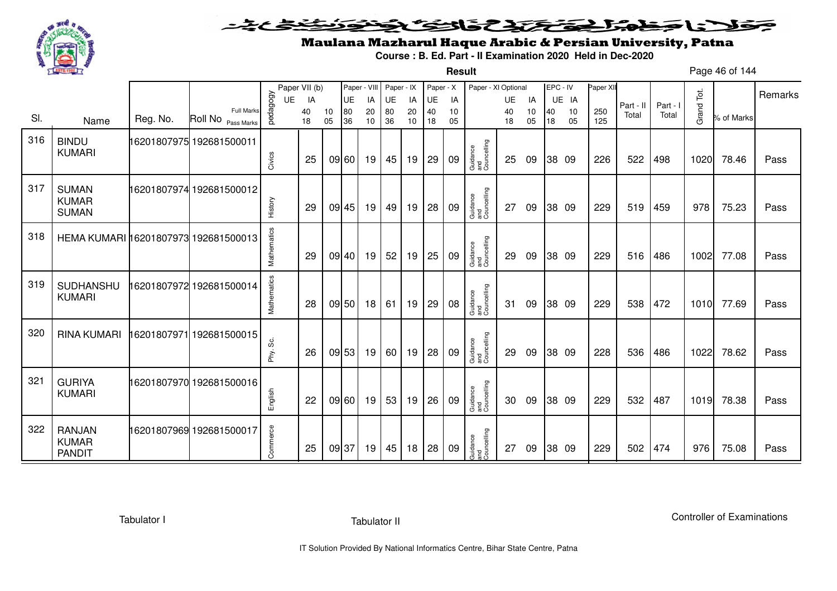

**Result**

# Maulana Mazharul Haque Arabic & Persian University, Patna

**Course : B. Ed. Part - II Examination 2020 Held in Dec-2020**

Page 46 of 144

|     |                                                |          |                                         |             | Paper VII (b) |          | Paper - VIII |          | Paper - IX |          | Paper - X |          | Paper - XI Optional            |          |          | EPC - IV |          | Paper XII  |           |          |            |            |         |
|-----|------------------------------------------------|----------|-----------------------------------------|-------------|---------------|----------|--------------|----------|------------|----------|-----------|----------|--------------------------------|----------|----------|----------|----------|------------|-----------|----------|------------|------------|---------|
|     |                                                |          |                                         | <b>UE</b>   | IA            |          | <b>UE</b>    | IA       | UE         | IA       | <b>UE</b> | IA       |                                | UE       | IA       |          | UE IA    |            | Part - II | Part - I |            |            | Remarks |
| SI. | Name                                           | Reg. No. | <b>Full Marks</b><br>Roll No Pass Marks | vedagogy    | 40<br>18      | 10<br>05 | 80<br>36     | 20<br>10 | 80<br>36   | 20<br>10 | 40<br>18  | 10<br>05 |                                | 40<br>18 | 10<br>05 | 40<br>18 | 10<br>05 | 250<br>125 | Total     | Total    | Grand Tot. | % of Marks |         |
| 316 | <b>BINDU</b><br><b>KUMARI</b>                  |          | 16201807975 192681500011                | Civics      | 25            |          | 09 60        | 19       | 45         | 19       | 29        | 09       | Guidance<br>and<br>Councelling | 25       | 09       |          | 38 09    | 226        | 522       | 498      | 1020       | 78.46      | Pass    |
| 317 | <b>SUMAN</b><br><b>KUMAR</b><br><b>SUMAN</b>   |          | 16201807974192681500012                 | History     | 29            |          | 09 45        | 19       | 49         | 19       | 28        | 09       | Guidance<br>and<br>Councelling | 27       | 09       |          | 38 09    | 229        | 519       | 459      | 978        | 75.23      | Pass    |
| 318 | HEMA KUMARI 16201807973 192681500013           |          |                                         | Mathematics | 29            |          | 09 40        | 19       | 52         | 19       | 25        | 09       | Guidance<br>and<br>Councelling | 29       | 09       |          | 38 09    | 229        | 516       | 486      | 1002       | 77.08      | Pass    |
| 319 | SUDHANSHU<br><b>KUMARI</b>                     |          | 16201807972 192681500014                | Mathematics | 28            |          | 09 50        | 18       | 61         | 19       | 29        | 08       | Guidance<br>and<br>Councelling | 31       | 09       |          | 38 09    | 229        | 538       | 472      | 1010       | 77.69      | Pass    |
| 320 | <b>RINA KUMARI</b>                             |          | 16201807971192681500015                 | Phy. Sc.    | 26            |          | 09 53        | 19       | 60         | 19       | 28        | 09       | Guidance<br>and<br>Councelling | 29       | 09       |          | 38 09    | 228        | 536       | 486      | 1022       | 78.62      | Pass    |
| 321 | <b>GURIYA</b><br><b>KUMARI</b>                 |          | 16201807970 192681500016                | English     | 22            |          | 09 60        | 19       | 53         | 19       | 26        | 09       | Guidance<br>and<br>Councelling | 30       | 09       |          | 38 09    | 229        | 532       | 487      | 1019       | 78.38      | Pass    |
| 322 | <b>RANJAN</b><br><b>KUMAR</b><br><b>PANDIT</b> |          | 16201807969 192681500017                | Commerce    | 25            |          | 09 37        | 19       | 45         | 18       | 28        | 09       | Guidance<br>and<br>Councelling | 27       | 09       |          | 38 09    | 229        | 502       | 474      | 976        | 75.08      | Pass    |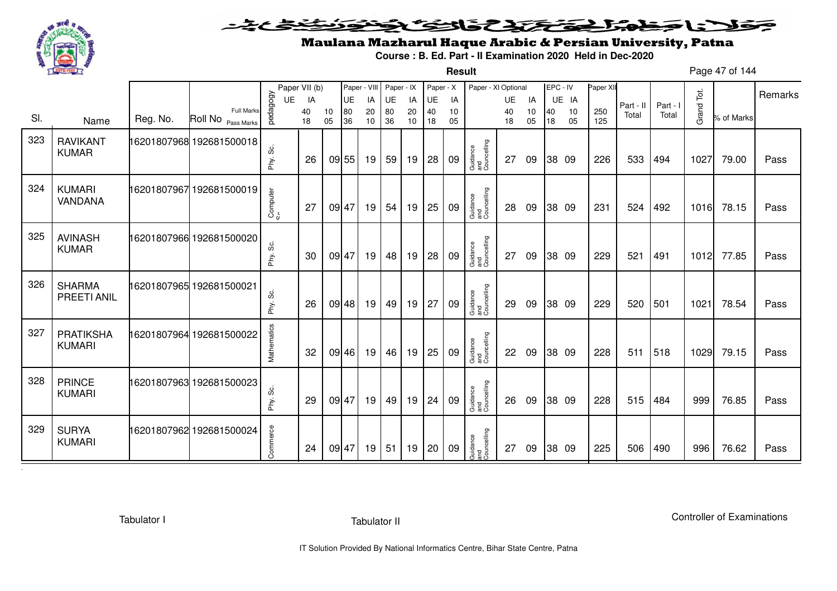

**Result**

# Maulana Mazharul Haque Arabic & Persian University, Patna

**Course : B. Ed. Part - II Examination 2020 Held in Dec-2020**

Page 47 of 144

|     |                                     |          |                                                    |              | Paper VII (b) |          | Paper - VIII |          | Paper - IX |          | Paper - X |          | Paper - XI Optional            |          |          | EPC - IV |          | Paper XII  |           |          |            |            |         |
|-----|-------------------------------------|----------|----------------------------------------------------|--------------|---------------|----------|--------------|----------|------------|----------|-----------|----------|--------------------------------|----------|----------|----------|----------|------------|-----------|----------|------------|------------|---------|
|     |                                     |          |                                                    | UE           | IA            |          | UE           | IA       | UE         | IA       | <b>UE</b> | IA       |                                | UE       | IA       |          | UE IA    |            | Part - II | Part - I |            |            | Remarks |
| SI. | Name                                | Reg. No. | <b>Full Marks</b><br>Roll No <sub>Pass Marks</sub> | pedagogy     | 40<br>18      | 10<br>05 | 80<br>36     | 20<br>10 | 80<br>36   | 20<br>10 | 40<br>18  | 10<br>05 |                                | 40<br>18 | 10<br>05 | 40<br>18 | 10<br>05 | 250<br>125 | Total     | Total    | Grand Tot. | % of Marks |         |
| 323 | <b>RAVIKANT</b><br><b>KUMAR</b>     |          | 16201807968 192681500018                           | ပ္တဲ<br>Phy. | 26            |          | 09 55        | 19       | 59         | 19       | 28        | 09       | Guidance<br>and<br>Councelling | 27       | 09       |          | 38 09    | 226        | 533       | 494      | 1027       | 79.00      | Pass    |
| 324 | <b>KUMARI</b><br>VANDANA            |          | 16201807967 192681500019                           | Computer     | 27            | 09 47    |              | 19       | 54         | 19       | 25        | 09       | Guidance<br>and<br>Councelling | 28       | 09       |          | 38 09    | 231        | 524       | 492      | 1016       | 78.15      | Pass    |
| 325 | <b>AVINASH</b><br><b>KUMAR</b>      |          | 16201807966 192681500020                           | တွဲ<br>Phy.  | 30            | 09 47    |              | 19       | 48         | 19       | 28        | 09       | Guidance<br>and<br>Councelling | 27       | 09       |          | 38 09    | 229        | 521       | 491      | 1012       | 77.85      | Pass    |
| 326 | <b>SHARMA</b><br><b>PREETI ANIL</b> |          | 16201807965 192681500021                           | Phy. Sc.     | 26            |          | 09 48        | 19       | 49         | 19       | 27        | 09       | Guidance<br>and<br>Councelling | 29       | 09       |          | 38 09    | 229        | 520       | 501      | 1021       | 78.54      | Pass    |
| 327 | PRATIKSHA<br><b>KUMARI</b>          |          | 16201807964 192681500022                           | Mathematics  | 32            |          | 09 46        | 19       | 46         | 19       | 25        | 09       | Guidance<br>and<br>Councelling | 22       | 09       |          | 38 09    | 228        | 511       | 518      | 1029       | 79.15      | Pass    |
| 328 | <b>PRINCE</b><br><b>KUMARI</b>      |          | 16201807963 192681500023                           | တိ<br>Phy.   | 29            | 09 47    |              | 19       | 49         | 19       | 24        | 09       | Guidance<br>and<br>Councelling | 26       | 09       |          | 38 09    | 228        | 515       | 484      | 999        | 76.85      | Pass    |
| 329 | <b>SURYA</b><br><b>KUMARI</b>       |          | 16201807962 192681500024                           | Commerce     | 24            | 09 47    |              | 19       | 51         | 19       | 20        | 09       | Guidance<br>and<br>Councelling | 27       | 09       |          | 38 09    | 225        | 506       | 490      | 996        | 76.62      | Pass    |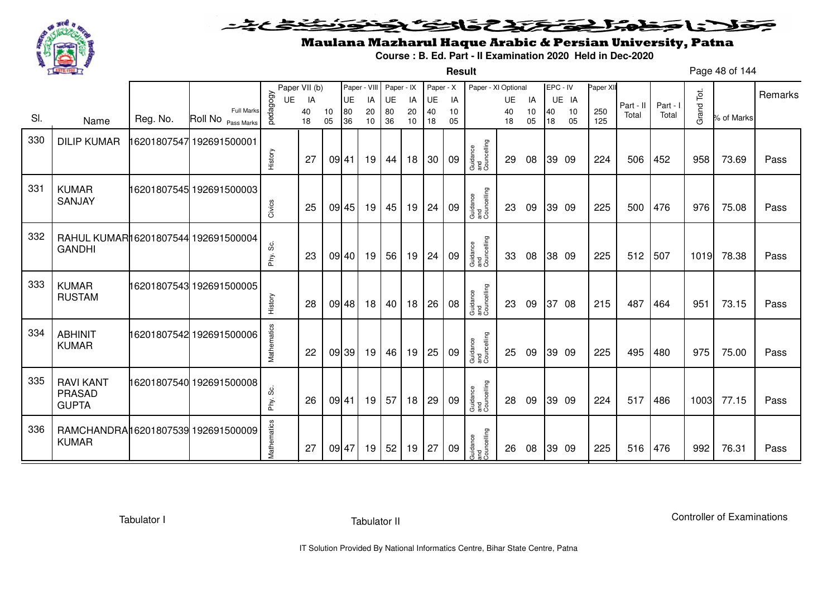

**Result**

# Maulana Mazharul Haque Arabic & Persian University, Patna

**Course : B. Ed. Part - II Examination 2020 Held in Dec-2020**

Page 48 of 144

|     |                                                      |          |                                         |             | Paper VII (b) |          | Paper - VIII |          | Paper - IX |          | Paper - X |          | Paper - XI Optional            |          |          | EPC - IV |          | Paper XII  |           |          |            |            | Remarks |
|-----|------------------------------------------------------|----------|-----------------------------------------|-------------|---------------|----------|--------------|----------|------------|----------|-----------|----------|--------------------------------|----------|----------|----------|----------|------------|-----------|----------|------------|------------|---------|
|     |                                                      |          |                                         | UE          | IA            |          | UE           | IA       | UE         | IA       | UE        | IA       |                                | UE       | IA       |          | UE IA    |            | Part - II | Part - I |            |            |         |
| SI. | Name                                                 | Reg. No. | <b>Full Marks</b><br>Roll No Pass Marks | vedagogy    | 40<br>18      | 10<br>05 | 80<br>36     | 20<br>10 | 80<br>36   | 20<br>10 | 40<br>18  | 10<br>05 |                                | 40<br>18 | 10<br>05 | 40<br>18 | 10<br>05 | 250<br>125 | Total     | Total    | Grand Tot. | % of Marks |         |
| 330 | <b>DILIP KUMAR</b>                                   |          | 6201807547 192691500001                 |             |               |          |              |          |            |          |           |          |                                |          |          |          |          |            |           |          |            |            |         |
|     |                                                      |          |                                         | History     | 27            | 09 41    |              | 19       | 44         | 18       | 30        | 09       | Guidance<br>and<br>Councelling | 29       | 08       |          | 39 09    | 224        | 506       | 452      | 958        | 73.69      | Pass    |
| 331 | <b>KUMAR</b><br>SANJAY                               |          | 16201807545 192691500003                |             |               |          |              |          |            |          |           |          | Guidance<br>and<br>Councelling |          |          |          |          |            |           |          |            |            |         |
|     |                                                      |          |                                         | Civics      | 25            |          | 09 45        | 19       | 45         | 19       | 24        | 09       |                                | 23       | 09       |          | 39 09    | 225        | 500       | 476      | 976        | 75.08      | Pass    |
| 332 | RAHUL KUMAR16201807544 192691500004<br><b>GANDHI</b> |          |                                         | တိ<br>Phy.  | 23            | 09 40    |              | 19       | 56         | 19       | 24        | 09       | Guidance<br>and<br>Councelling | 33       | 08       |          | 38 09    | 225        | 512       | 507      | 1019       | 78.38      | Pass    |
| 333 | <b>KUMAR</b><br><b>RUSTAM</b>                        |          | 16201807543 192691500005                | History     | 28            |          | 09 48        | 18       | 40         | 18       | 26        | 08       | Guidance<br>and<br>Councelling | 23       | 09       |          | 37 08    | 215        | 487       | 464      | 951        | 73.15      | Pass    |
| 334 | <b>ABHINIT</b><br><b>KUMAR</b>                       |          | 16201807542 192691500006                | Mathematics | 22            |          | 09 39        | 19       | 46         | 19       | 25        | 09       | Guidance<br>and<br>Councelling | 25       | 09       |          | 39 09    | 225        | 495       | 480      | 975        | 75.00      | Pass    |
| 335 | <b>RAVI KANT</b><br><b>PRASAD</b><br><b>GUPTA</b>    |          | 16201807540 192691500008                | တိ<br>Phy.  | 26            | 09 41    |              | 19       | 57         | 18       | 29        | 09       | Guidance<br>and<br>Councelling | 28       | 09       |          | 39 09    | 224        | 517       | 486      | 1003       | 77.15      | Pass    |
| 336 | RAMCHANDRA16201807539 192691500009<br><b>KUMAR</b>   |          |                                         | Mathematics | 27            | 09 47    |              | 19       | 52         | 19       | 27        | 09       | Guidance<br>and<br>Councelling | 26       | 08       |          | 39 09    | 225        | 516       | 476      | 992        | 76.31      | Pass    |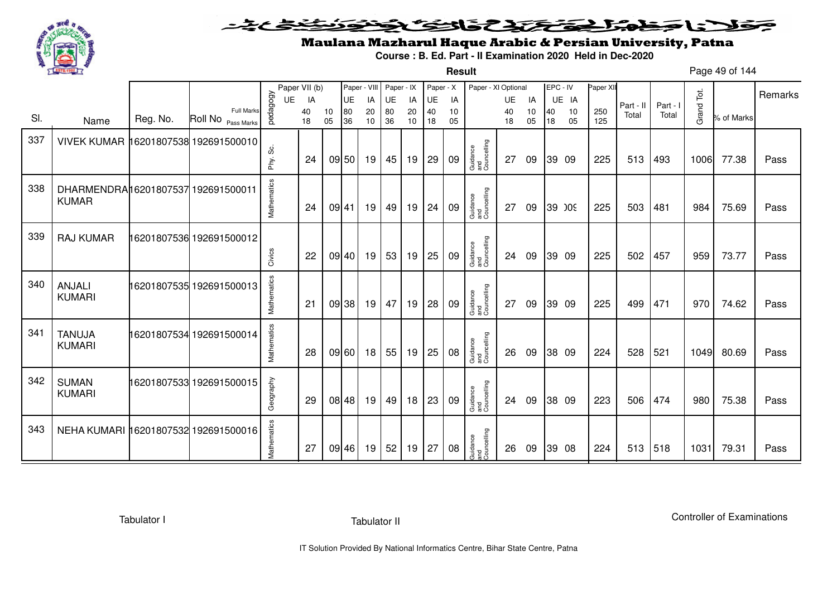

**Result**

# Maulana Mazharul Haque Arabic & Persian University, Patna

**Course : B. Ed. Part - II Examination 2020 Held in Dec-2020**

Page 49 of 144

|     |                                                    |          |                                         |             | Paper VII (b) |          | Paper - VIII |          | Paper - IX |          | Paper - X |          | Paper - XI Optional            |          |          | EPC - IV |          | Paper XII  |           |          |            |            | Remarks |
|-----|----------------------------------------------------|----------|-----------------------------------------|-------------|---------------|----------|--------------|----------|------------|----------|-----------|----------|--------------------------------|----------|----------|----------|----------|------------|-----------|----------|------------|------------|---------|
|     |                                                    |          |                                         | <b>UE</b>   | IA            |          | UE           | IA       | UE         | IA       | UE        | IA       |                                | UE       | IA       |          | UE IA    |            | Part - II | Part - I |            |            |         |
| SI. | Name                                               | Reg. No. | <b>Full Marks</b><br>Roll No Pass Marks | pedagogy    | 40<br>18      | 10<br>05 | 80<br>36     | 20<br>10 | 80<br>36   | 20<br>10 | 40<br>18  | 10<br>05 |                                | 40<br>18 | 10<br>05 | 40<br>18 | 10<br>05 | 250<br>125 | Total     | Total    | Grand Tot. | % of Marks |         |
| 337 | VIVEK KUMAR 16201807538 192691500010               |          |                                         | တိ<br>Phy.  | 24            |          | 09 50        | 19       | 45         | 19       | 29        | 09       | Guidance<br>and<br>Councelling | 27       | 09       |          | 39 09    | 225        | 513       | 493      | 1006       | 77.38      | Pass    |
| 338 | DHARMENDRA16201807537 192691500011<br><b>KUMAR</b> |          |                                         | Mathematics | 24            | 09 41    |              | 19       | 49         | 19       | 24        | 09       | Guidance<br>and<br>Councelling | 27       | 09       |          | 39 009   | 225        | 503       | 481      | 984        | 75.69      | Pass    |
| 339 | <b>RAJ KUMAR</b>                                   |          | 16201807536 192691500012                | Civics      | 22            |          | 09 40        | 19       | 53         | 19       | 25        | 09       | Guidance<br>and<br>Councelling | 24       | 09       |          | 39 09    | 225        | 502       | 457      | 959        | 73.77      | Pass    |
| 340 | ANJALI<br><b>KUMARI</b>                            |          | 16201807535 192691500013                | Mathematics | 21            |          | 09 38        | 19       | 47         | 19       | 28        | 09       | Guidance<br>and<br>Councelling | 27       | 09       |          | 39 09    | 225        | 499       | 471      | 970        | 74.62      | Pass    |
| 341 | <b>TANUJA</b><br><b>KUMARI</b>                     |          | 16201807534 192691500014                | Mathematics | 28            |          | 09 60        | 18       | 55         | 19       | 25        | 08       | Guidance<br>and<br>Councelling | 26       | 09       |          | 38 09    | 224        | 528       | 521      | 1049       | 80.69      | Pass    |
| 342 | <b>SUMAN</b><br><b>KUMARI</b>                      |          | 16201807533 192691500015                | Geography   | 29            |          | 08 48        | 19       | 49         | 18       | 23        | 09       | Guidance<br>and<br>Councelling | 24       | 09       |          | 38 09    | 223        | 506       | 474      | 980        | 75.38      | Pass    |
| 343 | NEHA KUMARI 16201807532 192691500016               |          |                                         | Mathematics | 27            |          | 09 46        | 19       | 52         | 19       | 27        | 08       | Guidance<br>and<br>Councelling | 26       | 09       |          | 39 08    | 224        | 513       | 518      | 1031       | 79.31      | Pass    |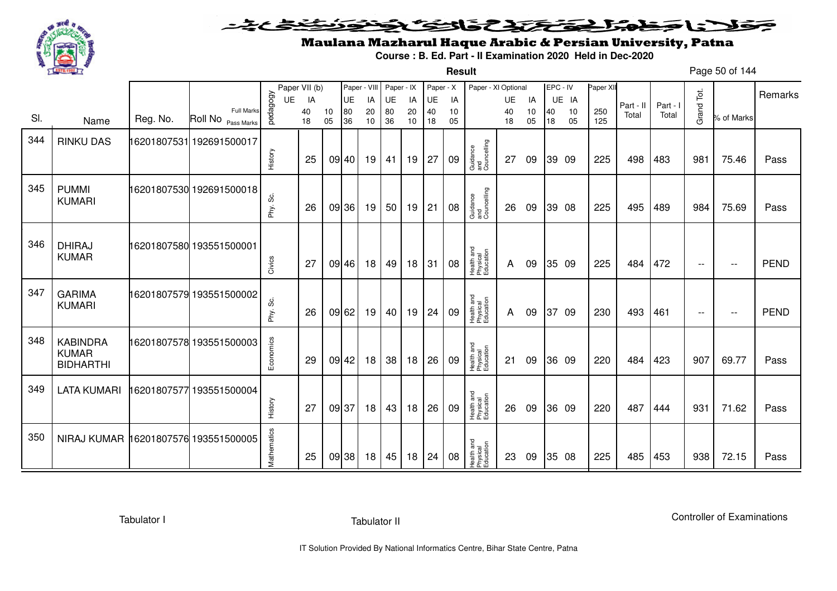

#### <u>یٹی ٹ</u>ے فلانا وخدا يقتحنك فالتف ونونوذ ∍

**Result**

# Maulana Mazharul Haque Arabic & Persian University, Patna

**Course : B. Ed. Part - II Examination 2020 Held in Dec-2020**

Page 50 of 144

|     |                                                     |          |                                         |             | Paper VII (b) |          | Paper - VIII |          | Paper - IX |          | Paper - X |          | Paper - XI Optional                 |          |          | EPC - IV |          | Paper XII  |           |          |                          |                          | Remarks     |
|-----|-----------------------------------------------------|----------|-----------------------------------------|-------------|---------------|----------|--------------|----------|------------|----------|-----------|----------|-------------------------------------|----------|----------|----------|----------|------------|-----------|----------|--------------------------|--------------------------|-------------|
|     |                                                     |          |                                         | <b>UE</b>   | IA            |          | UE           | IA       | UE         | IA       | UE        | IA       |                                     | UE       | IA       |          | UE IA    |            | Part - II | Part - I |                          |                          |             |
| SI. | Name                                                | Reg. No. | <b>Full Marks</b><br>Roll No Pass Marks | pedagogy    | 40<br>18      | 10<br>05 | 80<br>36     | 20<br>10 | 80<br>36   | 20<br>10 | 40<br>18  | 10<br>05 |                                     | 40<br>18 | 10<br>05 | 40<br>18 | 10<br>05 | 250<br>125 | Total     | Total    | Grand Tot.               | % of Marks               |             |
| 344 | <b>RINKU DAS</b>                                    |          | 16201807531 192691500017                |             |               |          |              |          |            |          |           |          |                                     |          |          |          |          |            |           |          |                          |                          |             |
|     |                                                     |          |                                         | History     | 25            |          | 09 40        | 19       | 41         | 19       | 27        | 09       | Guidance<br>and<br>Councelling      | 27       | 09       |          | 39 09    | 225        | 498       | 483      | 981                      | 75.46                    | Pass        |
| 345 | <b>PUMMI</b><br><b>KUMARI</b>                       |          | 16201807530 192691500018                |             |               |          |              |          |            |          |           |          |                                     |          |          |          |          |            |           |          |                          |                          |             |
|     |                                                     |          |                                         | Phy. Sc.    | 26            |          | 09 36        | 19       | 50         | 19       | 21        | 08       | Guidance<br>and<br>Councelling      | 26       | 09       |          | 39 08    | 225        | 495       | 489      | 984                      | 75.69                    | Pass        |
|     |                                                     |          |                                         |             |               |          |              |          |            |          |           |          |                                     |          |          |          |          |            |           |          |                          |                          |             |
| 346 | <b>DHIRAJ</b><br><b>KUMAR</b>                       |          | 16201807580 193551500001                | Civics      | 27            |          | 09 46        | 18       | 49         | 18       | 31        | 08       | Health and<br>Physical<br>Education | A        | 09       |          | 35 09    | 225        | 484       | 472      | $\overline{\phantom{m}}$ | $- -$                    | <b>PEND</b> |
|     |                                                     |          |                                         |             |               |          |              |          |            |          |           |          |                                     |          |          |          |          |            |           |          |                          |                          |             |
| 347 | <b>GARIMA</b><br><b>KUMARI</b>                      |          | 16201807579 193551500002                | ပ္တိ        |               |          |              |          |            |          |           |          | Health and<br>Physical<br>Education |          |          |          |          | 230        |           |          |                          |                          | <b>PEND</b> |
|     |                                                     |          |                                         | Phy.        | 26            |          | 09 62        | 19       | 40         | 19       | 24        | 09       |                                     | A        | 09       |          | 37 09    |            | 493       | 461      | $--$                     | $\overline{\phantom{m}}$ |             |
| 348 | <b>KABINDRA</b><br><b>KUMAR</b><br><b>BIDHARTHI</b> |          | 16201807578 193551500003                | Economics   | 29            |          | 09 42        | 18       | 38         | 18       | 26        | 09       | Health and<br>Physical<br>Education | 21       | 09       |          | 36 09    | 220        | 484       | 423      | 907                      | 69.77                    | Pass        |
| 349 |                                                     |          |                                         |             |               |          |              |          |            |          |           |          |                                     |          |          |          |          |            |           |          |                          |                          |             |
|     | <b>LATA KUMARI</b>                                  |          | 16201807577 193551500004                | History     | 27            |          | 09 37        | 18       | 43         | 18       | 26        | 09       | Health and<br>Physical<br>Education | 26       | 09       |          | 36 09    | 220        | 487       | 444      | 931                      | 71.62                    | Pass        |
| 350 | NIRAJ KUMAR 16201807576 193551500005                |          |                                         | Mathematics | 25            |          | 09 38        | 18       | 45         | 18       | 24        | 08       | Health and<br>Physical<br>Education | 23       | 09       |          | 35 08    | 225        | 485       | 453      | 938                      | 72.15                    | Pass        |
|     |                                                     |          |                                         |             |               |          |              |          |            |          |           |          |                                     |          |          |          |          |            |           |          |                          |                          |             |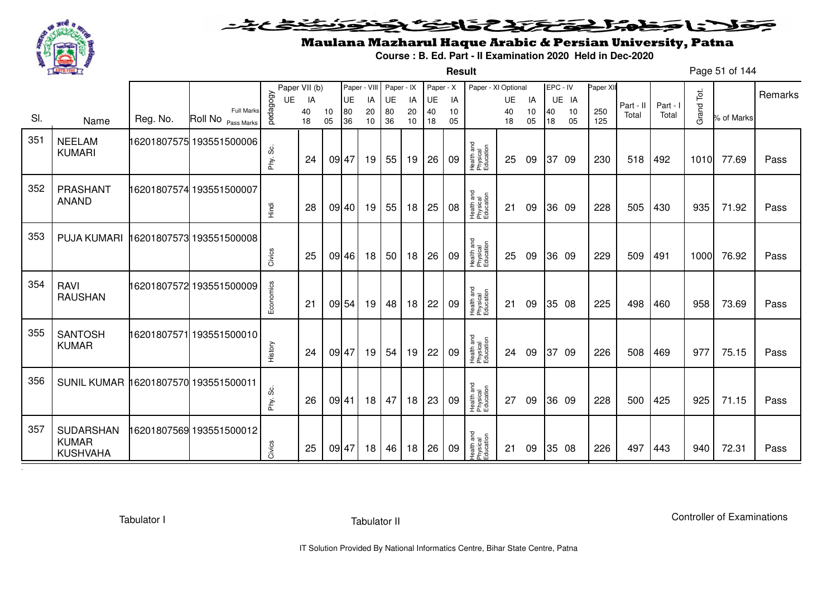

#### こさとき فتختخذ فانخت فخن كلانا جماعة ◒

**Result**

# Maulana Mazharul Haque Arabic & Persian University, Patna

**Course : B. Ed. Part - II Examination 2020 Held in Dec-2020**

Page 51 of 144

|     |                                              |             |                                         |            | Paper VII (b) |          | Paper - VIII |          | Paper - IX |          | Paper - X |          | Paper - XI Optional                 |          |          | EPC - IV |          | Paper XII  |           |          |            |            | Remarks |
|-----|----------------------------------------------|-------------|-----------------------------------------|------------|---------------|----------|--------------|----------|------------|----------|-----------|----------|-------------------------------------|----------|----------|----------|----------|------------|-----------|----------|------------|------------|---------|
|     |                                              |             |                                         | <b>UE</b>  | IA            |          | UE           | IA       | UE         | IA       | UE        | IA       |                                     | UE       | IA       |          | UE IA    |            | Part - II | Part - I |            |            |         |
| SI. | Name                                         | Reg. No.    | <b>Full Marks</b><br>Roll No Pass Marks | pedagogy   | 40<br>18      | 10<br>05 | 80<br>36     | 20<br>10 | 80<br>36   | 20<br>10 | 40<br>18  | 10<br>05 |                                     | 40<br>18 | 10<br>05 | 40<br>18 | 10<br>05 | 250<br>125 | Total     | Total    | Grand Tot. | % of Marks |         |
| 351 | <b>NEELAM</b><br><b>KUMARI</b>               |             | 16201807575 193551500006                | တိ<br>Phy. | 24            |          | 09 47        | 19       | 55         | 19       | 26        | 09       | Health and<br>Physical<br>Education | 25       | 09       | 37       | - 09     | 230        | 518       | 492      | 1010       | 77.69      | Pass    |
| 352 | PRASHANT<br><b>ANAND</b>                     |             | 16201807574 193551500007                | Hindi      | 28            |          | 09 40        | 19       | 55         | 18       | 25        | 08       | Health and<br>Physical<br>Education | 21       | 09       |          | 36 09    | 228        | 505       | 430      | 935        | 71.92      | Pass    |
| 353 | <b>PUJA KUMARI</b>                           | 16201807573 | 193551500008                            | Civics     | 25            |          | 09 46        | 18       | 50         | 18       | 26        | 09       | Health and<br>Physical<br>Education | 25       | 09       |          | 36 09    | 229        | 509       | 491      | 1000       | 76.92      | Pass    |
| 354 | <b>RAVI</b><br><b>RAUSHAN</b>                |             | 16201807572 193551500009                | Economics  | 21            |          | 09 54        | 19       | 48         | 18       | 22        | 09       | Health and<br>Physical<br>Education | 21       | 09       |          | 35 08    | 225        | 498       | 460      | 958        | 73.69      | Pass    |
| 355 | <b>SANTOSH</b><br><b>KUMAR</b>               |             | 16201807571 193551500010                | History    | 24            |          | 09 47        | 19       | 54         | 19       | 22        | 09       | Health and<br>Physical<br>Education | 24       | 09       | 37       | -09      | 226        | 508       | 469      | 977        | 75.15      | Pass    |
| 356 | SUNIL KUMAR 16201807570 193551500011         |             |                                         | Phy. Sc.   | 26            | 09 41    |              | 18       | 47         | 18       | 23        | 09       | Health and<br>Physical<br>Education | 27       | 09       |          | 36 09    | 228        | 500       | 425      | 925        | 71.15      | Pass    |
| 357 | SUDARSHAN<br><b>KUMAR</b><br><b>KUSHVAHA</b> |             |                                         | Civics     | 25            |          | 09 47        | 18       | 46         | 18       | 26        | 09       | Health and<br>Physical<br>Education | 21       | 09       |          | 35 08    | 226        | 497       | 443      | 940        | 72.31      | Pass    |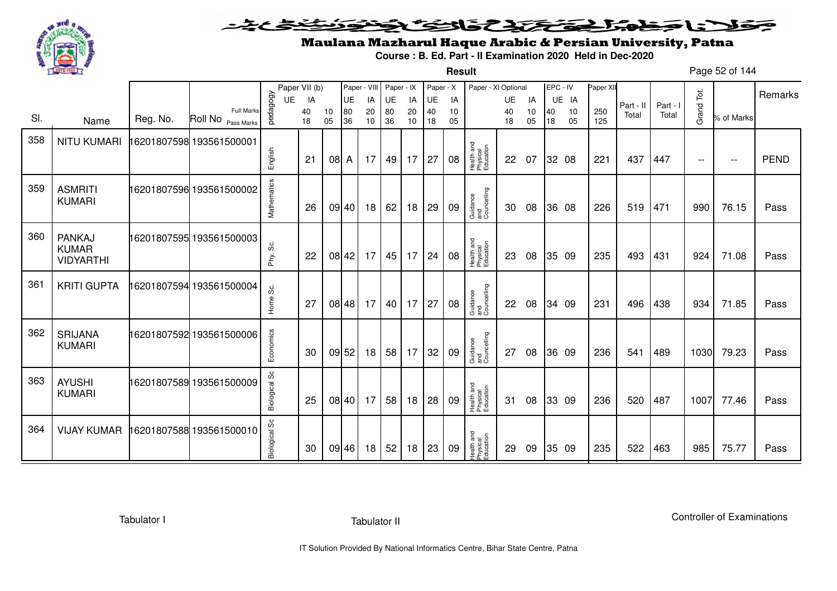

**Result**

# Maulana Mazharul Haque Arabic & Persian University, Patna

**Course : B. Ed. Part - II Examination 2020 Held in Dec-2020**

Page 52 of 144

|     |                                            |          |                                         |                  | Paper VII (b) |          | Paper - VIII |          | Paper - IX |          | Paper - X |          | Paper - XI Optional                 |          |          | EPC - IV |          | Paper XI   |           |          |               |                          |             |
|-----|--------------------------------------------|----------|-----------------------------------------|------------------|---------------|----------|--------------|----------|------------|----------|-----------|----------|-------------------------------------|----------|----------|----------|----------|------------|-----------|----------|---------------|--------------------------|-------------|
|     |                                            |          |                                         | UE               | IA            |          | UE           | IA       | UE         | IA       | UE        | IA       |                                     | UE       | IA       |          | UE IA    |            | Part - II | Part - I |               |                          | Remarks     |
| SI. | Name                                       | Reg. No. | <b>Full Marks</b><br>Roll No Pass Marks | pedagogy         | 40<br>18      | 10<br>05 | 80<br>36     | 20<br>10 | 80<br>36   | 20<br>10 | 40<br>18  | 10<br>05 |                                     | 40<br>18 | 10<br>05 | 40<br>18 | 10<br>05 | 250<br>125 | Total     | Total    | Grand Tot.    | % of Marks               |             |
| 358 | <b>NITU KUMARI</b>                         |          | 16201807598 193561500001                |                  |               |          |              |          |            |          |           |          |                                     |          |          |          |          |            |           |          |               |                          |             |
|     |                                            |          |                                         | English          | 21            | 08 A     |              | 17       | 49         | 17       | 27        | 08       | Health and<br>Physical<br>Education | 22       | 07       |          | 32 08    | 221        | 437       | 447      | $\sim$ $\sim$ | $\overline{\phantom{m}}$ | <b>PEND</b> |
| 359 | <b>ASMRITI</b><br><b>KUMARI</b>            |          | 16201807596 193561500002                | Mathematics      | 26            |          | 09 40        | 18       | 62         | 18       | 29        | 09       | Guidance<br>and<br>Councelling      | 30       | 08       |          | 36 08    | 226        | 519       | 471      | 990           | 76.15                    | Pass        |
| 360 | PANKAJ<br><b>KUMAR</b><br><b>VIDYARTHI</b> |          | 16201807595 193561500003                | တိ<br>Phy.       | 22            |          | 08 42        | 17       | 45         | 17       | 24        | 08       | Health and<br>Physical<br>Education | 23       | 08       |          | 35 09    | 235        | 493       | 431      | 924           | 71.08                    | Pass        |
| 361 | <b>KRITI GUPTA</b>                         |          | 6201807594 193561500004                 | Home Sc.         | 27            |          | 08 48        | 17       | 40         | 17       | 27        | 08       | Guidance<br>and<br>Councelling      | 22       | 08       |          | 34 09    | 231        | 496       | 438      | 934           | 71.85                    | Pass        |
| 362 | <b>SRIJANA</b><br><b>KUMARI</b>            |          | 16201807592 193561500006                | Economics        | 30            |          | 09 52        | 18       | 58         | 17       | 32        | 09       | Guidance<br>and<br>Councelling      | 27       | 08       |          | 36 09    | 236        | 541       | 489      | 1030          | 79.23                    | Pass        |
| 363 | <b>AYUSHI</b><br><b>KUMARI</b>             |          | 16201807589 193561500009                | တိ<br>Biological | 25            |          | 08 40        | 17       | 58         | 18       | 28        | 09       | Health and<br>Physical<br>Education | 31       | 08       |          | 33 09    | 236        | 520       | 487      | 1007          | 77.46                    | Pass        |
| 364 | <b>VIJAY KUMAR</b>                         |          | 6201807588 193561500010                 | Biological Sc    | 30            |          | 09 46        | 18       | 52         | 18       | 23        | 09       | Health and<br>Physical<br>Education | 29       | 09       |          | 35 09    | 235        | 522       | 463      | 985           | 75.77                    | Pass        |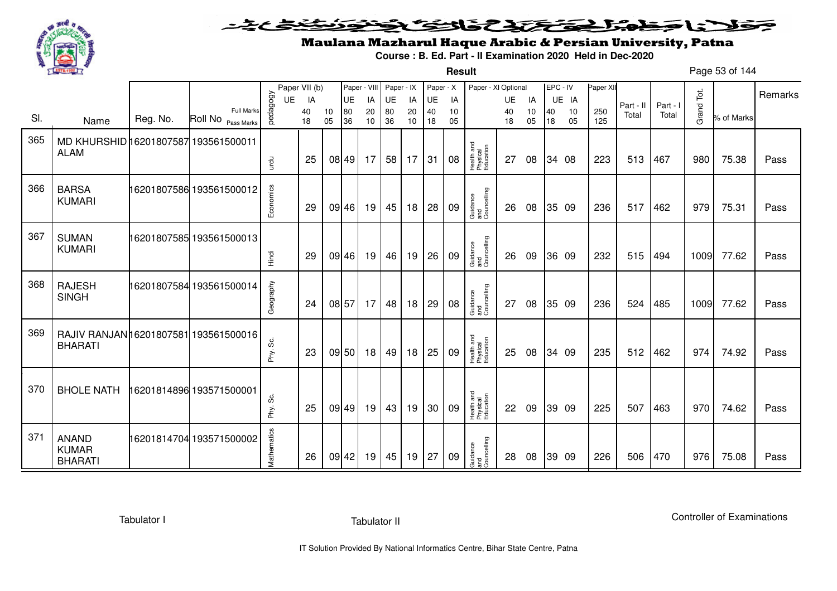

#### <u>یٹی ٹ</u>ے فلانا وخدا يقتحنك فالتف ونونوذ ∍

**Result**

# Maulana Mazharul Haque Arabic & Persian University, Patna

**Course : B. Ed. Part - II Examination 2020 Held in Dec-2020**

Page 53 of 144

|     |                                                         |          |                                         |             | Paper VII (b) |          | Paper - VIII |          | Paper - IX |          | Paper - X |          | Paper - XI Optional                 |          |          | EPC - IV |          | Paper XII  |           |          |            |            |         |
|-----|---------------------------------------------------------|----------|-----------------------------------------|-------------|---------------|----------|--------------|----------|------------|----------|-----------|----------|-------------------------------------|----------|----------|----------|----------|------------|-----------|----------|------------|------------|---------|
|     |                                                         |          |                                         | <b>UE</b>   | IA            |          | UE           | IA       | UE         | IA       | UE        | IA       |                                     | UE       | IA       |          | UE IA    |            | Part - II | Part - I |            |            | Remarks |
| SI. | Name                                                    | Reg. No. | <b>Full Marks</b><br>Roll No Pass Marks | pedagogy    | 40<br>18      | 10<br>05 | 80<br>36     | 20<br>10 | 80<br>36   | 20<br>10 | 40<br>18  | 10<br>05 |                                     | 40<br>18 | 10<br>05 | 40<br>18 | 10<br>05 | 250<br>125 | Total     | Total    | Grand Tot. | % of Marks |         |
| 365 | MD KHURSHID 16201807587 193561500011<br><b>ALAM</b>     |          |                                         | urdu        | 25            |          | 08 49        | 17       | 58         | 17       | 31        | 08       | Health and<br>Physical<br>Education | 27       | 08       |          | 34 08    | 223        | 513       | 467      | 980        | 75.38      | Pass    |
| 366 | <b>BARSA</b><br><b>KUMARI</b>                           |          | 16201807586 193561500012                | Economics   | 29            |          | 09 46        | 19       | 45         | 18       | 28        | 09       | Guidance<br>and<br>Councelling      | 26       | 08       |          | 35 09    | 236        | 517       | 462      | 979        | 75.31      | Pass    |
| 367 | <b>SUMAN</b><br><b>KUMARI</b>                           |          | 16201807585 193561500013                | Hindi       | 29            |          | 09 46        | 19       | 46         | 19       | 26        | 09       | Guidance<br>and<br>Councelling      | 26       | 09       |          | 36 09    | 232        | 515       | 494      | 1009       | 77.62      | Pass    |
| 368 | <b>RAJESH</b><br><b>SINGH</b>                           |          | 16201807584 193561500014                | Geography   | 24            |          | 08 57        | 17       | 48         | 18       | 29        | 08       | Guidance<br>and<br>Councelling      | 27       | 08       |          | 35 09    | 236        | 524       | 485      | 1009       | 77.62      | Pass    |
| 369 | RAJIV RANJAN 16201807581 193561500016<br><b>BHARATI</b> |          |                                         | Phy. Sc.    | 23            |          | 09 50        | 18       | 49         | 18       | 25        | 09       | Health and<br>Physical<br>Education | 25       | 08       |          | 34 09    | 235        | 512       | 462      | 974        | 74.92      | Pass    |
| 370 | <b>BHOLE NATH</b>                                       |          | 16201814896 193571500001                | Phy. Sc.    | 25            |          | 09 49        | 19       | 43         | 19       | 30        | 09       | Health and<br>Physical<br>Education | 22       | 09       |          | 39 09    | 225        | 507       | 463      | 970        | 74.62      | Pass    |
| 371 | <b>ANAND</b><br><b>KUMAR</b><br><b>BHARATI</b>          |          | 16201814704 193571500002                | Mathematics | 26            |          | 09 42        | 19       | 45         | 19       | 27        | 09       | Guidance<br>and<br>Councelling      | 28       | 08       |          | 39 09    | 226        | 506       | 470      | 976        | 75.08      | Pass    |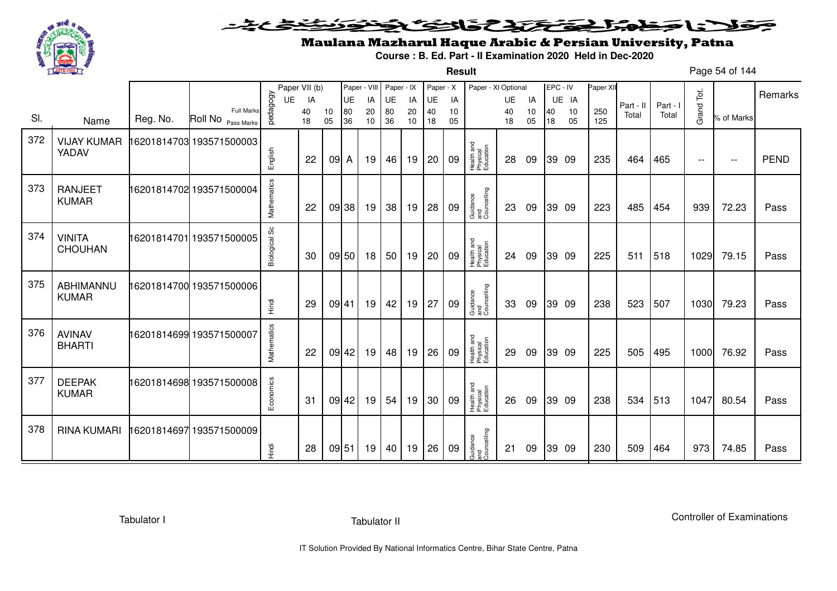

#### فتختخذ فخافى فخذ こえとさ كلانا جنادبل ╺

**Result**

# Maulana Mazharul Haque Arabic & Persian University, Patna

**Course : B. Ed. Part - II Examination 2020 Held in Dec-2020**

Page 54 of 144

|     |                                 |          |                                         | UE            | Paper VII (b)<br>IA |          | Paper - VIII<br><b>UE</b> | IA       | Paper - IX<br>UE | IA       | Paper - X<br><b>UE</b> | IA       | Paper - XI Optional                 | <b>UE</b> | IA       |          | EPC - IV<br>UE IA | Paper XII  |                    |                   |                          |                          | Remarks     |
|-----|---------------------------------|----------|-----------------------------------------|---------------|---------------------|----------|---------------------------|----------|------------------|----------|------------------------|----------|-------------------------------------|-----------|----------|----------|-------------------|------------|--------------------|-------------------|--------------------------|--------------------------|-------------|
| SI. | Name                            | Reg. No. | <b>Full Marks</b><br>Roll No Pass Marks | pedagogy      | 40<br>18            | 10<br>05 | 80<br>36                  | 20<br>10 | 80<br>36         | 20<br>10 | 40<br>18               | 10<br>05 |                                     | 40<br>18  | 10<br>05 | 40<br>18 | 10<br>05          | 250<br>125 | Part - II<br>Total | Part - I<br>Total | Grand Tot.               | % of Marks               |             |
| 372 | <b>VIJAY KUMAR</b><br>YADAV     |          | 16201814703 193571500003                | English       | 22                  | 09A      |                           | 19       | 46               | 19       | 20                     | 09       | Health and<br>Physical<br>Education | 28        | 09       |          | 39 09             | 235        | 464                | 465               | $\overline{\phantom{m}}$ | $\overline{\phantom{a}}$ | <b>PEND</b> |
| 373 | <b>RANJEET</b><br><b>KUMAR</b>  |          | 16201814702 193571500004                | Mathematics   | 22                  |          | 09 38                     | 19       | 38               | 19       | 28                     | 09       | Guidance<br>and<br>Councelling      | 23        | 09       |          | 39 09             | 223        | 485                | 454               | 939                      | 72.23                    | Pass        |
| 374 | <b>VINITA</b><br><b>CHOUHAN</b> |          | 16201814701 193571500005                | Biological Sc | 30                  |          | 09 50                     | 18       | 50               | 19       | 20                     | 09       | Health and<br>Physical<br>Education | 24        | 09       |          | 39 09             | 225        | 511                | 518               | 1029                     | 79.15                    | Pass        |
| 375 | ABHIMANNU<br><b>KUMAR</b>       |          | 16201814700 193571500006                | Hindi         | 29                  |          | 09 41                     | 19       | 42               | 19       | 27                     | 09       | Guidance<br>and<br>Councelling      | 33        | 09       |          | 39 09             | 238        | 523                | 507               | 1030                     | 79.23                    | Pass        |
| 376 | <b>AVINAV</b><br><b>BHARTI</b>  |          | 16201814699 193571500007                | Mathematics   | 22                  |          | 09 42                     | 19       | 48               | 19       | 26                     | 09       | Health and<br>Physical<br>Education | 29        | 09       |          | 39 09             | 225        | 505                | 495               | 1000                     | 76.92                    | Pass        |
| 377 | <b>DEEPAK</b><br><b>KUMAR</b>   |          | 16201814698 193571500008                | Economics     | -31                 |          | 09 42                     | 19       | 54               | 19       | 30                     | 09       | Health and<br>Physical<br>Education | 26        | 09       |          | 39 09             | 238        | 534                | 513               | 1047                     | 80.54                    | Pass        |
| 378 | <b>RINA KUMARI</b>              |          | 16201814697193571500009                 | Hindi         | 28                  |          | 09 51                     | 19       | 40               | 19       | 26                     | 09       | Guidance<br>and<br>Councelling      | 21        | 09       |          | 39 09             | 230        | 509                | 464               | 973                      | 74.85                    | Pass        |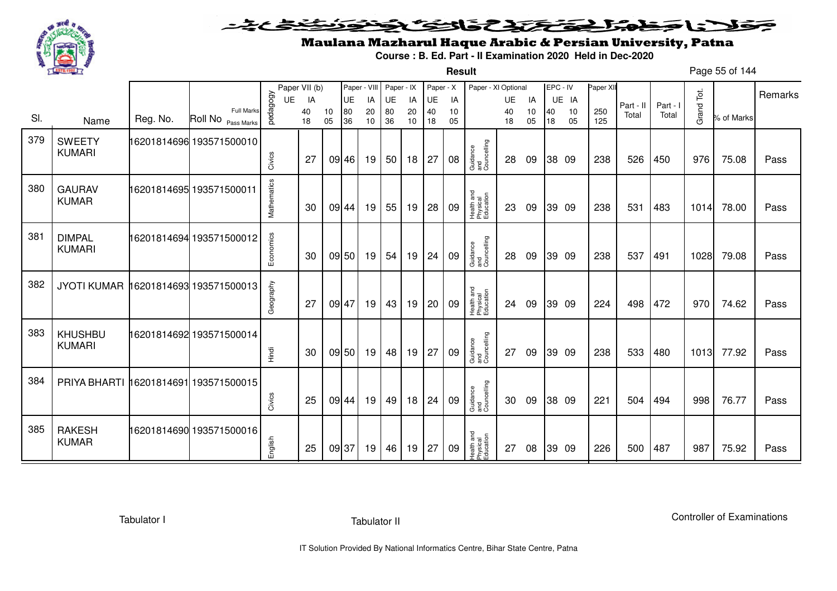

**Result**

# Maulana Mazharul Haque Arabic & Persian University, Patna

**Course : B. Ed. Part - II Examination 2020 Held in Dec-2020**

Page 55 of 144

|     |                                           |          |                                         |             | Paper VII (b) |          | Paper - VIII |          | Paper - IX      |          | Paper - X |          | Paper - XI Optional                 |          |          | EPC - IV |          | Paper XII  |           |          |            |            |         |
|-----|-------------------------------------------|----------|-----------------------------------------|-------------|---------------|----------|--------------|----------|-----------------|----------|-----------|----------|-------------------------------------|----------|----------|----------|----------|------------|-----------|----------|------------|------------|---------|
|     |                                           |          |                                         | UE          | IA            |          | UE           | IA       | UE              | IA       | UE        | IA       |                                     | UE       | IA       |          | UE IA    |            | Part - II | Part - I |            |            | Remarks |
| SI. | Name                                      | Reg. No. | <b>Full Marks</b><br>Roll No Pass Marks | vedagogy    | 40<br>18      | 10<br>05 | 80<br>36     | 20<br>10 | 80<br>36        | 20<br>10 | 40<br>18  | 10<br>05 |                                     | 40<br>18 | 10<br>05 | 40<br>18 | 10<br>05 | 250<br>125 | Total     | Total    | Grand Tot. | % of Marks |         |
| 379 | <b>SWEETY</b><br><b>KUMARI</b>            |          | 16201814696 193571500010                | Civics      | 27            |          | 09 46        | 19       | 50 <sub>1</sub> | 18       | 27        | 08       | Guidance<br>and<br>Councelling      | 28       | 09       |          | 38 09    | 238        | 526       | 450      | 976        | 75.08      | Pass    |
| 380 | <b>GAURAV</b><br><b>KUMAR</b>             |          | 16201814695 193571500011                | Mathematics | 30            |          | 09 44        | 19       | 55              | 19       | 28        | 09       | Health and<br>Physical<br>Education | 23       | 09       |          | 39 09    | 238        | 531       | 483      | 1014       | 78.00      | Pass    |
| 381 | <b>DIMPAL</b><br><b>KUMARI</b>            |          | 16201814694 193571500012                | Economics   | 30            |          | 09 50        | 19       | 54              | 19       | 24        | 09       | Guidance<br>and<br>Councelling      | 28       | 09       |          | 39 09    | 238        | 537       | 491      | 1028       | 79.08      | Pass    |
| 382 | JYOTI KUMAR 16201814693 193571500013      |          |                                         | Geography   | 27            |          | 09 47        | 19       | 43              | 19       | 20        | 09       | Health and<br>Physical<br>Education | 24       | 09       |          | 39 09    | 224        | 498       | 472      | 970        | 74.62      | Pass    |
| 383 | <b>KHUSHBU</b><br><b>KUMARI</b>           |          | 16201814692 193571500014                | Hindi       | 30            |          | 09 50        | 19       | 48              | 19       | 27        | 09       | Guidance<br>and<br>Councelling      | 27       | 09       |          | 39 09    | 238        | 533       | 480      | 1013       | 77.92      | Pass    |
| 384 | PRIYA BHARTI   16201814691   193571500015 |          |                                         | Civics      | 25            |          | 09 44        | 19       | 49              | 18       | 24        | 09       | Guidance<br>and<br>Councelling      | 30       | 09       |          | 38 09    | 221        | 504       | 494      | 998        | 76.77      | Pass    |
| 385 | <b>RAKESH</b><br><b>KUMAR</b>             |          | 16201814690 193571500016                | English     | 25            |          | 09 37        | 19       | 46              | 19       | 27        | 09       | Health and<br>Physical<br>Education | 27       | 08       |          | 39 09    | 226        | 500       | 487      | 987        | 75.92      | Pass    |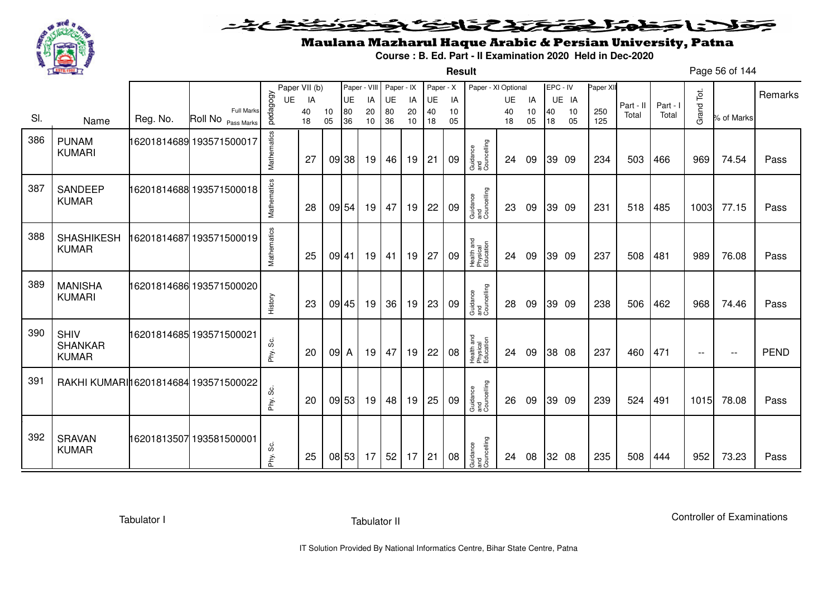

#### <u>یٹی ٹ</u>ے فلانا وخدا يقتحنك فالتف ونونوذ ∍

**Result**

# Maulana Mazharul Haque Arabic & Persian University, Patna

**Course : B. Ed. Part - II Examination 2020 Held in Dec-2020**

Page 56 of 144

|     |                                               |          |                                         |             | Paper VII (b) |          | Paper - VIII |                 | Paper - IX |          | Paper - X |          | Paper - XI Optional                 |          |          |          | EPC - IV | Paper XI   |           |          |               |                          |             |
|-----|-----------------------------------------------|----------|-----------------------------------------|-------------|---------------|----------|--------------|-----------------|------------|----------|-----------|----------|-------------------------------------|----------|----------|----------|----------|------------|-----------|----------|---------------|--------------------------|-------------|
|     |                                               |          |                                         | <b>UE</b>   | IA            |          | UE           | IA              | <b>UE</b>  | IA       | UE        | IA       |                                     | UE       | IA       |          | UE IA    |            | Part - II | Part - I |               |                          | Remarks     |
| SI. | Name                                          | Reg. No. | <b>Full Marks</b><br>Roll No Pass Marks | pedagogy    | 40<br>18      | 10<br>05 | 80<br>36     | 20<br>10        | 80<br>36   | 20<br>10 | 40<br>18  | 10<br>05 |                                     | 40<br>18 | 10<br>05 | 40<br>18 | 10<br>05 | 250<br>125 | Total     | Total    | Grand Tot.    | % of Marks               |             |
| 386 | <b>PUNAM</b><br><b>KUMARI</b>                 |          | 16201814689 193571500017                | Mathematics | 27            |          | 09 38        | 19              | 46         | 19       | 21        | 09       | Guidance<br>and<br>Councelling      | 24       | 09       |          | 39 09    | 234        | 503       | 466      | 969           | 74.54                    | Pass        |
| 387 | <b>SANDEEP</b><br><b>KUMAR</b>                |          | 16201814688 193571500018                | Mathematics | 28            |          | 09 54        | 19 <sup>1</sup> | 47         | 19       | 22        | 09       | Guidance<br>and<br>Councelling      | 23       | 09       |          | 39 09    | 231        | 518       | 485      | 1003          | 77.15                    | Pass        |
| 388 | <b>SHASHIKESH</b><br><b>KUMAR</b>             |          | 16201814687 193571500019                | Mathematics | 25            | 09 41    |              | 19              | 41         | 19       | 27        | 09       | Health and<br>Physical<br>Education | 24       | 09       |          | 39 09    | 237        | 508       | 481      | 989           | 76.08                    | Pass        |
| 389 | <b>MANISHA</b><br><b>KUMARI</b>               |          | 16201814686 193571500020                | History     | 23            |          | 09 45        | 19              | 36         | 19       | 23        | 09       | Guidance<br>and<br>Councelling      | 28       | 09       |          | 39 09    | 238        | 506       | 462      | 968           | 74.46                    | Pass        |
| 390 | <b>SHIV</b><br><b>SHANKAR</b><br><b>KUMAR</b> |          | 16201814685 193571500021                | တွဲ<br>Phy. | 20            | $09$ A   |              | 19              | 47         | 19       | 22        | 08       | Health and<br>Physical<br>Education | 24       | 09       |          | 38 08    | 237        | 460       | 471      | $\sim$ $\sim$ | $\overline{\phantom{m}}$ | <b>PEND</b> |
| 391 | RAKHI KUMARI 16201814684 193571500022         |          |                                         | တိ<br>Phy.  | 20            |          | 09 53        | 19              | 48         | 19       | 25        | 09       | Guidance<br>and<br>Councelling      | 26       | 09       |          | 39 09    | 239        | 524       | 491      | 1015          | 78.08                    | Pass        |
| 392 | <b>SRAVAN</b><br><b>KUMAR</b>                 |          | 16201813507193581500001                 | တွ<br>Phy.  | 25            |          | 08 53        | 17              | 52         | 17       | 21        | 08       | Guidance<br>and<br>Councelling      | 24       | 08       |          | 32 08    | 235        | 508       | 444      | 952           | 73.23                    | Pass        |

Tabulator I

Tabulator II

Controller of Examinations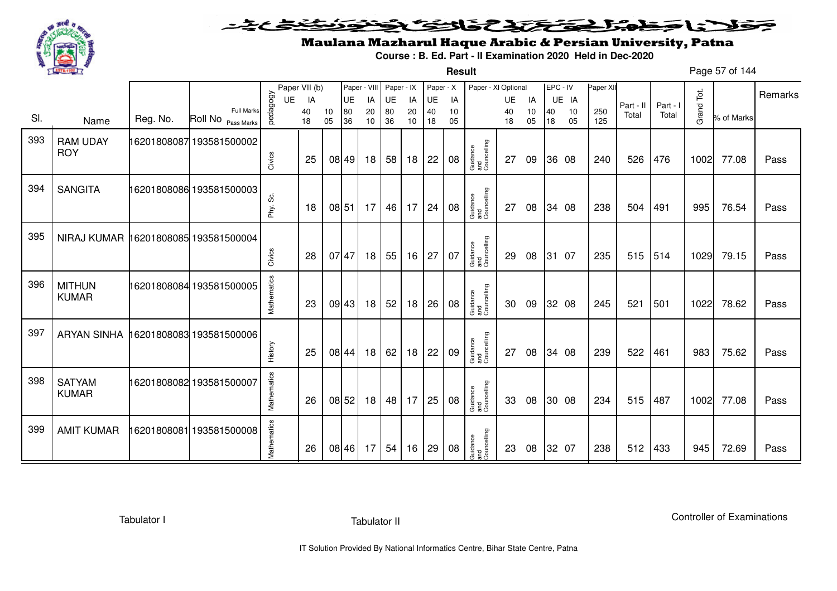

**Result**

# Maulana Mazharul Haque Arabic & Persian University, Patna

**Course : B. Ed. Part - II Examination 2020 Held in Dec-2020**

Page 57 of 144

|     |                                      |          |                                  |             | Paper VII (b) |          | Paper - VIII |          | Paper - IX |          | Paper - X |          | Paper - XI Optional            |          |          | EPC - IV |          | Paper XII  |           |          |            |            | Remarks |
|-----|--------------------------------------|----------|----------------------------------|-------------|---------------|----------|--------------|----------|------------|----------|-----------|----------|--------------------------------|----------|----------|----------|----------|------------|-----------|----------|------------|------------|---------|
|     |                                      |          |                                  | UE          | IA            |          | UE           | IA       | UE         | IA       | UE        | IA       |                                | UE       | IA       |          | UE IA    |            | Part - II | Part - I |            |            |         |
| SI. | Name                                 | Reg. No. | Full Marks<br>Roll No Pass Marks | vedagogy    | 40<br>18      | 10<br>05 | 80<br>36     | 20<br>10 | 80<br>36   | 20<br>10 | 40<br>18  | 10<br>05 |                                | 40<br>18 | 10<br>05 | 40<br>18 | 10<br>05 | 250<br>125 | Total     | Total    | Grand Tot. | % of Marks |         |
| 393 | <b>RAM UDAY</b><br><b>ROY</b>        |          | 16201808087193581500002          | Civics      | 25            |          | 08 49        | 18       | 58         | 18       | 22        | 08       | Guidance<br>and<br>Councelling | 27       | 09       |          | 36 08    | 240        | 526       | 476      | 1002       | 77.08      | Pass    |
| 394 | <b>SANGITA</b>                       |          | 16201808086 193581500003         | Phy. Sc.    | 18            |          | 08 51        | 17       | 46         | 17       | 24        | 08       | Guidance<br>and<br>Councelling | 27       | 08       |          | 34 08    | 238        | 504       | 491      | 995        | 76.54      | Pass    |
| 395 | NIRAJ KUMAR 16201808085 193581500004 |          |                                  | Civics      | 28            |          | 07 47        | 18       | 55         | 16       | 27        | 07       | Guidance<br>and<br>Councelling | 29       | 08       |          | 31 07    | 235        | 515       | 514      | 1029       | 79.15      | Pass    |
| 396 | <b>MITHUN</b><br><b>KUMAR</b>        |          | 16201808084 193581500005         | Mathematics | 23            |          | 09 43        | 18       | 52         | 18       | 26        | 08       | Guidance<br>and<br>Councelling | 30       | 09       |          | 32 08    | 245        | 521       | 501      | 1022       | 78.62      | Pass    |
| 397 | <b>ARYAN SINHA</b>                   |          | 16201808083 193581500006         | History     | 25            |          | 08 44        | 18       | 62         | 18       | 22        | 09       | Guidance<br>and<br>Councelling | 27       | 08       |          | 34 08    | 239        | 522       | 461      | 983        | 75.62      | Pass    |
| 398 | <b>SATYAM</b><br><b>KUMAR</b>        |          | 16201808082 193581500007         | Mathematics | 26            |          | 08 52        | 18       | 48         | 17       | 25        | 08       | Guidance<br>and<br>Councelling | 33       | 08       |          | 30 08    | 234        | 515       | 487      | 1002       | 77.08      | Pass    |
| 399 | <b>AMIT KUMAR</b>                    |          | 16201808081 193581500008         | Mathematics | 26            |          | 08 46        | 17       | 54         | 16       | 29        | 08       | Guidance<br>and<br>Councelling | 23       | 08       |          | 32 07    | 238        | 512       | 433      | 945        | 72.69      | Pass    |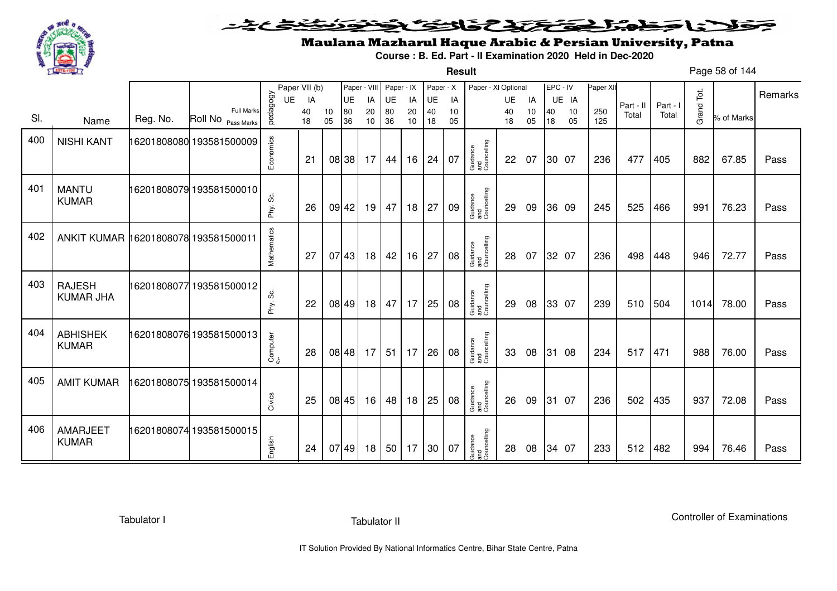

**Result**

# Maulana Mazharul Haque Arabic & Persian University, Patna

**Course : B. Ed. Part - II Examination 2020 Held in Dec-2020**

Page 58 of 144

|     |                                      |          |                                         |              | Paper VII (b) |          |           | Paper - VIII | Paper - IX |          | Paper - X |          | Paper - XI Optional            |          |          | EPC - IV |          | Paper XII  |           |          |            |            |         |
|-----|--------------------------------------|----------|-----------------------------------------|--------------|---------------|----------|-----------|--------------|------------|----------|-----------|----------|--------------------------------|----------|----------|----------|----------|------------|-----------|----------|------------|------------|---------|
|     |                                      |          |                                         | UE           | IA            |          | <b>UE</b> | IA           | UE         | IA       | UE        | IA       |                                | UE       | IA       |          | UE IA    |            | Part - II | Part - I |            |            | Remarks |
| SI. | Name                                 | Reg. No. | <b>Full Marks</b><br>Roll No Pass Marks | pedagogy     | 40<br>18      | 10<br>05 | 80<br>36  | 20<br>10     | 80<br>36   | 20<br>10 | 40<br>18  | 10<br>05 |                                | 40<br>18 | 10<br>05 | 40<br>18 | 10<br>05 | 250<br>125 | Total     | Total    | Grand Tot. | % of Marks |         |
| 400 | <b>NISHI KANT</b>                    |          | 16201808080 193581500009                | Economics    | 21            |          | 08 38     | 17           | 44         | 16       | 24        | 07       | Guidance<br>and<br>Councelling | 22       | 07       |          | 30 07    | 236        | 477       | 405      | 882        | 67.85      | Pass    |
| 401 | <b>MANTU</b><br><b>KUMAR</b>         |          | 16201808079 193581500010                | ပ္တဲ<br>Phy. | 26            |          | 09 42     | 19           | 47         | 18       | 27        | 09       | Guidance<br>and<br>Councelling | 29       | 09       |          | 36 09    | 245        | 525       | 466      | 991        | 76.23      | Pass    |
| 402 | ANKIT KUMAR 16201808078 193581500011 |          |                                         | Mathematics  | 27            |          | 07 43     | 18           | 42         | 16       | 27        | 08       | Guidance<br>and<br>Councelling | 28       | 07       |          | 32 07    | 236        | 498       | 448      | 946        | 72.77      | Pass    |
| 403 | <b>RAJESH</b><br><b>KUMAR JHA</b>    |          | 16201808077 193581500012                | တိ<br>Phy.   | 22            |          | 08 49     | 18           | 47         | 17       | 25        | 08       | Guidance<br>and<br>Councelling | 29       | 08       |          | 33 07    | 239        | 510       | 504      | 1014       | 78.00      | Pass    |
| 404 | <b>ABHISHEK</b><br><b>KUMAR</b>      |          | 16201808076 193581500013                | Computer     | 28            |          | 08 48     | 17           | 51         | 17       | 26        | 08       | Guidance<br>and<br>Councelling | 33       | 08       |          | 31 08    | 234        | 517       | 471      | 988        | 76.00      | Pass    |
| 405 | <b>AMIT KUMAR</b>                    |          | 6201808075 193581500014                 | Civics       | 25            |          | 08 45     | 16           | 48         | 18       | 25        | 08       | Guidance<br>and<br>Councelling | 26       | 09       |          | 31 07    | 236        | 502       | 435      | 937        | 72.08      | Pass    |
| 406 | AMARJEET<br><b>KUMAR</b>             |          | 16201808074 193581500015                | English      | 24            |          | 07 49     | 18           | 50         | 17       | 30        | 07       | Guidance<br>and<br>Councelling | 28       | 08       |          | 34 07    | 233        | 512       | 482      | 994        | 76.46      | Pass    |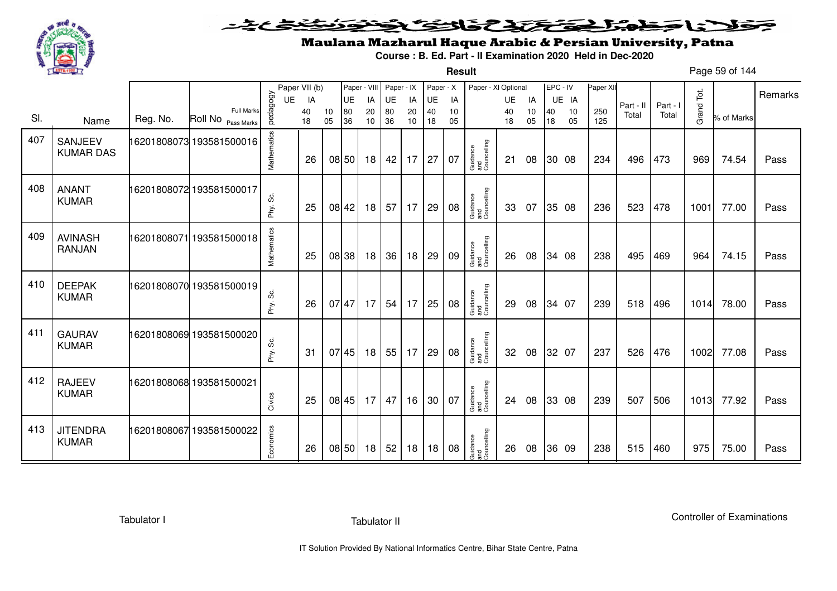

**Result**

# Maulana Mazharul Haque Arabic & Persian University, Patna

**Course : B. Ed. Part - II Examination 2020 Held in Dec-2020**

Page 59 of 144

|     |                                 |          |                                         |             | Paper VII (b) |          |           | Paper - VIII | Paper - IX |          | Paper - X |          | Paper - XI Optional            |          |          | EPC - IV |          | Paper XII  |           |          |            |            |         |
|-----|---------------------------------|----------|-----------------------------------------|-------------|---------------|----------|-----------|--------------|------------|----------|-----------|----------|--------------------------------|----------|----------|----------|----------|------------|-----------|----------|------------|------------|---------|
|     |                                 |          |                                         | UE          | IA            |          | <b>UE</b> | IA           | UE         | IA       | UE        | IA       |                                | UE       | IA       |          | UE IA    |            | Part - II | Part - I |            |            | Remarks |
| SI. | Name                            | Reg. No. | <b>Full Marks</b><br>Roll No Pass Marks | pedagogy    | 40<br>18      | 10<br>05 | 80<br>36  | 20<br>10     | 80<br>36   | 20<br>10 | 40<br>18  | 10<br>05 |                                | 40<br>18 | 10<br>05 | 40<br>18 | 10<br>05 | 250<br>125 | Total     | Total    | Grand Tot. | % of Marks |         |
| 407 | SANJEEV<br><b>KUMAR DAS</b>     |          | 16201808073 193581500016                | Mathematics | 26            |          | 08 50     | 18           | 42         | 17       | 27        | 07       | Guidance<br>and<br>Councelling | 21       | 08       |          | 30 08    | 234        | 496       | 473      | 969        | 74.54      | Pass    |
| 408 | <b>ANANT</b><br><b>KUMAR</b>    |          | 16201808072 193581500017                | Phy. Sc.    | 25            |          | 08 42     | 18           | 57         | 17       | 29        | 08       | Guidance<br>and<br>Councelling | 33       | 07       |          | 35 08    | 236        | 523       | 478      | 1001       | 77.00      | Pass    |
| 409 | <b>AVINASH</b><br><b>RANJAN</b> |          | 16201808071 193581500018                | Mathematics | 25            |          | 08 38     | 18           | 36         | 18       | 29        | 09       | Guidance<br>and<br>Councelling | 26       | 08       |          | 34 08    | 238        | 495       | 469      | 964        | 74.15      | Pass    |
| 410 | <b>DEEPAK</b><br><b>KUMAR</b>   |          | 16201808070 193581500019                | Phy. Sc.    | 26            | 07 47    |           | 17           | 54         | 17       | 25        | 08       | Guidance<br>and<br>Councelling | 29       | 08       |          | 34 07    | 239        | 518       | 496      | 1014       | 78.00      | Pass    |
| 411 | <b>GAURAV</b><br><b>KUMAR</b>   |          | 16201808069 193581500020                | Phy. Sc.    | 31            |          | 07 45     | 18           | 55         | 17       | 29        | 08       | Guidance<br>and<br>Councelling | 32       | 08       |          | 32 07    | 237        | 526       | 476      | 1002       | 77.08      | Pass    |
| 412 | <b>RAJEEV</b><br><b>KUMAR</b>   |          | 16201808068 193581500021                | Civics      | 25            |          | 08 45     | 17           | 47         | 16       | 30        | 07       | Guidance<br>and<br>Councelling | 24       | 08       |          | 33 08    | 239        | 507       | 506      | 1013       | 77.92      | Pass    |
| 413 | <b>JITENDRA</b><br><b>KUMAR</b> |          | 16201808067 193581500022                | Economics   | 26            |          | 08 50     | 18           | 52         | 18       | 18        | 08       | Guidance<br>and<br>Councelling | 26       | 08       |          | 36 09    | 238        | 515       | 460      | 975        | 75.00      | Pass    |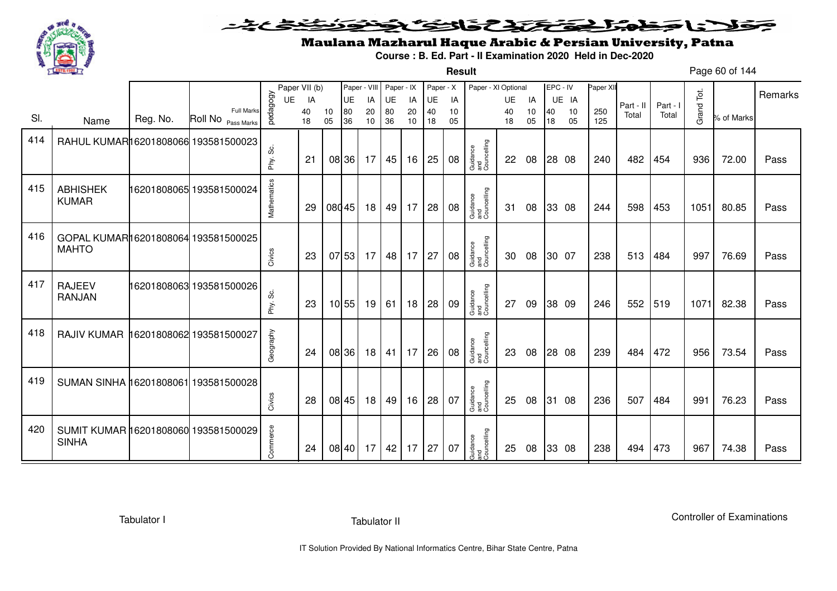

#### こさとき فتختخذ فخافى فخذ كلانا جنادبل ╺

**Result**

# Maulana Mazharul Haque Arabic & Persian University, Patna

**Course : B. Ed. Part - II Examination 2020 Held in Dec-2020**

Page 60 of 144

|     |                                                      |          |                                         |             | Paper VII (b) |          | Paper - VIII |                 | Paper - IX |          | Paper - X |          | Paper - XI Optional            |          |          | EPC - IV |          | Paper XI   |           |          |            |            |         |
|-----|------------------------------------------------------|----------|-----------------------------------------|-------------|---------------|----------|--------------|-----------------|------------|----------|-----------|----------|--------------------------------|----------|----------|----------|----------|------------|-----------|----------|------------|------------|---------|
|     |                                                      |          |                                         | <b>UE</b>   | IA            |          | UE           | IA              | UE         | IA       | UE        | IA       |                                | UE       | IA       |          | UE IA    |            | Part - II | Part - I |            |            | Remarks |
| SI. | Name                                                 | Reg. No. | <b>Full Marks</b><br>Roll No Pass Marks | pedagogy    | 40<br>18      | 10<br>05 | 80<br>36     | 20<br>10        | 80<br>36   | 20<br>10 | 40<br>18  | 10<br>05 |                                | 40<br>18 | 10<br>05 | 40<br>18 | 10<br>05 | 250<br>125 | Total     | Total    | Grand Tot. | % of Marks |         |
| 414 | RAHUL KUMAR16201808066 193581500023                  |          |                                         |             |               |          |              |                 |            |          |           |          |                                |          |          |          |          |            |           |          |            |            |         |
|     |                                                      |          |                                         | တိ<br>Phy.  | 21            |          | 08 36        | 17              | 45         | 16       | 25        | 08       | Guidance<br>and<br>Councelling | 22       | 08       |          | 28 08    | 240        | 482       | 454      | 936        | 72.00      | Pass    |
| 415 | <b>ABHISHEK</b><br><b>KUMAR</b>                      |          | 16201808065 193581500024                | Mathematics | 29            | 08045    |              | 18 <sup>1</sup> | 49         | 17       | 28        | 08       | Guidance<br>and<br>Councelling | 31       | 08       |          | 33 08    | 244        | 598       | 453      | 1051       | 80.85      | Pass    |
| 416 | GOPAL KUMAR16201808064 193581500025<br><b>MAHTO</b>  |          |                                         | Civics      | 23            |          | 07 53        | 17              | 48         | 17       | 27        | 08       | Guidance<br>and<br>Councelling | 30       | 08       |          | 30 07    | 238        | 513       | 484      | 997        | 76.69      | Pass    |
| 417 | <b>RAJEEV</b><br><b>RANJAN</b>                       |          | 16201808063 193581500026                | တိ<br>Phy.  | 23            |          | 10 55        | 19              | 61         | 18       | 28        | 09       | Guidance<br>and<br>Councelling | 27       | 09       |          | 38 09    | 246        | 552       | 519      | 1071       | 82.38      | Pass    |
| 418 | RAJIV KUMAR 16201808062 193581500027                 |          |                                         | Geography   | 24            |          | 08 36        | 18              | 41         | 17       | 26        | 08       | Guidance<br>and<br>Councelling | 23       | 08       |          | 28 08    | 239        | 484       | 472      | 956        | 73.54      | Pass    |
| 419 | SUMAN SINHA 16201808061 193581500028                 |          |                                         | Civics      | 28            |          | 08 45        | 18 <sup>1</sup> | 49         | 16       | 28        | 07       | Guidance<br>and<br>Councelling | 25       | 08       | 31 08    |          | 236        | 507       | 484      | 991        | 76.23      | Pass    |
| 420 | SUMIT KUMAR 16201808060 193581500029<br><b>SINHA</b> |          |                                         | Commerce    | 24            |          | 08 40        | 17              | 42         | 17       | 27        | 07       | Guidance<br>and<br>Councelling | 25       | 08       |          | 33 08    | 238        | 494       | 473      | 967        | 74.38      | Pass    |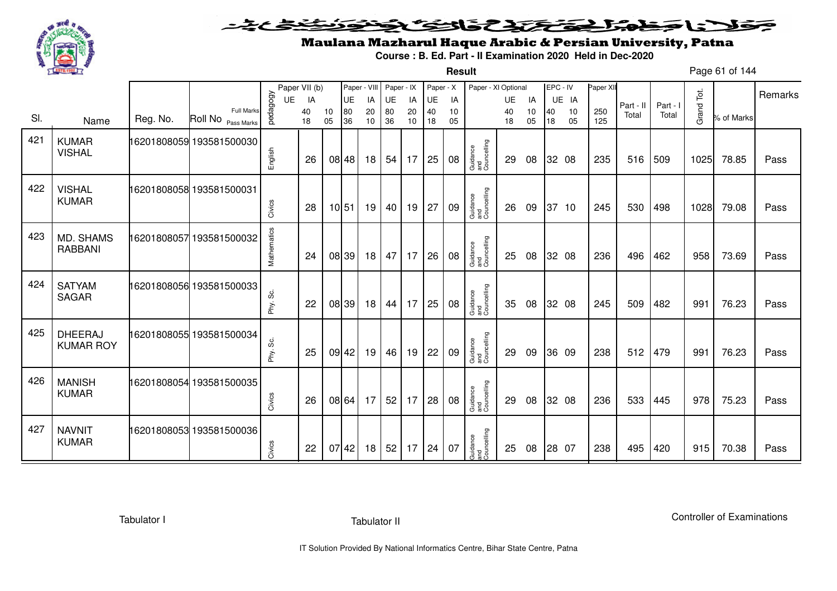

**Result**

# Maulana Mazharul Haque Arabic & Persian University, Patna

**Course : B. Ed. Part - II Examination 2020 Held in Dec-2020**

Page 61 of 144

|     |                                    |          |                                         |             | Paper VII (b) |          | Paper - VIII |          | Paper - IX |          | Paper - X |          | Paper - XI Optional            |          |          | EPC - IV |          | Paper XI   |           |          |            |            |         |
|-----|------------------------------------|----------|-----------------------------------------|-------------|---------------|----------|--------------|----------|------------|----------|-----------|----------|--------------------------------|----------|----------|----------|----------|------------|-----------|----------|------------|------------|---------|
|     |                                    |          |                                         | UE          | IA            |          | UE           | IA       | UE         | IA       | UE        | IA       |                                | UE       | IA       |          | UE IA    |            | Part - II | Part - I |            |            | Remarks |
| SI. | Name                               | Reg. No. | <b>Full Marks</b><br>Roll No Pass Marks | pedagogy    | 40<br>18      | 10<br>05 | 80<br>36     | 20<br>10 | 80<br>36   | 20<br>10 | 40<br>18  | 10<br>05 |                                | 40<br>18 | 10<br>05 | 40<br>18 | 10<br>05 | 250<br>125 | Total     | Total    | Grand Tot. | % of Marks |         |
| 421 | <b>KUMAR</b><br><b>VISHAL</b>      |          | 16201808059 193581500030                | English     | 26            |          | 08 48        | 18       | 54         | 17       | 25        | 08       | Guidance<br>and<br>Councelling | 29       | 08       |          | 32 08    | 235        | 516       | 509      | 1025       | 78.85      | Pass    |
| 422 | <b>VISHAL</b><br><b>KUMAR</b>      |          | 16201808058 193581500031                | Civics      | 28            | 10 51    |              | 19       | 40         | 19       | 27        | 09       | Guidance<br>and<br>Councelling | 26       | 09       |          | 37 10    | 245        | 530       | 498      | 1028       | 79.08      | Pass    |
| 423 | <b>MD. SHAMS</b><br><b>RABBANI</b> |          | 16201808057 193581500032                | Mathematics | 24            |          | 08 39        | 18       | 47         | 17       | 26        | 08       | Guidance<br>and<br>Councelling | 25       | 08       |          | 32 08    | 236        | 496       | 462      | 958        | 73.69      | Pass    |
| 424 | <b>SATYAM</b><br><b>SAGAR</b>      |          | 16201808056 193581500033                | Phy. Sc.    | 22            |          | 08 39        | 18       | 44         | 17       | 25        | 08       | Guidance<br>and<br>Councelling | 35       | 08       |          | 32 08    | 245        | 509       | 482      | 991        | 76.23      | Pass    |
| 425 | <b>DHEERAJ</b><br><b>KUMAR ROY</b> |          | 16201808055 193581500034                | Phy. Sc.    | 25            |          | 09 42        | 19       | 46         | 19       | 22        | 09       | Guidance<br>and<br>Councelling | 29       | 09       |          | 36 09    | 238        | 512       | 479      | 991        | 76.23      | Pass    |
| 426 | <b>MANISH</b><br><b>KUMAR</b>      |          | 16201808054 193581500035                | Civics      | 26            |          | 08 64        | 17       | 52         | 17       | 28        | 08       | Guidance<br>and<br>Councelling | 29       | 08       |          | 32 08    | 236        | 533       | 445      | 978        | 75.23      | Pass    |
| 427 | <b>NAVNIT</b><br><b>KUMAR</b>      |          | 16201808053 193581500036                | Civics      | 22            |          | 07 42        | 18       | 52         | 17       | 24        | 07       | Guidance<br>and<br>Councelling | 25       | 08       |          | 28 07    | 238        | 495       | 420      | 915        | 70.38      | Pass    |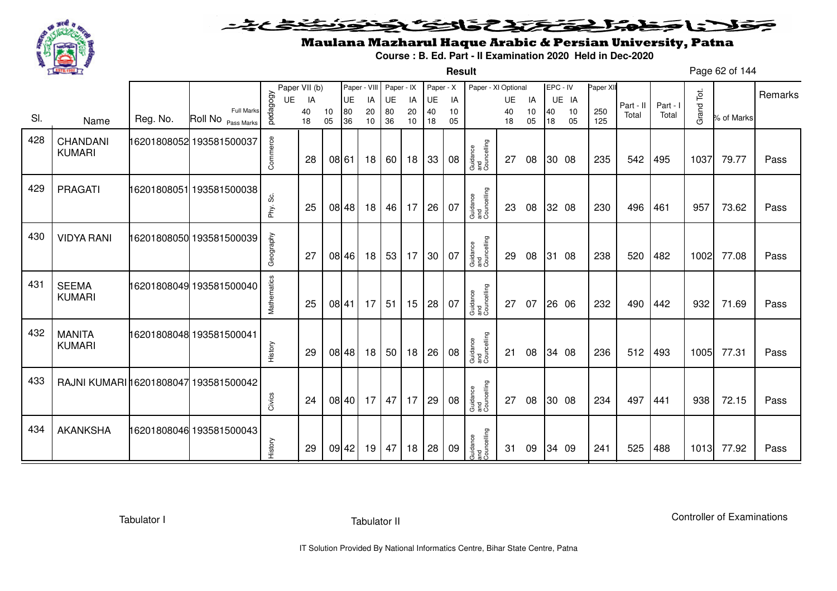

**Result**

# Maulana Mazharul Haque Arabic & Persian University, Patna

**Course : B. Ed. Part - II Examination 2020 Held in Dec-2020**

Page 62 of 144

|     |                                       |          |                          |                | Paper VII (b) |       | Paper - VIII    |          | Paper - IX |          | Paper - X       |          | Paper - XI Optional            |          |          | EPC - IV |             | Paper XII |                    |                   |            |            | Remarks |
|-----|---------------------------------------|----------|--------------------------|----------------|---------------|-------|-----------------|----------|------------|----------|-----------------|----------|--------------------------------|----------|----------|----------|-------------|-----------|--------------------|-------------------|------------|------------|---------|
|     |                                       |          | <b>Full Marks</b>        | pedagogy<br>UE | IA<br>40      | 10    | <b>UE</b><br>80 | IA<br>20 | UE<br>80   | IA<br>20 | <b>UE</b><br>40 | IA<br>10 |                                | UE<br>40 | IA<br>10 | 40       | UE IA<br>10 | 250       | Part - II<br>Total | Part - I<br>Total | Grand Tot. |            |         |
| SI. | Name                                  | Reg. No. | Roll No Pass Marks       |                | 18            | 05    | 36              | 10       | 36         | 10       | 18              | 05       |                                | 18       | 05       | 18       | 05          | 125       |                    |                   |            | % of Marks |         |
| 428 | CHANDANI<br><b>KUMARI</b>             |          | 16201808052 193581500037 | Commerce       | 28            |       | 08 61           | 18       | 60         | 18       | 33              | 08       | Guidance<br>and<br>Councelling | 27       | 08       |          | 30 08       | 235       | 542                | 495               | 1037       | 79.77      | Pass    |
| 429 | PRAGATI                               |          | 16201808051 193581500038 | Phy. Sc.       | 25            |       | 08 48           | 18       | 46         | 17       | 26              | 07       | Guidance<br>and<br>Councelling | 23       | 08       |          | 32 08       | 230       | 496                | 461               | 957        | 73.62      | Pass    |
| 430 | <b>VIDYA RANI</b>                     |          | 16201808050 193581500039 | Geography      | 27            |       | 08 46           | 18       | 53         | 17       | 30              | 07       | Guidance<br>and<br>Councelling | 29       | 08       |          | 31 08       | 238       | 520                | 482               | 1002       | 77.08      | Pass    |
| 431 | <b>SEEMA</b><br><b>KUMARI</b>         |          | 16201808049 193581500040 | Mathematics    | 25            |       | 08 41           | 17       | 51         | 15       | 28              | 07       | Guidance<br>and<br>Councelling | 27       | 07       |          | 26 06       | 232       | 490                | 442               | 932        | 71.69      | Pass    |
| 432 | <b>MANITA</b><br><b>KUMARI</b>        |          | 16201808048 193581500041 | History        | 29            |       | 08 48           | 18       | 50         | 18       | 26              | 08       | Guidance<br>and<br>Councelling | 21       | 08       |          | 34 08       | 236       | 512                | 493               | 1005       | 77.31      | Pass    |
| 433 | RAJNI KUMARI 16201808047 193581500042 |          |                          | Civics         | 24            |       | 08 40           | 17       | 47         | 17       | 29              | 08       | Guidance<br>and<br>Councelling | 27       | 08       |          | 30 08       | 234       | 497                | 441               | 938        | 72.15      | Pass    |
| 434 | <b>AKANKSHA</b>                       |          | 16201808046 193581500043 | History        | 29            | 09 42 |                 | 19       | 47         | 18       | 28              | 09       | Guidance<br>and<br>Councelling | 31       | 09       |          | 34 09       | 241       | 525                | 488               | $1013$     | 77.92      | Pass    |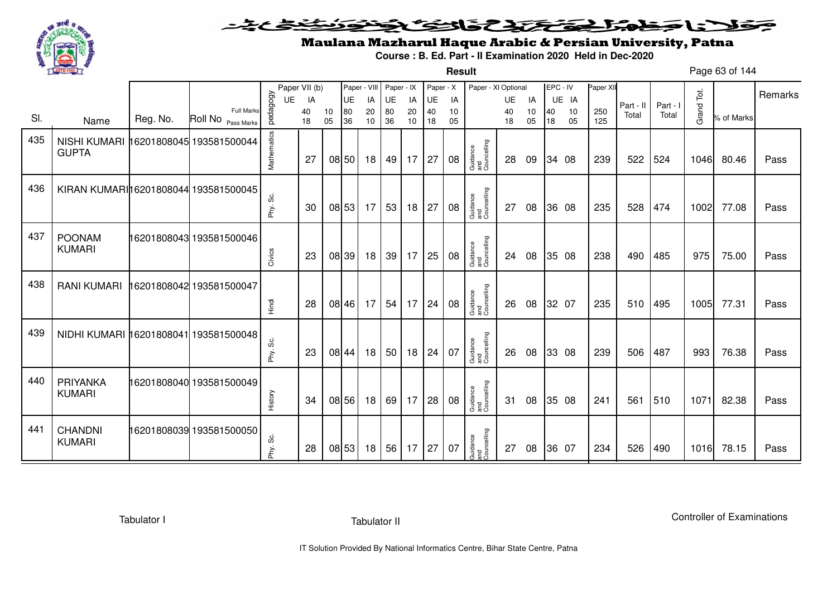

**Result**

# Maulana Mazharul Haque Arabic & Persian University, Patna

**Course : B. Ed. Part - II Examination 2020 Held in Dec-2020**

Page 63 of 144

|     |                                       |          |                                         |             | Paper VII (b) |          |          | Paper - VIII    | Paper - IX |                                   | Paper - X    |          | Paper - XI Optional            |          |          | EPC - IV |          | Paper XII  |           |          |            |            |         |
|-----|---------------------------------------|----------|-----------------------------------------|-------------|---------------|----------|----------|-----------------|------------|-----------------------------------|--------------|----------|--------------------------------|----------|----------|----------|----------|------------|-----------|----------|------------|------------|---------|
|     |                                       |          |                                         | <b>UE</b>   | IA            |          | UE       | IA              | UE         | IA                                | UE           | IA       |                                | UE       | IA       |          | UE IA    |            | Part - II | Part - I |            |            | Remarks |
| SI. | Name                                  | Reg. No. | <b>Full Marks</b><br>Roll No Pass Marks | pedagogy    | 40<br>18      | 10<br>05 | 80<br>36 | 20<br>10        | 80<br>36   | 20<br>10                          | 40<br>18     | 10<br>05 |                                | 40<br>18 | 10<br>05 | 40<br>18 | 10<br>05 | 250<br>125 | Total     | Total    | Grand Tot. | % of Marks |         |
|     |                                       |          |                                         |             |               |          |          |                 |            |                                   |              |          |                                |          |          |          |          |            |           |          |            |            |         |
| 435 | NISHI KUMARI 16201808045 193581500044 |          |                                         | Mathematics |               |          |          |                 |            |                                   |              |          |                                |          |          |          |          |            |           |          |            |            |         |
|     | <b>GUPTA</b>                          |          |                                         |             | 27            |          | 08 50    | 18              | 49         | $17 \mid 27$                      |              | 08       |                                | 28       | 09       |          | 34 08    | 239        | 522       | 524      | 1046       | 80.46      | Pass    |
|     |                                       |          |                                         |             |               |          |          |                 |            |                                   |              |          | Guidance<br>and<br>Councelling |          |          |          |          |            |           |          |            |            |         |
| 436 |                                       |          |                                         |             |               |          |          |                 |            |                                   |              |          |                                |          |          |          |          |            |           |          |            |            |         |
|     | KIRAN KUMARI 16201808044 193581500045 |          |                                         |             |               |          |          |                 |            |                                   |              |          |                                |          |          |          |          |            |           |          |            |            |         |
|     |                                       |          |                                         | Phy. Sc.    | 30            |          | 08 53    | 17              | 53         | 18                                | 27           | 08       | Guidance<br>and<br>Councelling | 27       | 08       |          | 36 08    | 235        | 528       | 474      | 1002       | 77.08      | Pass    |
|     |                                       |          |                                         |             |               |          |          |                 |            |                                   |              |          |                                |          |          |          |          |            |           |          |            |            |         |
| 437 | <b>POONAM</b>                         |          | 16201808043 193581500046                |             |               |          |          |                 |            |                                   |              |          |                                |          |          |          |          |            |           |          |            |            |         |
|     | <b>KUMARI</b>                         |          |                                         | Civics      | 23            |          | 08 39    | 18 <sup>1</sup> | 39         | $17 \mid 25$                      |              | 08       | Guidance<br>and<br>Councelling | 24       | 08       |          | 35 08    | 238        | 490       | 485      | 975        | 75.00      | Pass    |
|     |                                       |          |                                         |             |               |          |          |                 |            |                                   |              |          |                                |          |          |          |          |            |           |          |            |            |         |
| 438 | <b>RANI KUMARI</b>                    |          | 16201808042 193581500047                |             |               |          |          |                 |            |                                   |              |          |                                |          |          |          |          |            |           |          |            |            |         |
|     |                                       |          |                                         |             |               |          |          |                 |            |                                   |              |          |                                |          |          |          |          |            |           |          |            |            |         |
|     |                                       |          |                                         | Hindi       | 28            |          | 08 46    | 17              | 54         |                                   | $17 \mid 24$ | 08       | Guidance<br>and<br>Councelling | 26       | 08       |          | 32 07    | 235        | 510       | 495      | 1005       | 77.31      | Pass    |
|     |                                       |          |                                         |             |               |          |          |                 |            |                                   |              |          |                                |          |          |          |          |            |           |          |            |            |         |
| 439 | NIDHI KUMARI 16201808041 193581500048 |          |                                         |             |               |          |          |                 |            |                                   |              |          |                                |          |          |          |          |            |           |          |            |            |         |
|     |                                       |          |                                         | Phy. Sc.    | 23            |          | 08 44    | 18              | 50         |                                   | $18$ 24      | 07       | Guidance<br>and<br>Councelling | 26       | 08       |          | 33 08    | 239        | 506       | 487      | 993        | 76.38      | Pass    |
|     |                                       |          |                                         |             |               |          |          |                 |            |                                   |              |          |                                |          |          |          |          |            |           |          |            |            |         |
| 440 | <b>PRIYANKA</b>                       |          | 16201808040 193581500049                |             |               |          |          |                 |            |                                   |              |          |                                |          |          |          |          |            |           |          |            |            |         |
|     | <b>KUMARI</b>                         |          |                                         |             |               |          |          |                 |            |                                   |              |          |                                |          |          |          |          |            |           |          |            |            |         |
|     |                                       |          |                                         | History     | 34            |          | 08 56    | 18              | 69         | $17 \overline{\smash{\big)}\ 28}$ |              | 08       | Guidance<br>and<br>Councelling | 31       | 08       |          | 35 08    | 241        | 561       | 510      | 1071       | 82.38      | Pass    |
|     |                                       |          |                                         |             |               |          |          |                 |            |                                   |              |          |                                |          |          |          |          |            |           |          |            |            |         |
| 441 | <b>CHANDNI</b>                        |          | 16201808039 193581500050                |             |               |          |          |                 |            |                                   |              |          |                                |          |          |          |          |            |           |          |            |            |         |
|     | <b>KUMARI</b>                         |          |                                         | ပ္လ<br>Phy. | 28            |          | 08 53    | 18              | 56         | $17 \mid 27$                      |              | 07       | Guidance<br>and<br>Councelling | 27       | 08       |          | 36 07    | 234        | 526       | 490      | 1016       | 78.15      | Pass    |
|     |                                       |          |                                         |             |               |          |          |                 |            |                                   |              |          |                                |          |          |          |          |            |           |          |            |            |         |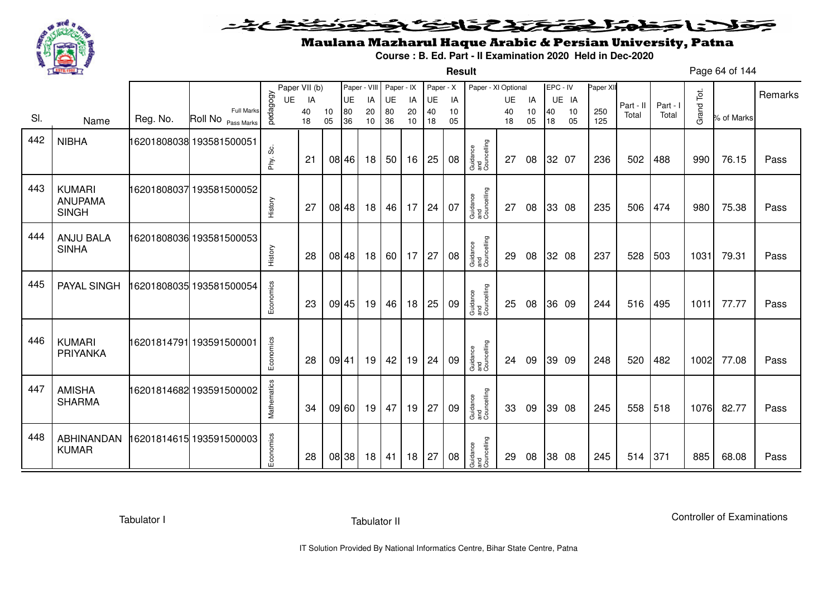

#### <u>یٹی ٹ</u>ے فلانا وخدا يقتحنك فالتف ونونوذ ∍

**Result**

# Maulana Mazharul Haque Arabic & Persian University, Patna

**Course : B. Ed. Part - II Examination 2020 Held in Dec-2020**

Page 64 of 144

|     |                                                 |          |                                         |               | Paper VII (b) |          | Paper - VIII |                 | Paper - IX |          | Paper - X |          | Paper - XI Optional            |          |          | EPC - IV |          | Paper XII  |           |          |            |            |         |
|-----|-------------------------------------------------|----------|-----------------------------------------|---------------|---------------|----------|--------------|-----------------|------------|----------|-----------|----------|--------------------------------|----------|----------|----------|----------|------------|-----------|----------|------------|------------|---------|
|     |                                                 |          |                                         | <b>UE</b>     | IA            |          | UE           | IA              | UE         | IA       | UE        | IA       |                                | UE       | IA       |          | UE IA    |            | Part - II | Part - I |            |            | Remarks |
| SI. | Name                                            | Reg. No. | <b>Full Marks</b><br>Roll No Pass Marks | pedagogy      | 40<br>18      | 10<br>05 | 80<br>36     | 20<br>10        | 80<br>36   | 20<br>10 | 40<br>18  | 10<br>05 |                                | 40<br>18 | 10<br>05 | 40<br>18 | 10<br>05 | 250<br>125 | Total     | Total    | Grand Tot. | % of Marks |         |
| 442 | <b>NIBHA</b>                                    |          | 16201808038 193581500051                | ပ္တဲ<br>Phy.  | 21            |          | 08 46        | 18              | 50         | 16       | 25        | 08       | Guidance<br>and<br>Councelling | 27       | 08       |          | 32 07    | 236        | 502       | 488      | 990        | 76.15      | Pass    |
| 443 | <b>KUMARI</b><br><b>ANUPAMA</b><br><b>SINGH</b> |          | 16201808037 193581500052                | History       | 27            |          | 08 48        | 18              | 46         | 17       | 24        | 07       | Guidance<br>and<br>Councelling | 27       | 08       |          | 33 08    | 235        | 506       | 474      | 980        | 75.38      | Pass    |
| 444 | <b>ANJU BALA</b><br><b>SINHA</b>                |          | 16201808036 193581500053                | History       | 28            |          | 08 48        | 18              | 60         | 17       | 27        | 08       | Guidance<br>and<br>Councelling | 29       | 08       |          | 32 08    | 237        | 528       | 503      | 1031       | 79.31      | Pass    |
| 445 | PAYAL SINGH                                     |          | 16201808035 193581500054                | Economics     | 23            |          | 09 45        | 19              | 46         | 18       | 25        | 09       | Guidance<br>and<br>Councelling | 25       | 08       |          | 36 09    | 244        | 516       | 495      | 1011       | 77.77      | Pass    |
| 446 | <b>KUMARI</b><br>PRIYANKA                       |          | 16201814791 193591500001                | Economics     | 28            | 09 41    |              | 19              | 42         | 19       | 24        | 09       | Guidance<br>and<br>Councelling | 24       | 09       |          | 39 09    | 248        | 520       | 482      | 1002       | 77.08      | Pass    |
| 447 | <b>AMISHA</b><br><b>SHARMA</b>                  |          | 16201814682 193591500002                | Mathematics   | 34            |          | 09 60        | 19 <sup>1</sup> | 47         | 19       | 27        | 09       | Guidance<br>and<br>Councelling | 33       | 09       |          | 39 08    | 245        | 558       | 518      | 1076       | 82.77      | Pass    |
| 448 | ABHINANDAN<br><b>KUMAR</b>                      |          | 6201814615 193591500003                 | conomics<br>ш | 28            |          | 08 38        | 18              | 41         | 18       | 27        | 08       | Guidance<br>and<br>Councelling | 29       | 08       |          | 38 08    | 245        | 514       | 371      | 885        | 68.08      | Pass    |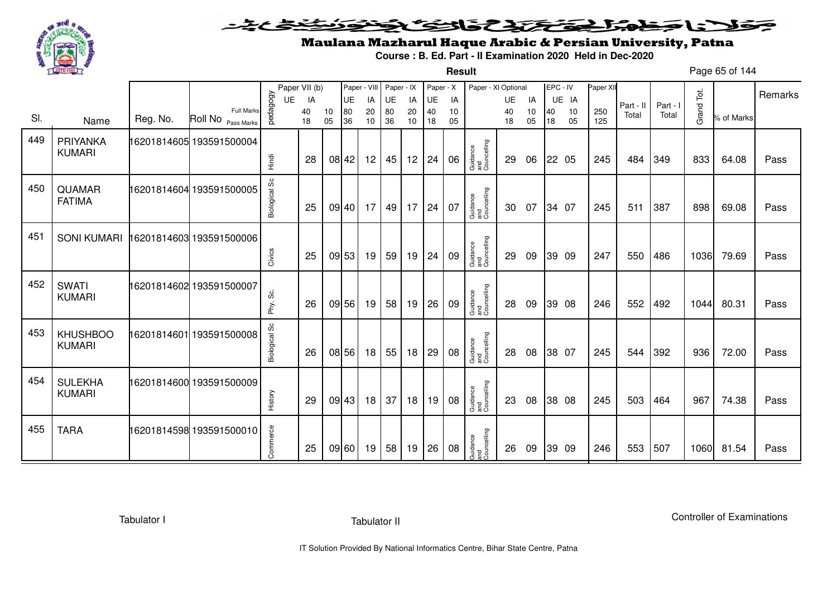

**Result**

# Maulana Mazharul Haque Arabic & Persian University, Patna

**Course : B. Ed. Part - II Examination 2020 Held in Dec-2020**

Page 65 of 144

|     |                                  |          |                                         |                      | Paper VII (b) |          | Paper - VIII |          | Paper - IX |          | Paper - X |          | Paper - XI Optional            |          |          | EPC - IV |          | Paper XII  |           |          |            |            |         |
|-----|----------------------------------|----------|-----------------------------------------|----------------------|---------------|----------|--------------|----------|------------|----------|-----------|----------|--------------------------------|----------|----------|----------|----------|------------|-----------|----------|------------|------------|---------|
|     |                                  |          |                                         | UE                   | IA            |          | UE           | IA       | UE         | IA       | UE        | IA       |                                | UE       | IA       |          | UE IA    |            | Part - II | Part - I |            |            | Remarks |
| SI. | Name                             | Reg. No. | <b>Full Marks</b><br>Roll No Pass Marks | vedagogy             | 40<br>18      | 10<br>05 | 80<br>36     | 20<br>10 | 80<br>36   | 20<br>10 | 40<br>18  | 10<br>05 |                                | 40<br>18 | 10<br>05 | 40<br>18 | 10<br>05 | 250<br>125 | Total     | Total    | Grand Tot. | % of Marks |         |
| 449 | PRIYANKA<br><b>KUMARI</b>        |          | 16201814605 193591500004                | Hindi                | 28            |          | 08 42        | 12       | 45         | 12       | 24        | 06       | Guidance<br>and<br>Councelling | 29       | 06       |          | 22 05    | 245        | 484       | 349      | 833        | 64.08      | Pass    |
|     |                                  |          |                                         |                      |               |          |              |          |            |          |           |          |                                |          |          |          |          |            |           |          |            |            |         |
| 450 | <b>QUAMAR</b><br><b>FATIMA</b>   |          | 16201814604 193591500005                | Biological Sc        | 25            |          | 09 40        | 17       | 49         | 17       | 24        | 07       | Guidance<br>and<br>Councelling | 30       | 07       |          | 34 07    | 245        | 511       | 387      | 898        | 69.08      | Pass    |
| 451 | <b>SONI KUMARI</b>               |          | 16201814603 193591500006                | Civics               | 25            |          | 09 53        | 19       | 59         | 19       | 24        | 09       | Guidance<br>and<br>Councelling | 29       | 09       |          | 39 09    | 247        | 550       | 486      | 1036       | 79.69      | Pass    |
| 452 | <b>SWATI</b><br><b>KUMARI</b>    |          | 16201814602 193591500007                | Phy. Sc.             | 26            |          | 09 56        | 19       | 58         | 19       | 26        | 09       | Guidance<br>and<br>Councelling | 28       | 09       |          | 39 08    | 246        | 552       | 492      | 1044       | 80.31      | Pass    |
| 453 | <b>KHUSHBOO</b><br><b>KUMARI</b> |          | 16201814601 193591500008                | <b>Biological Sc</b> | 26            |          | 08 56        | 18       | 55         | 18       | 29        | 08       | Guidance<br>and<br>Councelling | 28       | 08       |          | 38 07    | 245        | 544       | 392      | 936        | 72.00      | Pass    |
| 454 | <b>SULEKHA</b><br><b>KUMARI</b>  |          | 16201814600 193591500009                | History              | 29            |          | 09 43        | 18       | 37         | 18       | 19        | 08       | Guidance<br>and<br>Councelling | 23       | 08       |          | 38 08    | 245        | 503       | 464      | 967        | 74.38      | Pass    |
| 455 | <b>TARA</b>                      |          | 16201814598 193591500010                | Commerce             | 25            |          | 09 60        | 19       | 58         | 19       | 26        | 08       | Guidance<br>and<br>Councelling | 26       | 09       |          | 39 09    | 246        | 553       | 507      | 1060       | 81.54      | Pass    |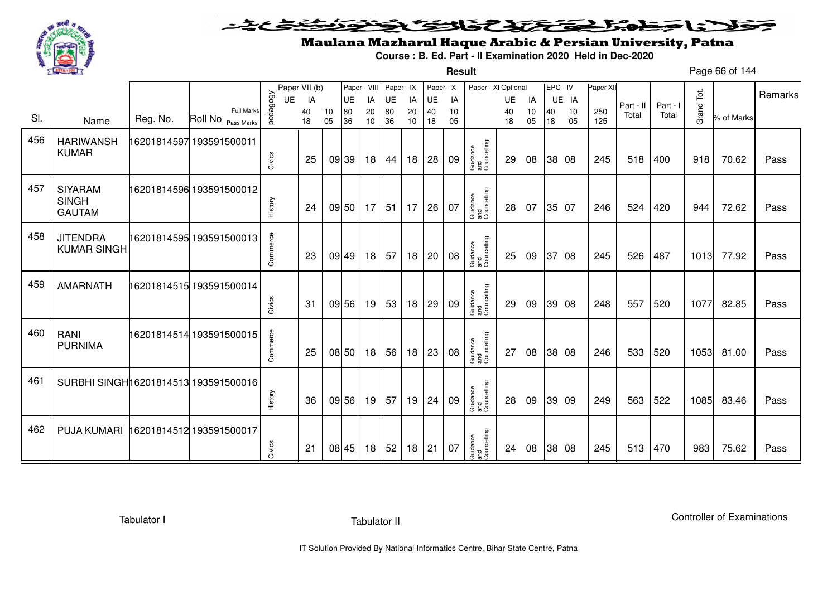

#### こさとき فتختخذ فخافى فخذ كلانا جنادبل ╺

**Result**

# Maulana Mazharul Haque Arabic & Persian University, Patna

**Course : B. Ed. Part - II Examination 2020 Held in Dec-2020**

Page 66 of 144

|     |                                       |          |                                         |          | Paper VII (b) |    | Paper - VIII |    | Paper - IX |    | Paper - X |    | Paper - XI Optional            |    |    |    | EPC - IV | Paper XII |           |          |            |            |         |
|-----|---------------------------------------|----------|-----------------------------------------|----------|---------------|----|--------------|----|------------|----|-----------|----|--------------------------------|----|----|----|----------|-----------|-----------|----------|------------|------------|---------|
|     |                                       |          |                                         | UE       | IA            |    | <b>UE</b>    | IA | UE         | IA | UE        | IA |                                | UE | IA |    | UE IA    |           | Part - II | Part - I |            |            | Remarks |
| SI. |                                       | Reg. No. | <b>Full Marks</b><br>Roll No Pass Marks | pedagogy | 40            | 10 | 80           | 20 | 80         | 20 | 40        | 10 |                                | 40 | 10 | 40 | 10       | 250       | Total     | Total    | Grand Tot. | % of Marks |         |
|     | Name                                  |          |                                         |          | 18            | 05 | 36           | 10 | 36         | 10 | 18        | 05 |                                | 18 | 05 | 18 | 05       | 125       |           |          |            |            |         |
| 456 | <b>HARIWANSH</b>                      |          | 16201814597 193591500011                |          |               |    |              |    |            |    |           |    |                                |    |    |    |          |           |           |          |            |            |         |
|     | <b>KUMAR</b>                          |          |                                         |          |               |    |              |    |            |    |           |    |                                |    |    |    |          |           |           |          |            |            |         |
|     |                                       |          |                                         | Civics   | 25            |    | 09 39        | 18 | 44         | 18 | 28        | 09 | Guidance<br>and<br>Councelling | 29 | 08 |    | 38 08    | 245       | 518       | 400      | 918        | 70.62      | Pass    |
| 457 | <b>SIYARAM</b>                        |          | 16201814596 193591500012                |          |               |    |              |    |            |    |           |    |                                |    |    |    |          |           |           |          |            |            |         |
|     | <b>SINGH</b>                          |          |                                         |          |               |    |              |    |            |    |           |    |                                |    |    |    |          |           |           |          |            |            |         |
|     | <b>GAUTAM</b>                         |          |                                         | History  | 24            |    | 09 50        | 17 | 51         | 17 | 26        | 07 | Guidance<br>and<br>Councelling | 28 | 07 |    | 35 07    | 246       | 524       | 420      | 944        | 72.62      | Pass    |
|     |                                       |          |                                         |          |               |    |              |    |            |    |           |    |                                |    |    |    |          |           |           |          |            |            |         |
| 458 | <b>JITENDRA</b>                       |          | 16201814595 193591500013                | Commerce |               |    |              |    |            |    |           |    |                                |    |    |    |          |           |           |          |            |            |         |
|     | <b>KUMAR SINGH</b>                    |          |                                         |          | 23            |    | 09 49        | 18 | 57         | 18 | 20        | 08 | Guidance<br>and<br>Councelling | 25 | 09 |    | 37 08    | 245       | 526       | 487      | 1013       | 77.92      | Pass    |
|     |                                       |          |                                         |          |               |    |              |    |            |    |           |    |                                |    |    |    |          |           |           |          |            |            |         |
| 459 | <b>AMARNATH</b>                       |          | 16201814515 193591500014                |          |               |    |              |    |            |    |           |    |                                |    |    |    |          |           |           |          |            |            |         |
|     |                                       |          |                                         |          |               |    |              |    |            |    |           |    |                                |    |    |    |          |           |           |          |            |            |         |
|     |                                       |          |                                         | Civics   | 31            |    | 09 56        | 19 | 53         | 18 | 29        | 09 | Guidance<br>and<br>Councelling | 29 | 09 |    | 39 08    | 248       | 557       | 520      | 1077       | 82.85      | Pass    |
|     |                                       |          |                                         |          |               |    |              |    |            |    |           |    |                                |    |    |    |          |           |           |          |            |            |         |
| 460 | RANI<br><b>PURNIMA</b>                |          | 16201814514 193591500015                |          |               |    |              |    |            |    |           |    |                                |    |    |    |          |           |           |          |            |            |         |
|     |                                       |          |                                         | Commerce | 25            |    | 08 50        | 18 | 56         | 18 | 23        | 08 | Guidance<br>and<br>Councelling | 27 | 08 |    | 38 08    | 246       | 533       | 520      | 1053       | 81.00      | Pass    |
|     |                                       |          |                                         |          |               |    |              |    |            |    |           |    |                                |    |    |    |          |           |           |          |            |            |         |
| 461 | SURBHI SINGHI 6201814513 193591500016 |          |                                         |          |               |    |              |    |            |    |           |    |                                |    |    |    |          |           |           |          |            |            |         |
|     |                                       |          |                                         |          |               |    |              |    |            |    |           |    |                                |    |    |    |          |           |           |          |            |            |         |
|     |                                       |          |                                         | History  | 36            |    | 09 56        | 19 | 57         | 19 | 24        | 09 | Guidance<br>and<br>Councelling | 28 | 09 |    | 39 09    | 249       | 563       | 522      | 1085       | 83.46      | Pass    |
| 462 | <b>PUJA KUMARI</b>                    |          | 16201814512 193591500017                |          |               |    |              |    |            |    |           |    |                                |    |    |    |          |           |           |          |            |            |         |
|     |                                       |          |                                         |          |               |    |              |    |            |    |           |    |                                |    |    |    |          |           |           |          |            |            |         |
|     |                                       |          |                                         | Civics   | 21            |    | 08 45        | 18 | 52         | 18 | 21        | 07 | Guidance<br>and<br>Councelling | 24 | 08 |    | 38 08    | 245       | 513       | 470      | 983        | 75.62      | Pass    |
|     |                                       |          |                                         |          |               |    |              |    |            |    |           |    |                                |    |    |    |          |           |           |          |            |            |         |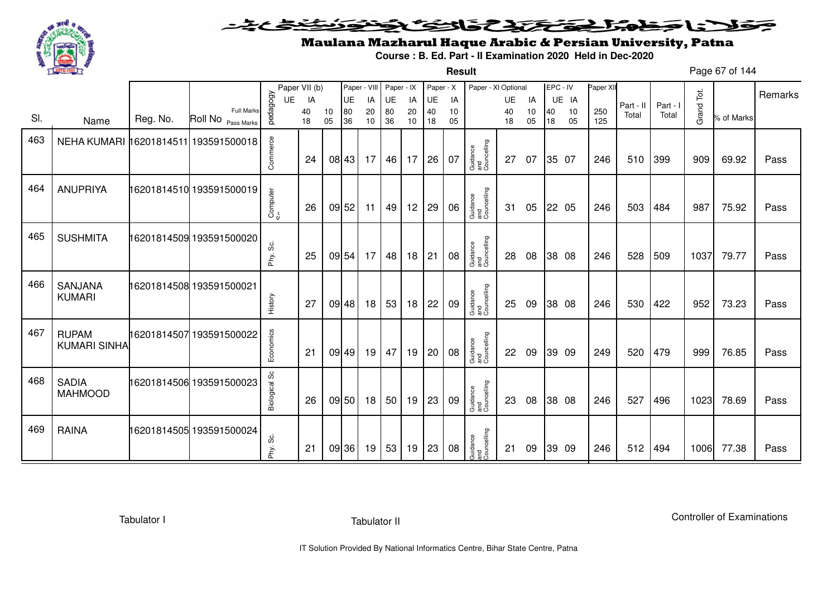

SI. Name Reg. No.

Full MarksPass Marks

Paper VII (b)<br>  $\begin{array}{c}\n 0.0000 \\
0.00000 \\
40 \\
0.0000 \\
0.000\n \end{array}$ 

#### 202022222  $\geq$

### Maulana Mazharul Haque Arabic & Persian University, Patna

**Course : B. Ed. Part - II Examination 2020 Held in Dec-2020**

Page 67 of 144**Result**EPC - IV UE IA Paper XIIUE IA  $\begin{bmatrix} 10 & 10 & 10 \\ 250 & 250 \\ 18 & 05 & 125 \end{bmatrix}$  Part - II Part - I  $\begin{bmatrix} 5 \\ 2 \\ 2 \\ 10 \end{bmatrix}$   $\begin{bmatrix} 2 \\ 2 \\ 2 \end{bmatrix}$  Part - I  $\begin{bmatrix} 2 \\ 2 \\ 1 \end{bmatrix}$   $\begin{bmatrix} 2 \\ 2 \\ 2 \end{bmatrix}$   $\begin{bmatrix} 2 \\ 2 \end{bmatrix}$  Remarks Paper VII (b)  $\begin{bmatrix} \text{Paper } \setminus \text{VII} & \text{Paper } \cdot \text{VII} \\ \text{UE} & \text{IA} & \text{UE} & \text{IA} \\ 40 & 10 & 80 & 20 \\ 18 & 05 & 36 & 10 \end{bmatrix} \begin{bmatrix} \text{Paper } \cdot \text{X} & \text{Paper } \cdot \text{X} \\ \text{UE} & \text{IA} & \text{UE} & \text{IA} \\ 40 & 10 & 40 & 10 \\ 18 & 05 & 18 & 05 \end{bmatrix} \begin{bmatrix} \text{PerC - IV} & \text$ 69.92Guidance and  $\begin{array}{|c|c|c|c|c|}\hline \begin{array}{c} \mathbb{S}^2 & \mathbb{S}^2 \end{array} & \begin{array}{c} \mathbb{S}^2 & \mathbb{S}^2 \end{array} & \begin{array}{c} \mathbb{S}^2 & \mathbb{S}^2 \end{array} & \begin{array}{c} \mathbb{S}^2 & \mathbb{S}^2 \end{array} & \begin{array}{c} \mathbb{S}^2 & \mathbb{S}^2 \end{array} & \begin{array}{c} \mathbb{S}^2 & \mathbb{S}^2 \end{array} & \begin{array}{c} \mathbb{S}^2 & \mathbb{S$ 

| 463 | NEHA KUMARI 16201814511 193591500018 |                          | Commerce      | 24 | 08 43 | 17 | 46 | 17 | 26 | 07 | Guidance<br>and<br>Councelling | 27 | 07 | 35 07 | 246 | 510 | 399 | 909  | 69.92 | Pass |
|-----|--------------------------------------|--------------------------|---------------|----|-------|----|----|----|----|----|--------------------------------|----|----|-------|-----|-----|-----|------|-------|------|
| 464 | <b>ANUPRIYA</b>                      | 16201814510 193591500019 | Computer      | 26 | 09 52 | 11 | 49 | 12 | 29 | 06 | Guidance<br>and<br>Councelling | 31 | 05 | 22 05 | 246 | 503 | 484 | 987  | 75.92 | Pass |
| 465 | <b>SUSHMITA</b>                      | 16201814509 193591500020 | Phy. Sc.      | 25 | 09 54 | 17 | 48 | 18 | 21 | 08 | Guidance<br>and<br>Councelling | 28 | 08 | 38 08 | 246 | 528 | 509 | 1037 | 79.77 | Pass |
| 466 | SANJANA<br><b>KUMARI</b>             | 16201814508 193591500021 | History       | 27 | 09 48 | 18 | 53 | 18 | 22 | 09 | Guidance<br>and<br>Councelling | 25 | 09 | 38 08 | 246 | 530 | 422 | 952  | 73.23 | Pass |
| 467 | <b>RUPAM</b><br><b>KUMARI SINHA</b>  | 16201814507 193591500022 | Economics     | 21 | 09 49 | 19 | 47 | 19 | 20 | 08 | Guidance<br>and<br>Councelling | 22 | 09 | 39 09 | 249 | 520 | 479 | 999  | 76.85 | Pass |
| 468 | <b>SADIA</b><br><b>MAHMOOD</b>       | 16201814506 193591500023 | Biological Sc | 26 | 09 50 | 18 | 50 | 19 | 23 | 09 | Guidance<br>and<br>Councelling | 23 | 08 | 38 08 | 246 | 527 | 496 | 1023 | 78.69 | Pass |
| 469 | <b>RAINA</b>                         | 16201814505 193591500024 | ပ္လိ<br>Phy.  | 21 | 09 36 | 19 | 53 | 19 | 23 | 08 | Guidance<br>and<br>Councelling | 21 | 09 | 39 09 | 246 | 512 | 494 | 1006 | 77.38 | Pass |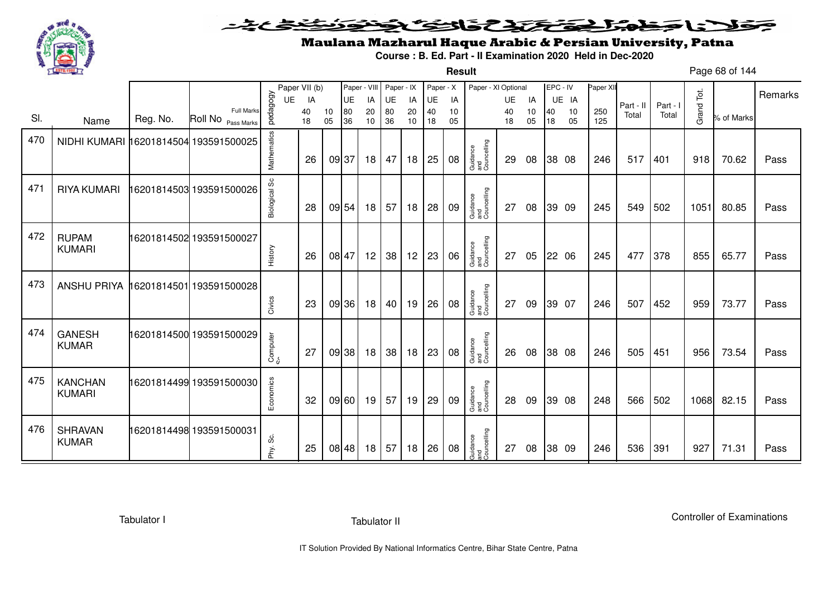

#### こさとき فتختخذ فخافى فخذ كلانا جنادبل ╺

**Result**

# Maulana Mazharul Haque Arabic & Persian University, Patna

**Course : B. Ed. Part - II Examination 2020 Held in Dec-2020**

Page 68 of 144

|     |                                       |          |                                         |               | Paper VII (b) |          | Paper - VIII |                 | Paper - IX |          | Paper - X    |          | Paper - XI Optional            |          |          | EPC - IV |          | Paper XII  |           |          |            |            | Remarks |
|-----|---------------------------------------|----------|-----------------------------------------|---------------|---------------|----------|--------------|-----------------|------------|----------|--------------|----------|--------------------------------|----------|----------|----------|----------|------------|-----------|----------|------------|------------|---------|
|     |                                       |          |                                         | UE            | IA            |          | UE           | IA              | <b>UE</b>  | IA       | UE           | IA       |                                | UE       | IA       |          | UE IA    |            | Part - II | Part - I |            |            |         |
| SI. | Name                                  | Reg. No. | <b>Full Marks</b><br>Roll No Pass Marks | pedagogy      | 40<br>18      | 10<br>05 | 80<br>36     | 20<br>10        | 80<br>36   | 20<br>10 | 40<br>18     | 10<br>05 |                                | 40<br>18 | 10<br>05 | 40<br>18 | 10<br>05 | 250<br>125 | Total     | Total    | Grand Tot. | % of Marks |         |
| 470 | NIDHI KUMARI 16201814504 193591500025 |          |                                         | Mathematics   | 26            | 09 37    |              | 18 <sup>1</sup> | 47         | 18       | 25           | 08       | Guidance<br>and<br>Councelling | 29       | 08       |          | 38 08    | 246        | 517       | 401      | 918        | 70.62      | Pass    |
| 471 | <b>RIYA KUMARI</b>                    |          | 16201814503 193591500026                | Biological Sc | 28            |          | 09 54        | 18              | 57         | 18       | 28           | 09       | Guidance<br>and<br>Councelling | 27       | 08       |          | 39 09    | 245        | 549       | 502      | 1051       | 80.85      | Pass    |
| 472 | <b>RUPAM</b><br><b>KUMARI</b>         |          | 16201814502 193591500027                | History       | 26            | 08 47    |              | 12              | 38         | 12       | 23           | 06       | Guidance<br>and<br>Councelling | 27       | 05       |          | 22 06    | 245        | 477       | 378      | 855        | 65.77      | Pass    |
| 473 | <b>ANSHU PRIYA</b>                    |          | 16201814501 193591500028                | Civics        | 23            |          | 09 36        | 18 <sup>1</sup> | 40         | 19       | 26           | 08       | Guidance<br>and<br>Councelling | 27       | 09       |          | 39 07    | 246        | 507       | 452      | 959        | 73.77      | Pass    |
| 474 | <b>GANESH</b><br><b>KUMAR</b>         |          | 16201814500 193591500029                | Computer      | 27            |          | 09 38        | 18              | 38         | 18       | 23           | 08       | Guidance<br>and<br>Councelling | 26       | 08       |          | 38 08    | 246        | 505       | 451      | 956        | 73.54      | Pass    |
| 475 | <b>KANCHAN</b><br><b>KUMARI</b>       |          | 16201814499 193591500030                | Economics     | 32            |          | 09 60        | 19              | 57         | 19       | $ 29\rangle$ | 09       | Guidance<br>and<br>Councelling | 28       | 09       |          | 39 08    | 248        | 566       | 502      | 1068       | 82.15      | Pass    |
| 476 | <b>SHRAVAN</b><br><b>KUMAR</b>        |          | 16201814498 193591500031                | ပ္လ<br>Phy.   | 25            |          | 08 48        | 18 <sup>1</sup> | 57         | 18       | 26           | 08       | Guidance<br>and<br>Councelling | 27       | 08       |          | 38 09    | 246        | 536       | 391      | 927        | 71.31      | Pass    |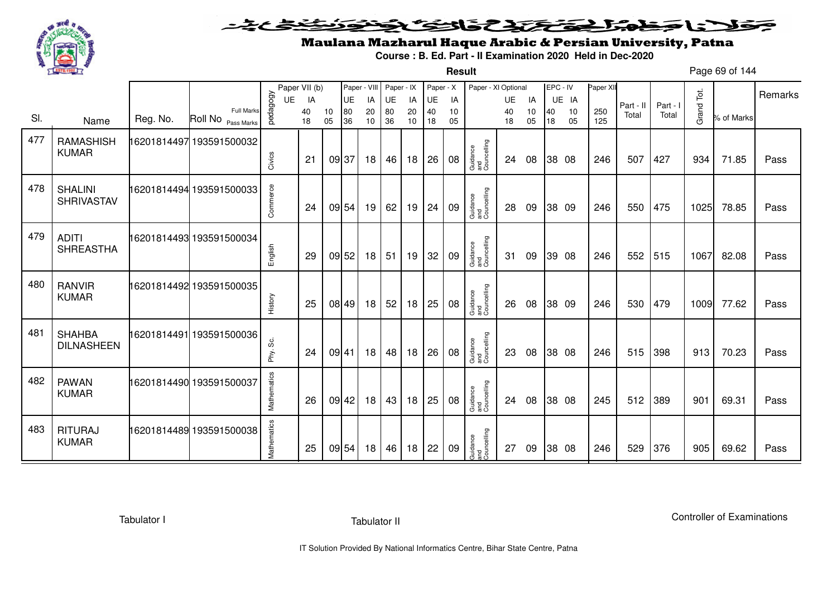

**Result**

# Maulana Mazharul Haque Arabic & Persian University, Patna

**Course : B. Ed. Part - II Examination 2020 Held in Dec-2020**

Page 69 of 144

|     |                                     |          |                                         |             | Paper VII (b) |          | Paper - VIII |          | Paper - IX |          | Paper - X |          | Paper - XI Optional            |          |          | EPC - IV |          | Paper XII  |           |          |            |            |         |
|-----|-------------------------------------|----------|-----------------------------------------|-------------|---------------|----------|--------------|----------|------------|----------|-----------|----------|--------------------------------|----------|----------|----------|----------|------------|-----------|----------|------------|------------|---------|
|     |                                     |          |                                         | UE          | IA            |          | UE           | IA       | UE         | IA       | UE        | IA       |                                | UE       | IA       |          | UE IA    |            | Part - II | Part - I |            |            | Remarks |
| SI. | Name                                | Reg. No. | <b>Full Marks</b><br>Roll No Pass Marks | pedagogy    | 40<br>18      | 10<br>05 | 80<br>36     | 20<br>10 | 80<br>36   | 20<br>10 | 40<br>18  | 10<br>05 |                                | 40<br>18 | 10<br>05 | 40<br>18 | 10<br>05 | 250<br>125 | Total     | Total    | Grand Tot. | % of Marks |         |
| 477 | <b>RAMASHISH</b><br><b>KUMAR</b>    |          | 16201814497 193591500032                | Civics      | 21            |          | 09 37        | 18       | 46         | 18       | 26        | 08       | Guidance<br>and<br>Councelling | 24       | 08       |          | 38 08    | 246        | 507       | 427      | 934        | 71.85      | Pass    |
| 478 | <b>SHALINI</b><br><b>SHRIVASTAV</b> |          | 16201814494 193591500033                | Commerce    | 24            |          | 09 54        | 19       | 62         | 19       | 24        | 09       | Guidance<br>and<br>Councelling | 28       | 09       |          | 38 09    | 246        | 550       | 475      | 1025       | 78.85      | Pass    |
| 479 | <b>ADITI</b><br><b>SHREASTHA</b>    |          | 16201814493 193591500034                | English     | 29            |          | 09 52        | 18       | 51         | 19       | 32        | 09       | Guidance<br>and<br>Councelling | 31       | 09       |          | 39 08    | 246        | 552       | 515      | 1067       | 82.08      | Pass    |
| 480 | <b>RANVIR</b><br><b>KUMAR</b>       |          | 16201814492 193591500035                | History     | 25            |          | 08 49        | 18       | 52         | 18       | 25        | 08       | Guidance<br>and<br>Councelling | 26       | 08       |          | 38 09    | 246        | 530       | 479      | 1009       | 77.62      | Pass    |
| 481 | <b>SHAHBA</b><br><b>DILNASHEEN</b>  |          | 16201814491193591500036                 | Phy. Sc.    | 24            |          | 09 41        | 18       | 48         | 18       | 26        | 08       | Guidance<br>and<br>Councelling | 23       | 08       |          | 38 08    | 246        | 515       | 398      | 913        | 70.23      | Pass    |
| 482 | <b>PAWAN</b><br><b>KUMAR</b>        |          | 16201814490 193591500037                | Mathematics | 26            |          | 09 42        | 18       | 43         | 18       | 25        | 08       | Guidance<br>and<br>Councelling | 24       | 08       |          | 38 08    | 245        | 512       | 389      | 901        | 69.31      | Pass    |
| 483 | <b>RITURAJ</b><br><b>KUMAR</b>      |          | 16201814489 193591500038                | Mathematics | 25            |          | 09 54        | 18       | 46         | 18       | 22        | 09       | Guidance<br>and<br>Councelling | 27       | 09       |          | 38 08    | 246        | 529       | 376      | 905        | 69.62      | Pass    |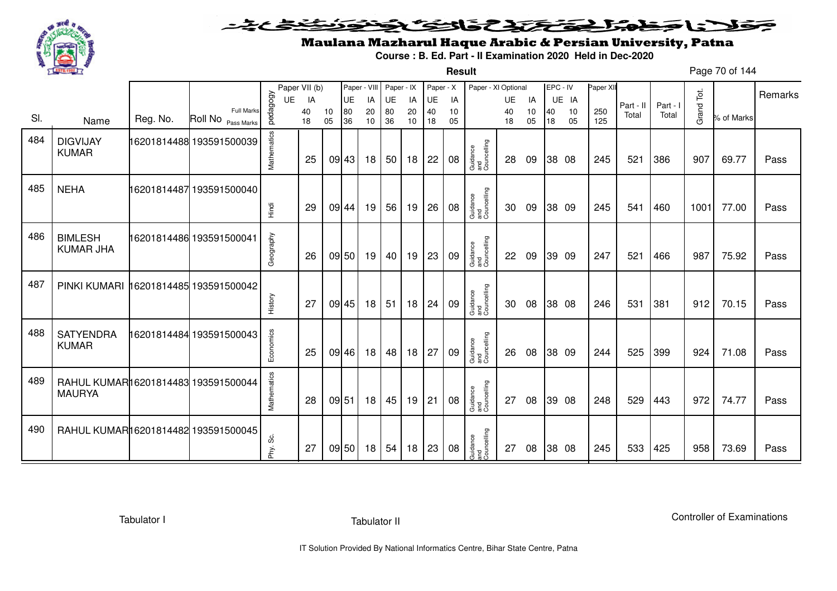

**Result**

# Maulana Mazharul Haque Arabic & Persian University, Patna

**Course : B. Ed. Part - II Examination 2020 Held in Dec-2020**

Page 70 of 144

|     |                                                      |          |                                         |             | Paper VII (b) |          | Paper - VIII |          | Paper - IX |          | Paper - X |          | Paper - XI Optional            |          |          | EPC - IV |          | Paper XI   |           |          |            |            | Remarks |
|-----|------------------------------------------------------|----------|-----------------------------------------|-------------|---------------|----------|--------------|----------|------------|----------|-----------|----------|--------------------------------|----------|----------|----------|----------|------------|-----------|----------|------------|------------|---------|
|     |                                                      |          |                                         | UE          | IA            |          | UE           | IA       | UE         | IA       | UE        | IA       |                                | UE       | IA       |          | UE IA    |            | Part - II | Part - I |            |            |         |
| SI. | Name                                                 | Reg. No. | <b>Full Marks</b><br>Roll No Pass Marks | pedagogy    | 40<br>18      | 10<br>05 | 80<br>36     | 20<br>10 | 80<br>36   | 20<br>10 | 40<br>18  | 10<br>05 |                                | 40<br>18 | 10<br>05 | 40<br>18 | 10<br>05 | 250<br>125 | Total     | Total    | Grand Tot. | % of Marks |         |
| 484 | <b>DIGVIJAY</b><br><b>KUMAR</b>                      |          | 16201814488 193591500039                | Mathematics | 25            |          | 09 43        | 18       | 50         | 18       | 22        | 08       | Guidance<br>and<br>Councelling | 28       | 09       |          | 38 08    | 245        | 521       | 386      | 907        | 69.77      | Pass    |
| 485 | <b>NEHA</b>                                          |          | 16201814487 193591500040                | Hindi       | 29            |          | 09 44        | 19       | 56         | 19       | 26        | 08       | Guidance<br>and<br>Councelling | 30       | 09       |          | 38 09    | 245        | 541       | 460      | 1001       | 77.00      | Pass    |
| 486 | <b>BIMLESH</b><br><b>KUMAR JHA</b>                   |          | 16201814486 193591500041                | Geography   | 26            |          | 09 50        | 19       | 40         | 19       | 23        | 09       | Guidance<br>and<br>Councelling | 22       | 09       |          | 39 09    | 247        | 521       | 466      | 987        | 75.92      | Pass    |
| 487 | PINKI KUMARI                                         |          | 16201814485 193591500042                | History     | 27            |          | 09 45        | 18       | 51         | 18       | 24        | 09       | Guidance<br>and<br>Councelling | 30       | 08       |          | 38 08    | 246        | 531       | 381      | 912        | 70.15      | Pass    |
| 488 | <b>SATYENDRA</b><br><b>KUMAR</b>                     |          | 16201814484 193591500043                | Economics   | 25            |          | 09 46        | 18       | 48         | 18       | 27        | 09       | Guidance<br>and<br>Councelling | 26       | 08       |          | 38 09    | 244        | 525       | 399      | 924        | 71.08      | Pass    |
| 489 | RAHUL KUMAR16201814483 193591500044<br><b>MAURYA</b> |          |                                         | Mathematics | 28            |          | 09 51        | 18       | 45         | 19       | 21        | 08       | Guidance<br>and<br>Councelling | 27       | 08       |          | 39 08    | 248        | 529       | 443      | 972        | 74.77      | Pass    |
| 490 | RAHUL KUMAR16201814482 193591500045                  |          |                                         | Phy. Sc.    | 27            |          | 09 50        | 18       | 54         | 18       | 23        | 08       | Guidance<br>and<br>Councelling | 27       | 08       |          | 38 08    | 245        | 533       | 425      | 958        | 73.69      | Pass    |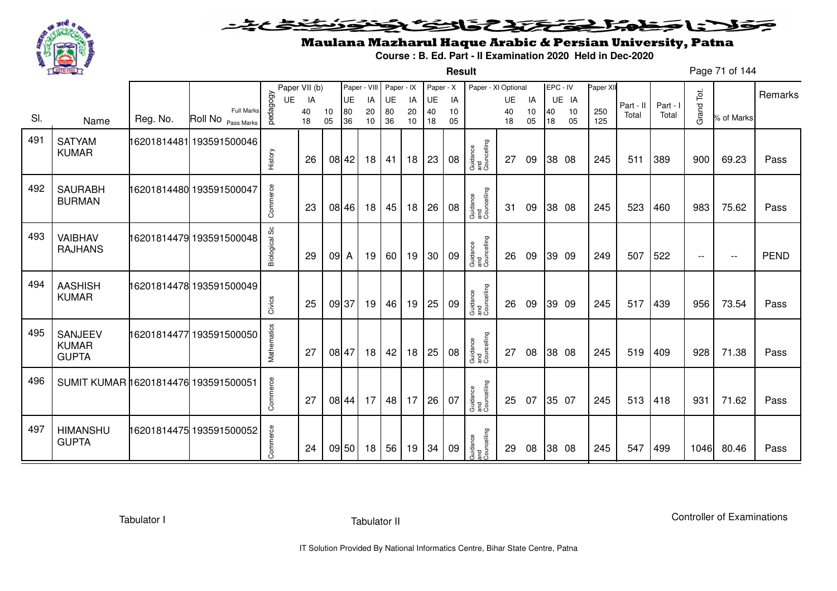

**Result**

# Maulana Mazharul Haque Arabic & Persian University, Patna

**Course : B. Ed. Part - II Examination 2020 Held in Dec-2020**

Page 71 of 144

|     |                                                |          |                               |                      | Paper VII (b) |          | Paper - VIII |          | Paper - IX |          | Paper - X |          | Paper - XI Optional            |          |          |          | EPC - IV | Paper XII |           |          |            |            | Remarks     |
|-----|------------------------------------------------|----------|-------------------------------|----------------------|---------------|----------|--------------|----------|------------|----------|-----------|----------|--------------------------------|----------|----------|----------|----------|-----------|-----------|----------|------------|------------|-------------|
|     |                                                |          | <b>Full Marks</b>             | pedagogy<br>UE       | IA            |          | UE           | IA       | UE         | IA       | UE        | IA       |                                | UE       | IA       |          | UE IA    | 250       | Part - II | Part - I | Grand Tot. |            |             |
| SI. | Name                                           | Reg. No. | Roll No <sub>Pass Marks</sub> |                      | 40<br>18      | 10<br>05 | 80<br>36     | 20<br>10 | 80<br>36   | 20<br>10 | 40<br>18  | 10<br>05 |                                | 40<br>18 | 10<br>05 | 40<br>18 | 10<br>05 | 125       | Total     | Total    |            | % of Marks |             |
| 491 | <b>SATYAM</b><br><b>KUMAR</b>                  |          | 16201814481 193591500046      | History              | 26            |          | 08 42        | 18       | 41         | 18       | 23        | 08       | Guidance<br>and<br>Councelling | 27       | 09       |          | 38 08    | 245       | 511       | 389      | 900        | 69.23      | Pass        |
| 492 | <b>SAURABH</b><br><b>BURMAN</b>                |          | 16201814480 193591500047      | Commerce             | 23            |          | 08 46        | 18       | 45         | 18       | 26        | 08       | Guidance<br>and<br>Councelling | 31       | 09       |          | 38 08    | 245       | 523       | 460      | 983        | 75.62      | Pass        |
| 493 | <b>VAIBHAV</b><br><b>RAJHANS</b>               |          | 16201814479 193591500048      | <b>Biological Sc</b> | 29            | $092$ A  |              | 19       | 60 l       | 19       | 30        | 09       | Guidance<br>and<br>Councelling | 26       | 09       |          | 39 09    | 249       | 507       | 522      | $--$       | $- -$      | <b>PEND</b> |
| 494 | <b>AASHISH</b><br><b>KUMAR</b>                 |          | 16201814478 193591500049      | Civics               | 25            | 09 37    |              | 19       | 46         | 19       | 25        | 09       | Guidance<br>and<br>Councelling | 26       | 09       |          | 39 09    | 245       | 517       | 439      | 956        | 73.54      | Pass        |
| 495 | <b>SANJEEV</b><br><b>KUMAR</b><br><b>GUPTA</b> |          | 16201814477 193591500050      | Mathematics          | 27            |          | 08 47        | 18       | 42         | 18       | 25        | 08       | Guidance<br>and<br>Councelling | 27       | 08       |          | 38 08    | 245       | 519       | 409      | 928        | 71.38      | Pass        |
| 496 | SUMIT KUMAR 16201814476 193591500051           |          |                               | Commerce             | 27            |          | 08 44        | 17       | 48         | 17       | 26        | 07       | Guidance<br>and<br>Councelling | 25       | 07       |          | 35 07    | 245       | 513       | 418      | 931        | 71.62      | Pass        |
| 497 | <b>HIMANSHU</b><br><b>GUPTA</b>                |          | 16201814475 193591500052      | Commerce             | 24            |          | 09 50        | 18       | 56         | 19       | 34        | 09       | Guidance<br>and<br>Councelling | 29       | 08       |          | 38 08    | 245       | 547       | 499      | 1046       | 80.46      | Pass        |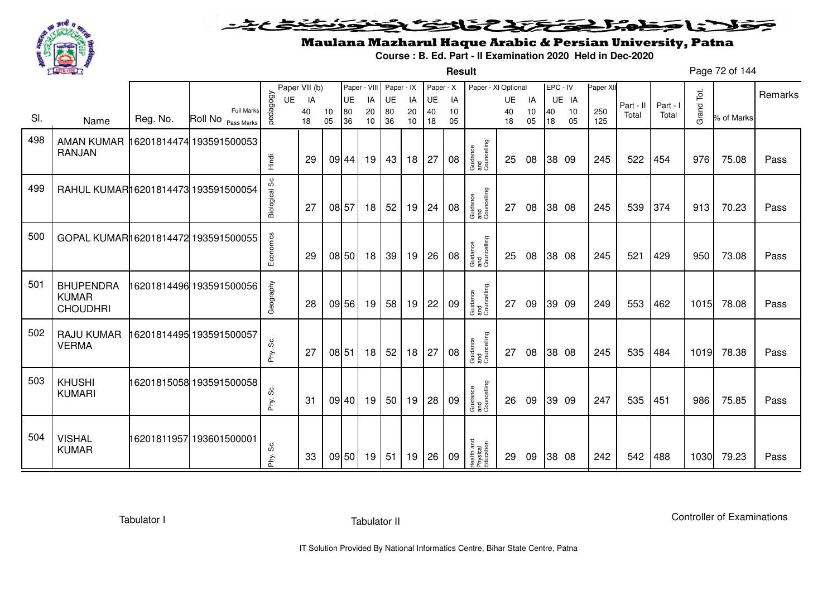

#### <u>خىخى چە ت</u> فلانا وخدا يقتحنك فالتف ونونوذ ≂

**Result**

# Maulana Mazharul Haque Arabic & Persian University, Patna

**Course : B. Ed. Part - II Examination 2020 Held in Dec-2020**

Page 72 of 144

|     |                                                      |          |                                         | UE            | Paper VII (b)  |          | Paper - VIII Paper - IX<br>UE |                |                |                | Paper - X      |                | Paper - XI Optional                 |                       |                |          | EPC - IV          | Paper XII  |                    |                   |            |            | Remarks |
|-----|------------------------------------------------------|----------|-----------------------------------------|---------------|----------------|----------|-------------------------------|----------------|----------------|----------------|----------------|----------------|-------------------------------------|-----------------------|----------------|----------|-------------------|------------|--------------------|-------------------|------------|------------|---------|
| SI. | Name                                                 | Reg. No. | <b>Full Marks</b><br>Roll No Pass Marks | pedagogy      | IA<br>40<br>18 | 10<br>05 | 80<br>36                      | IA<br>20<br>10 | UE<br>80<br>36 | IA<br>20<br>10 | UE<br>40<br>18 | IA<br>10<br>05 |                                     | <b>UE</b><br>40<br>18 | IA<br>10<br>05 | 40<br>18 | UE IA<br>10<br>05 | 250<br>125 | Part - II<br>Total | Part - I<br>Total | Grand Tot. | % of Marks |         |
| 498 | AMAN KUMAR 16201814474 193591500053<br><b>RANJAN</b> |          |                                         | Hindi         | 29             |          | 09 44                         | 19             | 43             | 18             | 27             | 08             | Guidance<br>and<br>Councelling      | 25                    | 08             |          | 38 09             | 245        | 522                | 454               | 976        | 75.08      | Pass    |
| 499 | RAHUL KUMARI16201814473 193591500054                 |          |                                         | Biological Sc | 27             |          | 08 57                         | 18             | 52             | 19             | 24             | 08             | Guidance<br>and<br>Councelling      | 27                    | 08             |          | 38 08             | 245        | 539                | 374               | 913        | 70.23      | Pass    |
| 500 | GOPAL KUMAR16201814472 193591500055                  |          |                                         | Economics     | 29             |          | 08 50                         | 18             | 39             | 19             | 26             | 08             | Guidance<br>and<br>Councelling      | 25                    | 08             |          | 38 08             | 245        | 521                | 429               | 950        | 73.08      | Pass    |
| 501 | <b>BHUPENDRA</b><br><b>KUMAR</b><br><b>CHOUDHRI</b>  |          | 16201814496 193591500056                | Geography     | 28             |          | 09 56                         | 19             | 58             | 19             | 22             | 09             | Guidance<br>and<br>Councelling      | 27                    | 09             |          | 39 09             | 249        | 553                | 462               | 1015       | 78.08      | Pass    |
| 502 | <b>RAJU KUMAR</b><br><b>VERMA</b>                    |          |                                         | Phy. Sc.      | 27             |          | 08 51                         | 18             | 52             | 18             | 27             | 08             | Guidance<br>and<br>Councelling      | 27                    | 08             |          | 38 08             | 245        | 535                | 484               | 1019       | 78.38      | Pass    |
| 503 | <b>KHUSHI</b><br><b>KUMARI</b>                       |          | 16201815058 193591500058                | တိ<br>Phy.    | 31             |          | 09 40                         | 19             | 50             | 19             | 28             | 09             | Guidance<br>and<br>Councelling      | 26                    | 09             |          | 39 09             | 247        | 535                | 451               | 986        | 75.85      | Pass    |
| 504 | <b>VISHAL</b><br><b>KUMAR</b>                        |          | 16201811957 193601500001                | Phy. Sc.      | 33             |          | 09 50                         | 19             | 51             | 19             | 26             | 09             | Health and<br>Physical<br>Education | 29                    | 09             |          | 38 08             | 242        | 542                | 488               | 1030       | 79.23      | Pass    |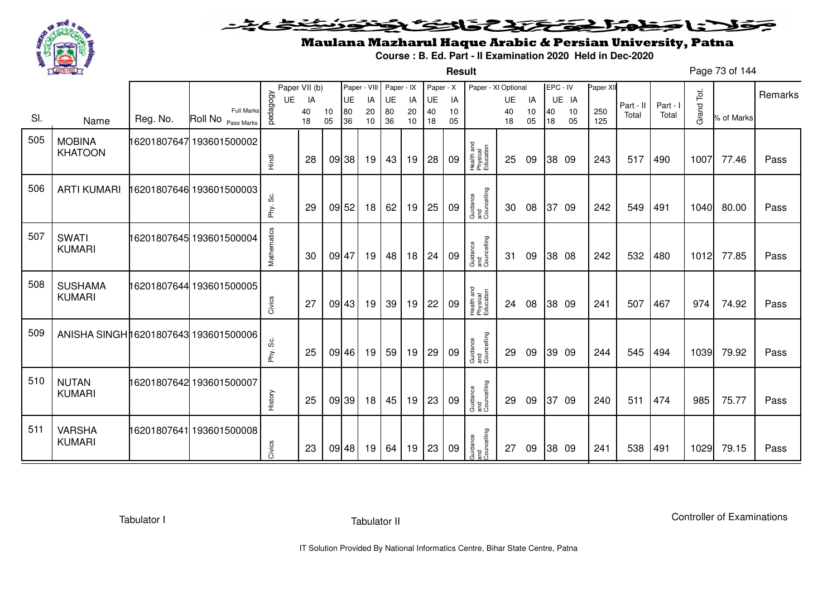

**Result**

# Maulana Mazharul Haque Arabic & Persian University, Patna

**Course : B. Ed. Part - II Examination 2020 Held in Dec-2020**

Page 73 of 144

|     |                                       |          |                                         |             | Paper VII (b) |          |           | Paper - VIII | Paper - IX |          | Paper - X |          | Paper - XI Optional                 |          |          | EPC - IV |          | Paper XII  |           |          |            |            |         |
|-----|---------------------------------------|----------|-----------------------------------------|-------------|---------------|----------|-----------|--------------|------------|----------|-----------|----------|-------------------------------------|----------|----------|----------|----------|------------|-----------|----------|------------|------------|---------|
|     |                                       |          |                                         | UE          | IA            |          | <b>UE</b> | IA           | UE         | IA       | UE        | IA       |                                     | UE       | IA       |          | UE IA    |            | Part - II | Part - I |            |            | Remarks |
| SI. | Name                                  | Reg. No. | <b>Full Marks</b><br>Roll No Pass Marks | vedagogy    | 40<br>18      | 10<br>05 | 80<br>36  | 20<br>10     | 80<br>36   | 20<br>10 | 40<br>18  | 10<br>05 |                                     | 40<br>18 | 10<br>05 | 40<br>18 | 10<br>05 | 250<br>125 | Total     | Total    | Grand Tot. | % of Marks |         |
| 505 | <b>MOBINA</b><br><b>KHATOON</b>       |          | 16201807647 193601500002                | Hindi       | 28            |          | 09 38     | 19           | 43         | 19       | 28        | 09       | Health and<br>Physical<br>Education | 25       | 09       |          | 38 09    | 243        | 517       | 490      | 1007       | 77.46      | Pass    |
| 506 | <b>ARTI KUMARI</b>                    |          | 16201807646 193601500003                | Phy. Sc.    | 29            |          | 09 52     | 18           | 62         | 19       | 25        | 09       | Guidance<br>and<br>Councelling      | 30       | 08       | 37 09    |          | 242        | 549       | 491      | 1040       | 80.00      | Pass    |
| 507 | <b>SWATI</b><br><b>KUMARI</b>         |          | 16201807645 193601500004                | Mathematics | 30            |          | 09 47     | 19           | 48         | 18       | 24        | 09       | Guidance<br>and<br>Councelling      | 31       | 09       |          | 38 08    | 242        | 532       | 480      | 1012       | 77.85      | Pass    |
| 508 | <b>SUSHAMA</b><br><b>KUMARI</b>       |          | 16201807644 193601500005                | Civics      | 27            |          | 09 43     | 19           | 39         | 19       | 22        | 09       | Health and<br>Physical<br>Education | 24       | 08       |          | 38 09    | 241        | 507       | 467      | 974        | 74.92      | Pass    |
| 509 | ANISHA SINGH 16201807643 193601500006 |          |                                         | Phy. Sc.    | 25            |          | 09 46     | 19           | 59         | 19       | 29        | 09       | Guidance<br>and<br>Councelling      | 29       | 09       |          | 39 09    | 244        | 545       | 494      | 1039       | 79.92      | Pass    |
| 510 | <b>NUTAN</b><br><b>KUMARI</b>         |          | 16201807642 193601500007                | History     | 25            |          | 09 39     | 18           | 45         | 19       | 23        | 09       | Guidance<br>and<br>Councelling      | 29       | 09       | 37       | -09      | 240        | 511       | 474      | 985        | 75.77      | Pass    |
| 511 | <b>VARSHA</b><br><b>KUMARI</b>        |          | 16201807641 193601500008                | Civics      | 23            |          | 09 48     | 19           | 64         | 19       | 23        | 09       | Guidance<br>and<br>Councelling      | 27       | 09       |          | 38 09    | 241        | 538       | 491      | 1029       | 79.15      | Pass    |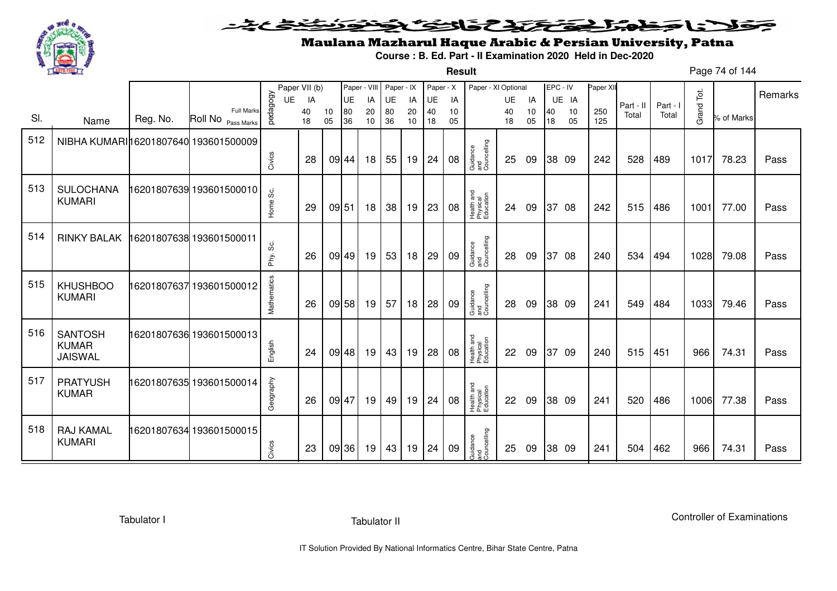

**Result**

# Maulana Mazharul Haque Arabic & Persian University, Patna

**Course : B. Ed. Part - II Examination 2020 Held in Dec-2020**

Page 74 of 144

|     |                                                  |          |                                         |             | Paper VII (b) |          | Paper - VIII |          | Paper - IX |          | Paper - X |          | Paper - XI Optional                 |          |          | EPC - IV |          | Paper XII  |           |        |            |            |         |
|-----|--------------------------------------------------|----------|-----------------------------------------|-------------|---------------|----------|--------------|----------|------------|----------|-----------|----------|-------------------------------------|----------|----------|----------|----------|------------|-----------|--------|------------|------------|---------|
|     |                                                  |          |                                         | UE          | IA            |          | UE           | IA       | UE         | IA       | UE        | IA       |                                     | UE       | IA       |          | UE IA    |            | Part - II | Part - |            |            | Remarks |
| SI. | Name                                             | Reg. No. | <b>Full Marks</b><br>Roll No Pass Marks | pedagogy    | 40<br>18      | 10<br>05 | 80<br>36     | 20<br>10 | 80<br>36   | 20<br>10 | 40<br>18  | 10<br>05 |                                     | 40<br>18 | 10<br>05 | 40<br>18 | 10<br>05 | 250<br>125 | Total     | Total  | Grand Tot. | % of Marks |         |
| 512 | NIBHA KUMARI 16201807640 193601500009            |          |                                         |             |               |          |              |          |            |          |           |          |                                     |          |          |          |          |            |           |        |            |            |         |
|     |                                                  |          |                                         | Civics      | 28            |          | 09 44        | 18       | 55         | 19       | 24        | 08       | Guidance<br>and<br>Councelling      | 25       | 09       |          | 38 09    | 242        | 528       | 489    | 1017       | 78.23      | Pass    |
| 513 | <b>SULOCHANA</b><br><b>KUMARI</b>                |          | 16201807639 193601500010                | Home Sc.    | 29            |          | 09 51        | 18       | 38         | 19       | 23        | 08       | Health and<br>Physical<br>Education | 24       | 09       |          | 37 08    | 242        | 515       | 486    | 1001       | 77.00      | Pass    |
| 514 | <b>RINKY BALAK</b>                               |          | 16201807638 193601500011                | တိ<br>Phy.  | 26            |          | 09 49        | 19       | 53         | 18       | 29        | 09       | Guidance<br>and<br>Councelling      | 28       | 09       |          | 37 08    | 240        | 534       | 494    | 1028       | 79.08      | Pass    |
| 515 | <b>KHUSHBOO</b><br><b>KUMARI</b>                 |          | 16201807637193601500012                 | Mathematics | 26            |          | 09 58        | 19       | 57         | 18       | 28        | 09       | Guidance<br>and<br>Councelling      | 28       | 09       |          | 38 09    | 241        | 549       | 484    | 1033       | 79.46      | Pass    |
| 516 | <b>SANTOSH</b><br><b>KUMAR</b><br><b>JAISWAL</b> |          | 16201807636 193601500013                | English     | 24            |          | 09 48        | 19       | 43         | 19       | 28        | 08       | Health and<br>Physical<br>Education | 22       | 09       |          | 37 09    | 240        | 515       | 451    | 966        | 74.31      | Pass    |
| 517 | <b>PRATYUSH</b><br><b>KUMAR</b>                  |          | 16201807635 193601500014                | Geography   | 26            |          | 09 47        | 19       | 49         | 19       | 24        | 08       | Health and<br>Physical<br>Education | 22       | 09       |          | 38 09    | 241        | 520       | 486    | 1006       | 77.38      | Pass    |
| 518 | <b>RAJ KAMAL</b><br><b>KUMARI</b>                |          | 16201807634 193601500015                | Civics      | 23            |          | 09 36        | 19       | 43         | 19       | 24        | 09       | Guidance<br>and<br>Councelling      | 25       | 09       |          | 38 09    | 241        | 504       | 462    | 966        | 74.31      | Pass    |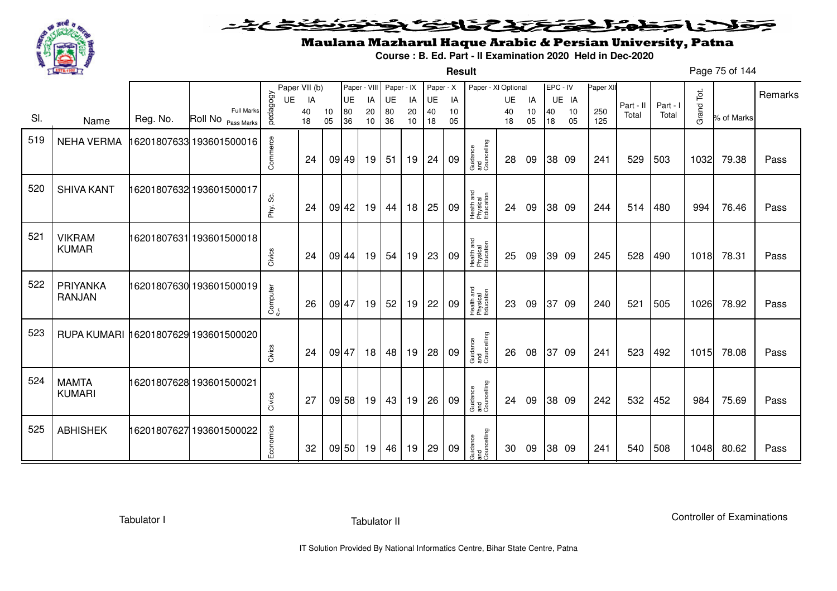

**Result**

# Maulana Mazharul Haque Arabic & Persian University, Patna

**Course : B. Ed. Part - II Examination 2020 Held in Dec-2020**

Page 75 of 144

|     |                                      |          |                          |           | Paper VII (b) |          | Paper - VIII |                 | Paper - IX |          | Paper - X |          | Paper - XI Optional                 |          |          | EPC - IV |          | Paper XI   |           |          |            |            | Remarks |
|-----|--------------------------------------|----------|--------------------------|-----------|---------------|----------|--------------|-----------------|------------|----------|-----------|----------|-------------------------------------|----------|----------|----------|----------|------------|-----------|----------|------------|------------|---------|
|     |                                      |          | <b>Full Marks</b>        | UE        | IA            |          | UE           | IA              | UE         | IA       | UE        | IA       |                                     | UE       | IA       |          | UE IA    |            | Part - II | Part - I | Grand Tot. |            |         |
| SI. | Name                                 | Reg. No. | Roll No Pass Marks       | pedagogy  | 40<br>18      | 10<br>05 | 80<br>36     | 20<br>10        | 80<br>36   | 20<br>10 | 40<br>18  | 10<br>05 |                                     | 40<br>18 | 10<br>05 | 40<br>18 | 10<br>05 | 250<br>125 | Total     | Total    |            | % of Marks |         |
| 519 | <b>NEHA VERMA</b>                    |          | 16201807633 193601500016 |           |               |          |              |                 |            |          |           |          |                                     |          |          |          |          |            |           |          |            |            |         |
|     |                                      |          |                          | Commerce  | 24            |          | 09 49        | 19 <sup>1</sup> | 51         | 19       | 24        | 09       | Guidance<br>and<br>Councelling      | 28       | 09       |          | 38 09    | 241        | 529       | 503      | 1032       | 79.38      | Pass    |
| 520 | <b>SHIVA KANT</b>                    |          | 16201807632 193601500017 |           |               |          |              |                 |            |          |           |          |                                     |          |          |          |          |            |           |          |            |            |         |
|     |                                      |          |                          | Phy. Sc.  | 24            |          | 09 42        | 19              | 44         | 18       | 25        | 09       | Health and<br>Physical<br>Education | 24       | 09       |          | 38 09    | 244        | 514       | 480      | 994        | 76.46      | Pass    |
| 521 | <b>VIKRAM</b>                        |          | 16201807631 193601500018 |           |               |          |              |                 |            |          |           |          |                                     |          |          |          |          |            |           |          |            |            |         |
|     | <b>KUMAR</b>                         |          |                          | Civics    | 24            |          | 09 44        | 19              | 54         | 19       | 23        | 09       | Health and<br>Physical<br>Education | 25       | 09       |          | 39 09    | 245        | 528       | 490      | 1018       | 78.31      | Pass    |
| 522 | PRIYANKA                             |          | 16201807630 193601500019 |           |               |          |              |                 |            |          |           |          |                                     |          |          |          |          |            |           |          |            |            |         |
|     | <b>RANJAN</b>                        |          |                          | Computer  | 26            |          | 09 47        | 19              | 52         | 19       | 22        | 09       | Health and<br>Physical<br>Education | 23       | 09       | 37       | 09       | 240        | 521       | 505      | 1026       | 78.92      | Pass    |
| 523 | RUPA KUMARI 16201807629 193601500020 |          |                          |           |               |          |              |                 |            |          |           |          |                                     |          |          |          |          |            |           |          |            |            |         |
|     |                                      |          |                          | Civics    | 24            |          | 09 47        | 18              | 48         | 19       | 28        | 09       | Guidance<br>and<br>Councelling      | 26       | 08       |          | 37 09    | 241        | 523       | 492      | 1015       | 78.08      | Pass    |
| 524 | <b>MAMTA</b>                         |          | 16201807628 193601500021 |           |               |          |              |                 |            |          |           |          |                                     |          |          |          |          |            |           |          |            |            |         |
|     | <b>KUMARI</b>                        |          |                          | Civics    | 27            |          | 09 58        | 19              | 43         | 19       | 26        | 09       | Guidance<br>and<br>Councelling      | 24       | 09       |          | 38 09    | 242        | 532       | 452      | 984        | 75.69      | Pass    |
| 525 | <b>ABHISHEK</b>                      |          | 16201807627 193601500022 |           |               |          |              |                 |            |          |           |          |                                     |          |          |          |          |            |           |          |            |            |         |
|     |                                      |          |                          | Economics | 32            |          | 09 50        | 19              | 46         | 19       | 29        | 09       | Guidance<br>and<br>Councelling      | 30       | 09       |          | 38 09    | 241        | 540       | 508      | 1048       | 80.62      | Pass    |

Tabulator I

Tabulator II

Controller of Examinations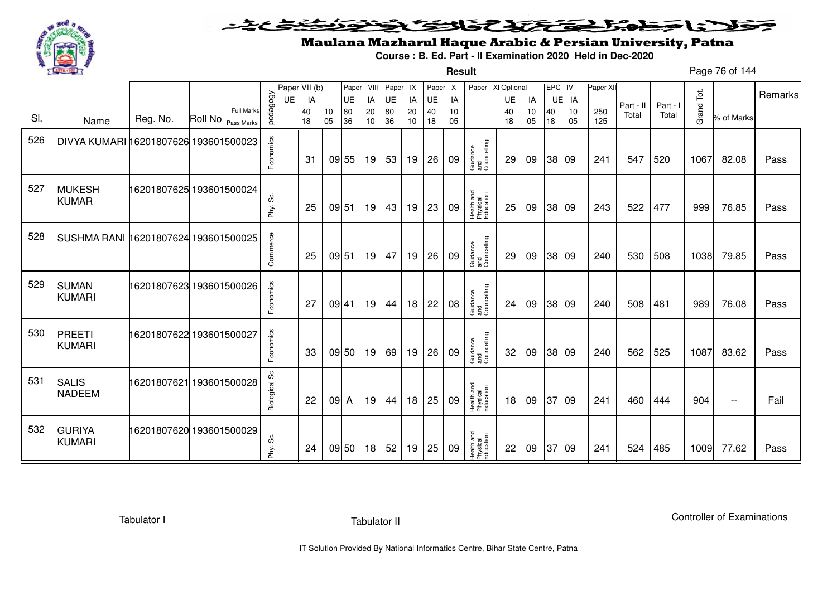

**Result**

# Maulana Mazharul Haque Arabic & Persian University, Patna

**Course : B. Ed. Part - II Examination 2020 Held in Dec-2020**

Page 76 of 144

|     |                                       |          |                               |                      | Paper VII (b) |          | Paper - VIII |          | Paper - IX |          | Paper - X |          | Paper - XI Optional                 |          |          |          | EPC - IV | Paper XII  |           |          |            |            | Remarks |
|-----|---------------------------------------|----------|-------------------------------|----------------------|---------------|----------|--------------|----------|------------|----------|-----------|----------|-------------------------------------|----------|----------|----------|----------|------------|-----------|----------|------------|------------|---------|
|     |                                       |          | <b>Full Marks</b>             | pedagogy<br>UE       | IA            |          | <b>UE</b>    | IA       | UE         | IA       | <b>UE</b> | IA       |                                     | UE       | IA       |          | UE IA    |            | Part - II | Part - I | Grand Tot. |            |         |
| SI. | Name                                  | Reg. No. | Roll No <sub>Pass Marks</sub> |                      | 40<br>18      | 10<br>05 | 80<br>36     | 20<br>10 | 80<br>36   | 20<br>10 | 40<br>18  | 10<br>05 |                                     | 40<br>18 | 10<br>05 | 40<br>18 | 10<br>05 | 250<br>125 | Total     | Total    |            | % of Marks |         |
| 526 | DIVYA KUMARI 16201807626 193601500023 |          |                               | Economics            | -31           |          | 09 55        | 19       | 53         | 19       | 26        | 09       | Guidance<br>and<br>Councelling      | 29       | 09       |          | 38 09    | 241        | 547       | 520      | 1067       | 82.08      | Pass    |
| 527 | <b>MUKESH</b><br><b>KUMAR</b>         |          | 16201807625 193601500024      | Phy. Sc.             | 25            | 09 51    |              | 19       | 43         | 19       | 23        | 09       | Health and<br>Physical<br>Education | 25       | 09       |          | 38 09    | 243        | 522       | 477      | 999        | 76.85      | Pass    |
| 528 | SUSHMA RANI 16201807624 193601500025  |          |                               | Commerce             | 25            | 09 51    |              | 19       | 47         | 19       | 26        | 09       | Guidance<br>and<br>Councelling      | 29       | 09       |          | 38 09    | 240        | 530       | 508      | 1038       | 79.85      | Pass    |
| 529 | <b>SUMAN</b><br><b>KUMARI</b>         |          | 16201807623 193601500026      | Economics            | 27            | 09 41    |              | 19       | 44         | 18       | 22        | 08       | Guidance<br>and<br>Councelling      | 24       | 09       |          | 38 09    | 240        | 508       | 481      | 989        | 76.08      | Pass    |
| 530 | <b>PREETI</b><br><b>KUMARI</b>        |          | 16201807622 193601500027      | Economics            | 33            |          | 09 50        | 19       | 69         | 19       | 26        | 09       | Guidance<br>and<br>Councelling      | 32       | 09       |          | 38 09    | 240        | 562       | 525      | 1087       | 83.62      | Pass    |
| 531 | <b>SALIS</b><br><b>NADEEM</b>         |          | 16201807621 193601500028      | <b>Biological Sc</b> | 22            | 09 A     |              | 19       | 44         | 18       | 25        | 09       | Health and<br>Physical<br>Education | 18       | 09       |          | 37 09    | 241        | 460       | 444      | 904        | $- -$      | Fail    |
| 532 | <b>GURIYA</b><br><b>KUMARI</b>        |          | 16201807620 193601500029      | ပ္တဲ<br>Phy.         | 24            |          | 09 50        | 18       | 52         | 19       | 25        | 09       | Health and<br>Physical<br>Education | 22       | 09       | 37       | -09      | 241        | 524       | 485      | 1009       | 77.62      | Pass    |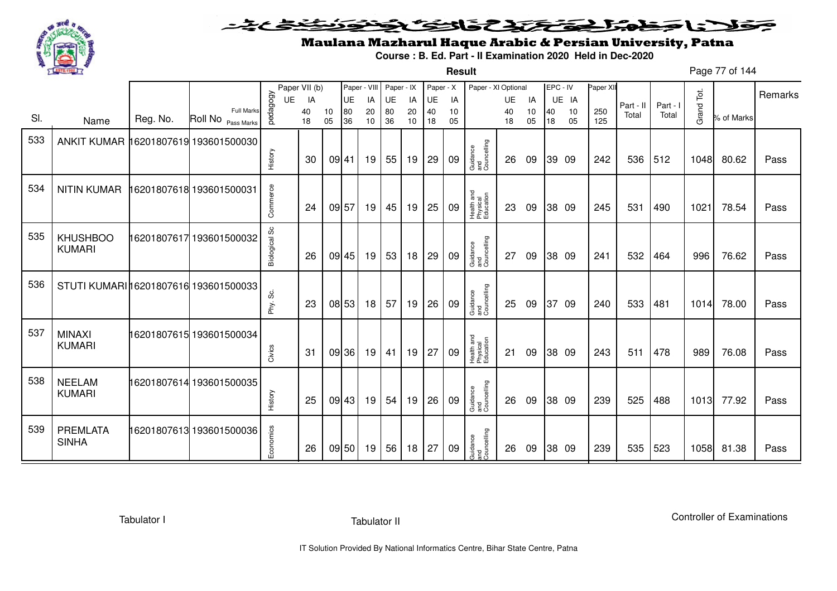

**Result**

# Maulana Mazharul Haque Arabic & Persian University, Patna

**Course : B. Ed. Part - II Examination 2020 Held in Dec-2020**

Page 77 of 144

|     |                                       |          |                                         |                      | Paper VII (b) |          | Paper - VIII |          | Paper - IX |          | Paper - X |          | Paper - XI Optional                 |          |          | EPC - IV |          | Paper XII  |           |          |            |            |         |
|-----|---------------------------------------|----------|-----------------------------------------|----------------------|---------------|----------|--------------|----------|------------|----------|-----------|----------|-------------------------------------|----------|----------|----------|----------|------------|-----------|----------|------------|------------|---------|
|     |                                       |          |                                         | <b>UE</b>            | IA            |          | UE           | IA       | UE         | IA       | UE        | IA       |                                     | UE       | IA       |          | UE IA    |            | Part - II | Part - I |            |            | Remarks |
| SI. | Name                                  | Reg. No. | <b>Full Marks</b><br>Roll No Pass Marks | pedagogy             | 40<br>18      | 10<br>05 | 80<br>36     | 20<br>10 | 80<br>36   | 20<br>10 | 40<br>18  | 10<br>05 |                                     | 40<br>18 | 10<br>05 | 40<br>18 | 10<br>05 | 250<br>125 | Total     | Total    | Grand Tot. | % of Marks |         |
| 533 | ANKIT KUMAR 16201807619 193601500030  |          |                                         |                      |               |          |              |          |            |          |           |          |                                     |          |          |          |          |            |           |          |            |            |         |
|     |                                       |          |                                         | History              | 30            | 09 41    |              | 19       | 55         | 19       | 29        | 09       | Guidance<br>and<br>Councelling      | 26       | 09       |          | 39 09    | 242        | 536       | 512      | 1048       | 80.62      | Pass    |
| 534 | <b>NITIN KUMAR</b>                    |          | 16201807618 193601500031                |                      |               |          |              |          |            |          |           |          |                                     |          |          |          |          |            |           |          |            |            |         |
|     |                                       |          |                                         | Commerce             | 24            |          | 09 57        | 19       | 45         | 19       | 25        | 09       | Health and<br>Physical<br>Education | 23       | 09       |          | 38 09    | 245        | 531       | 490      | 1021       | 78.54      | Pass    |
| 535 | <b>KHUSHBOO</b><br><b>KUMARI</b>      |          | 16201807617 193601500032                | <b>Biological Sc</b> | 26            |          | 09 45        | 19       | 53         | 18       | 29        | 09       | Guidance<br>and<br>Councelling      | 27       | 09       |          | 38 09    | 241        | 532       | 464      | 996        | 76.62      | Pass    |
| 536 | STUTI KUMARI 16201807616 193601500033 |          |                                         | Phy. Sc.             | 23            |          | 08 53        | 18       | 57         | 19       | 26        | 09       | Guidance<br>and<br>Councelling      | 25       | 09       |          | 37 09    | 240        | 533       | 481      | 1014       | 78.00      | Pass    |
| 537 | <b>MINAXI</b><br><b>KUMARI</b>        |          | 16201807615 193601500034                | Civics               | 31            |          | 09 36        | 19       | 41         | 19       | 27        | 09       | Health and<br>Physical<br>Education | 21       | 09       |          | 38 09    | 243        | 511       | 478      | 989        | 76.08      | Pass    |
| 538 | <b>NEELAM</b><br><b>KUMARI</b>        |          | 16201807614 193601500035                | History              | 25            |          | 09 43        | 19       | 54         | 19       | 26        | 09       | Guidance<br>and<br>Councelling      | 26       | 09       |          | 38 09    | 239        | 525       | 488      | 1013       | 77.92      | Pass    |
| 539 | <b>PREMLATA</b><br><b>SINHA</b>       |          | 16201807613 193601500036                | Economics            | 26            |          | 09 50        | 19       | 56         | 18       | 27        | 09       | Guidance<br>and<br>Councelling      | 26       | 09       |          | 38 09    | 239        | 535       | 523      | 1058       | 81.38      | Pass    |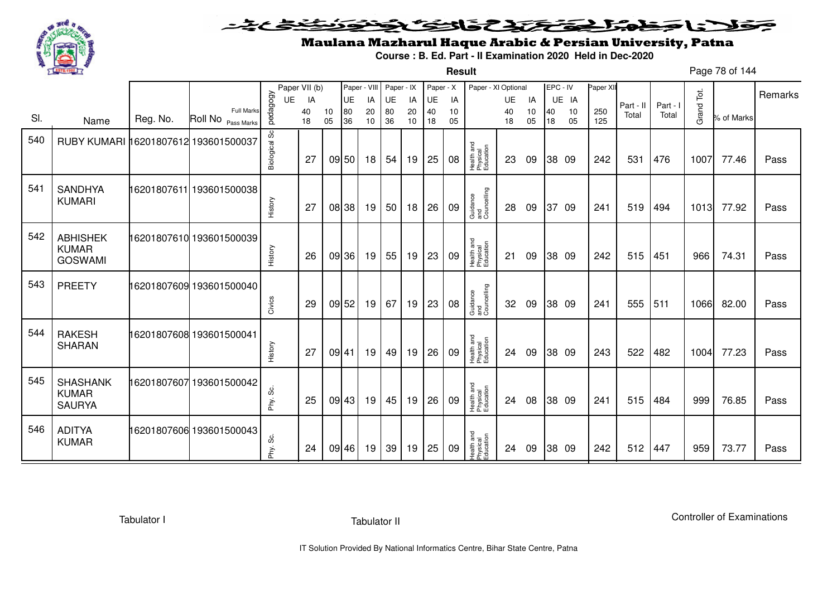

**Result**

# Maulana Mazharul Haque Arabic & Persian University, Patna

**Course : B. Ed. Part - II Examination 2020 Held in Dec-2020**

Page 78 of 144

|     |                                                   |          |                                         |               | Paper VII (b) |          | Paper - VIII |          | Paper - IX |          | Paper - X |          | Paper - XI Optional                 |          |          | EPC - IV |          | Paper XII  |           |          |            |            |         |
|-----|---------------------------------------------------|----------|-----------------------------------------|---------------|---------------|----------|--------------|----------|------------|----------|-----------|----------|-------------------------------------|----------|----------|----------|----------|------------|-----------|----------|------------|------------|---------|
|     |                                                   |          |                                         | UE            | IA            |          | UE           | IA       | UE         | IA       | UE        | IA       |                                     | UE       | IA       |          | UE IA    |            | Part - II | Part - I |            |            | Remarks |
| SI. | Name                                              | Reg. No. | <b>Full Marks</b><br>Roll No Pass Marks | pedagogy      | 40<br>18      | 10<br>05 | 80<br>36     | 20<br>10 | 80<br>36   | 20<br>10 | 40<br>18  | 10<br>05 |                                     | 40<br>18 | 10<br>05 | 40<br>18 | 10<br>05 | 250<br>125 | Total     | Total    | Grand Tot. | % of Marks |         |
| 540 | RUBY KUMARI 16201807612 193601500037              |          |                                         | Biological Sc | 27            |          | 09 50        | 18       | 54         | 19       | 25        | 08       | Health and<br>Physical<br>Education | 23       | 09       |          | 38 09    | 242        | 531       | 476      | 1007       | 77.46      | Pass    |
| 541 | <b>SANDHYA</b><br><b>KUMARI</b>                   |          | 16201807611 193601500038                | History       | 27            |          | 08 38        | 19       | 50         | 18       | 26        | 09       | Guidance<br>and<br>Councelling      | 28       | 09       | 37       | -09      | 241        | 519       | 494      | 1013       | 77.92      | Pass    |
| 542 | <b>ABHISHEK</b><br><b>KUMAR</b><br><b>GOSWAMI</b> |          | 16201807610 193601500039                | History       | 26            |          | 09 36        | 19       | 55         | 19       | 23        | 09       | Health and<br>Physical<br>Education | 21       | 09       |          | 38 09    | 242        | 515       | 451      | 966        | 74.31      | Pass    |
| 543 | <b>PREETY</b>                                     |          | 16201807609 193601500040                | Civics        | 29            |          | 09 52        | 19       | 67         | 19       | 23        | 08       | Guidance<br>and<br>Councelling      | 32       | 09       |          | 38 09    | 241        | 555       | 511      | 1066       | 82.00      | Pass    |
| 544 | <b>RAKESH</b><br><b>SHARAN</b>                    |          | 16201807608 193601500041                | History       | 27            | 09 41    |              | 19       | 49         | 19       | 26        | 09       | Health and<br>Physical<br>Education | 24       | 09       |          | 38 09    | 243        | 522       | 482      | 1004       | 77.23      | Pass    |
| 545 | <b>SHASHANK</b><br><b>KUMAR</b><br><b>SAURYA</b>  |          | 16201807607 193601500042                | ပ္တဲ<br>Phy.  | 25            |          | 09 43        | 19       | 45         | 19       | 26        | 09       | Health and<br>Physical<br>Education | 24       | 08       |          | 38 09    | 241        | 515       | 484      | 999        | 76.85      | Pass    |
| 546 | <b>ADITYA</b><br><b>KUMAR</b>                     |          | 16201807606 193601500043                | Phy. Sc.      | 24            |          | 09 46        | 19       | 39         | 19       | 25        | 09       | Health and<br>Physical<br>Education | 24       | 09       |          | 38 09    | 242        | 512       | 447      | 959        | 73.77      | Pass    |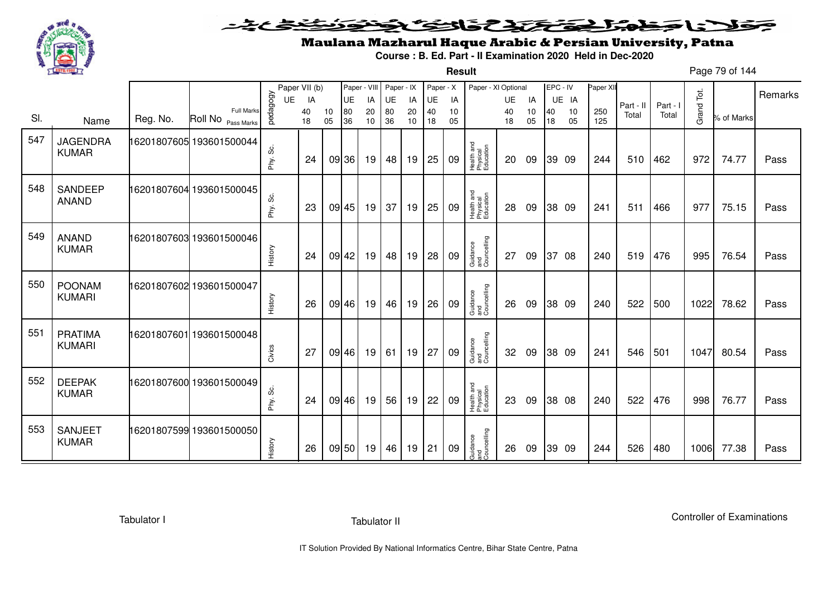

**Result**

# Maulana Mazharul Haque Arabic & Persian University, Patna

**Course : B. Ed. Part - II Examination 2020 Held in Dec-2020**

Page 79 of 144

|     |                 |          |                                         |           | Paper VII (b) |          | Paper - VIII |          | Paper - IX |          | Paper - X |          | Paper - XI Optional                 |          |          | EPC - IV |          | Paper XII  |           |          |            |            |         |
|-----|-----------------|----------|-----------------------------------------|-----------|---------------|----------|--------------|----------|------------|----------|-----------|----------|-------------------------------------|----------|----------|----------|----------|------------|-----------|----------|------------|------------|---------|
|     |                 |          |                                         | <b>UE</b> | IA            |          | UE           | IA       | UE         | IA       | UE        | IA       |                                     | UE       | IA       |          | UE IA    |            | Part - II | Part - I |            |            | Remarks |
| SI. | Name            | Reg. No. | <b>Full Marks</b><br>Roll No Pass Marks | pedagogy  | 40<br>18      | 10<br>05 | 80<br>36     | 20<br>10 | 80<br>36   | 20<br>10 | 40<br>18  | 10<br>05 |                                     | 40<br>18 | 10<br>05 | 40<br>18 | 10<br>05 | 250<br>125 | Total     | Total    | Grand Tot. | % of Marks |         |
|     |                 |          |                                         |           |               |          |              |          |            |          |           |          |                                     |          |          |          |          |            |           |          |            |            |         |
| 547 | <b>JAGENDRA</b> |          | 16201807605 193601500044                |           |               |          |              |          |            |          |           |          |                                     |          |          |          |          |            |           |          |            |            |         |
|     | <b>KUMAR</b>    |          |                                         | တိ        | 24            |          | 09 36        | 19       | 48         | 19       | 25        | 09       | Health and<br>Physical<br>Education | 20       | 09       |          | 39 09    | 244        | 510       | 462      | 972        | 74.77      | Pass    |
|     |                 |          |                                         | Phy.      |               |          |              |          |            |          |           |          |                                     |          |          |          |          |            |           |          |            |            |         |
| 548 | <b>SANDEEP</b>  |          | 16201807604 193601500045                |           |               |          |              |          |            |          |           |          |                                     |          |          |          |          |            |           |          |            |            |         |
|     | <b>ANAND</b>    |          |                                         |           |               |          |              |          |            |          |           |          |                                     |          |          |          |          |            |           |          |            |            |         |
|     |                 |          |                                         | Phy. Sc.  | 23            |          | 09 45        | 19       | 37         | 19       | 25        | 09       | Health and<br>Physical<br>Education | 28       | 09       |          | 38 09    | 241        | 511       | 466      | 977        | 75.15      | Pass    |
|     |                 |          |                                         |           |               |          |              |          |            |          |           |          |                                     |          |          |          |          |            |           |          |            |            |         |
| 549 | <b>ANAND</b>    |          | 16201807603 193601500046                |           |               |          |              |          |            |          |           |          |                                     |          |          |          |          |            |           |          |            |            |         |
|     | <b>KUMAR</b>    |          |                                         | History   | 24            |          | 09 42        | 19       | 48         | 19       | 28        | 09       | Guidance<br>and<br>Councelling      | 27       | 09       |          | 37 08    | 240        | 519       | 476      | 995        | 76.54      | Pass    |
|     |                 |          |                                         |           |               |          |              |          |            |          |           |          |                                     |          |          |          |          |            |           |          |            |            |         |
| 550 | <b>POONAM</b>   |          | 16201807602 193601500047                |           |               |          |              |          |            |          |           |          |                                     |          |          |          |          |            |           |          |            |            |         |
|     | <b>KUMARI</b>   |          |                                         |           |               |          |              |          |            |          |           |          |                                     |          |          |          |          |            |           |          |            |            |         |
|     |                 |          |                                         | History   | 26            |          | 09 46        | 19       | 46         | 19       | 26        | 09       | Guidance<br>and<br>Councelling      | 26       | 09       |          | 38 09    | 240        | 522       | 500      | 1022       | 78.62      | Pass    |
|     |                 |          |                                         |           |               |          |              |          |            |          |           |          |                                     |          |          |          |          |            |           |          |            |            |         |
| 551 | <b>PRATIMA</b>  |          | 16201807601 193601500048                |           |               |          |              |          |            |          |           |          |                                     |          |          |          |          |            |           |          |            |            |         |
|     | <b>KUMARI</b>   |          |                                         | Civics    | 27            |          | 09 46        | 19       | 61         | 19       | 27        | 09       | Guidance<br>and<br>Councelling      | 32       | 09       |          | 38 09    | 241        | 546       | 501      | 1047       | 80.54      | Pass    |
|     |                 |          |                                         |           |               |          |              |          |            |          |           |          |                                     |          |          |          |          |            |           |          |            |            |         |
| 552 | <b>DEEPAK</b>   |          | 16201807600 193601500049                |           |               |          |              |          |            |          |           |          |                                     |          |          |          |          |            |           |          |            |            |         |
|     | <b>KUMAR</b>    |          |                                         | ပ္တဲ      |               |          |              |          |            |          |           |          |                                     |          |          |          |          |            |           |          |            |            |         |
|     |                 |          |                                         | Phy.      | 24            |          | 09 46        | 19       | 56         | 19       | 22        | 09       | Health and<br>Physical<br>Education | 23       | 09       |          | 38 08    | 240        | 522       | 476      | 998        | 76.77      | Pass    |
|     |                 |          |                                         |           |               |          |              |          |            |          |           |          |                                     |          |          |          |          |            |           |          |            |            |         |
| 553 | <b>SANJEET</b>  |          | 16201807599 193601500050                |           |               |          |              |          |            |          |           |          |                                     |          |          |          |          |            |           |          |            |            |         |
|     | <b>KUMAR</b>    |          |                                         | History   | 26            |          | 09 50        | 19       | 46         | 19       | 21        | 09       | Guidance<br>and<br>Councelling      | 26       | 09       |          | 39 09    | 244        | 526       | 480      | 1006       | 77.38      | Pass    |
|     |                 |          |                                         |           |               |          |              |          |            |          |           |          |                                     |          |          |          |          |            |           |          |            |            |         |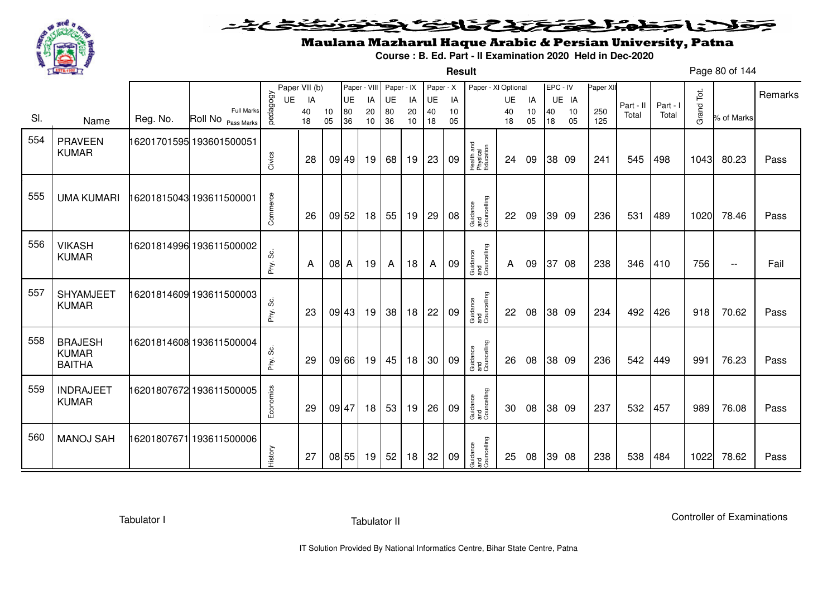

### <u>یٹی ٹ</u>ے۔ فلانا وخدا يقتحنك فالتف ونونوذ ∍

**Result**

# Maulana Mazharul Haque Arabic & Persian University, Patna

**Course : B. Ed. Part - II Examination 2020 Held in Dec-2020**

Page 80 of 144

|     |                               |          |                          |           | Paper VII (b) |        | Paper - VIII |    | Paper - IX |    | Paper - X |    | Paper - XI Optional                 |              |    | EPC - IV |       | Paper XI |                    |                   |            |            |         |
|-----|-------------------------------|----------|--------------------------|-----------|---------------|--------|--------------|----|------------|----|-----------|----|-------------------------------------|--------------|----|----------|-------|----------|--------------------|-------------------|------------|------------|---------|
|     |                               |          |                          | UE        | IA            |        | UE           | IA | UE         | IA | UE        | IA |                                     | UE           | IA |          | UE IA |          |                    |                   |            |            | Remarks |
| SI. |                               | Reg. No. | <b>Full Marks</b>        | pedagogy  | 40            | 10     | 80           | 20 | 80         | 20 | 40        | 10 |                                     | 40           | 10 | 40       | 10    | 250      | Part - II<br>Total | Part - I<br>Total | Grand Tot. | % of Marks |         |
|     | Name                          |          | Roll No Pass Marks       |           | 18            | 05     | 36           | 10 | 36         | 10 | 18        | 05 |                                     | 18           | 05 | 18       | 05    | 125      |                    |                   |            |            |         |
| 554 | <b>PRAVEEN</b>                |          | 16201701595 193601500051 |           |               |        |              |    |            |    |           |    |                                     |              |    |          |       |          |                    |                   |            |            |         |
|     | <b>KUMAR</b>                  |          |                          |           | 28            |        | 09 49        | 19 | 68         | 19 | 23        | 09 | Health and<br>Physical<br>Education | 24           | 09 |          | 38 09 | 241      | 545                | 498               | 1043       | 80.23      | Pass    |
|     |                               |          |                          | Civics    |               |        |              |    |            |    |           |    |                                     |              |    |          |       |          |                    |                   |            |            |         |
|     |                               |          |                          |           |               |        |              |    |            |    |           |    |                                     |              |    |          |       |          |                    |                   |            |            |         |
| 555 | <b>UMA KUMARI</b>             |          | 6201815043 193611500001  |           |               |        |              |    |            |    |           |    |                                     |              |    |          |       |          |                    |                   |            |            |         |
|     |                               |          |                          | Commerce  | 26            |        | 09 52        | 18 | 55         | 19 | 29        | 08 | Guidance<br>and<br>Councelling      | 22           | 09 |          | 39 09 | 236      | 531                | 489               | 1020       | 78.46      | Pass    |
|     |                               |          |                          |           |               |        |              |    |            |    |           |    |                                     |              |    |          |       |          |                    |                   |            |            |         |
| 556 |                               |          |                          |           |               |        |              |    |            |    |           |    |                                     |              |    |          |       |          |                    |                   |            |            |         |
|     | <b>VIKASH</b><br><b>KUMAR</b> |          | 16201814996 193611500002 |           |               |        |              |    |            |    |           |    |                                     |              |    |          |       |          |                    |                   |            |            |         |
|     |                               |          |                          | Phy. Sc.  | A             | $08$ A |              | 19 | A          | 18 | A         | 09 | Guidance<br>and<br>Councelling      | $\mathsf{A}$ | 09 | 37       | 08    | 238      | 346                | 410               | 756        | $\sim$ $-$ | Fail    |
|     |                               |          |                          |           |               |        |              |    |            |    |           |    |                                     |              |    |          |       |          |                    |                   |            |            |         |
| 557 | <b>SHYAMJEET</b>              |          | 16201814609 193611500003 |           |               |        |              |    |            |    |           |    |                                     |              |    |          |       |          |                    |                   |            |            |         |
|     | <b>KUMAR</b>                  |          |                          | Phy. Sc.  | 23            |        | 09 43        | 19 | 38         | 18 | 22        | 09 | Guidance<br>and<br>Councelling      | 22           | 08 |          | 38 09 | 234      | 492                | 426               | 918        | 70.62      | Pass    |
|     |                               |          |                          |           |               |        |              |    |            |    |           |    |                                     |              |    |          |       |          |                    |                   |            |            |         |
| 558 | <b>BRAJESH</b>                |          | 16201814608 193611500004 |           |               |        |              |    |            |    |           |    |                                     |              |    |          |       |          |                    |                   |            |            |         |
|     | <b>KUMAR</b>                  |          |                          |           |               |        |              |    |            |    |           |    |                                     |              |    |          |       |          |                    |                   |            |            |         |
|     | <b>BAITHA</b>                 |          |                          | Phy. Sc.  | 29            |        | 09 66        | 19 | 45         | 18 | 30        | 09 | Guidance<br>and<br>Councelling      | 26           | 08 |          | 38 09 | 236      | 542                | 449               | 991        | 76.23      | Pass    |
|     |                               |          |                          |           |               |        |              |    |            |    |           |    |                                     |              |    |          |       |          |                    |                   |            |            |         |
| 559 | <b>INDRAJEET</b>              |          | 16201807672 193611500005 | Economics |               |        |              |    |            |    |           |    |                                     |              |    |          |       |          |                    |                   |            |            |         |
|     | <b>KUMAR</b>                  |          |                          |           | 29            |        | 09 47        | 18 | 53         | 19 | 26        | 09 | Guidance<br>and<br>Councelling      | 30           | 08 |          | 38 09 | 237      | 532                | 457               | 989        | 76.08      | Pass    |
|     |                               |          |                          |           |               |        |              |    |            |    |           |    |                                     |              |    |          |       |          |                    |                   |            |            |         |
| 560 | <b>MANOJ SAH</b>              |          | 16201807671 193611500006 |           |               |        |              |    |            |    |           |    |                                     |              |    |          |       |          |                    |                   |            |            |         |
|     |                               |          |                          |           |               |        |              |    |            |    |           |    | Guidance<br>and<br>Councelling      |              |    |          |       |          |                    |                   |            |            |         |
|     |                               |          |                          | History   | 27            |        | 08 55        | 19 | 52         | 18 | 32        | 09 |                                     | 25           | 08 |          | 39 08 | 238      | 538                | 484               | 1022       | 78.62      | Pass    |

Tabulator I

Tabulator II

Controller of Examinations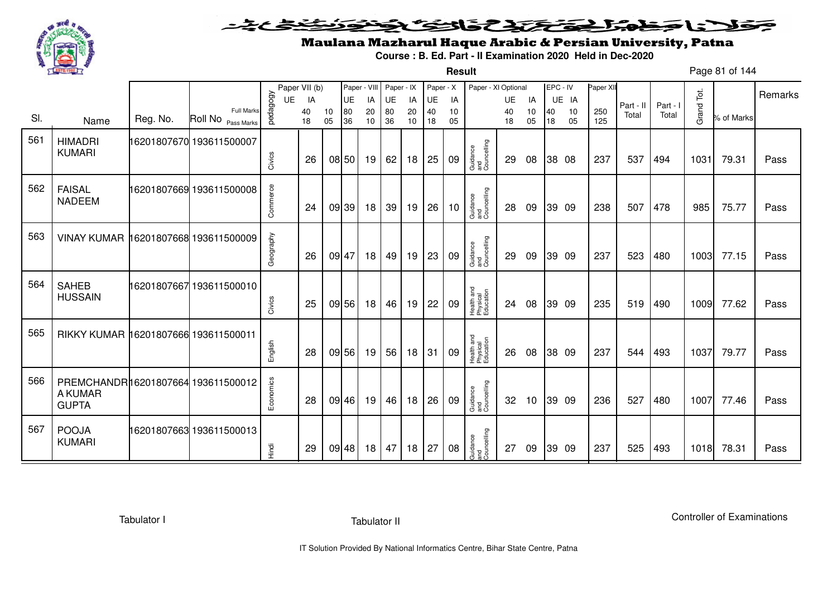

**Result**

# Maulana Mazharul Haque Arabic & Persian University, Patna

**Course : B. Ed. Part - II Examination 2020 Held in Dec-2020**

Page 81 of 144

|     |                                                               |          |                                                    |           | Paper VII (b) |          | Paper - VIII |          | Paper - IX |          | Paper - X |          | Paper - XI Optional                 |          |          | EPC - IV |          | Paper XII  |           |        |            |            | Remarks |
|-----|---------------------------------------------------------------|----------|----------------------------------------------------|-----------|---------------|----------|--------------|----------|------------|----------|-----------|----------|-------------------------------------|----------|----------|----------|----------|------------|-----------|--------|------------|------------|---------|
|     |                                                               |          |                                                    | UE        | IA            |          | UE           | IA       | UE         | IA       | UE        | IA       |                                     | UE       | IA       |          | UE IA    |            | Part - II | Part - |            |            |         |
| SI. | Name                                                          | Reg. No. | <b>Full Marks</b><br>Roll No <sub>Pass Marks</sub> | pedagogy  | 40<br>18      | 10<br>05 | 80<br>36     | 20<br>10 | 80<br>36   | 20<br>10 | 40<br>18  | 10<br>05 |                                     | 40<br>18 | 10<br>05 | 40<br>18 | 10<br>05 | 250<br>125 | Total     | Total  | Grand Tot. | % of Marks |         |
| 561 | <b>HIMADRI</b><br><b>KUMARI</b>                               |          | 16201807670 193611500007                           | Civics    | 26            |          | 08 50        | 19       | 62         | 18       | 25        | 09       | Guidance<br>and<br>Councelling      | 29       | 08       |          | 38 08    | 237        | 537       | 494    | 1031       | 79.31      | Pass    |
| 562 | <b>FAISAL</b><br><b>NADEEM</b>                                |          | 16201807669 193611500008                           | Commerce  | 24            |          | 09 39        | 18       | 39         | 19       | 26        | 10       | Guidance<br>and<br>Councelling      | 28       | 09       |          | 39 09    | 238        | 507       | 478    | 985        | 75.77      | Pass    |
| 563 | VINAY KUMAR 16201807668 193611500009                          |          |                                                    | Geography | 26            |          | 09 47        | 18       | 49         | 19       | 23        | 09       | Guidance<br>and<br>Councelling      | 29       | 09       |          | 39 09    | 237        | 523       | 480    | 1003       | 77.15      | Pass    |
| 564 | <b>SAHEB</b><br><b>HUSSAIN</b>                                |          | 16201807667193611500010                            | Civics    | 25            |          | 09 56        | 18       | 46         | 19       | 22        | 09       | Health and<br>Physical<br>Education | 24       | 08       |          | 39 09    | 235        | 519       | 490    | 1009       | 77.62      | Pass    |
| 565 | RIKKY KUMAR 16201807666 193611500011                          |          |                                                    | English   | 28            |          | 09 56        | 19       | 56         | 18       | 31        | 09       | Health and<br>Physical<br>Education | 26       | 08       |          | 38 09    | 237        | 544       | 493    | 1037       | 79.77      | Pass    |
| 566 | PREMCHANDR16201807664 193611500012<br>A KUMAR<br><b>GUPTA</b> |          |                                                    | Economics | 28            |          | 09 46        | 19       | 46         | 18       | 26        | 09       | Guidance<br>and<br>Councelling      | 32       | 10       |          | 39 09    | 236        | 527       | 480    | 1007       | 77.46      | Pass    |
| 567 | <b>POOJA</b><br><b>KUMARI</b>                                 |          | 16201807663 193611500013                           | Hindi     | 29            |          | 09 48        | 18       | 47         | 18       | 27        | 08       | Guidance<br>and<br>Councelling      | 27       | 09       |          | 39 09    | 237        | 525       | 493    | 1018       | 78.31      | Pass    |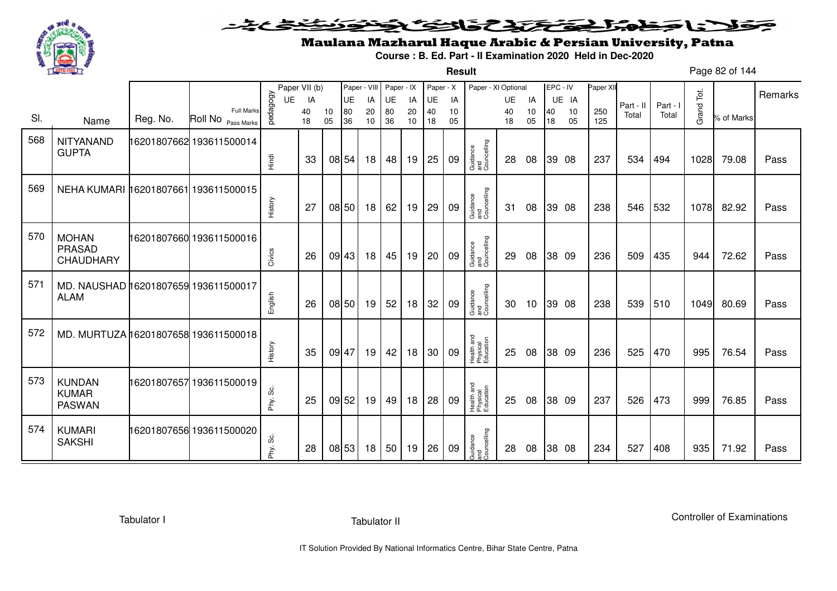

**Result**

# Maulana Mazharul Haque Arabic & Persian University, Patna

**Course : B. Ed. Part - II Examination 2020 Held in Dec-2020**

Page 82 of 144

|     |                                                     |          |                                         |              | Paper VII (b) |          |           | Paper - VIII | Paper - IX |          | Paper - X |          | Paper - XI Optional                 |          |          | EPC - IV |          | Paper XII  |           |          |            |            |         |
|-----|-----------------------------------------------------|----------|-----------------------------------------|--------------|---------------|----------|-----------|--------------|------------|----------|-----------|----------|-------------------------------------|----------|----------|----------|----------|------------|-----------|----------|------------|------------|---------|
|     |                                                     |          |                                         | <b>UE</b>    | IA            |          | <b>UE</b> | IA           | UE         | IA       | UE        | IA       |                                     | UE       | IA       |          | UE IA    |            | Part - II | Part - I |            |            | Remarks |
| SI. | Name                                                | Reg. No. | <b>Full Marks</b><br>Roll No Pass Marks | pedagogy     | 40<br>18      | 10<br>05 | 80<br>36  | 20<br>10     | 80<br>36   | 20<br>10 | 40<br>18  | 10<br>05 |                                     | 40<br>18 | 10<br>05 | 40<br>18 | 10<br>05 | 250<br>125 | Total     | Total    | Grand Tot. | % of Marks |         |
| 568 | NITYANAND<br><b>GUPTA</b>                           |          | 16201807662 193611500014                | Hindi        | 33            |          | 08 54     | 18           | 48         | 19       | 25        | 09       | Guidance<br>and<br>Councelling      | 28       | 08       |          | 39 08    | 237        | 534       | 494      | 1028       | 79.08      | Pass    |
| 569 | NEHA KUMARI 16201807661 193611500015                |          |                                         | History      | 27            |          | 08 50     | 18           | 62         | 19       | 29        | 09       | Guidance<br>and<br>Councelling      | 31       | 08       |          | 39 08    | 238        | 546       | 532      | 1078       | 82.92      | Pass    |
| 570 | <b>MOHAN</b><br>PRASAD<br>CHAUDHARY                 |          | 16201807660 193611500016                | Civics       | 26            |          | 09 43     | 18           | 45         | 19       | 20        | 09       | Guidance<br>and<br>Councelling      | 29       | 08       |          | 38 09    | 236        | 509       | 435      | 944        | 72.62      | Pass    |
| 571 | MD. NAUSHAD 16201807659 193611500017<br><b>ALAM</b> |          |                                         | English      | 26            |          | 08 50     | 19           | 52         | 18       | 32        | 09       | Guidance<br>and<br>Councelling      | 30       | 10       |          | 39 08    | 238        | 539       | 510      | 1049       | 80.69      | Pass    |
| 572 | MD. MURTUZA 16201807658 193611500018                |          |                                         | History      | 35            |          | 09 47     | 19           | 42         | 18       | 30        | 09       | Health and<br>Physical<br>Education | 25       | 08       |          | 38 09    | 236        | 525       | 470      | 995        | 76.54      | Pass    |
| 573 | <b>KUNDAN</b><br><b>KUMAR</b><br><b>PASWAN</b>      |          | 16201807657 193611500019                | ပ္တဲ<br>Phy. | 25            |          | 09 52     | 19           | 49         | 18       | 28        | 09       | Health and<br>Physical<br>Education | 25       | 08       |          | 38 09    | 237        | 526       | 473      | 999        | 76.85      | Pass    |
| 574 | <b>KUMARI</b><br><b>SAKSHI</b>                      |          | 16201807656 193611500020                | ပ္လိ<br>Phy. | 28            |          | 08 53     | 18           | 50         | 19       | 26        | 09       | Guidance<br>and<br>Councelling      | 28       | 08       |          | 38 08    | 234        | 527       | 408      | 935        | 71.92      | Pass    |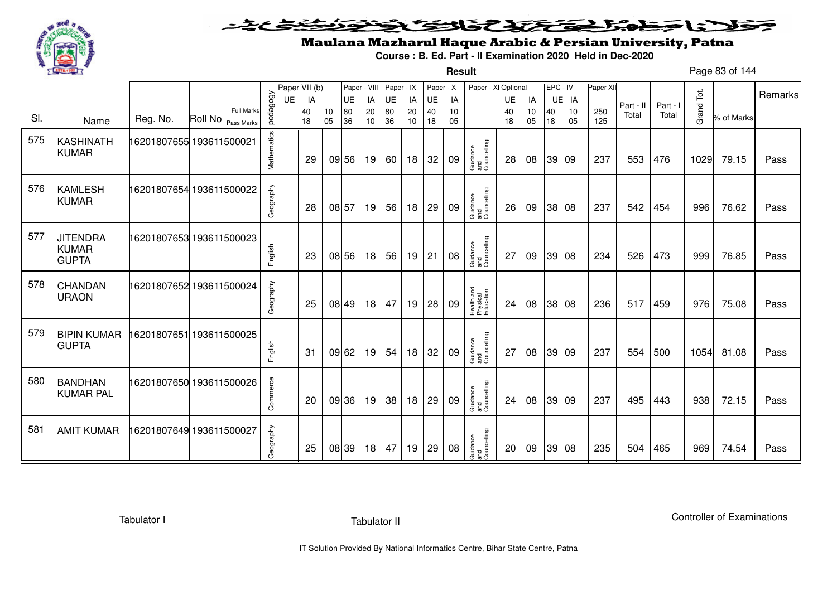

**Result**

# Maulana Mazharul Haque Arabic & Persian University, Patna

**Course : B. Ed. Part - II Examination 2020 Held in Dec-2020**

Page 83 of 144

|     |                                                 |          |                                         |             | Paper VII (b) |          | Paper - VIII |          | Paper - IX |          | Paper - X |          | Paper - XI Optional                 |          |          | EPC - IV |          | Paper XII  |           |          |            |            |         |
|-----|-------------------------------------------------|----------|-----------------------------------------|-------------|---------------|----------|--------------|----------|------------|----------|-----------|----------|-------------------------------------|----------|----------|----------|----------|------------|-----------|----------|------------|------------|---------|
|     |                                                 |          |                                         | <b>UE</b>   | IA            |          | <b>UE</b>    | IA       | UE         | IA       | UE        | IA       |                                     | UE       | IA       |          | UE IA    |            | Part - II | Part - I |            |            | Remarks |
| SI. | Name                                            | Reg. No. | <b>Full Marks</b><br>Roll No Pass Marks | pedagogy    | 40<br>18      | 10<br>05 | 80<br>36     | 20<br>10 | 80<br>36   | 20<br>10 | 40<br>18  | 10<br>05 |                                     | 40<br>18 | 10<br>05 | 40<br>18 | 10<br>05 | 250<br>125 | Total     | Total    | Grand Tot. | % of Marks |         |
| 575 | <b>KASHINATH</b><br><b>KUMAR</b>                |          | 16201807655 193611500021                | Mathematics | 29            |          | 09 56        | 19       | 60         | 18       | 32        | 09       | Guidance<br>and<br>Councelling      | 28       | 08       | 39 09    |          | 237        | 553       | 476      | 1029       | 79.15      | Pass    |
| 576 | <b>KAMLESH</b><br><b>KUMAR</b>                  |          | 16201807654 193611500022                | Geography   | 28            |          | 08 57        | 19       | 56         | 18       | 29        | 09       | Guidance<br>and<br>Councelling      | 26       | 09       |          | 38 08    | 237        | 542       | 454      | 996        | 76.62      | Pass    |
| 577 | <b>JITENDRA</b><br><b>KUMAR</b><br><b>GUPTA</b> |          | 16201807653 193611500023                | English     | 23            |          | 08 56        | 18       | 56         | 19       | 21        | 08       | Guidance<br>and<br>Councelling      | 27       | 09       |          | 39 08    | 234        | 526       | 473      | 999        | 76.85      | Pass    |
| 578 | CHANDAN<br><b>URAON</b>                         |          | 16201807652 193611500024                | Geography   | 25            |          | 08 49        | 18       | 47         | 19       | 28        | 09       | Health and<br>Physical<br>Education | 24       | 08       |          | 38 08    | 236        | 517       | 459      | 976        | 75.08      | Pass    |
| 579 | <b>BIPIN KUMAR</b><br><b>GUPTA</b>              |          | 16201807651 193611500025                | English     | 31            |          | 09 62        | 19       | 54         | 18       | 32        | 09       | Guidance<br>and<br>Councelling      | 27       | 08       | 39 09    |          | 237        | 554       | 500      | 1054       | 81.08      | Pass    |
| 580 | <b>BANDHAN</b><br><b>KUMAR PAL</b>              |          | 16201807650 193611500026                | Commerce    | 20            |          | 09 36        | 19       | 38         | 18       | 29        | 09       | Guidance<br>and<br>Councelling      | 24       | 08       | 39 09    |          | 237        | 495       | 443      | 938        | 72.15      | Pass    |
| 581 | <b>AMIT KUMAR</b>                               |          | 16201807649 193611500027                | Geography   | 25            |          | 08 39        | 18       | 47         | 19       | 29        | 08       | Guidance<br>and<br>Councelling      | 20       | 09       |          | 39 08    | 235        | 504       | 465      | 969        | 74.54      | Pass    |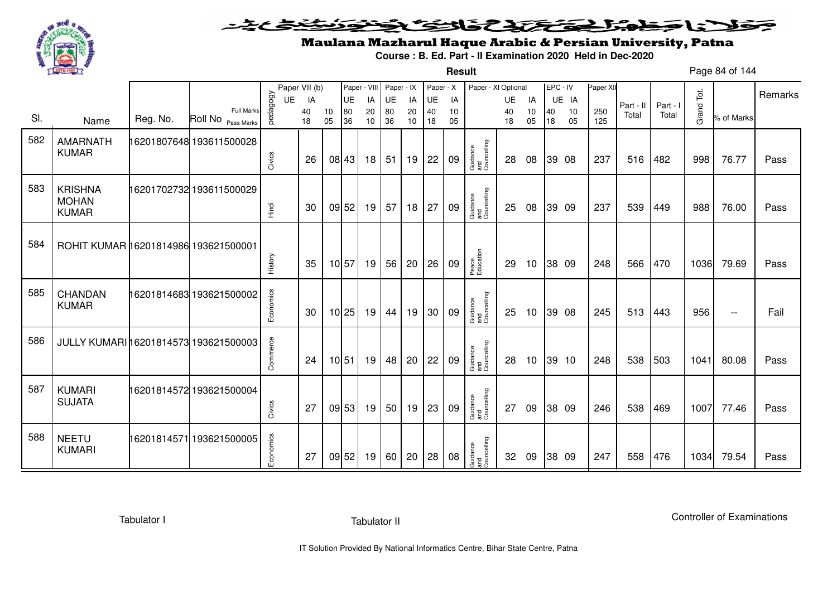

### <u>یٹی ٹ</u>ے۔ فلانا وخدا يقتحنك فالتف ونونوذ ∍

**Result**

# Maulana Mazharul Haque Arabic & Persian University, Patna

**Course : B. Ed. Part - II Examination 2020 Held in Dec-2020**

Page 84 of 144

|     |                                       |          |                                         |           | Paper VII (b) |          | Paper - VIII |          | Paper - IX      |          | Paper - X |          | Paper - XI Optional            |           |          | EPC - IV |          | Paper XII  |           |          |            |            |         |
|-----|---------------------------------------|----------|-----------------------------------------|-----------|---------------|----------|--------------|----------|-----------------|----------|-----------|----------|--------------------------------|-----------|----------|----------|----------|------------|-----------|----------|------------|------------|---------|
|     |                                       |          |                                         | <b>UE</b> | IA            |          | <b>UE</b>    | IA       | <b>UE</b>       | IA       | <b>UE</b> | IA       |                                | <b>UE</b> | IA       |          | UE IA    |            | Part - II | Part - I |            |            | Remarks |
| SI. | Name                                  | Reg. No. | <b>Full Marks</b><br>Roll No Pass Marks | pedagogy  | 40<br>18      | 10<br>05 | 80<br>36     | 20<br>10 | 80<br>36        | 20<br>10 | 40<br>18  | 10<br>05 |                                | 40<br>18  | 10<br>05 | 40<br>18 | 10<br>05 | 250<br>125 | Total     | Total    | Grand Tot. | % of Marks |         |
|     |                                       |          |                                         |           |               |          |              |          |                 |          |           |          |                                |           |          |          |          |            |           |          |            |            |         |
| 582 | <b>AMARNATH</b>                       |          |                                         |           |               |          |              |          |                 |          |           |          |                                |           |          |          |          |            |           |          |            |            |         |
|     | <b>KUMAR</b>                          |          |                                         | Civics    | 26            |          | 08 43        | 18       | 51              | 19       | 22        | 09       | Guidance<br>and<br>Councelling | 28        | 08       |          | 39 08    | 237        | 516       | 482      | 998        | 76.77      | Pass    |
|     |                                       |          |                                         |           |               |          |              |          |                 |          |           |          |                                |           |          |          |          |            |           |          |            |            |         |
| 583 | <b>KRISHNA</b>                        |          | 16201702732 193611500029                |           |               |          |              |          |                 |          |           |          |                                |           |          |          |          |            |           |          |            |            |         |
|     | <b>MOHAN</b>                          |          |                                         |           |               |          |              |          |                 |          |           |          |                                |           |          |          |          |            |           |          |            |            |         |
|     | <b>KUMAR</b>                          |          |                                         | Tingi     | 30            |          | 09 52        | 19       | 57              | 18       | 27        | 09       | Guidance<br>and<br>Councelling | 25        | 08       |          | 39 09    | 237        | 539       | 449      | 988        | 76.00      | Pass    |
|     |                                       |          |                                         |           |               |          |              |          |                 |          |           |          |                                |           |          |          |          |            |           |          |            |            |         |
| 584 |                                       |          |                                         |           |               |          |              |          |                 |          |           |          |                                |           |          |          |          |            |           |          |            |            |         |
|     | ROHIT KUMAR 16201814986 193621500001  |          |                                         |           |               |          |              |          |                 |          |           |          |                                |           |          |          |          |            |           |          |            |            |         |
|     |                                       |          |                                         | History   | 35            |          | 10 57        | 19       | 56              | 20       | 26        | 09       | Peace<br>Education             | 29        | 10       |          | 38 09    | 248        | 566       | 470      | 1036       | 79.69      | Pass    |
|     |                                       |          |                                         |           |               |          |              |          |                 |          |           |          |                                |           |          |          |          |            |           |          |            |            |         |
| 585 | <b>CHANDAN</b>                        |          |                                         |           |               |          |              |          |                 |          |           |          |                                |           |          |          |          |            |           |          |            |            |         |
|     | <b>KUMAR</b>                          |          |                                         | Economics | 30            |          | $10$ 25      | 19       | 44              | 19       | 30        | 09       | Guidance<br>and<br>Councelling | 25        | 10       |          | 39 08    | 245        | 513       | 443      | 956        | $- -$      | Fail    |
|     |                                       |          |                                         |           |               |          |              |          |                 |          |           |          |                                |           |          |          |          |            |           |          |            |            |         |
| 586 | JULLY KUMARI 16201814573 193621500003 |          |                                         |           |               |          |              |          |                 |          |           |          |                                |           |          |          |          |            |           |          |            |            |         |
|     |                                       |          |                                         | Commerce  |               |          |              |          |                 |          |           |          |                                |           |          |          |          |            |           |          |            |            |         |
|     |                                       |          |                                         |           | 24            |          | 10 51        | 19       | 48              | 20       | 22        | 09       | Guidance<br>and<br>Councelling | 28        | 10       |          | 39 10    | 248        | 538       | 503      | 1041       | 80.08      | Pass    |
|     |                                       |          |                                         |           |               |          |              |          |                 |          |           |          |                                |           |          |          |          |            |           |          |            |            |         |
| 587 | <b>KUMARI</b>                         |          | 16201814572 193621500004                |           |               |          |              |          |                 |          |           |          |                                |           |          |          |          |            |           |          |            |            |         |
|     | <b>SUJATA</b>                         |          |                                         | Civics    | 27            |          | 09 53        | 19       | 50 <sub>1</sub> | 19       | 23        | 09       | Guidance<br>and<br>Councelling | 27        | 09       |          | 38 09    | 246        | 538       | 469      | 1007       | 77.46      | Pass    |
|     |                                       |          |                                         |           |               |          |              |          |                 |          |           |          |                                |           |          |          |          |            |           |          |            |            |         |
| 588 | <b>NEETU</b>                          |          | 16201814571 193621500005                |           |               |          |              |          |                 |          |           |          |                                |           |          |          |          |            |           |          |            |            |         |
|     | <b>KUMARI</b>                         |          |                                         | Economics |               |          |              |          |                 |          |           |          |                                |           |          |          |          |            |           |          |            |            |         |
|     |                                       |          |                                         |           | 27            |          | 09 52        | 19       | 60              | 20       | 28        | 08       | Guidance<br>and<br>Councelling | 32        | 09       |          | 38 09    | 247        | 558       | 476      | 1034       | 79.54      | Pass    |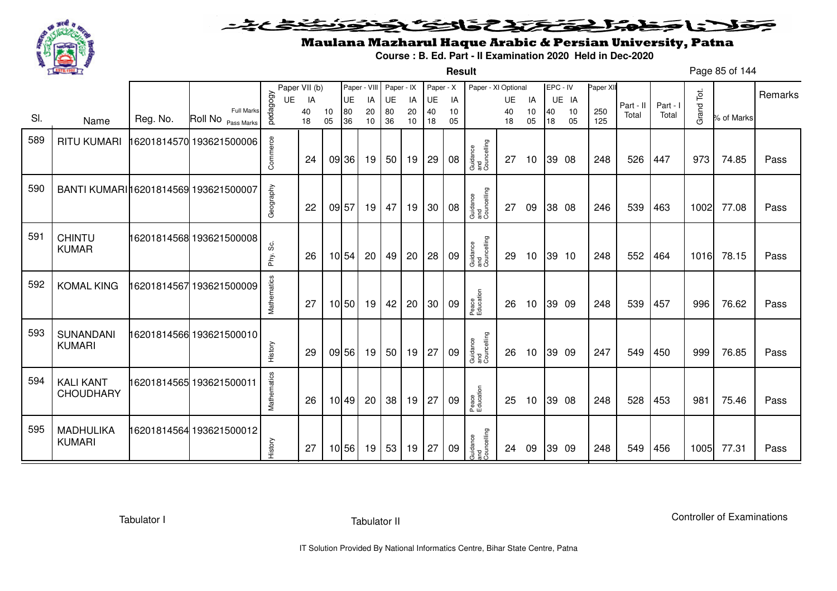

### ミヒミ 23523752  $\geq$

**Result**

# Maulana Mazharul Haque Arabic & Persian University, Patna

**Course : B. Ed. Part - II Examination 2020 Held in Dec-2020**

Page 85 of 144

|     |                                       |          |                          |                | Paper VII (b) |    |          | Paper - VIII | Paper - IX |           | Paper - X |          | Paper - XI Optional            |                 |          | EPC - IV |             | Paper XII |           |        | Tot.               |            | Remarks |
|-----|---------------------------------------|----------|--------------------------|----------------|---------------|----|----------|--------------|------------|-----------|-----------|----------|--------------------------------|-----------------|----------|----------|-------------|-----------|-----------|--------|--------------------|------------|---------|
|     |                                       |          | <b>Full Marks</b>        | pedagogy<br>UE | IA<br>40      | 10 | UE<br>80 | IA<br>20     | UE<br>80   | IA<br>20  | UE<br>40  | IA<br>10 |                                | <b>UE</b><br>40 | IA<br>10 | 40       | UE IA<br>10 | 250       | Part - II | Part - |                    |            |         |
| SI. | Name                                  | Reg. No. | Roll No Pass Marks       |                | 18            | 05 | 36       | 10           | 36         | 10        | 18        | 05       |                                | 18              | 05       | 18       | 05          | 125       | Total     | Total  | Grand <sup>-</sup> | % of Marks |         |
| 589 | <b>RITU KUMARI</b>                    |          | 16201814570 193621500006 | Commerce       | 24            |    | 09 36    | 19           | 50         | 19        | 29        | 08       | Guidance<br>and<br>Councelling | 27              | 10       | 39 08    |             | 248       | 526       | 447    | 973                | 74.85      | Pass    |
| 590 | BANTI KUMARI 16201814569 193621500007 |          |                          | Geography      | 22            |    | 09 57    | 19 I         | 47         | 19        | 30        | 08       | Guidance<br>and<br>Councelling | 27              | 09       | 38 08    |             | 246       | 539       | 463    | 1002               | 77.08      | Pass    |
| 591 | <b>CHINTU</b><br><b>KUMAR</b>         |          | 16201814568 193621500008 | Phy. Sc.       | 26            |    | 10 54    | 20           | 49         | 20        | 28        | 09       | Guidance<br>and<br>Councelling | 29              | 10       | 39 10    |             | 248       | 552       | 464    | 1016               | 78.15      | Pass    |
| 592 | <b>KOMAL KING</b>                     |          | 16201814567 193621500009 | Mathematics    | 27            |    | 10 50    | 19           | 42         | 20        | 30        | 09       | Peace<br>Education             | 26              | 10       | 39 09    |             | 248       | 539       | 457    | 996                | 76.62      | Pass    |
| 593 | <b>SUNANDANI</b><br><b>KUMARI</b>     |          | 16201814566 193621500010 | History        | 29            |    | 09 56    | 19           | 50         | 19        | 27        | 09       | Guidance<br>and<br>Councelling | 26              | 10       | 39 09    |             | 247       | 549       | 450    | 999                | 76.85      | Pass    |
| 594 | <b>KALI KANT</b><br><b>CHOUDHARY</b>  |          | 16201814565 193621500011 | Mathematics    | 26            |    | 10 49    | 20           | 38         | 19        | 27        | 09       | Peace<br>Education             | 25              | 10       | 39 08    |             | 248       | 528       | 453    | 981                | 75.46      | Pass    |
| 595 | <b>MADHULIKA</b><br><b>KUMARI</b>     |          | 16201814564 193621500012 | History        | 27            |    | 10 56    | 19           | 53         | $19$   27 |           | 09       | Guidance<br>and<br>Councelling | 24              | 09       | 39 09    |             | 248       | 549       | 456    | 1005               | 77.31      | Pass    |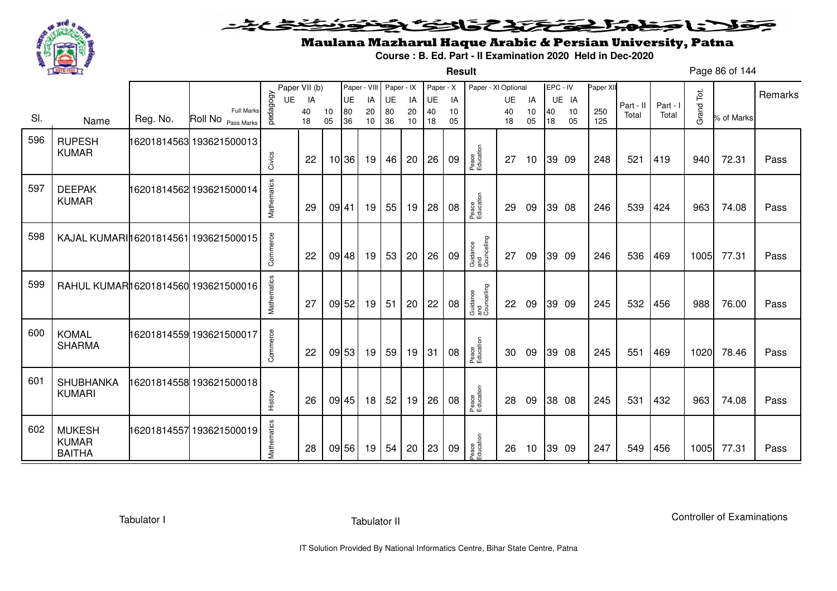

#### こさとき فتختخذ فخافى فخذ كلانا جنادبل ╺

**Result**

# Maulana Mazharul Haque Arabic & Persian University, Patna

**Course : B. Ed. Part - II Examination 2020 Held in Dec-2020**

Page 86 of 144

|     |                                       |          |                                         |             | Paper VII (b) |          |          | Paper - VIII Paper - IX |          |          | Paper - X |          | Paper - XI Optional            |           |    | EPC - IV |          | Paper XII  |           |          |            |            |         |
|-----|---------------------------------------|----------|-----------------------------------------|-------------|---------------|----------|----------|-------------------------|----------|----------|-----------|----------|--------------------------------|-----------|----|----------|----------|------------|-----------|----------|------------|------------|---------|
|     |                                       |          |                                         | UE          | IA            |          | UE       | IA                      | UE       | IA       | UE        | IA       |                                | <b>UE</b> | IA |          | UE IA    |            | Part - II | Part - I |            |            | Remarks |
| SI. | Name                                  | Reg. No. | <b>Full Marks</b><br>Roll No Pass Marks | pedagogy    | 40<br>18      | 10<br>05 | 80<br>36 | 20<br>10                | 80<br>36 | 20<br>10 | 40<br>18  | 10<br>05 |                                | 40<br>18  | 10 | 40<br>18 | 10<br>05 | 250<br>125 | Total     | Total    | Grand Tot. | % of Marks |         |
|     |                                       |          |                                         |             |               |          |          |                         |          |          |           |          |                                |           | 05 |          |          |            |           |          |            |            |         |
| 596 | <b>RUPESH</b>                         |          | 16201814563 193621500013                |             |               |          |          |                         |          |          |           |          |                                |           |    |          |          |            |           |          |            |            |         |
|     | <b>KUMAR</b>                          |          |                                         |             | 22            |          | 10 36    | 19                      | 46       | 20       | 26        | 09       | Peace<br>Education             | 27        | 10 |          | 39 09    | 248        | 521       | 419      | 940        | 72.31      | Pass    |
|     |                                       |          |                                         | Civics      |               |          |          |                         |          |          |           |          |                                |           |    |          |          |            |           |          |            |            |         |
| 597 |                                       |          |                                         |             |               |          |          |                         |          |          |           |          |                                |           |    |          |          |            |           |          |            |            |         |
|     | <b>DEEPAK</b><br><b>KUMAR</b>         |          | 16201814562 193621500014                |             |               |          |          |                         |          |          |           |          |                                |           |    |          |          |            |           |          |            |            |         |
|     |                                       |          |                                         | Mathematics | 29            |          | 09 41    | 19                      | 55       | 19       | 28        | 08       | Peace<br>Education             | 29        | 09 |          | 39 08    | 246        | 539       | 424      | 963        | 74.08      | Pass    |
|     |                                       |          |                                         |             |               |          |          |                         |          |          |           |          |                                |           |    |          |          |            |           |          |            |            |         |
| 598 | KAJAL KUMARI 16201814561 193621500015 |          |                                         |             |               |          |          |                         |          |          |           |          |                                |           |    |          |          |            |           |          |            |            |         |
|     |                                       |          |                                         | Commerce    | 22            |          | 09 48    | 19                      | 53       | 20       | 26        | 09       | Guidance<br>and<br>Councelling | 27        | 09 |          | 39 09    | 246        | 536       | 469      | 1005       | 77.31      | Pass    |
|     |                                       |          |                                         |             |               |          |          |                         |          |          |           |          |                                |           |    |          |          |            |           |          |            |            |         |
| 599 | RAHUL KUMAR16201814560 193621500016   |          |                                         |             |               |          |          |                         |          |          |           |          |                                |           |    |          |          |            |           |          |            |            |         |
|     |                                       |          |                                         |             |               |          |          |                         |          |          |           |          |                                |           |    |          |          |            |           |          |            |            |         |
|     |                                       |          |                                         | Mathematics | 27            |          | 09 52    | 19                      | 51       | 20       | 22        | 08       | Guidance<br>and<br>Councelling | 22        | 09 |          | 39 09    | 245        | 532       | 456      | 988        | 76.00      | Pass    |
|     |                                       |          |                                         |             |               |          |          |                         |          |          |           |          |                                |           |    |          |          |            |           |          |            |            |         |
| 600 | <b>KOMAL</b>                          |          | 16201814559 193621500017                |             |               |          |          |                         |          |          |           |          |                                |           |    |          |          |            |           |          |            |            |         |
|     | <b>SHARMA</b>                         |          |                                         | Commerce    | 22            |          | 09 53    | 19                      | 59       | 19       | 31        | 08       | Peace<br>Education             | 30        | 09 |          | 39 08    | 245        | 551       | 469      | 1020       | 78.46      | Pass    |
|     |                                       |          |                                         |             |               |          |          |                         |          |          |           |          |                                |           |    |          |          |            |           |          |            |            |         |
| 601 | <b>SHUBHANKA</b>                      |          | 16201814558 193621500018                |             |               |          |          |                         |          |          |           |          |                                |           |    |          |          |            |           |          |            |            |         |
|     | <b>KUMARI</b>                         |          |                                         |             |               |          |          |                         |          |          |           |          |                                |           |    |          |          |            |           |          |            |            |         |
|     |                                       |          |                                         | History     | 26            |          | 09 45    | 18                      | 52       | 19       | 26        | 08       | Peace<br>Education             | 28        | 09 |          | 38 08    | 245        | 531       | 432      | 963        | 74.08      | Pass    |
|     |                                       |          |                                         |             |               |          |          |                         |          |          |           |          |                                |           |    |          |          |            |           |          |            |            |         |
| 602 | <b>MUKESH</b>                         |          | 16201814557 193621500019                |             |               |          |          |                         |          |          |           |          |                                |           |    |          |          |            |           |          |            |            |         |
|     | <b>KUMAR</b><br><b>BAITHA</b>         |          |                                         | Mathematics | 28            |          | 09 56    | 19                      | 54       | 20       | 23        | 09       | Peace<br>Education             | 26        | 10 |          | 39 09    | 247        | 549       | 456      | 1005       | 77.31      | Pass    |
|     |                                       |          |                                         |             |               |          |          |                         |          |          |           |          |                                |           |    |          |          |            |           |          |            |            |         |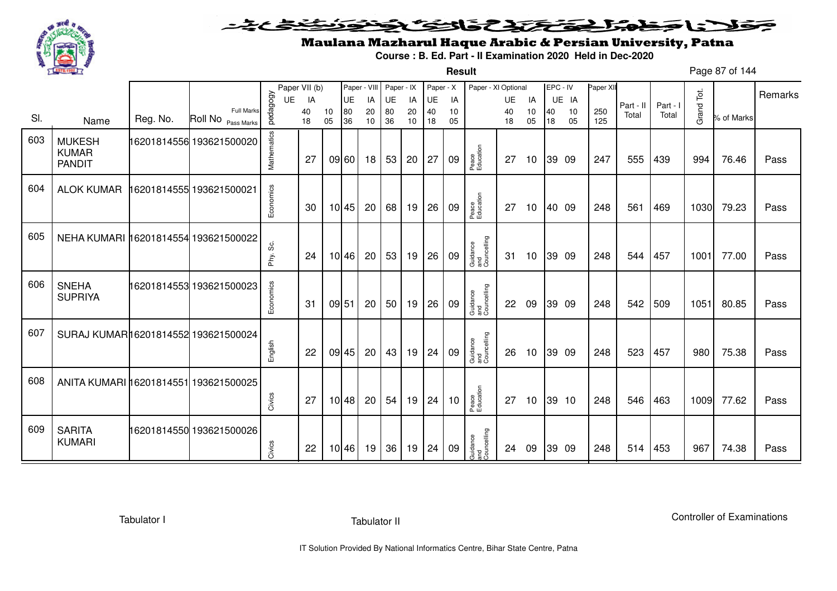

**Result**

# Maulana Mazharul Haque Arabic & Persian University, Patna

**Course : B. Ed. Part - II Examination 2020 Held in Dec-2020**

Page 87 of 144

|     |                                                |          |                          |             | Paper VII (b) |       | Paper - VIII |    | Paper - IX      |    | Paper - X |    | Paper - XI Optional            |    |    | EPC - IV |       | Paper XII |           |          |            |            |         |
|-----|------------------------------------------------|----------|--------------------------|-------------|---------------|-------|--------------|----|-----------------|----|-----------|----|--------------------------------|----|----|----------|-------|-----------|-----------|----------|------------|------------|---------|
|     |                                                |          |                          | UE          | IA            |       | UE           | IA | UE              | IA | UE        | IA |                                | UE | IA |          | UE IA |           | Part - II | Part - I |            |            | Remarks |
| SI. |                                                | Reg. No. | <b>Full Marks</b>        | pedagogy    | 40            | 10    | 80           | 20 | 80              | 20 | 40        | 10 |                                | 40 | 10 | 40       | 10    | 250       | Total     | Total    | Grand Tot. | % of Marks |         |
|     | Name                                           |          | Roll No Pass Marks       |             | 18            | 05    | 36           | 10 | 36              | 10 | 18        | 05 |                                | 18 | 05 | 18       | 05    | 125       |           |          |            |            |         |
| 603 | <b>MUKESH</b><br><b>KUMAR</b><br><b>PANDIT</b> |          | 16201814556 193621500020 | Mathematics | 27            |       | 09 60        | 18 | 53              | 20 | 27        | 09 | Peace<br>Education             | 27 | 10 |          | 39 09 | 247       | 555       | 439      | 994        | 76.46      | Pass    |
| 604 | <b>ALOK KUMAR</b>                              |          | 16201814555 193621500021 | Economics   | 30            |       | 10 45        | 20 | 68              | 19 | 26        | 09 | Peace<br>Education             | 27 | 10 |          | 40 09 | 248       | 561       | 469      | 1030       | 79.23      | Pass    |
| 605 | NEHA KUMARI 16201814554 193621500022           |          |                          | တွဲ<br>Phy. | 24            |       | 10 46        | 20 | 53              | 19 | 26        | 09 | Guidance<br>and<br>Councelling | 31 | 10 |          | 39 09 | 248       | 544       | 457      | 1001       | 77.00      | Pass    |
| 606 | <b>SNEHA</b><br><b>SUPRIYA</b>                 |          | 16201814553 193621500023 | Economics   | 31            | 09 51 |              | 20 | 50 <sup>1</sup> | 19 | 26        | 09 | Guidance<br>and<br>Councelling | 22 | 09 |          | 39 09 | 248       | 542       | 509      | 1051       | 80.85      | Pass    |
| 607 | SURAJ KUMAR16201814552 193621500024            |          |                          | English     | 22            |       | 09 45        | 20 | 43              | 19 | 24        | 09 | Guidance<br>and<br>Councelling | 26 | 10 |          | 39 09 | 248       | 523       | 457      | 980        | 75.38      | Pass    |
| 608 | ANITA KUMARI 16201814551 193621500025          |          |                          | Civics      | 27            |       | 10 48        | 20 | 54              | 19 | 24        | 10 | Peace<br>Education             | 27 | 10 |          | 39 10 | 248       | 546       | 463      | 1009       | 77.62      | Pass    |
| 609 | <b>SARITA</b><br><b>KUMARI</b>                 |          | 16201814550 193621500026 | Civics      | 22            |       | 10 46        | 19 | 36              | 19 | 24        | 09 | Guidance<br>and<br>Councelling | 24 | 09 |          | 39 09 | 248       | 514       | 453      | 967        | 74.38      | Pass    |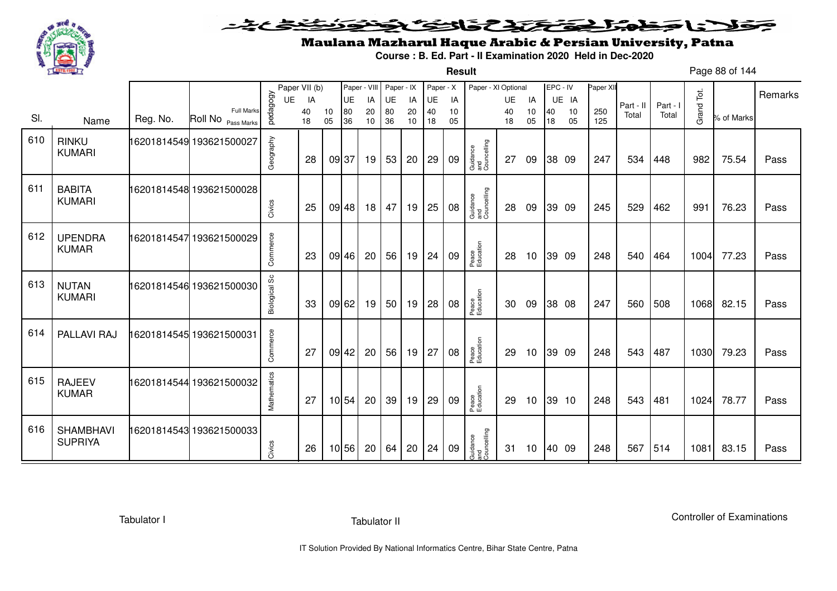

#### こさとき فتختخذ فخافى فخذ كلانا جنادبل ╺

**Result**

# Maulana Mazharul Haque Arabic & Persian University, Patna

**Course : B. Ed. Part - II Examination 2020 Held in Dec-2020**

Page 88 of 144

|     |                                    |          |                                         |               | Paper VII (b) |          | Paper - VIII |          | Paper - IX      |          | Paper - X |          | Paper - XI Optional            |          |          | EPC - IV |          | Paper XII  |           |          |            |            | Remarks |
|-----|------------------------------------|----------|-----------------------------------------|---------------|---------------|----------|--------------|----------|-----------------|----------|-----------|----------|--------------------------------|----------|----------|----------|----------|------------|-----------|----------|------------|------------|---------|
|     |                                    |          |                                         | UE            | IA            |          | UE           | IA       | UE              | IA       | UE        | IA       |                                | UE       | IA       |          | UE IA    |            | Part - II | Part - I |            |            |         |
| SI. | Name                               | Reg. No. | <b>Full Marks</b><br>Roll No Pass Marks | pedagogy      | 40<br>18      | 10<br>05 | 80<br>36     | 20<br>10 | 80<br>36        | 20<br>10 | 40<br>18  | 10<br>05 |                                | 40<br>18 | 10<br>05 | 40<br>18 | 10<br>05 | 250<br>125 | Total     | Total    | Grand Tot. | % of Marks |         |
| 610 | <b>RINKU</b><br><b>KUMARI</b>      |          | 16201814549 193621500027                | Geography     | 28            |          | 09 37        | 19       | 53              | 20       | 29        | 09       | Guidance<br>and<br>Councelling | 27       | 09       |          | 38 09    | 247        | 534       | 448      | 982        | 75.54      | Pass    |
| 611 | <b>BABITA</b><br><b>KUMARI</b>     |          | 16201814548 193621500028                | Civics        | 25            |          | 09 48        | 18       | 47              | 19       | 25        | 08       | Guidance<br>and<br>Councelling | 28       | 09       |          | 39 09    | 245        | 529       | 462      | 991        | 76.23      | Pass    |
| 612 | <b>UPENDRA</b><br><b>KUMAR</b>     |          | 16201814547 193621500029                | Commerce      | 23            |          | 09 46        | 20       | 56              | 19       | 24        | 09       | Peace<br>Education             | 28       | 10       |          | 39 09    | 248        | 540       | 464      | 1004       | 77.23      | Pass    |
| 613 | <b>NUTAN</b><br><b>KUMARI</b>      |          | 16201814546 193621500030                | Biological Sc | 33            |          | 09 62        | 19       | 50 <sub>1</sub> | 19       | 28        | 08       | Peace<br>Education             | 30       | 09       |          | 38 08    | 247        | 560       | 508      | 1068       | 82.15      | Pass    |
| 614 | PALLAVI RAJ                        |          | 16201814545 193621500031                | Commerce      | 27            |          | $09$ 42      | 20       | 56              | 19       | 27        | 08       | Peace<br>Education             | 29       | 10       |          | 39 09    | 248        | 543       | 487      | 1030       | 79.23      | Pass    |
| 615 | <b>RAJEEV</b><br><b>KUMAR</b>      |          | 16201814544 193621500032                | Mathematics   | 27            |          | 10 54        | 20       | 39              | 19       | 29        | 09       | Peace<br>Education             | 29       | 10       |          | 39 10    | 248        | 543       | 481      | 1024       | 78.77      | Pass    |
| 616 | <b>SHAMBHAVI</b><br><b>SUPRIYA</b> |          | 16201814543 193621500033                | Civics        | 26            |          | 10 56        | 20       | 64              | 20       | 24        | 09       | Guidance<br>and<br>Councelling | 31       | 10       |          | 40 09    | 248        | 567       | 514      | 1081       | 83.15      | Pass    |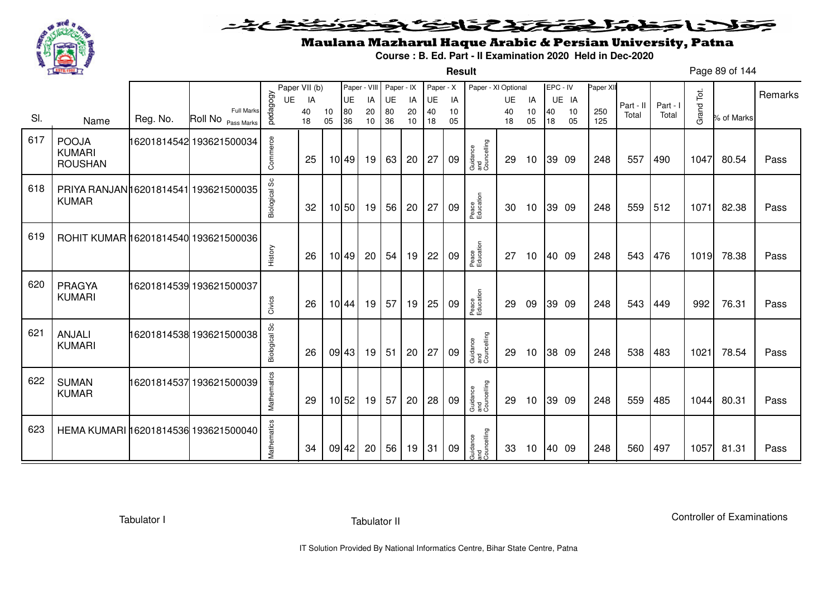

**Result**

# Maulana Mazharul Haque Arabic & Persian University, Patna

**Course : B. Ed. Part - II Examination 2020 Held in Dec-2020**

Page 89 of 144

|     |                                                       |          |                                  |               | Paper VII (b) |          |          | Paper - VIII | Paper - IX |          | Paper - X |          | Paper - XI Optional            |          |          | EPC - IV |          | Paper XII  |           |          |            |            |         |
|-----|-------------------------------------------------------|----------|----------------------------------|---------------|---------------|----------|----------|--------------|------------|----------|-----------|----------|--------------------------------|----------|----------|----------|----------|------------|-----------|----------|------------|------------|---------|
|     |                                                       |          |                                  | UE            | IA            |          | UE       | IA           | UE         | IA       | UE        | IA       |                                | UE       | IA       |          | UE IA    |            | Part - II | Part - I |            |            | Remarks |
| SI. | Name                                                  | Reg. No. | Full Marks<br>Roll No Pass Marks | pedagogy      | 40<br>18      | 10<br>05 | 80<br>36 | 20<br>10     | 80<br>36   | 20<br>10 | 40<br>18  | 10<br>05 |                                | 40<br>18 | 10<br>05 | 40<br>18 | 10<br>05 | 250<br>125 | Total     | Total    | Grand Tot. | % of Marks |         |
|     |                                                       |          |                                  |               |               |          |          |              |            |          |           |          |                                |          |          |          |          |            |           |          |            |            |         |
| 617 | <b>POOJA</b><br><b>KUMARI</b><br><b>ROUSHAN</b>       |          | 16201814542 193621500034         | Commerce      | 25            |          | 10 49    | 19           | 63         | 20       | 27        | 09       | Guidance<br>and<br>Councelling | 29       | 10       |          | 39 09    | 248        | 557       | 490      | 1047       | 80.54      | Pass    |
|     |                                                       |          |                                  |               |               |          |          |              |            |          |           |          |                                |          |          |          |          |            |           |          |            |            |         |
| 618 | PRIYA RANJAN 16201814541 193621500035<br><b>KUMAR</b> |          |                                  | Biological Sc | 32            |          | 10 50    | 19           | 56         | 20       | 27        | 09       | Peace<br>Education             | 30       | 10       |          | 39 09    | 248        | 559       | 512      | 1071       | 82.38      | Pass    |
|     |                                                       |          |                                  |               |               |          |          |              |            |          |           |          |                                |          |          |          |          |            |           |          |            |            |         |
| 619 | ROHIT KUMAR 16201814540 193621500036                  |          |                                  | History       | 26            |          | 10 49    | 20           | 54         | 19       | 22        | 09       | Peace<br>Education             | 27       | 10       |          | 40 09    | 248        | 543       | 476      | 1019       | 78.38      | Pass    |
| 620 |                                                       |          |                                  |               |               |          |          |              |            |          |           |          |                                |          |          |          |          |            |           |          |            |            |         |
|     | PRAGYA<br><b>KUMARI</b>                               |          | 16201814539 193621500037         |               |               |          |          |              |            |          |           |          |                                |          |          |          |          |            |           |          |            |            |         |
|     |                                                       |          |                                  | Civics        | 26            |          | 10 44    | 19           | 57         | 19       | 25        | 09       | Peace<br>Education             | 29       | 09       |          | 39 09    | 248        | 543       | 449      | 992        | 76.31      | Pass    |
| 621 | <b>ANJALI</b><br><b>KUMARI</b>                        |          | 16201814538 193621500038         | Biological Sc | 26            |          | 09 43    | 19           | 51         | 20       | 27        | 09       | Guidance<br>and<br>Councelling | 29       | 10       |          | 38 09    | 248        | 538       | 483      | 1021       | 78.54      | Pass    |
| 622 | <b>SUMAN</b><br><b>KUMAR</b>                          |          | 16201814537193621500039          | Mathematics   | 29            |          | 10 52    | 19           | 57         | 20       | 28        | 09       | Guidance<br>and<br>Councelling | 29       | 10       |          | 39 09    | 248        | 559       | 485      | 1044       | 80.31      | Pass    |
| 623 | HEMA KUMARI 16201814536 193621500040                  |          |                                  | Mathematics   | 34            |          | 09 42    | 20           | 56         | 19       | 31        | 09       | Guidance<br>and<br>Councelling | 33       | 10       |          | 40 09    | 248        | 560       | 497      | 1057       | 81.31      | Pass    |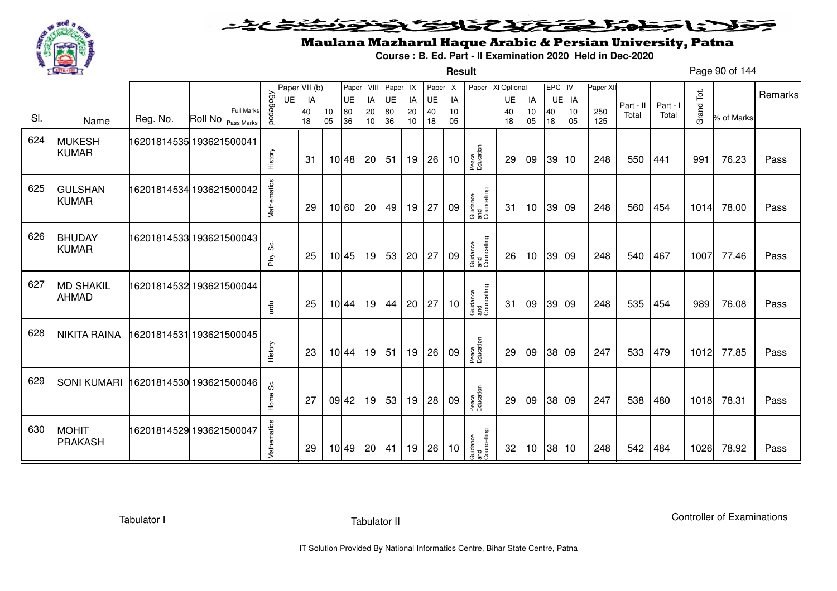

**Result**

# Maulana Mazharul Haque Arabic & Persian University, Patna

**Course : B. Ed. Part - II Examination 2020 Held in Dec-2020**

Page 90 of 144

|     |                                |          |                                         |             | Paper VII (b) |          |          | Paper - VIII | Paper - IX |          | Paper - X |          | Paper - XI Optional            |          |          | EPC - IV |          | Paper XII  |           |          |            |            | Remarks |
|-----|--------------------------------|----------|-----------------------------------------|-------------|---------------|----------|----------|--------------|------------|----------|-----------|----------|--------------------------------|----------|----------|----------|----------|------------|-----------|----------|------------|------------|---------|
|     |                                |          |                                         | UE          | IA            |          | UE       | IA           | UE         | IA       | UE        | IA       |                                | UE       | IA       |          | UE IA    |            | Part - II | Part - I |            |            |         |
| SI. | Name                           | Reg. No. | <b>Full Marks</b><br>Roll No Pass Marks | pedagogy    | 40<br>18      | 10<br>05 | 80<br>36 | 20<br>10     | 80<br>36   | 20<br>10 | 40<br>18  | 10<br>05 |                                | 40<br>18 | 10<br>05 | 40<br>18 | 10<br>05 | 250<br>125 | Total     | Total    | Grand Tot. | % of Marks |         |
| 624 | <b>MUKESH</b><br><b>KUMAR</b>  |          | 16201814535 193621500041                | History     | 31            |          | 10 48    | 20           | 51         | 19       | 26        | 10       | Peace<br>Education             | 29       | 09       |          | 39 10    | 248        | 550       | 441      | 991        | 76.23      | Pass    |
| 625 | <b>GULSHAN</b><br><b>KUMAR</b> |          | 16201814534 193621500042                | Mathematics | 29            |          | 10 60    | 20           | 49         | 19       | 27        | 09       | Guidance<br>and<br>Councelling | 31       | 10       |          | 39 09    | 248        | 560       | 454      | 1014       | 78.00      | Pass    |
| 626 | <b>BHUDAY</b><br><b>KUMAR</b>  |          | 16201814533 193621500043                | တိ<br>Phy.  | 25            |          | 10 45    | 19           | 53         | 20       | 27        | 09       | Guidance<br>and<br>Councelling | 26       | 10       |          | 39 09    | 248        | 540       | 467      | 1007       | 77.46      | Pass    |
| 627 | <b>MD SHAKIL</b><br>AHMAD      |          | 16201814532 193621500044                | urdu        | 25            |          | 10 44    | 19           | 44         | 20       | 27        | 10       | Guidance<br>and<br>Councelling | -31      | 09       |          | 39 09    | 248        | 535       | 454      | 989        | 76.08      | Pass    |
| 628 | <b>NIKITA RAINA</b>            |          | 6201814531 193621500045                 | History     | 23            |          | 10 44    | 19           | 51         | 19       | 26        | 09       | Peace<br>Education             | 29       | 09       |          | 38 09    | 247        | 533       | 479      | 1012       | 77.85      | Pass    |
| 629 | <b>SONI KUMARI</b>             |          | 16201814530 193621500046                | Home Sc.    | 27            |          | 09 42    | 19           | 53         | 19       | 28        | 09       | Peace<br>Education             | 29       | 09       |          | 38 09    | 247        | 538       | 480      | 1018       | 78.31      | Pass    |
| 630 | <b>MOHIT</b><br><b>PRAKASH</b> |          | 16201814529 193621500047                | Mathematics | 29            |          | 10 49    | 20           | 41         | 19       | 26        | 10       | Guidance<br>and<br>Councelling | 32       | 10       |          | 38 10    | 248        | 542       | 484      | 1026       | 78.92      | Pass    |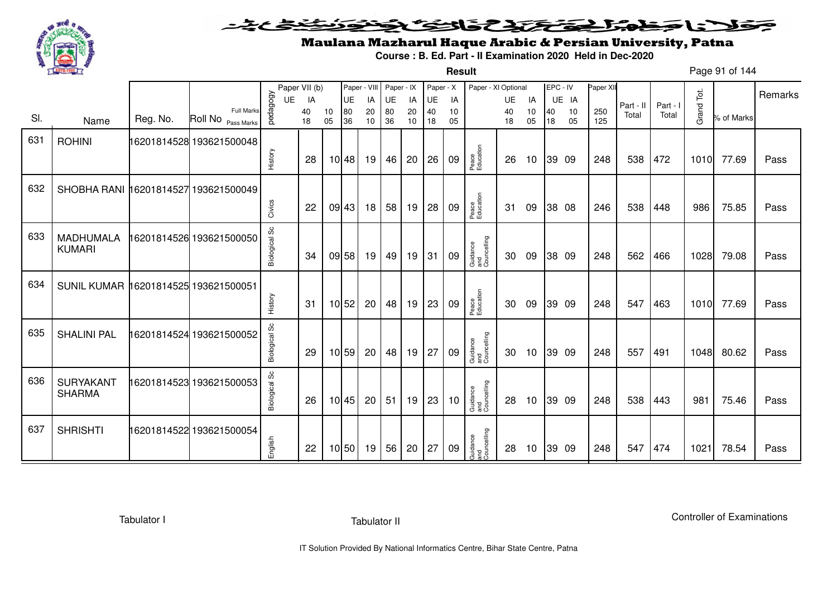

**Result**

# Maulana Mazharul Haque Arabic & Persian University, Patna

**Course : B. Ed. Part - II Examination 2020 Held in Dec-2020**

Page 91 of 144

|     |                                      |          |                                         |                      | Paper VII (b) |          | Paper - VIII |          | Paper - IX |          | Paper - X |          | Paper - XI Optional            |          |                 | EPC - IV |          | Paper XII  |           |          |            |            | Remarks |
|-----|--------------------------------------|----------|-----------------------------------------|----------------------|---------------|----------|--------------|----------|------------|----------|-----------|----------|--------------------------------|----------|-----------------|----------|----------|------------|-----------|----------|------------|------------|---------|
|     |                                      |          |                                         | <b>UE</b>            | IA            |          | UE           | IA       | UE         | IA       | UE        | IA       |                                | UE       | IA              |          | UE IA    |            | Part - II | Part - I |            |            |         |
| SI. | Name                                 | Reg. No. | <b>Full Marks</b><br>Roll No Pass Marks | pedagogy             | 40<br>18      | 10<br>05 | 80<br>36     | 20<br>10 | 80<br>36   | 20<br>10 | 40<br>18  | 10<br>05 |                                | 40<br>18 | 10<br>05        | 40<br>18 | 10<br>05 | 250<br>125 | Total     | Total    | Grand Tot. | % of Marks |         |
| 631 | <b>ROHINI</b>                        |          | 16201814528 193621500048                |                      |               |          |              |          |            |          |           |          |                                |          |                 |          |          |            |           |          |            |            |         |
|     |                                      |          |                                         | History              | 28            |          | 10 48        | 19       | 46         | 20       | 26        | 09       | Peace<br>Education             | 26       | 10              |          | 39 09    | 248        | 538       | 472      | 1010       | 77.69      | Pass    |
| 632 | SHOBHA RANI 16201814527 193621500049 |          |                                         |                      |               |          |              |          |            |          |           |          |                                |          |                 |          |          |            |           |          |            |            |         |
|     |                                      |          |                                         | Civics               | 22            |          | 09 43        | 18       | 58         | 19       | 28        | 09       | Peace<br>Education             | 31       | 09              |          | 38 08    | 246        | 538       | 448      | 986        | 75.85      | Pass    |
| 633 | <b>MADHUMALA</b><br><b>KUMARI</b>    |          | 6201814526 193621500050                 | Biological Sc        | 34            |          | 09 58        | 19       | 49         | 19       | 31        | 09       | Guidance<br>and<br>Councelling | 30       | 09              |          | 38 09    | 248        | 562       | 466      | 1028       | 79.08      | Pass    |
| 634 | SUNIL KUMAR 16201814525 193621500051 |          |                                         | History              | 31            |          | 10 52        | 20       | 48         | 19       | 23        | 09       | Peace<br>Education             | 30       | 09              |          | 39 09    | 248        | 547       | 463      | 1010       | 77.69      | Pass    |
| 635 | <b>SHALINI PAL</b>                   |          | 16201814524 193621500052                | Biological Sc        | 29            |          | 10 59        | 20       | 48         | 19       | 27        | 09       | Guidance<br>and<br>Councelling | 30       | 10              |          | 39 09    | 248        | 557       | 491      | 1048       | 80.62      | Pass    |
| 636 | <b>SURYAKANT</b><br><b>SHARMA</b>    |          | 16201814523 193621500053                | <b>Biological Sc</b> | 26            |          | 10 45        | 20       | 51         | 19       | 23        | 10       | Guidance<br>and<br>Councelling | 28       | 10              |          | 39 09    | 248        | 538       | 443      | 981        | 75.46      | Pass    |
| 637 | <b>SHRISHTI</b>                      |          | 16201814522 193621500054                | English              | 22            |          | 10 50        | 19       | 56         | 20       | 27        | 09       | Guidance<br>and<br>Councelling | 28       | 10 <sup>°</sup> |          | 39 09    | 248        | 547       | 474      | 1021       | 78.54      | Pass    |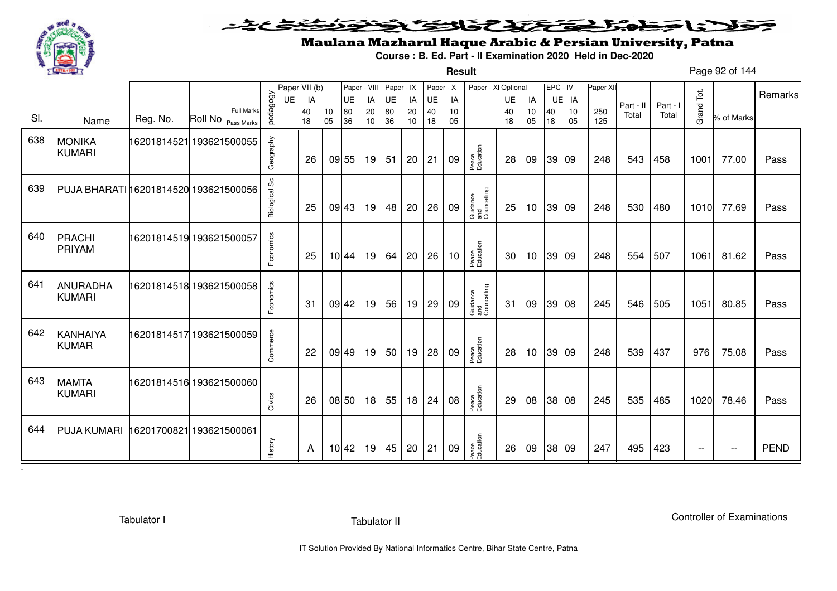

### こことき فلانا وبمنه المحتفظ تكفي فالتفت فخط ∍

**Result**

# Maulana Mazharul Haque Arabic & Persian University, Patna

**Course : B. Ed. Part - II Examination 2020 Held in Dec-2020**

Page 92 of 144

|     |                                       |          |                                         |               | Paper VII (b) |    |       | Paper - VIII Paper - IX |    |    | Paper - X |    | Paper - XI Optional            |    |    |    | EPC - IV | Paper XII |           |          |            |            | Remarks     |
|-----|---------------------------------------|----------|-----------------------------------------|---------------|---------------|----|-------|-------------------------|----|----|-----------|----|--------------------------------|----|----|----|----------|-----------|-----------|----------|------------|------------|-------------|
|     |                                       |          |                                         | UE            | IA            |    | UE    | IA                      | UE | IA | UE        | IA |                                | UE | IA |    | UE IA    |           | Part - II | Part - I |            |            |             |
| SI. |                                       | Reg. No. | <b>Full Marks</b><br>Roll No Pass Marks | pedagogy      | 40            | 10 | 80    | 20                      | 80 | 20 | 40        | 10 |                                | 40 | 10 | 40 | 10       | 250       | Total     | Total    | Grand Tot. | % of Marks |             |
|     | Name                                  |          |                                         |               | 18            | 05 | 36    | 10                      | 36 | 10 | 18        | 05 |                                | 18 | 05 | 18 | 05       | 125       |           |          |            |            |             |
| 638 | <b>MONIKA</b>                         |          | 16201814521 193621500055                |               |               |    |       |                         |    |    |           |    |                                |    |    |    |          |           |           |          |            |            |             |
|     | <b>KUMARI</b>                         |          |                                         | Geography     | 26            |    | 09 55 | 19                      | 51 | 20 | 21        | 09 | Peace<br>Education             | 28 | 09 |    | 39 09    | 248       | 543       | 458      | 1001       | 77.00      | Pass        |
|     |                                       |          |                                         |               |               |    |       |                         |    |    |           |    |                                |    |    |    |          |           |           |          |            |            |             |
| 639 |                                       |          |                                         |               |               |    |       |                         |    |    |           |    |                                |    |    |    |          |           |           |          |            |            |             |
|     | PUJA BHARATI 16201814520 193621500056 |          |                                         |               |               |    |       |                         |    |    |           |    |                                |    |    |    |          |           |           |          |            |            |             |
|     |                                       |          |                                         | Biological Sc | 25            |    | 09 43 | 19                      | 48 | 20 | 26        | 09 | Guidance<br>and<br>Councelling | 25 | 10 |    | 39 09    | 248       | 530       | 480      | 1010       | 77.69      | Pass        |
|     |                                       |          |                                         |               |               |    |       |                         |    |    |           |    |                                |    |    |    |          |           |           |          |            |            |             |
| 640 | <b>PRACHI</b>                         |          |                                         |               |               |    |       |                         |    |    |           |    |                                |    |    |    |          |           |           |          |            |            |             |
|     | PRIYAM                                |          |                                         | Economics     | 25            |    | 10 44 | 19                      | 64 | 20 | 26        | 10 | Peace<br>Education             | 30 | 10 |    | 39 09    | 248       | 554       | 507      | 1061       | 81.62      | Pass        |
|     |                                       |          |                                         |               |               |    |       |                         |    |    |           |    |                                |    |    |    |          |           |           |          |            |            |             |
| 641 | <b>ANURADHA</b>                       |          |                                         |               |               |    |       |                         |    |    |           |    |                                |    |    |    |          |           |           |          |            |            |             |
|     | <b>KUMARI</b>                         |          |                                         |               |               |    |       |                         |    |    |           |    |                                |    |    |    |          |           |           |          |            |            |             |
|     |                                       |          |                                         | Economics     | 31            |    | 09 42 | 19                      | 56 | 19 | 29        | 09 | Guidance<br>and<br>Councelling | 31 | 09 |    | 39 08    | 245       | 546       | 505      | 1051       | 80.85      | Pass        |
|     |                                       |          |                                         |               |               |    |       |                         |    |    |           |    |                                |    |    |    |          |           |           |          |            |            |             |
| 642 | <b>KANHAIYA</b>                       |          | 16201814517 193621500059                |               |               |    |       |                         |    |    |           |    |                                |    |    |    |          |           |           |          |            |            |             |
|     | <b>KUMAR</b>                          |          |                                         | Commerce      | 22            |    | 09 49 | 19                      | 50 | 19 | 28        | 09 | Peace<br>Education             | 28 | 10 |    | 39 09    | 248       | 539       | 437      | 976        | 75.08      | Pass        |
|     |                                       |          |                                         |               |               |    |       |                         |    |    |           |    |                                |    |    |    |          |           |           |          |            |            |             |
| 643 | <b>MAMTA</b>                          |          | 16201814516 193621500060                |               |               |    |       |                         |    |    |           |    |                                |    |    |    |          |           |           |          |            |            |             |
|     | <b>KUMARI</b>                         |          |                                         |               |               |    |       |                         |    |    |           |    |                                |    |    |    |          |           |           |          |            |            |             |
|     |                                       |          |                                         | Civics        | 26            |    | 08 50 | 18                      | 55 | 18 | 24        | 08 | Peace<br>Education             | 29 | 08 |    | 38 08    | 245       | 535       | 485      | 1020       | 78.46      | Pass        |
|     |                                       |          |                                         |               |               |    |       |                         |    |    |           |    |                                |    |    |    |          |           |           |          |            |            |             |
| 644 | <b>PUJA KUMARI</b>                    |          | 16201700821 193621500061                |               |               |    |       |                         |    |    |           |    |                                |    |    |    |          |           |           |          |            |            |             |
|     |                                       |          |                                         | History       | A             |    | 10 42 | 19                      | 45 | 20 | 21        | 09 | Peace<br>Education             | 26 | 09 |    | 38 09    | 247       | 495       | 423      |            | $- -$      | <b>PEND</b> |
|     |                                       |          |                                         |               |               |    |       |                         |    |    |           |    |                                |    |    |    |          |           |           |          |            |            |             |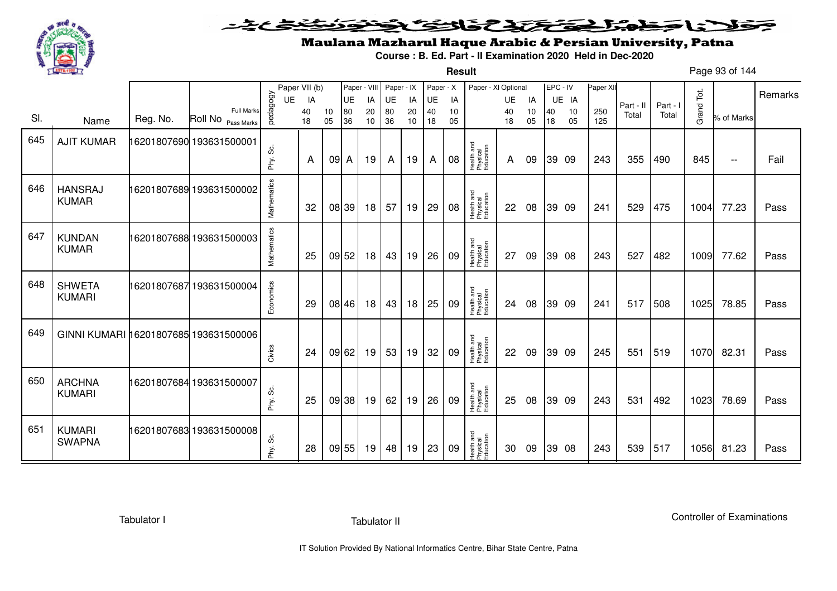

**Result**

# Maulana Mazharul Haque Arabic & Persian University, Patna

**Course : B. Ed. Part - II Examination 2020 Held in Dec-2020**

Page 93 of 144

|     |                                       |          |                                         |              | Paper VII (b) |          | Paper - VIII |          | Paper - IX |          | Paper - X |          | Paper - XI Optional                 |          |          | EPC - IV |          | Paper XI   |           |          |            |                          |         |
|-----|---------------------------------------|----------|-----------------------------------------|--------------|---------------|----------|--------------|----------|------------|----------|-----------|----------|-------------------------------------|----------|----------|----------|----------|------------|-----------|----------|------------|--------------------------|---------|
|     |                                       |          |                                         | UE           | IA            |          | UE           | IA       | UE         | IA       | UE        | IA       |                                     | UE       | IA       |          | UE IA    |            | Part - II | Part - I |            |                          | Remarks |
| SI. | Name                                  | Reg. No. | <b>Full Marks</b><br>Roll No Pass Marks | pedagogy     | 40<br>18      | 10<br>05 | 80<br>36     | 20<br>10 | 80<br>36   | 20<br>10 | 40<br>18  | 10<br>05 |                                     | 40<br>18 | 10<br>05 | 40<br>18 | 10<br>05 | 250<br>125 | Total     | Total    | Grand Tot. | % of Marks               |         |
| 645 | <b>AJIT KUMAR</b>                     |          | 16201807690 193631500001                |              |               |          |              |          |            |          |           |          |                                     |          |          |          |          |            |           |          |            |                          |         |
|     |                                       |          |                                         | တိ<br>Phy.   | A             | 09 A     |              | 19       | A          | 19       | A         | 08       | Health and<br>Physical<br>Education | A        | 09       |          | 39 09    | 243        | 355       | 490      | 845        | $\overline{\phantom{a}}$ | Fail    |
| 646 | <b>HANSRAJ</b><br><b>KUMAR</b>        |          | 16201807689 193631500002                | Mathematics  | 32            |          | 08 39        | 18       | 57         | 19       | 29        | 08       | Health and<br>Physical<br>Education | 22       | 08       |          | 39 09    | 241        | 529       | 475      | 1004       | 77.23                    | Pass    |
| 647 | <b>KUNDAN</b><br><b>KUMAR</b>         |          | 16201807688 193631500003                | Mathematics  | 25            |          | 09 52        | 18       | 43         | 19       | 26        | 09       | Health and<br>Physical<br>Education | 27       | 09       |          | 39 08    | 243        | 527       | 482      | 1009       | 77.62                    | Pass    |
| 648 | <b>SHWETA</b><br><b>KUMARI</b>        |          | 16201807687 193631500004                | Economics    | 29            |          | 08 46        | 18       | 43         | 18       | 25        | 09       | Health and<br>Physical<br>Education | 24       | 08       |          | 39 09    | 241        | 517       | 508      | 1025       | 78.85                    | Pass    |
| 649 | GINNI KUMARI 16201807685 193631500006 |          |                                         | Civics       | 24            |          | 09 62        | 19       | 53         | 19       | 32        | 09       | Health and<br>Physical<br>Education | 22       | 09       |          | 39 09    | 245        | 551       | 519      | 1070       | 82.31                    | Pass    |
| 650 | <b>ARCHNA</b><br><b>KUMARI</b>        |          | 16201807684 193631500007                | ပ္တဲ<br>Phy. | 25            |          | 09 38        | 19       | 62         | 19       | 26        | 09       | Health and<br>Physical<br>Education | 25       | 08       |          | 39 09    | 243        | 531       | 492      | 1023       | 78.69                    | Pass    |
| 651 | <b>KUMARI</b><br><b>SWAPNA</b>        |          | 16201807683 193631500008                | Phy. Sc.     | 28            |          | 09 55        | 19       | 48         | 19       | 23        | 09       | Health and<br>Physical<br>Education | 30       | 09       |          | 39 08    | 243        | 539       | 517      | 1056       | 81.23                    | Pass    |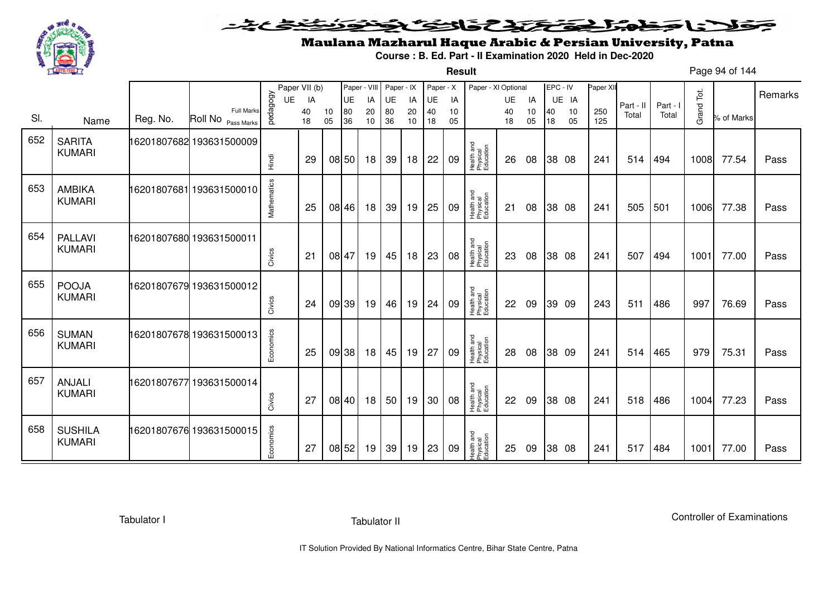

**Result**

# Maulana Mazharul Haque Arabic & Persian University, Patna

**Course : B. Ed. Part - II Examination 2020 Held in Dec-2020**

Page 94 of 144

|     |                                 |             |                                                    |             | Paper VII (b) |          | Paper - VIII |          | Paper - IX      |          | Paper - X |          | Paper - XI Optional                 |           |          | EPC - IV |          | Paper XII  |           |          |            |            | Remarks |
|-----|---------------------------------|-------------|----------------------------------------------------|-------------|---------------|----------|--------------|----------|-----------------|----------|-----------|----------|-------------------------------------|-----------|----------|----------|----------|------------|-----------|----------|------------|------------|---------|
|     |                                 |             |                                                    | UE          | IA            |          | <b>UE</b>    | IA       | UE              | IA       | <b>UE</b> | IA       |                                     | <b>UE</b> | IA       |          | UE IA    |            | Part - II | Part - I |            |            |         |
| SI. | Name                            | Reg. No.    | <b>Full Marks</b><br>Roll No <sub>Pass Marks</sub> | pedagogy    | 40<br>18      | 10<br>05 | 80<br>36     | 20<br>10 | 80<br>36        | 20<br>10 | 40<br>18  | 10<br>05 |                                     | 40<br>18  | 10<br>05 | 40<br>18 | 10<br>05 | 250<br>125 | Total     | Total    | Grand Tot. | % of Marks |         |
| 652 | <b>SARITA</b><br><b>KUMARI</b>  |             | 16201807682 193631500009                           |             |               |          |              |          |                 |          |           |          | Health and<br>Physical<br>Education |           |          |          |          |            |           |          |            |            |         |
|     |                                 |             |                                                    | Hindi       | 29            |          | 08 50        | 18       | 39              | 18       | 22        | 09       |                                     | 26        | 08       |          | 38 08    | 241        | 514       | 494      | 1008       | 77.54      | Pass    |
| 653 | <b>AMBIKA</b><br><b>KUMARI</b>  | 16201807681 | 193631500010                                       | Mathematics | 25            |          | 08 46        | 18       | 39              | 19       | 25        | 09       | Health and<br>Physical<br>Education | 21        | 08       |          | 38 08    | 241        | 505       | 501      | 1006       | 77.38      | Pass    |
| 654 | <b>PALLAVI</b><br><b>KUMARI</b> |             | 16201807680 193631500011                           | Civics      | $2^{\cdot}$   |          | 08 47        | 19       | 45              | 18       | 23        | 08       | Health and<br>Physical<br>Education | 23        | 08       |          | 38 08    | 241        | 507       | 494      | 1001       | 77.00      | Pass    |
| 655 | <b>POOJA</b><br><b>KUMARI</b>   |             | 16201807679 193631500012                           | Civics      | 24            |          | 09 39        | 19       | 46              | 19       | 24        | 09       | Health and<br>Physical<br>Education | 22        | 09       |          | 39 09    | 243        | 511       | 486      | 997        | 76.69      | Pass    |
| 656 | <b>SUMAN</b><br><b>KUMARI</b>   |             | 16201807678 193631500013                           | Economics   | 25            |          | 09 38        | 18       | 45              | 19       | 27        | 09       | Health and<br>Physical<br>Education | 28        | 08       |          | 38 09    | 241        | 514       | 465      | 979        | 75.31      | Pass    |
| 657 | <b>ANJALI</b><br><b>KUMARI</b>  |             | 16201807677 193631500014                           | Civics      | 27            |          | 08 40        | 18       | 50 <sup>1</sup> | 19       | 30        | 08       | Health and<br>Physical<br>Education | 22        | 09       |          | 38 08    | 241        | 518       | 486      | 1004       | 77.23      | Pass    |
| 658 | <b>SUSHILA</b><br><b>KUMARI</b> |             | 16201807676 193631500015                           | Economics   | 27            |          | 08 52        | 19       | 39              | 19       | 23        | 09       | Health and<br>Physical<br>Education | 25        | 09       |          | 38 08    | 241        | 517       | 484      | 1001       | 77.00      | Pass    |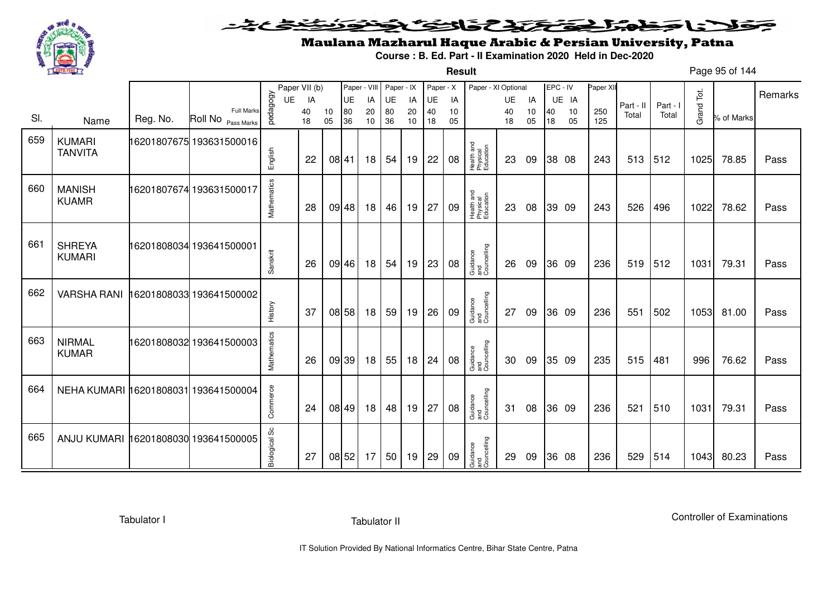

### <u>یٹی ٹ</u>ے۔ فلانا وخدا يقتحنك فالتف ونونوذ ∍

**Result**

# Maulana Mazharul Haque Arabic & Persian University, Patna

**Course : B. Ed. Part - II Examination 2020 Held in Dec-2020**

Page 95 of 144

|     |                                      |          |                          |                | Paper VII (b) |       | Paper - VIII    |          | Paper - IX      |          | Paper - X |          | Paper - XI Optional                 |                 |          | EPC - IV |             | Paper XII |           |          |            |            | Remarks |
|-----|--------------------------------------|----------|--------------------------|----------------|---------------|-------|-----------------|----------|-----------------|----------|-----------|----------|-------------------------------------|-----------------|----------|----------|-------------|-----------|-----------|----------|------------|------------|---------|
|     |                                      |          | Full Marks               | pedagogy<br>UE | IA<br>40      | 10    | <b>UE</b><br>80 | IA<br>20 | <b>UE</b><br>80 | IA<br>20 | UE<br>40  | IA<br>10 |                                     | <b>UE</b><br>40 | IA<br>10 | 40       | UE IA<br>10 | 250       | Part - II | Part - I | Grand Tot. |            |         |
| SI. | Name                                 | Reg. No. | Roll No Pass Marks       |                | 18            | 05    | 36              | 10       | 36              | 10       | 18        | 05       |                                     | 18              | 05       | 18       | 05          | 125       | Total     | Total    |            | % of Marks |         |
| 659 | <b>KUMARI</b><br><b>TANVITA</b>      |          | 16201807675 193631500016 | English        | 22            |       | 08 41           | 18       | 54              | 19       | 22        | 08       | Health and<br>Physical<br>Education | 23              | 09       |          | 38 08       | 243       | 513       | 512      | 1025       | 78.85      | Pass    |
| 660 | <b>MANISH</b><br><b>KUAMR</b>        |          | 16201807674 193631500017 | Mathematics    | 28            |       | 09 48           | 18       | 46              | 19       | 27        | 09       | Health and<br>Physical<br>Education | 23              | 08       | 39 09    |             | 243       | 526       | 496      | 1022       | 78.62      | Pass    |
| 661 | <b>SHREYA</b><br><b>KUMARI</b>       |          | 16201808034 193641500001 | Sanskrit       | 26            |       | 09 46           | 18       | 54              | 19       | 23        | 08       | Guidance<br>and<br>Councelling      | 26              | 09       |          | 36 09       | 236       | 519       | 512      | 1031       | 79.31      | Pass    |
| 662 | <b>VARSHA RANI</b>                   |          | 16201808033 193641500002 | History        | 37            |       | 08 58           | 18       | 59              | 19       | 26        | 09       | Guidance<br>and<br>Councelling      | 27              | 09       | 36 09    |             | 236       | 551       | 502      | 1053       | 81.00      | Pass    |
| 663 | <b>NIRMAL</b><br><b>KUMAR</b>        |          | 16201808032 193641500003 | Mathematics    | 26            |       | 09 39           | 18       | 55              | 18       | 24        | 08       | Guidance<br>and<br>Councelling      | 30              | 09       | 35 09    |             | 235       | 515       | 481      | 996        | 76.62      | Pass    |
| 664 | NEHA KUMARI 16201808031 193641500004 |          |                          | Commerce       | 24            |       | 08 49           | 18       | 48              | 19       | 27        | 08       | Guidance<br>and<br>Councelling      | 31              | 08       | 36 09    |             | 236       | 521       | 510      | 1031       | 79.31      | Pass    |
| 665 | ANJU KUMARI 16201808030 193641500005 |          |                          | Biological Sc  | 27            | 08 52 |                 | 17       | 50              | 19       | 29        | 09       | Guidance<br>and<br>Councelling      | 29              | 09       |          | 36 08       | 236       | 529       | 514      | 1043       | 80.23      | Pass    |

Tabulator I

Tabulator II

Controller of Examinations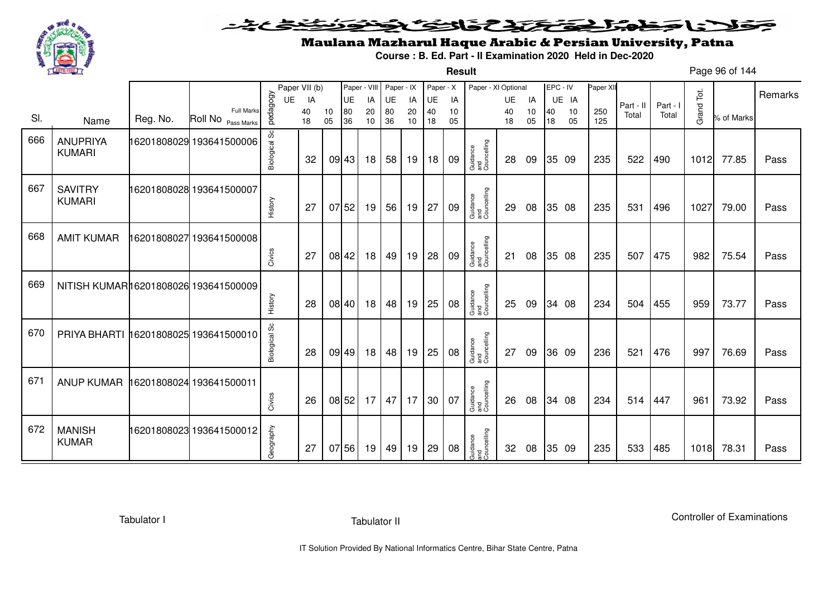

#### こさとき فتختخذ فخافى فخذ كلانا جنادبل ╺

**Result**

# Maulana Mazharul Haque Arabic & Persian University, Patna

**Course : B. Ed. Part - II Examination 2020 Held in Dec-2020**

Page 96 of 144

|     |                                       |          |                                         |               | Paper VII (b) |          | Paper - VIII |          | Paper - IX |          | Paper - X |          | Paper - XI Optional            |          |          | EPC - IV |          | Paper XII  |           |          |            |            |         |
|-----|---------------------------------------|----------|-----------------------------------------|---------------|---------------|----------|--------------|----------|------------|----------|-----------|----------|--------------------------------|----------|----------|----------|----------|------------|-----------|----------|------------|------------|---------|
|     |                                       |          |                                         | <b>UE</b>     | IA            |          | <b>UE</b>    | IA       | UE         | IA       | UE        | IA       |                                | UE       | IA       |          | UE IA    |            | Part - II | Part - I |            |            | Remarks |
| SI. | Name                                  | Reg. No. | <b>Full Marks</b><br>Roll No Pass Marks | pedagogy      | 40<br>18      | 10<br>05 | 80<br>36     | 20<br>10 | 80<br>36   | 20<br>10 | 40<br>18  | 10<br>05 |                                | 40<br>18 | 10<br>05 | 40<br>18 | 10<br>05 | 250<br>125 | Total     | Total    | Grand Tot. | % of Marks |         |
| 666 | <b>ANUPRIYA</b><br><b>KUMARI</b>      |          | 16201808029 193641500006                | Biological Sc | 32            |          | 09 43        | 18       | 58         | 19       | 18        | 09       | Guidance<br>and<br>Councelling | 28       | 09       |          | 35 09    | 235        | 522       | 490      | 1012       | 77.85      | Pass    |
| 667 | <b>SAVITRY</b><br><b>KUMARI</b>       |          | 16201808028 193641500007                | History       | 27            |          | 0752         | 19       | 56         | 19       | 27        | 09       | Guidance<br>and<br>Councelling | 29       | 08       |          | 35 08    | 235        | 531       | 496      | 1027       | 79.00      | Pass    |
| 668 | <b>AMIT KUMAR</b>                     |          | 16201808027 193641500008                | Civics        | 27            |          | 08 42        | 18       | 49         | 19       | 28        | 09       | Guidance<br>and<br>Councelling | 21       | 08       |          | 35 08    | 235        | 507       | 475      | 982        | 75.54      | Pass    |
| 669 | NITISH KUMAR16201808026 193641500009  |          |                                         | History       | 28            |          | 08 40        | 18       | 48         | 19       | 25        | 08       | Guidance<br>and<br>Councelling | 25       | 09       |          | 34 08    | 234        | 504       | 455      | 959        | 73.77      | Pass    |
| 670 | PRIYA BHARTI 16201808025 193641500010 |          |                                         | Biological Sc | 28            |          | 09 49        | 18       | 48         | 19       | 25        | 08       | Guidance<br>and<br>Councelling | 27       | 09       |          | 36 09    | 236        | 521       | 476      | 997        | 76.69      | Pass    |
| 671 | <b>ANUP KUMAR</b>                     |          | 16201808024 193641500011                | Civics        | 26            |          | 08 52        | 17       | 47         | 17       | 30        | 07       | Guidance<br>and<br>Councelling | 26       | 08       |          | 34 08    | 234        | 514       | 447      | 961        | 73.92      | Pass    |
| 672 | <b>MANISH</b><br><b>KUMAR</b>         |          | 16201808023 193641500012                | Geography     | 27            |          | 07 56        | 19       | 49         | 19       | 29        | 08       | Guidance<br>and<br>Councelling | 32       | 08       |          | 35 09    | 235        | 533       | 485      | 1018       | 78.31      | Pass    |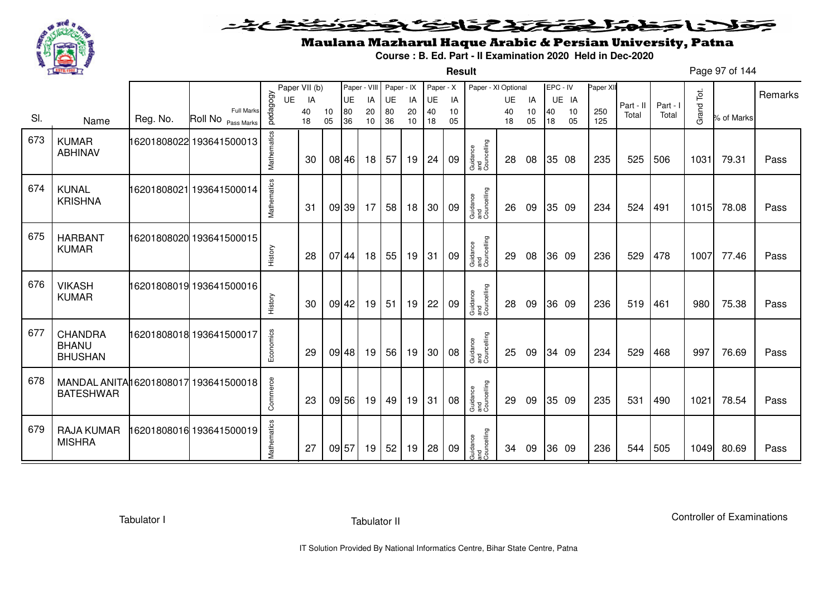

**Result**

# Maulana Mazharul Haque Arabic & Persian University, Patna

**Course : B. Ed. Part - II Examination 2020 Held in Dec-2020**

Page 97 of 144

|     |                                                           |          |                                         |             | Paper VII (b) |          |          | Paper - VIII | Paper - IX |          | Paper - X |          | Paper - XI Optional            |          |          | EPC - IV |          | Paper XII  |           |          |            |            |         |
|-----|-----------------------------------------------------------|----------|-----------------------------------------|-------------|---------------|----------|----------|--------------|------------|----------|-----------|----------|--------------------------------|----------|----------|----------|----------|------------|-----------|----------|------------|------------|---------|
|     |                                                           |          |                                         | UE          | IA            |          | UE       | IA           | UE         | IA       | UE        | IA       |                                | UE       | IA       |          | UE IA    |            | Part - II | Part - I |            |            | Remarks |
| SI. | Name                                                      | Reg. No. | <b>Full Marks</b><br>Roll No Pass Marks | pedagogy    | 40<br>18      | 10<br>05 | 80<br>36 | 20<br>10     | 80<br>36   | 20<br>10 | 40<br>18  | 10<br>05 |                                | 40<br>18 | 10<br>05 | 40<br>18 | 10<br>05 | 250<br>125 | Total     | Total    | Grand Tot. | % of Marks |         |
| 673 | <b>KUMAR</b><br><b>ABHINAV</b>                            |          | 16201808022 193641500013                | Mathematics | 30            |          | 08 46    | 18           | 57         | 19       | 24        | 09       | Guidance<br>and<br>Councelling | 28       | 08       |          | 35 08    | 235        | 525       | 506      | 1031       | 79.31      | Pass    |
| 674 | <b>KUNAL</b><br><b>KRISHNA</b>                            |          | 16201808021 193641500014                | Mathematics | 31            |          | 09 39    | 17           | 58         | 18       | 30        | 09       | Guidance<br>and<br>Councelling | 26       | 09       |          | 35 09    | 234        | 524       | 491      | 1015       | 78.08      | Pass    |
| 675 | <b>HARBANT</b><br><b>KUMAR</b>                            |          | 16201808020 193641500015                | History     | 28            |          | 07 44    | 18           | 55         | 19       | 31        | 09       | Guidance<br>and<br>Councelling | 29       | 08       |          | 36 09    | 236        | 529       | 478      | 1007       | 77.46      | Pass    |
| 676 | <b>VIKASH</b><br><b>KUMAR</b>                             |          | 16201808019 193641500016                | History     | 30            |          | 09 42    | 19           | 51         | 19       | 22        | 09       | Guidance<br>and<br>Councelling | 28       | 09       |          | 36 09    | 236        | 519       | 461      | 980        | 75.38      | Pass    |
| 677 | <b>CHANDRA</b><br><b>BHANU</b><br><b>BHUSHAN</b>          |          | 16201808018 193641500017                | Economics   | 29            |          | 09 48    | 19           | 56         | 19       | 30        | 08       | Guidance<br>and<br>Councelling | 25       | 09       |          | 34 09    | 234        | 529       | 468      | 997        | 76.69      | Pass    |
| 678 | MANDAL ANITA 16201808017 193641500018<br><b>BATESHWAR</b> |          |                                         | Commerce    | 23            |          | 09 56    | 19           | 49         | 19       | 31        | 08       | Guidance<br>and<br>Councelling | 29       | 09       |          | 35 09    | 235        | 531       | 490      | 1021       | 78.54      | Pass    |
| 679 | <b>RAJA KUMAR</b><br><b>MISHRA</b>                        |          | 6201808016 193641500019                 | Mathematics | 27            |          | 09 57    | 19           | 52         | 19       | 28        | 09       | Guidance<br>and<br>Councelling | 34       | 09       |          | 36 09    | 236        | 544       | 505      | 1049       | 80.69      | Pass    |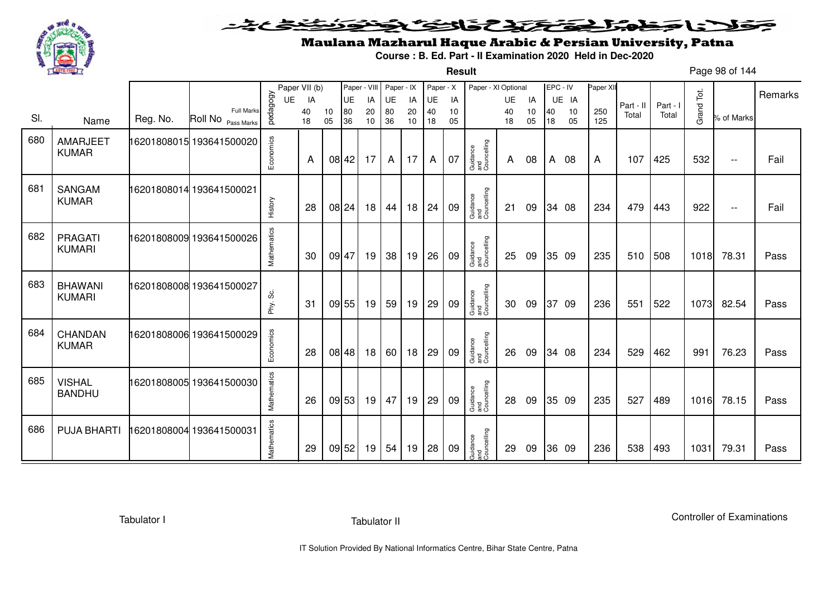

**Result**

# Maulana Mazharul Haque Arabic & Persian University, Patna

**Course : B. Ed. Part - II Examination 2020 Held in Dec-2020**

Page 98 of 144

|     |                                 |          |                                         |             | Paper VII (b) |          | Paper - VIII |          | Paper - IX |          | Paper - X |          | Paper - XI Optional            |          |          | EPC - IV |          | Paper XII  |           |          |            |            | Remarks |
|-----|---------------------------------|----------|-----------------------------------------|-------------|---------------|----------|--------------|----------|------------|----------|-----------|----------|--------------------------------|----------|----------|----------|----------|------------|-----------|----------|------------|------------|---------|
|     |                                 |          |                                         | <b>UE</b>   | IA            |          | UE           | IA       | UE         | IA       | UE        | IA       |                                | UE       | IA       |          | UE IA    |            | Part - II | Part - I |            |            |         |
| SI. | Name                            | Reg. No. | <b>Full Marks</b><br>Roll No Pass Marks | pedagogy    | 40<br>18      | 10<br>05 | 80<br>36     | 20<br>10 | 80<br>36   | 20<br>10 | 40<br>18  | 10<br>05 |                                | 40<br>18 | 10<br>05 | 40<br>18 | 10<br>05 | 250<br>125 | Total     | Total    | Grand Tot. | % of Marks |         |
| 680 | <b>AMARJEET</b><br><b>KUMAR</b> |          | 16201808015 193641500020                | Economics   | A             |          | 08 42        | 17       | A          | 17       | A         | 07       | Guidance<br>and<br>Councelling | A        | 08       | A        | 08       | A          | 107       | 425      | 532        | $- -$      | Fail    |
| 681 | <b>SANGAM</b><br><b>KUMAR</b>   |          | 16201808014 193641500021                | History     | 28            |          | 08 24        | 18       | 44         | 18       | 24        | 09       | Guidance<br>and<br>Councelling | 21       | 09       |          | 34 08    | 234        | 479       | 443      | 922        | $- -$      | Fail    |
| 682 | PRAGATI<br><b>KUMARI</b>        |          | 16201808009 193641500026                | Mathematics | 30            |          | 09 47        | 19       | 38         | 19       | 26        | 09       | Guidance<br>and<br>Councelling | 25       | 09       |          | 35 09    | 235        | 510       | 508      | 1018       | 78.31      | Pass    |
| 683 | <b>BHAWANI</b><br><b>KUMARI</b> |          | 16201808008 193641500027                | တိ<br>Phy.  | 31            |          | 09 55        | 19       | 59         | 19       | 29        | 09       | Guidance<br>and<br>Councelling | 30       | 09       |          | 37 09    | 236        | 551       | 522      | 1073       | 82.54      | Pass    |
| 684 | CHANDAN<br><b>KUMAR</b>         |          | 16201808006 193641500029                | Economics   | 28            |          | 08 48        | 18       | 60         | 18       | 29        | 09       | Guidance<br>and<br>Councelling | 26       | 09       |          | 34 08    | 234        | 529       | 462      | 991        | 76.23      | Pass    |
| 685 | <b>VISHAL</b><br><b>BANDHU</b>  |          | 16201808005 193641500030                | Mathematics | 26            |          | 09 53        | 19       | 47         | 19       | 29        | 09       | Guidance<br>and<br>Councelling | 28       | 09       |          | 35 09    | 235        | 527       | 489      | 1016       | 78.15      | Pass    |
| 686 | <b>PUJA BHARTI</b>              |          | 16201808004 193641500031                | Mathematics | 29            |          | 09 52        | 19       | 54         | 19       | 28        | 09       | Guidance<br>and<br>Councelling | 29       | 09       |          | 36 09    | 236        | 538       | 493      | 1031       | 79.31      | Pass    |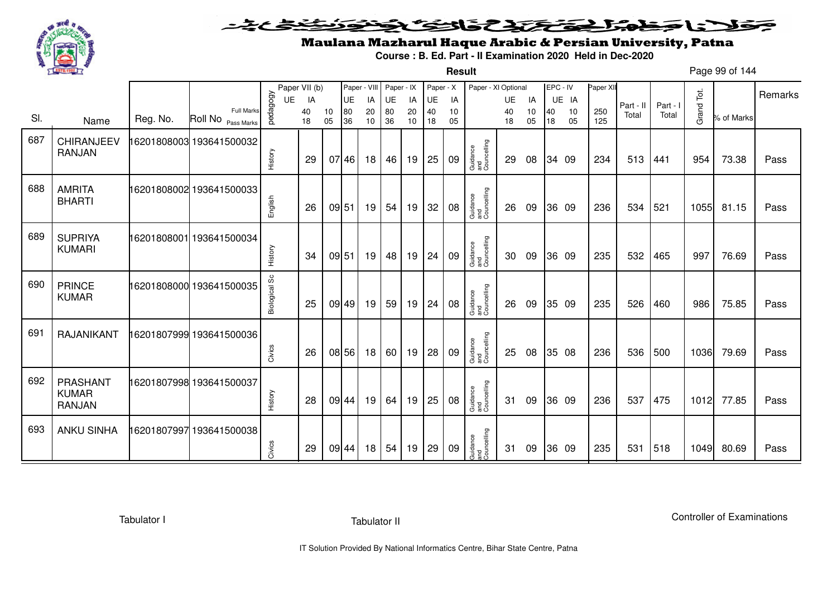

**Result**

# Maulana Mazharul Haque Arabic & Persian University, Patna

**Course : B. Ed. Part - II Examination 2020 Held in Dec-2020**

Page 99 of 144

|     |                                                  |             |                                                    |               | Paper VII (b) |          | Paper - VIII |          | Paper - IX |          | Paper - X |          | Paper - XI Optional            |          |          | EPC - IV |          | Paper XII  |           |          |            |            |         |
|-----|--------------------------------------------------|-------------|----------------------------------------------------|---------------|---------------|----------|--------------|----------|------------|----------|-----------|----------|--------------------------------|----------|----------|----------|----------|------------|-----------|----------|------------|------------|---------|
|     |                                                  |             |                                                    | UE            | IA            |          | UE           | IA       | UE         | IA       | UE        | IA       |                                | UE       | IA       |          | UE IA    |            | Part - II | Part - I |            |            | Remarks |
| SI. | Name                                             | Reg. No.    | <b>Full Marks</b><br>Roll No <sub>Pass Marks</sub> | pedagogy      | 40<br>18      | 10<br>05 | 80<br>36     | 20<br>10 | 80<br>36   | 20<br>10 | 40<br>18  | 10<br>05 |                                | 40<br>18 | 10<br>05 | 40<br>18 | 10<br>05 | 250<br>125 | Total     | Total    | Grand Tot. | % of Marks |         |
| 687 | CHIRANJEEV<br><b>RANJAN</b>                      |             | 16201808003 193641500032                           | History       | 29            |          | 07 46        | 18       | 46         | 19       | 25        | 09       | Guidance<br>and<br>Councelling | 29       | 08       |          | 34 09    | 234        | 513       | 441      | 954        | 73.38      | Pass    |
| 688 | <b>AMRITA</b><br><b>BHARTI</b>                   |             | 16201808002 193641500033                           | English       | 26            |          | 09 51        | 19       | 54         | 19       | 32        | 08       | Guidance<br>and<br>Councelling | 26       | 09       |          | 36 09    | 236        | 534       | 521      | 1055       | 81.15      | Pass    |
| 689 | <b>SUPRIYA</b><br><b>KUMARI</b>                  | 16201808001 | 193641500034                                       | History       | 34            |          | 09 51        | 19       | 48         | 19       | 24        | 09       | Guidance<br>and<br>Councelling | 30       | 09       |          | 36 09    | 235        | 532       | 465      | 997        | 76.69      | Pass    |
| 690 | <b>PRINCE</b><br><b>KUMAR</b>                    |             | 16201808000 193641500035                           | Biological Sc | 25            |          | 09 49        | 19       | 59         | 19       | 24        | 08       | Guidance<br>and<br>Councelling | 26       | 09       |          | 35 09    | 235        | 526       | 460      | 986        | 75.85      | Pass    |
| 691 | RAJANIKANT                                       |             | 16201807999 193641500036                           | Civics        | 26            |          | 08 56        | 18       | 60 l       | 19       | 28        | 09       | Guidance<br>and<br>Councelling | 25       | 08       |          | 35 08    | 236        | 536       | 500      | 1036       | 79.69      | Pass    |
| 692 | <b>PRASHANT</b><br><b>KUMAR</b><br><b>RANJAN</b> |             | 16201807998 193641500037                           | History       | 28            |          | 09 44        | 19       | 64         | 19       | 25        | 08       | Guidance<br>and<br>Councelling | 31       | 09       |          | 36 09    | 236        | 537       | 475      | 1012       | 77.85      | Pass    |
| 693 | <b>ANKU SINHA</b>                                | 6201807997  | 193641500038                                       | Civics        | 29            |          | 09 44        | 18       | 54         | 19       | 29        | 09       | Guidance<br>and<br>Councelling | 31       | 09       |          | 36 09    | 235        | 531       | 518      | 1049       | 80.69      | Pass    |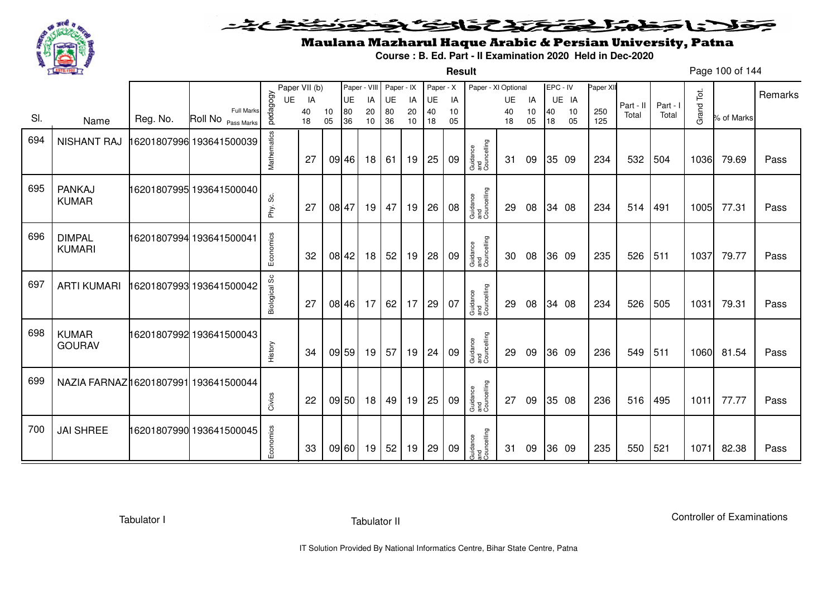

**Result**

# Maulana Mazharul Haque Arabic & Persian University, Patna

**Course : B. Ed. Part - II Examination 2020 Held in Dec-2020**

Page 100 of 144

|     |                                      |          |                                         |               | Paper VII (b) |          | Paper - VIII |          | Paper - IX |          | Paper - X |          | Paper - XI Optional            |          |          | EPC - IV |          | Paper XII  |           |          |            |            |         |
|-----|--------------------------------------|----------|-----------------------------------------|---------------|---------------|----------|--------------|----------|------------|----------|-----------|----------|--------------------------------|----------|----------|----------|----------|------------|-----------|----------|------------|------------|---------|
|     |                                      |          |                                         | UE            | IA            |          | UE           | IA       | UE         | IA       | UE        | IA       |                                | UE       | IA       |          | UE IA    |            | Part - II | Part - I |            |            | Remarks |
| SI. | Name                                 | Reg. No. | <b>Full Marks</b><br>Roll No Pass Marks | pedagogy      | 40<br>18      | 10<br>05 | 80<br>36     | 20<br>10 | 80<br>36   | 20<br>10 | 40<br>18  | 10<br>05 |                                | 40<br>18 | 10<br>05 | 40<br>18 | 10<br>05 | 250<br>125 | Total     | Total    | Grand Tot. | % of Marks |         |
| 694 | <b>NISHANT RAJ</b>                   |          | 16201807996 193641500039                | Mathematics   | 27            |          | 09 46        | 18       | 61         | 19       | 25        | 09       | Guidance<br>and<br>Councelling | 31       | 09       |          | 35 09    | 234        | 532       | 504      | 1036       | 79.69      | Pass    |
| 695 | PANKAJ<br><b>KUMAR</b>               |          | 16201807995 193641500040                | Phy. Sc.      | 27            |          | 08 47        | 19       | 47         | 19       | 26        | 08       | Guidance<br>and<br>Councelling | 29       | 08       |          | 34 08    | 234        | 514       | 491      | 1005       | 77.31      | Pass    |
| 696 | <b>DIMPAL</b><br><b>KUMARI</b>       |          | 16201807994 193641500041                | Economics     | 32            |          | 08 42        | 18       | 52         | 19       | 28        | 09       | Guidance<br>and<br>Councelling | 30       | 08       |          | 36 09    | 235        | 526       | 511      | 1037       | 79.77      | Pass    |
| 697 | <b>ARTI KUMARI</b>                   |          | 16201807993 193641500042                | Biological Sc | 27            |          | 08 46        | 17       | 62         | 17       | 29        | 07       | Guidance<br>and<br>Councelling | 29       | 08       |          | 34 08    | 234        | 526       | 505      | 1031       | 79.31      | Pass    |
| 698 | <b>KUMAR</b><br><b>GOURAV</b>        |          | 16201807992 193641500043                | History       | 34            |          | 09 59        | 19       | 57         | 19       | 24        | 09       | Guidance<br>and<br>Councelling | 29       | 09       |          | 36 09    | 236        | 549       | 511      | 1060       | 81.54      | Pass    |
| 699 | NAZIA FARNAZ16201807991 193641500044 |          |                                         | Civics        | 22            |          | 09 50        | 18       | 49         | 19       | 25        | 09       | Guidance<br>and<br>Councelling | 27       | 09       |          | 35 08    | 236        | 516       | 495      | 1011       | 77.77      | Pass    |
| 700 | <b>JAI SHREE</b>                     |          | 16201807990 193641500045                | Economics     | 33            |          | 09 60        | 19       | 52         | 19       | 29        | 09       | Guidance<br>and<br>Councelling | 31       | 09       |          | 36 09    | 235        | 550       | 521      | 1071       | 82.38      | Pass    |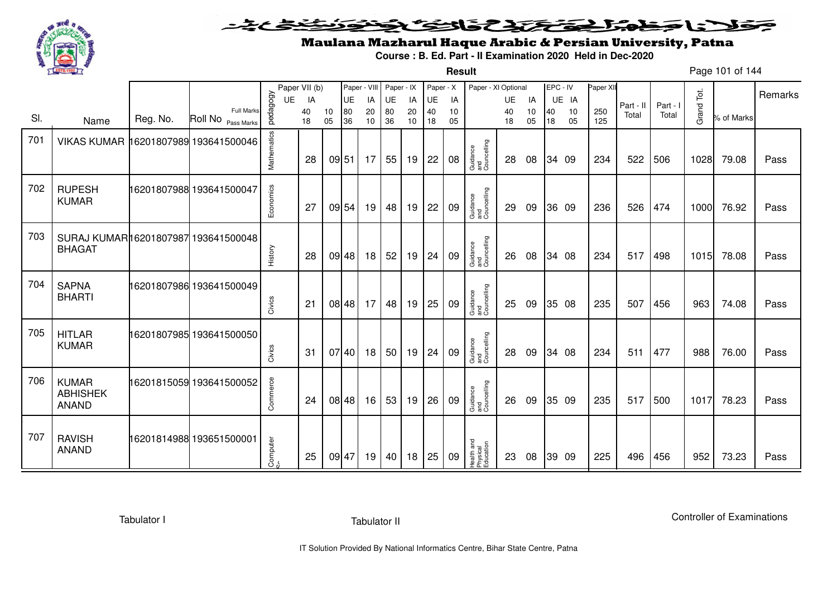

### <u>یٹی ٹ</u>ے۔ فلانا وخدا يقتحنك فالتف ونونوذ ≂

**Result**

# Maulana Mazharul Haque Arabic & Persian University, Patna

**Course : B. Ed. Part - II Examination 2020 Held in Dec-2020**

Page 101 of 144

|     |                                                      |          |                                            |             | Paper VII (b) |          | Paper - VIII |          | Paper - IX |          | Paper - X |          | Paper - XI Optional                 |          |          | EPC - IV |          | Paper XII  |           |          |            |            |         |
|-----|------------------------------------------------------|----------|--------------------------------------------|-------------|---------------|----------|--------------|----------|------------|----------|-----------|----------|-------------------------------------|----------|----------|----------|----------|------------|-----------|----------|------------|------------|---------|
|     |                                                      |          |                                            | UE          | IA            |          | UE           | IA       | UE         | IA       | UE        | IA       |                                     | UE       | IA       |          | UE IA    |            | Part - II | Part - I |            |            | Remarks |
| SI. | Name                                                 | Reg. No. | <b>Full Marks</b><br>Roll No<br>Pass Marks | pedagogy    | 40<br>18      | 10<br>05 | 80<br>36     | 20<br>10 | 80<br>36   | 20<br>10 | 40<br>18  | 10<br>05 |                                     | 40<br>18 | 10<br>05 | 40<br>18 | 10<br>05 | 250<br>125 | Total     | Total    | Grand Tot. | % of Marks |         |
| 701 | VIKAS KUMAR 16201807989 193641500046                 |          |                                            | Mathematics | 28            | 09 51    |              | 17       | 55         | 19       | 22        | 08       | Guidance<br>and<br>Councelling      | 28       | 08       |          | 34 09    | 234        | 522       | 506      | 1028       | 79.08      | Pass    |
| 702 | <b>RUPESH</b><br><b>KUMAR</b>                        |          | 16201807988 193641500047                   | Economics   | 27            |          | 09 54        | 19       | 48         | 19       | 22        | 09       | Guidance<br>and<br>Councelling      | 29       | 09       |          | 36 09    | 236        | 526       | 474      | 1000       | 76.92      | Pass    |
| 703 | SURAJ KUMAR16201807987 193641500048<br><b>BHAGAT</b> |          |                                            | History     | 28            |          | 09 48        | 18       | 52         | 19       | 24        | 09       | Guidance<br>and<br>Councelling      | 26       | 08       |          | 34 08    | 234        | 517       | 498      | 1015       | 78.08      | Pass    |
| 704 | <b>SAPNA</b><br><b>BHARTI</b>                        |          | 16201807986 193641500049                   | Civics      | 21            |          | 08 48        | 17       | 48         | 19       | 25        | 09       | Guidance<br>and<br>Councelling      | 25       | 09       |          | 35 08    | 235        | 507       | 456      | 963        | 74.08      | Pass    |
| 705 | <b>HITLAR</b><br><b>KUMAR</b>                        |          | 16201807985 193641500050                   | Civics      | 31            |          | 07 40        | 18       | 50         | 19       | 24        | 09       | Guidance<br>and<br>Councelling      | 28       | 09       |          | 34 08    | 234        | 511       | 477      | 988        | 76.00      | Pass    |
| 706 | <b>KUMAR</b><br><b>ABHISHEK</b><br><b>ANAND</b>      |          | 16201815059 193641500052                   | Commerce    | 24            |          | 08 48        | 16       | 53         | 19       | 26        | 09       | Guidance<br>and<br>Councelling      | 26       | 09       |          | 35 09    | 235        | 517       | 500      | 1017       | 78.23      | Pass    |
| 707 | <b>RAVISH</b><br><b>ANAND</b>                        |          | 16201814988 193651500001                   | Computer    | 25            | 09 47    |              | 19       | 40         | 18       | 25        | 09       | Health and<br>Physical<br>Education | 23       | 08       |          | 39 09    | 225        | 496       | 456      | 952        | 73.23      | Pass    |

Tabulator I

Tabulator II

Controller of Examinations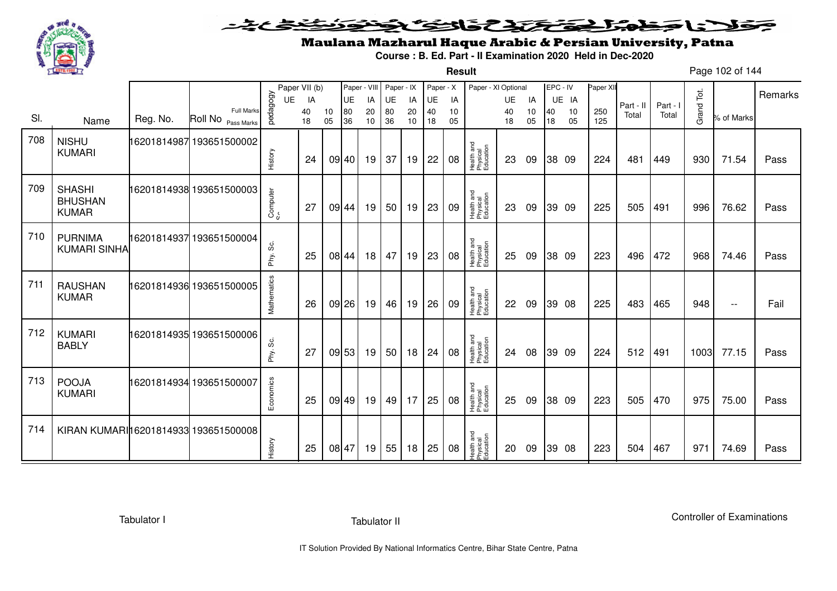

**Result**

# Maulana Mazharul Haque Arabic & Persian University, Patna

**Course : B. Ed. Part - II Examination 2020 Held in Dec-2020**

Page 102 of 144

|     |                                                 |          |                                         |              | Paper VII (b) |          |          | Paper - VIII | Paper - IX |          | Paper - X |          | Paper - XI Optional                 |          |          | EPC - IV |          | Paper XII  |           |          |            |                          | Remarks |
|-----|-------------------------------------------------|----------|-----------------------------------------|--------------|---------------|----------|----------|--------------|------------|----------|-----------|----------|-------------------------------------|----------|----------|----------|----------|------------|-----------|----------|------------|--------------------------|---------|
|     |                                                 |          |                                         | <b>UE</b>    | IA            |          | UE       | IA           | UE         | IA       | UE        | IA       |                                     | UE       | IA       |          | UE IA    |            | Part - II | Part - I |            |                          |         |
| SI. | Name                                            | Reg. No. | <b>Full Marks</b><br>Roll No Pass Marks | pedagogy     | 40<br>18      | 10<br>05 | 80<br>36 | 20<br>10     | 80<br>36   | 20<br>10 | 40<br>18  | 10<br>05 |                                     | 40<br>18 | 10<br>05 | 40<br>18 | 10<br>05 | 250<br>125 | Total     | Total    | Grand Tot. | % of Marks               |         |
| 708 | <b>NISHU</b><br><b>KUMARI</b>                   |          | 16201814987 193651500002                | History      | 24            |          | 09 40    | 19           | 37         | 19       | 22        | 08       | Health and<br>Physical<br>Education | 23       | 09       |          | 38 09    | 224        | 481       | 449      | 930        | 71.54                    | Pass    |
| 709 | <b>SHASHI</b><br><b>BHUSHAN</b><br><b>KUMAR</b> |          | 16201814938 193651500003                | Computer     | 27            |          | 09 44    | 19           | 50         | 19       | 23        | 09       | Health and<br>Physical<br>Education | 23       | 09       |          | 39 09    | 225        | 505       | 491      | 996        | 76.62                    | Pass    |
| 710 | <b>PURNIMA</b><br><b>KUMARI SINHA</b>           |          | 6201814937 193651500004                 | ပ္တဲ<br>Phy. | 25            |          | 08 44    | 18           | 47         | 19       | 23        | 08       | Health and<br>Physical<br>Education | 25       | 09       |          | 38 09    | 223        | 496       | 472      | 968        | 74.46                    | Pass    |
| 711 | <b>RAUSHAN</b><br><b>KUMAR</b>                  |          | 16201814936 193651500005                | Mathematics  | 26            |          | $09$ 26  | 19           | 46         | 19       | 26        | 09       | Health and<br>Physical<br>Education | 22       | 09       |          | 39 08    | 225        | 483       | 465      | 948        | $\overline{\phantom{a}}$ | Fail    |
| 712 | <b>KUMARI</b><br><b>BABLY</b>                   |          | 16201814935 193651500006                | Phy. Sc.     | 27            |          | 09 53    | 19           | 50         | 18       | 24        | 08       | Health and<br>Physical<br>Education | 24       | 08       |          | 39 09    | 224        | 512       | 491      | 1003       | 77.15                    | Pass    |
| 713 | <b>POOJA</b><br><b>KUMARI</b>                   |          | 16201814934 193651500007                | Economics    | 25            |          | 09 49    | 19           | 49         | 17       | 25        | 08       | Health and<br>Physical<br>Education | 25       | 09       |          | 38 09    | 223        | 505       | 470      | 975        | 75.00                    | Pass    |
| 714 | KIRAN KUMARI16201814933                         |          | 193651500008                            | History      | 25            |          | 08 47    | 19           | 55         | 18       | 25        | 08       | Health and<br>Physical<br>Education | 20       | 09       |          | 39 08    | 223        | 504       | 467      | 971        | 74.69                    | Pass    |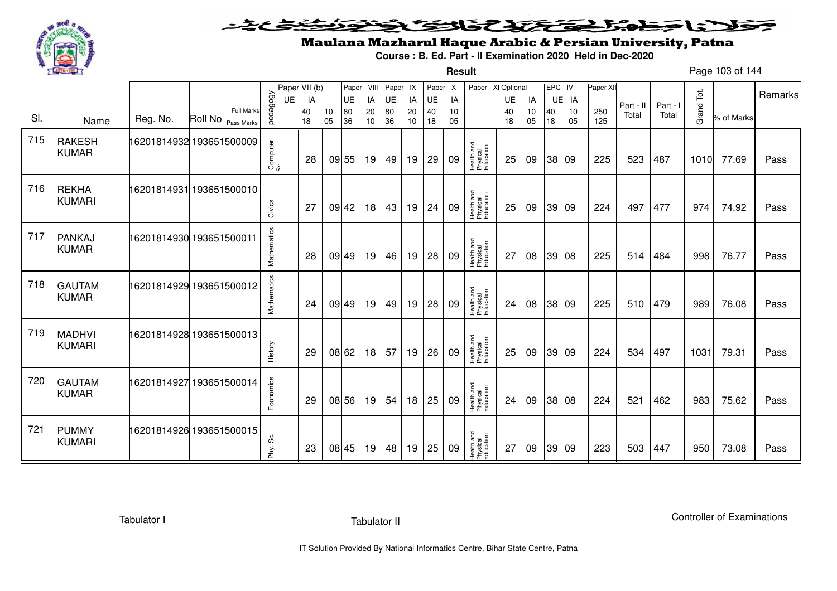

**Result**

# Maulana Mazharul Haque Arabic & Persian University, Patna

**Course : B. Ed. Part - II Examination 2020 Held in Dec-2020**

Page 103 of 144

|     |                                |          |                                         |             | Paper VII (b) |          | Paper - VIII |          | Paper - IX |          | Paper - X |          | Paper - XI Optional                 |          |          | EPC - IV |          | Paper XI   |           |          |            |            |         |
|-----|--------------------------------|----------|-----------------------------------------|-------------|---------------|----------|--------------|----------|------------|----------|-----------|----------|-------------------------------------|----------|----------|----------|----------|------------|-----------|----------|------------|------------|---------|
|     |                                |          |                                         | UE          | IA            |          | UE           | IA       | UE         | IA       | UE        | IA       |                                     | UE       | IA       |          | UE IA    |            | Part - II | Part - I |            |            | Remarks |
| SI. | Name                           | Reg. No. | <b>Full Marks</b><br>Roll No Pass Marks | pedagogy    | 40<br>18      | 10<br>05 | 80<br>36     | 20<br>10 | 80<br>36   | 20<br>10 | 40<br>18  | 10<br>05 |                                     | 40<br>18 | 10<br>05 | 40<br>18 | 10<br>05 | 250<br>125 | Total     | Total    | Grand Tot. | % of Marks |         |
| 715 | <b>RAKESH</b><br><b>KUMAR</b>  |          | 16201814932 193651500009                | Computer    | 28            |          | 09 55        | 19       | 49         | 19       | 29        | 09       | Health and<br>Physical<br>Education | 25       | 09       |          | 38 09    | 225        | 523       | 487      | 1010       | 77.69      | Pass    |
| 716 | <b>REKHA</b><br><b>KUMARI</b>  |          | 16201814931 193651500010                | Civics      | 27            | 09 42    |              | 18       | 43         | 19       | 24        | 09       | Health and<br>Physical<br>Education | 25       | 09       |          | 39 09    | 224        | 497       | 477      | 974        | 74.92      | Pass    |
| 717 | <b>PANKAJ</b><br><b>KUMAR</b>  |          | 16201814930 193651500011                | Mathematics | 28            |          | 09 49        | 19       | 46         | 19       | 28        | 09       | Health and<br>Physical<br>Education | 27       | 08       |          | 39 08    | 225        | 514       | 484      | 998        | 76.77      | Pass    |
| 718 | <b>GAUTAM</b><br><b>KUMAR</b>  |          | 16201814929 193651500012                | Mathematics | 24            |          | 09 49        | 19       | 49         | 19       | 28        | 09       | Health and<br>Physical<br>Education | 24       | 08       |          | 38 09    | 225        | 510       | 479      | 989        | 76.08      | Pass    |
| 719 | <b>MADHVI</b><br><b>KUMARI</b> |          | 16201814928 193651500013                | History     | 29            |          | 08 62        | 18       | 57         | 19       | 26        | 09       | Health and<br>Physical<br>Education | 25       | 09       |          | 39 09    | 224        | 534       | 497      | 1031       | 79.31      | Pass    |
| 720 | <b>GAUTAM</b><br><b>KUMAR</b>  |          | 16201814927 193651500014                | Economics   | 29            |          | 08 56        | 19       | 54         | 18       | 25        | 09       | Health and<br>Physical<br>Education | 24       | 09       |          | 38 08    | 224        | 521       | 462      | 983        | 75.62      | Pass    |
| 721 | <b>PUMMY</b><br><b>KUMARI</b>  |          | 16201814926 193651500015                | Phy. Sc.    | 23            |          | 08 45        | 19       | 48         | 19       | 25        | 09       | Health and<br>Physical<br>Education | 27       | 09       |          | 39 09    | 223        | 503       | 447      | 950        | 73.08      | Pass    |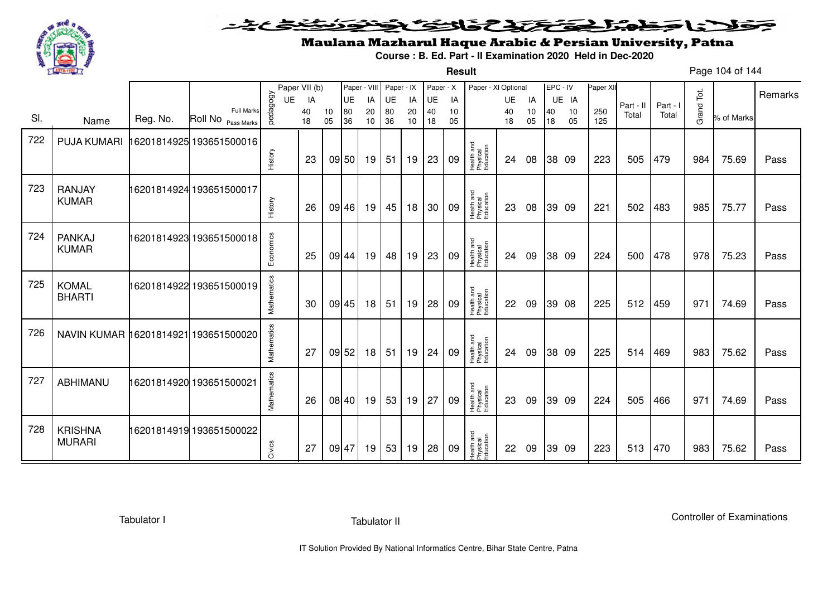

**Result**

# Maulana Mazharul Haque Arabic & Persian University, Patna

**Course : B. Ed. Part - II Examination 2020 Held in Dec-2020**

Page 104 of 144

|     |                                      |          |                                            | Paper VII (b) |          |          | Paper - VIII |          | Paper - IX |          | Paper - X |          | Paper - XI Optional                 |          |          | EPC - IV |          | Paper XII  |           |          |            |            | Remarks |
|-----|--------------------------------------|----------|--------------------------------------------|---------------|----------|----------|--------------|----------|------------|----------|-----------|----------|-------------------------------------|----------|----------|----------|----------|------------|-----------|----------|------------|------------|---------|
|     |                                      |          |                                            | UE            | IA       |          | UE           | IA       | UE         | IA       | UE        | IA       |                                     | UE       | IA       |          | UE IA    |            | Part - II | Part - I |            |            |         |
| SI. | Name                                 | Reg. No. | <b>Full Marks</b><br>Roll No<br>Pass Marks | pedagogy      | 40<br>18 | 10<br>05 | 80<br>36     | 20<br>10 | 80<br>36   | 20<br>10 | 40<br>18  | 10<br>05 |                                     | 40<br>18 | 10<br>05 | 40<br>18 | 10<br>05 | 250<br>125 | Total     | Total    | Grand Tot. | % of Marks |         |
| 722 | <b>PUJA KUMARI</b>                   |          | 16201814925 193651500016                   |               |          |          |              |          |            |          |           |          |                                     |          |          |          |          |            |           |          |            |            |         |
|     |                                      |          |                                            | History       | 23       |          | 09 50        | 19       | 51         | 19       | 23        | 09       | Health and<br>Physical<br>Education | 24       | 08       |          | 38 09    | 223        | 505       | 479      | 984        | 75.69      | Pass    |
| 723 | <b>RANJAY</b><br><b>KUMAR</b>        |          | 16201814924 193651500017                   |               |          |          |              |          |            |          |           |          | Health and<br>Physical<br>Education |          |          |          |          |            |           |          |            |            |         |
|     |                                      |          |                                            | History       | 26       |          | 09 46        | 19       | 45         | 18       | 30        | 09       |                                     | 23       | 08       |          | 39 09    | 221        | 502       | 483      | 985        | 75.77      | Pass    |
| 724 | <b>PANKAJ</b><br><b>KUMAR</b>        |          | 16201814923 193651500018                   | Economics     | 25       | 09 44    |              | 19       | 48         | 19       | 23        | 09       | Health and<br>Physical<br>Education | 24       | 09       |          | 38 09    | 224        | 500       | 478      | 978        | 75.23      | Pass    |
| 725 | <b>KOMAL</b><br><b>BHARTI</b>        |          | 16201814922 193651500019                   | Mathematics   | 30       |          | 09 45        | 18       | 51         | 19       | 28        | 09       | Health and<br>Physical<br>Education | 22       | 09       |          | 39 08    | 225        | 512       | 459      | 971        | 74.69      | Pass    |
| 726 | NAVIN KUMAR 16201814921 193651500020 |          |                                            | Mathematics   | 27       |          | 09 52        | 18       | 51         | 19       | 24        | 09       | Health and<br>Physical<br>Education | 24       | 09       |          | 38 09    | 225        | 514       | 469      | 983        | 75.62      | Pass    |
| 727 | ABHIMANU                             |          | 16201814920 193651500021                   | Mathematics   | 26       |          | 08 40        | 19       | 53         | 19       | 27        | 09       | Health and<br>Physical<br>Education | 23       | 09       |          | 39 09    | 224        | 505       | 466      | 971        | 74.69      | Pass    |
| 728 | <b>KRISHNA</b><br><b>MURARI</b>      |          | 16201814919 193651500022                   | Civics        | 27       | 09 47    |              | 19       | 53         | 19       | 28        | 09       | Health and<br>Physical<br>Education | 22       | 09       |          | 39 09    | 223        | 513       | 470      | 983        | 75.62      | Pass    |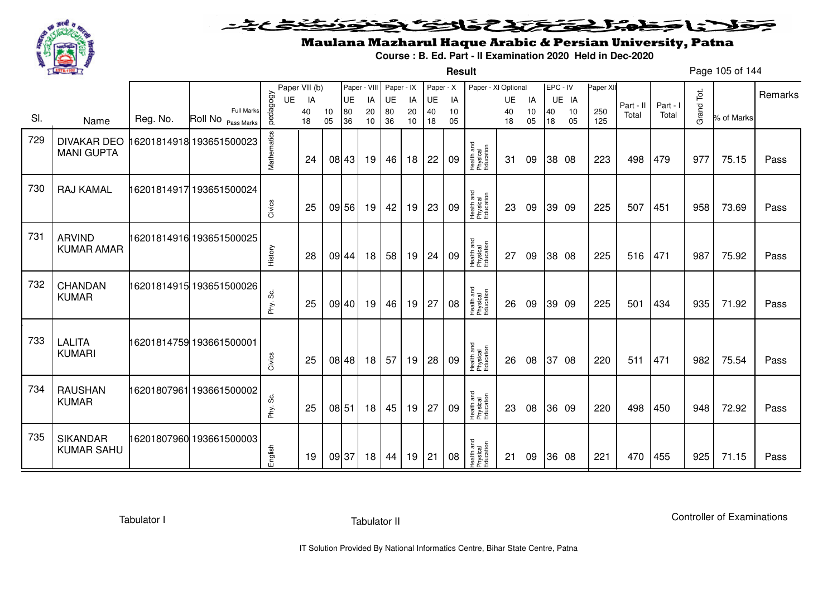

### <u>یٹی ٹ</u>ے۔ فلانا وخدا يقتحنك فالتف ونونوذ ≂

**Result**

# Maulana Mazharul Haque Arabic & Persian University, Patna

**Course : B. Ed. Part - II Examination 2020 Held in Dec-2020**

Page 105 of 144

|     |                                         |          |                                         |             | Paper VII (b) |          | Paper - VIII |          | Paper - IX |          | Paper - X |          | Paper - XI Optional                 |           |          |          | EPC - IV | Paper XI   |           |          |            |            |         |
|-----|-----------------------------------------|----------|-----------------------------------------|-------------|---------------|----------|--------------|----------|------------|----------|-----------|----------|-------------------------------------|-----------|----------|----------|----------|------------|-----------|----------|------------|------------|---------|
|     |                                         |          |                                         | UE          | IA            |          | UE           | IA       | UE         | IA       | UE        | IA       |                                     | <b>UE</b> | IA       |          | UE IA    |            | Part - II | Part - I |            |            | Remarks |
| SI. | Name                                    | Reg. No. | <b>Full Marks</b><br>Roll No Pass Marks | pedagogy    | 40<br>18      | 10<br>05 | 80<br>36     | 20<br>10 | 80<br>36   | 20<br>10 | 40<br>18  | 10<br>05 |                                     | 40<br>18  | 10<br>05 | 40<br>18 | 10<br>05 | 250<br>125 | Total     | Total    | Grand Tot. | % of Marks |         |
| 729 | <b>DIVAKAR DEO</b><br><b>MANI GUPTA</b> |          | 16201814918 193651500023                | Mathematics | 24            |          | 08 43        | 19       | 46         | 18       | 22        | 09       | Health and<br>Physical<br>Education | 31        | 09       |          | 38 08    | 223        | 498       | 479      | 977        | 75.15      | Pass    |
| 730 | RAJ KAMAL                               |          | 16201814917 193651500024                | Civics      | 25            |          | 09 56        | 19       | 42         | 19       | 23        | 09       | Health and<br>Physical<br>Education | 23        | 09       |          | 39 09    | 225        | 507       | 451      | 958        | 73.69      | Pass    |
| 731 | <b>ARVIND</b><br><b>KUMAR AMAR</b>      |          | 6201814916 193651500025                 | History     | 28            |          | 09 44        | 18       | 58         | 19       | 24        | 09       | Health and<br>Physical<br>Education | 27        | 09       |          | 38 08    | 225        | 516       | 471      | 987        | 75.92      | Pass    |
| 732 | <b>CHANDAN</b><br><b>KUMAR</b>          |          | 16201814915 193651500026                | တိ<br>Phy.  | 25            |          | 09 40        | 19       | 46         | 19       | 27        | 08       | Health and<br>Physical<br>Education | 26        | 09       |          | 39 09    | 225        | 501       | 434      | 935        | 71.92      | Pass    |
| 733 | <b>LALITA</b><br><b>KUMARI</b>          |          | 16201814759 193661500001                | Civics      | 25            |          | 08 48        | 18       | 57         | 19       | 28        | 09       | Health and<br>Physical<br>Education | 26        | 08       | 37       | 08       | 220        | 511       | 471      | 982        | 75.54      | Pass    |
| 734 | <b>RAUSHAN</b><br><b>KUMAR</b>          |          | 16201807961 193661500002                | Phy. Sc.    | 25            | 08 51    |              | 18       | 45         | 19       | 27        | 09       | Health and<br>Physical<br>Education | 23        | 08       |          | 36 09    | 220        | 498       | 450      | 948        | 72.92      | Pass    |
| 735 | <b>SIKANDAR</b><br><b>KUMAR SAHU</b>    |          | 16201807960 193661500003                | English     | 19            |          | 09 37        | 18       | 44         | 19       | 21        | 08       | Health and<br>Physical<br>Education | 21        | 09       |          | 36 08    | 221        | 470       | 455      | 925        | 71.15      | Pass    |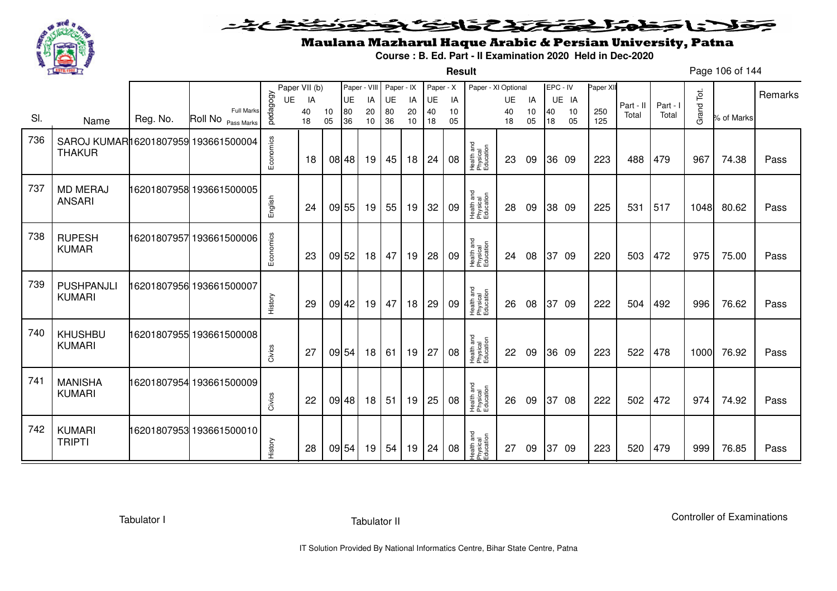

**Result**

# Maulana Mazharul Haque Arabic & Persian University, Patna

**Course : B. Ed. Part - II Examination 2020 Held in Dec-2020**

Page 106 of 144

|     |                                                      |          |                                         |           | Paper VII (b) |          | Paper - VIII |          | Paper - IX |          | Paper - X |          | Paper - XI Optional                 |          |          | EPC - IV |          | Paper XII  |           |          |            |            |         |
|-----|------------------------------------------------------|----------|-----------------------------------------|-----------|---------------|----------|--------------|----------|------------|----------|-----------|----------|-------------------------------------|----------|----------|----------|----------|------------|-----------|----------|------------|------------|---------|
|     |                                                      |          |                                         | UE        | IA            |          | UE           | IA       | UE         | IA       | UE        | IA       |                                     | UE       | IA       |          | UE IA    |            | Part - II | Part - I |            |            | Remarks |
| SI. | Name                                                 | Reg. No. | <b>Full Marks</b><br>Roll No Pass Marks | pedagogy  | 40<br>18      | 10<br>05 | 80<br>36     | 20<br>10 | 80<br>36   | 20<br>10 | 40<br>18  | 10<br>05 |                                     | 40<br>18 | 10<br>05 | 40<br>18 | 10<br>05 | 250<br>125 | Total     | Total    | Grand Tot. | % of Marks |         |
| 736 | SAROJ KUMAR16201807959 193661500004<br><b>THAKUR</b> |          |                                         | Economics | 18            |          | 08 48        | 19       | 45         | 18       | 24        | 08       | Health and<br>Physical<br>Education | 23       | 09       |          | 36 09    | 223        | 488       | 479      | 967        | 74.38      | Pass    |
| 737 | <b>MD MERAJ</b><br><b>ANSARI</b>                     |          | 16201807958 193661500005                | English   | 24            |          | 09 55        | 19       | 55         | 19       | 32        | 09       | Health and<br>Physical<br>Education | 28       | 09       |          | 38 09    | 225        | 531       | 517      | 1048       | 80.62      | Pass    |
| 738 | <b>RUPESH</b><br><b>KUMAR</b>                        |          | 16201807957193661500006                 | Economics | 23            |          | 09 52        | 18       | 47         | 19       | 28        | 09       | Health and<br>Physical<br>Education | 24       | 08       |          | 37 09    | 220        | 503       | 472      | 975        | 75.00      | Pass    |
| 739 | <b>PUSHPANJLI</b><br><b>KUMARI</b>                   |          | 16201807956 193661500007                | History   | 29            |          | 09 42        | 19       | 47         | 18       | 29        | 09       | Health and<br>Physical<br>Education | 26       | 08       |          | 37 09    | 222        | 504       | 492      | 996        | 76.62      | Pass    |
| 740 | <b>KHUSHBU</b><br><b>KUMARI</b>                      |          | 16201807955 193661500008                | Civics    | 27            |          | 09 54        | 18       | 61         | 19       | 27        | 08       | Health and<br>Physical<br>Education | 22       | 09       |          | 36 09    | 223        | 522       | 478      | 1000       | 76.92      | Pass    |
| 741 | <b>MANISHA</b><br><b>KUMARI</b>                      |          | 16201807954 193661500009                | Civics    | 22            |          | 09 48        | 18       | 51         | 19       | 25        | 08       | Health and<br>Physical<br>Education | 26       | 09       |          | 37 08    | 222        | 502       | 472      | 974        | 74.92      | Pass    |
| 742 | <b>KUMARI</b><br><b>TRIPTI</b>                       |          | 16201807953 193661500010                | History   | 28            |          | 09 54        | 19       | 54         | 19       | 24        | 08       | Health and<br>Physical<br>Education | 27       | 09       | 37       | 09       | 223        | 520       | 479      | 999        | 76.85      | Pass    |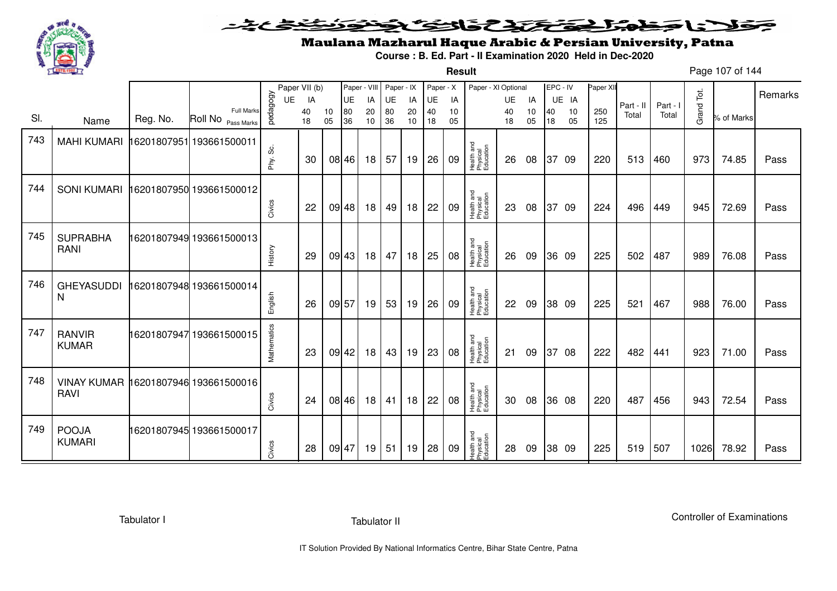

### حضمیت فلأناخض المتعاطية فالتكنك ∍

**Result**

# Maulana Mazharul Haque Arabic & Persian University, Patna

**Course : B. Ed. Part - II Examination 2020 Held in Dec-2020**

Page 107 of 144

|     |                                      |          |                                         |             | Paper VII (b) |          | Paper - VIII |          | Paper - IX |          | Paper - X |          | Paper - XI Optional                 |          |          | EPC - IV |          | Paper XII  |           |          |            |            |         |
|-----|--------------------------------------|----------|-----------------------------------------|-------------|---------------|----------|--------------|----------|------------|----------|-----------|----------|-------------------------------------|----------|----------|----------|----------|------------|-----------|----------|------------|------------|---------|
|     |                                      |          |                                         | UE          | IA            |          | UE           | IA       | UE         | IA       | UE        | IA       |                                     | UE       | IA       |          | UE IA    |            | Part - II | Part - I |            |            | Remarks |
| SI. | Name                                 | Reg. No. | <b>Full Marks</b><br>Roll No Pass Marks | pedagogy    | 40<br>18      | 10<br>05 | 80<br>36     | 20<br>10 | 80<br>36   | 20<br>10 | 40<br>18  | 10<br>05 |                                     | 40<br>18 | 10<br>05 | 40<br>18 | 10<br>05 | 250<br>125 | Total     | Total    | Grand Tot. | % of Marks |         |
| 743 | <b>MAHI KUMARI</b>                   |          | 16201807951 193661500011                |             |               |          |              |          |            |          |           |          |                                     |          |          |          |          |            |           |          |            |            |         |
|     |                                      |          |                                         | တိ<br>Phy.  | 30            |          | 08 46        | 18       | 57         | 19       | 26        | 09       | Health and<br>Physical<br>Education | 26       | 08       |          | 37 09    | 220        | 513       | 460      | 973        | 74.85      | Pass    |
| 744 | <b>SONI KUMARI</b>                   |          | 16201807950 193661500012                |             |               |          |              |          |            |          |           |          |                                     |          |          |          |          |            |           |          |            |            |         |
|     |                                      |          |                                         | Civics      | 22            |          | 09 48        | 18       | 49         | 18       | 22        | 09       | Health and<br>Physical<br>Education | 23       | 08       | 37       | 09       | 224        | 496       | 449      | 945        | 72.69      | Pass    |
| 745 | <b>SUPRABHA</b>                      |          | 16201807949 193661500013                |             |               |          |              |          |            |          |           |          |                                     |          |          |          |          |            |           |          |            |            |         |
|     | RANI                                 |          |                                         | History     | 29            |          | 09 43        | 18       | 47         | 18       | 25        | 08       | Health and<br>Physical<br>Education | 26       | 09       |          | 36 09    | 225        | 502       | 487      | 989        | 76.08      | Pass    |
| 746 | <b>GHEYASUDDI</b>                    |          | 16201807948 193661500014                |             |               |          |              |          |            |          |           |          |                                     |          |          |          |          |            |           |          |            |            |         |
|     | N                                    |          |                                         | English     | 26            | 09 57    |              | 19       | 53         | 19       | 26        | 09       | Health and<br>Physical<br>Education | 22       | 09       |          | 38 09    | 225        | 521       | 467      | 988        | 76.00      | Pass    |
| 747 | <b>RANVIR</b>                        |          | 16201807947 193661500015                |             |               |          |              |          |            |          |           |          |                                     |          |          |          |          |            |           |          |            |            |         |
|     | <b>KUMAR</b>                         |          |                                         | Mathematics | 23            |          | $09$ 42      | 18       | 43         | 19       | 23        | 08       | Health and<br>Physical<br>Education | 21       | 09       | 37       | 08       | 222        | 482       | 441      | 923        | 71.00      | Pass    |
| 748 | VINAY KUMAR 16201807946 193661500016 |          |                                         |             |               |          |              |          |            |          |           |          |                                     |          |          |          |          |            |           |          |            |            |         |
|     | <b>RAVI</b>                          |          |                                         | Civics      | 24            |          | 08 46        | 18       | 41         | 18       | 22        | 08       | Health and<br>Physical<br>Education | 30       | 08       |          | 36 08    | 220        | 487       | 456      | 943        | 72.54      | Pass    |
| 749 | <b>POOJA</b>                         |          | 16201807945 193661500017                |             |               |          |              |          |            |          |           |          |                                     |          |          |          |          |            |           |          |            |            |         |
|     | <b>KUMARI</b>                        |          |                                         | Civics      | 28            | 09 47    |              | 19       | 51         | 19       | 28        | 09       | Health and<br>Physical<br>Education | 28       | 09       |          | 38 09    | 225        | 519       | 507      | 1026       | 78.92      | Pass    |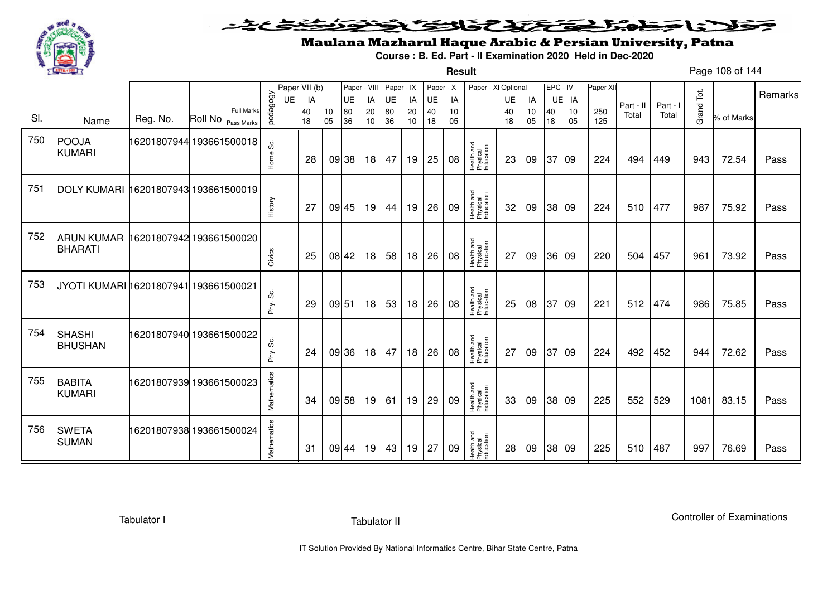

**Result**

# Maulana Mazharul Haque Arabic & Persian University, Patna

**Course : B. Ed. Part - II Examination 2020 Held in Dec-2020**

Page 108 of 144

|     |                                       |          |                                            |              | Paper VII (b) |          | Paper - VIII |          | Paper - IX |          | Paper - X |          | Paper - XI Optional                 |          |          | EPC - IV |          | Paper XII  |           |          |            |            | Remarks |
|-----|---------------------------------------|----------|--------------------------------------------|--------------|---------------|----------|--------------|----------|------------|----------|-----------|----------|-------------------------------------|----------|----------|----------|----------|------------|-----------|----------|------------|------------|---------|
|     |                                       |          |                                            | UE           | IA            |          | UE           | IA       | UE         | IA       | UE        | IA       |                                     | UE       | IA       |          | UE IA    |            | Part - II | Part - I |            |            |         |
| SI. | Name                                  | Reg. No. | <b>Full Marks</b><br>Roll No<br>Pass Marks | pedagogy     | 40<br>18      | 10<br>05 | 80<br>36     | 20<br>10 | 80<br>36   | 20<br>10 | 40<br>18  | 10<br>05 |                                     | 40<br>18 | 10<br>05 | 40<br>18 | 10<br>05 | 250<br>125 | Total     | Total    | Grand Tot. | % of Marks |         |
| 750 | <b>POOJA</b><br><b>KUMARI</b>         |          | 16201807944 193661500018                   | ပ္တဲ<br>Home | 28            |          | 09 38        | 18       | 47         | 19       | 25        | 08       | Health and<br>Physical<br>Education | 23       | 09       |          | 37 09    | 224        | 494       | 449      | 943        | 72.54      | Pass    |
| 751 | <b>DOLY KUMARI</b>                    |          | 16201807943 193661500019                   | History      | 27            |          | 09 45        | 19       | 44         | 19       | 26        | 09       | Health and<br>Physical<br>Education | 32       | 09       |          | 38 09    | 224        | 510       | 477      | 987        | 75.92      | Pass    |
| 752 | <b>ARUN KUMAR</b><br><b>BHARATI</b>   |          | 16201807942 193661500020                   | Civics       | 25            |          | 08 42        | 18       | 58         | 18       | 26        | 08       | Health and<br>Physical<br>Education | 27       | 09       |          | 36 09    | 220        | 504       | 457      | 961        | 73.92      | Pass    |
| 753 | JYOTI KUMARI 16201807941 193661500021 |          |                                            | Phy. Sc.     | 29            | 09 51    |              | 18       | 53         | 18       | 26        | 08       | Health and<br>Physical<br>Education | 25       | 08       |          | 37 09    | 221        | 512       | 474      | 986        | 75.85      | Pass    |
| 754 | <b>SHASHI</b><br><b>BHUSHAN</b>       |          | 16201807940 193661500022                   | Phy. Sc.     | 24            |          | 09 36        | 18       | 47         | 18       | 26        | 08       | Health and<br>Physical<br>Education | 27       | 09       |          | 37 09    | 224        | 492       | 452      | 944        | 72.62      | Pass    |
| 755 | <b>BABITA</b><br><b>KUMARI</b>        |          | 16201807939 193661500023                   | Mathematics  | 34            |          | 09 58        | 19       | 61         | 19       | 29        | 09       | Health and<br>Physical<br>Education | 33       | 09       |          | 38 09    | 225        | 552       | 529      | 1081       | 83.15      | Pass    |
| 756 | <b>SWETA</b><br><b>SUMAN</b>          |          | 16201807938 193661500024                   | Mathematics  | 31            |          | 09 44        | 19       | 43         | 19       | 27        | 09       | Health and<br>Physical<br>Education | 28       | 09       |          | 38 09    | 225        | 510       | 487      | 997        | 76.69      | Pass    |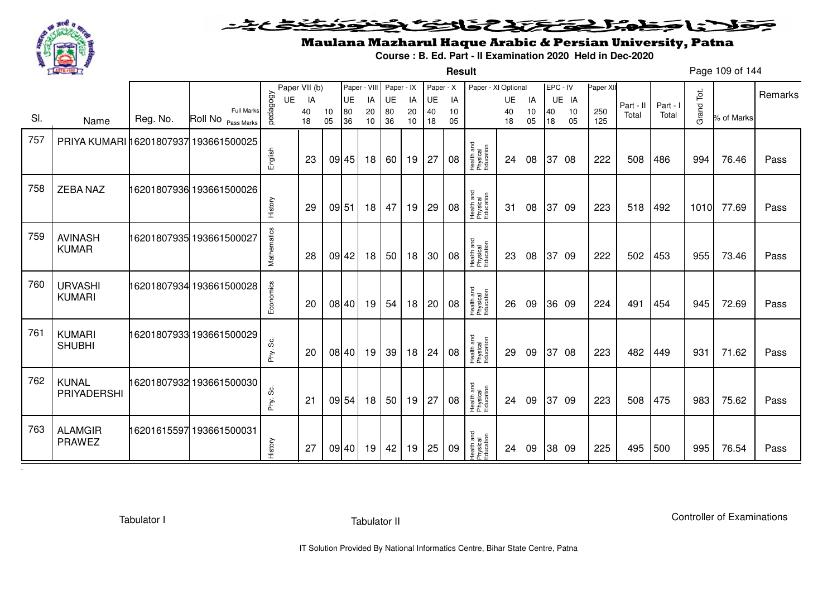

#### こさとき فتختخذ فخافت فكنخف كلانا جنادبل ◒

**Result**

# Maulana Mazharul Haque Arabic & Persian University, Patna

**Course : B. Ed. Part - II Examination 2020 Held in Dec-2020**

Page 109 of 144

|     |                                       |          |                                            |             | Paper VII (b) |          | Paper - VIII |          | Paper - IX      |          | Paper - X |          | Paper - XI Optional                 |          |          | EPC - IV |          | Paper XII  |           |          |            |            |         |
|-----|---------------------------------------|----------|--------------------------------------------|-------------|---------------|----------|--------------|----------|-----------------|----------|-----------|----------|-------------------------------------|----------|----------|----------|----------|------------|-----------|----------|------------|------------|---------|
|     |                                       |          |                                            | UE          | IA            |          | UE           | IA       | UE              | IA       | UE        | IA       |                                     | UE       | IA       |          | UE IA    |            | Part - II | Part - I |            |            | Remarks |
| SI. | Name                                  | Reg. No. | <b>Full Marks</b><br>Roll No<br>Pass Marks | pedagogy    | 40<br>18      | 10<br>05 | 80<br>36     | 20<br>10 | 80<br>36        | 20<br>10 | 40<br>18  | 10<br>05 |                                     | 40<br>18 | 10<br>05 | 40<br>18 | 10<br>05 | 250<br>125 | Total     | Total    | Grand Tot. | % of Marks |         |
| 757 | PRIYA KUMARI 16201807937 193661500025 |          |                                            |             |               |          |              |          |                 |          |           |          |                                     |          |          |          |          |            |           |          |            |            |         |
|     |                                       |          |                                            | English     | 23            |          | 09 45        | 18       | 60 l            | 19       | 27        | 08       | Health and<br>Physical<br>Education | 24       | 08       |          | 37 08    | 222        | 508       | 486      | 994        | 76.46      | Pass    |
| 758 | <b>ZEBA NAZ</b>                       |          | 16201807936 193661500026                   |             |               |          |              |          |                 |          |           |          |                                     |          |          |          |          |            |           |          |            |            |         |
|     |                                       |          |                                            | History     | 29            | 09 51    |              | 18       | 47              | 19       | 29        | 08       | Health and<br>Physical<br>Education | -31      | 08       | 37       | -09      | 223        | 518       | 492      | 1010       | 77.69      | Pass    |
| 759 | <b>AVINASH</b>                        |          |                                            |             |               |          |              |          |                 |          |           |          |                                     |          |          |          |          |            |           |          |            |            |         |
|     | <b>KUMAR</b>                          |          |                                            | Mathematics | 28            |          | 09 42        | 18       | 50              | 18       | 30        | 08       | Health and<br>Physical<br>Education | 23       | 08       | 37       | -09      | 222        | 502       | 453      | 955        | 73.46      | Pass    |
| 760 | <b>URVASHI</b>                        |          | 16201807934 193661500028                   |             |               |          |              |          |                 |          |           |          |                                     |          |          |          |          |            |           |          |            |            |         |
|     | <b>KUMARI</b>                         |          |                                            | Economics   | 20            |          | 08 40        | 19       | 54              | 18       | 20        | 08       | Health and<br>Physical<br>Education | 26       | 09       |          | 36 09    | 224        | 491       | 454      | 945        | 72.69      | Pass    |
| 761 | <b>KUMARI</b>                         |          | 16201807933 193661500029                   |             |               |          |              |          |                 |          |           |          |                                     |          |          |          |          |            |           |          |            |            |         |
|     | <b>SHUBHI</b>                         |          |                                            | Phy. Sc.    | 20            |          | 08 40        | 19       | 39              | 18       | 24        | 08       | Health and<br>Physical<br>Education | 29       | 09       | 37       | 08       | 223        | 482       | 449      | 931        | 71.62      | Pass    |
| 762 | <b>KUNAL</b>                          |          | 16201807932 193661500030                   |             |               |          |              |          |                 |          |           |          |                                     |          |          |          |          |            |           |          |            |            |         |
|     | PRIYADERSHI                           |          |                                            | Phy. Sc.    | 21            |          | 09 54        | 18       | 50 <sub>1</sub> | 19       | 27        | 08       | Health and<br>Physical<br>Education | 24       | 09       | 37       | -09      | 223        | 508       | 475      | 983        | 75.62      | Pass    |
| 763 | <b>ALAMGIR</b>                        |          | 16201615597 193661500031                   |             |               |          |              |          |                 |          |           |          |                                     |          |          |          |          |            |           |          |            |            |         |
|     | <b>PRAWEZ</b>                         |          |                                            | History     | 27            |          | 09 40        | 19       | 42              | 19       | 25        | 09       | Health and<br>Physical<br>Education | 24       | 09       |          | 38 09    | 225        | 495       | 500      | 995        | 76.54      | Pass    |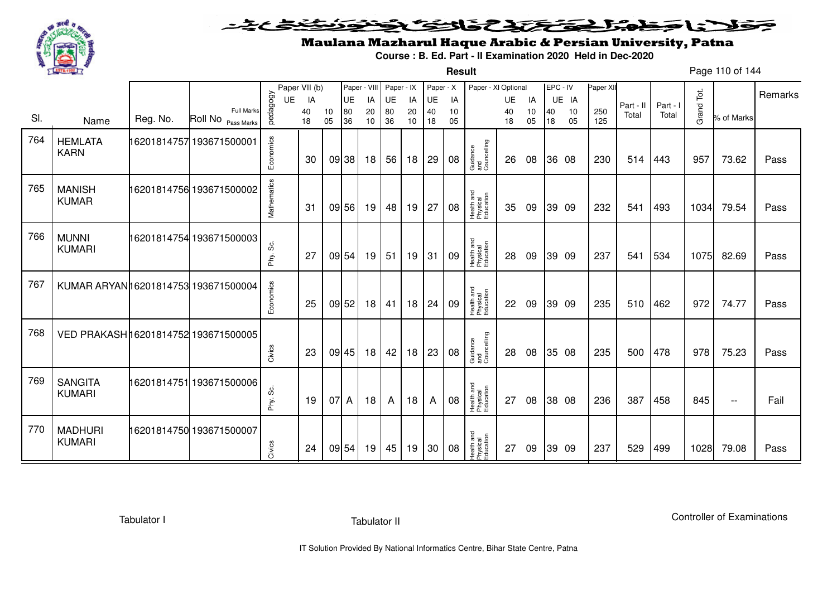

**Result**

# Maulana Mazharul Haque Arabic & Persian University, Patna

**Course : B. Ed. Part - II Examination 2020 Held in Dec-2020**

Page 110 of 144

|     |                                      |          |                                         |              | Paper VII (b) |          | Paper - VIII |          | Paper - IX |          | Paper - X |          | Paper - XI Optional                 |          |          |          | EPC - IV | Paper XI   |           |          |            |                          |         |
|-----|--------------------------------------|----------|-----------------------------------------|--------------|---------------|----------|--------------|----------|------------|----------|-----------|----------|-------------------------------------|----------|----------|----------|----------|------------|-----------|----------|------------|--------------------------|---------|
|     |                                      |          |                                         | UE           | IA            |          | UE           | IA       | UE         | IA       | UE        | IA       |                                     | UE       | IA       |          | UE IA    |            | Part - II | Part - I |            |                          | Remarks |
| SI. | Name                                 | Reg. No. | <b>Full Marks</b><br>Roll No Pass Marks | pedagogy     | 40<br>18      | 10<br>05 | 80<br>36     | 20<br>10 | 80<br>36   | 20<br>10 | 40<br>18  | 10<br>05 |                                     | 40<br>18 | 10<br>05 | 40<br>18 | 10<br>05 | 250<br>125 | Total     | Total    | Grand Tot. | % of Marks               |         |
| 764 | <b>HEMLATA</b><br><b>KARN</b>        |          | 16201814757 193671500001                | Economics    | 30            |          | 09 38        | 18       | 56         | 18       | 29        | 08       | Guidance<br>and<br>Councelling      | 26       | 08       |          | 36 08    | 230        | 514       | 443      | 957        | 73.62                    | Pass    |
| 765 | <b>MANISH</b><br><b>KUMAR</b>        |          | 16201814756 193671500002                | Mathematics  | 31            |          | 09 56        | 19       | 48         | 19       | 27        | 08       | Health and<br>Physical<br>Education | 35       | 09       |          | 39 09    | 232        | 541       | 493      | 1034       | 79.54                    | Pass    |
| 766 | <b>MUNNI</b><br><b>KUMARI</b>        |          | 16201814754 193671500003                | Phy. Sc.     | 27            |          | 09 54        | 19       | 51         | 19       | 31        | 09       | Health and<br>Physical<br>Education | 28       | 09       |          | 39 09    | 237        | 541       | 534      | 1075       | 82.69                    | Pass    |
| 767 | KUMAR ARYANI 6201814753 193671500004 |          |                                         | Economics    | 25            |          | 09 52        | 18       | 41         | 18       | 24        | 09       | Health and<br>Physical<br>Education | 22       | 09       |          | 39 09    | 235        | 510       | 462      | 972        | 74.77                    | Pass    |
| 768 | VED PRAKASH 16201814752 193671500005 |          |                                         | Civics       | 23            |          | 09 45        | 18       | 42         | 18       | 23        | 08       | Guidance<br>and<br>Councelling      | 28       | 08       |          | 35 08    | 235        | 500       | 478      | 978        | 75.23                    | Pass    |
| 769 | <b>SANGITA</b><br><b>KUMARI</b>      |          | 16201814751 193671500006                | ပ္တဲ<br>Phy. | 19            | 07 A     |              | 18       | A          | 18       | A         | 08       | Health and<br>Physical<br>Education | 27       | 08       |          | 38 08    | 236        | 387       | 458      | 845        | $\overline{\phantom{a}}$ | Fail    |
| 770 | <b>MADHURI</b><br><b>KUMARI</b>      |          | 16201814750 193671500007                | Civics       | 24            |          | 09 54        | 19       | 45         | 19       | 30        | 08       | Health and<br>Physical<br>Education | 27       | 09       |          | 39 09    | 237        | 529       | 499      | 1028       | 79.08                    | Pass    |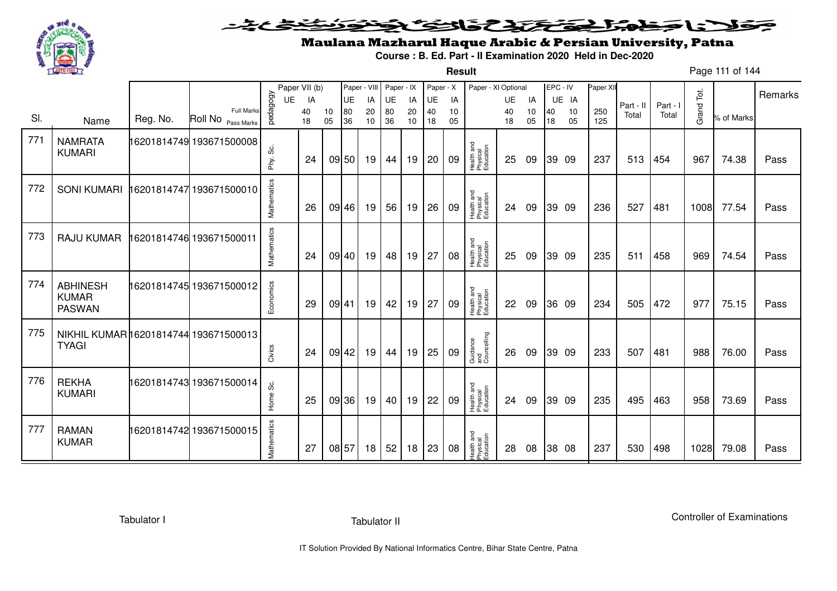

**Result**

# Maulana Mazharul Haque Arabic & Persian University, Patna

**Course : B. Ed. Part - II Examination 2020 Held in Dec-2020**

Page 111 of 144

|     |                                                       |          |                                         |             | Paper VII (b) |          |           |          | Paper - VIII Paper - IX |          | Paper - X |          | Paper - XI Optional                 |           |          | EPC - IV |          | Paper XI   |           |          |            |            | Remarks |
|-----|-------------------------------------------------------|----------|-----------------------------------------|-------------|---------------|----------|-----------|----------|-------------------------|----------|-----------|----------|-------------------------------------|-----------|----------|----------|----------|------------|-----------|----------|------------|------------|---------|
|     |                                                       |          |                                         | <b>UE</b>   | IA            |          | <b>UE</b> | IA       | UE                      | IA       | UE        | IA       |                                     | <b>UE</b> | IA       |          | UE IA    |            | Part - II | Part - I |            |            |         |
| SI. | Name                                                  | Reg. No. | <b>Full Marks</b><br>Roll No Pass Marks | pedagogy    | 40<br>18      | 10<br>05 | 80<br>36  | 20<br>10 | 80<br>36                | 20<br>10 | 40<br>18  | 10<br>05 |                                     | 40<br>18  | 10<br>05 | 40<br>18 | 10<br>05 | 250<br>125 | Total     | Total    | Grand Tot. | % of Marks |         |
| 771 | <b>NAMRATA</b><br><b>KUMARI</b>                       |          | 16201814749 193671500008                | တိ<br>Phy.  | 24            |          | 09 50     | 19       | 44                      | 19       | 20        | 09       | Health and<br>Physical<br>Education | 25        | 09       |          | 39 09    | 237        | 513       | 454      | 967        | 74.38      | Pass    |
| 772 | <b>SONI KUMARI</b>                                    |          | 16201814747 193671500010                | Mathematics | 26            |          | 09 46     | 19       | 56                      | 19       | 26        | 09       | Health and<br>Physical<br>Education | 24        | 09       |          | 39 09    | 236        | 527       | 481      | 1008       | 77.54      | Pass    |
| 773 | RAJU KUMAR                                            |          | 16201814746 193671500011                | Mathematics | 24            |          | 09 40     | 19       | 48                      | 19       | 27        | 08       | Health and<br>Physical<br>Education | 25        | 09       |          | 39 09    | 235        | 511       | 458      | 969        | 74.54      | Pass    |
| 774 | <b>ABHINESH</b><br><b>KUMAR</b><br><b>PASWAN</b>      |          | 16201814745 193671500012                | Economics   | 29            |          | 09 41     | 19       | 42                      | 19       | 27        | 09       | Health and<br>Physical<br>Education | 22        | 09       |          | 36 09    | 234        | 505       | 472      | 977        | 75.15      | Pass    |
| 775 | NIKHIL KUMAR 16201814744 193671500013<br><b>TYAGI</b> |          |                                         | Civics      | 24            |          | 09 42     | 19       | 44                      | 19       | 25        | 09       | Guidance<br>and<br>Councelling      | 26        | 09       |          | 39 09    | 233        | 507       | 481      | 988        | 76.00      | Pass    |
| 776 | <b>REKHA</b><br><b>KUMARI</b>                         |          |                                         | Ś.<br>Home  | 25            |          | 09 36     | 19       | 40                      | 19       | 22        | 09       | Health and<br>Physical<br>Education | 24        | 09       |          | 39 09    | 235        | 495       | 463      | 958        | 73.69      | Pass    |
| 777 | <b>RAMAN</b><br><b>KUMAR</b>                          |          | 16201814742 193671500015                | Mathematics | 27            |          | 08 57     | 18       | 52                      | 18       | 23        | 08       | Health and<br>Physical<br>Education | 28        | 08       |          | 38 08    | 237        | 530       | 498      | 1028       | 79.08      | Pass    |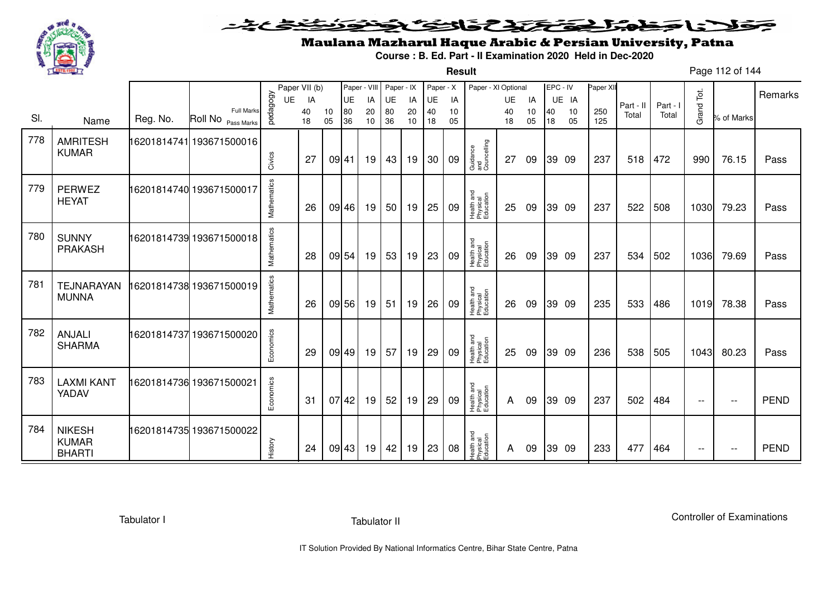

**Result**

# Maulana Mazharul Haque Arabic & Persian University, Patna

**Course : B. Ed. Part - II Examination 2020 Held in Dec-2020**

Page 112 of 144

|     |                                                |          |                                         |             | Paper VII (b) |          | Paper - VIII |          | Paper - IX |          | Paper - X |          | Paper - XI Optional                 |          |          | EPC - IV |          | Paper XII  |           |          |            |                   |             |
|-----|------------------------------------------------|----------|-----------------------------------------|-------------|---------------|----------|--------------|----------|------------|----------|-----------|----------|-------------------------------------|----------|----------|----------|----------|------------|-----------|----------|------------|-------------------|-------------|
|     |                                                |          |                                         | UE          | IA            |          | <b>UE</b>    | IA       | UE         | IA       | <b>UE</b> | IA       |                                     | UE       | IA       |          | UE IA    |            | Part - II | Part - I |            |                   | Remarks     |
| SI. | Name                                           | Reg. No. | <b>Full Marks</b><br>Roll No Pass Marks | vedagogy    | 40<br>18      | 10<br>05 | 80<br>36     | 20<br>10 | 80<br>36   | 20<br>10 | 40<br>18  | 10<br>05 |                                     | 40<br>18 | 10<br>05 | 40<br>18 | 10<br>05 | 250<br>125 | Total     | Total    | Grand Tot. | % of Marks        |             |
| 778 | <b>AMRITESH</b><br><b>KUMAR</b>                |          | 16201814741 193671500016                |             | 27            |          | 09 41        |          |            |          | 30        | 09       | Guidance<br>and<br>Councelling      | 27       |          |          |          | 237        | 518       | 472      | 990        | 76.15             |             |
|     |                                                |          |                                         | Civics      |               |          |              | 19       | 43         | 19       |           |          |                                     |          | 09       |          | 39 09    |            |           |          |            |                   | Pass        |
| 779 | <b>PERWEZ</b><br><b>HEYAT</b>                  |          | 16201814740 193671500017                | Mathematics | 26            |          | 09 46        | 19       | 50         | 19       | 25        | 09       | Health and<br>Physical<br>Education | 25       | 09       |          | 39 09    | 237        | 522       | 508      | 1030       | 79.23             | Pass        |
| 780 | <b>SUNNY</b><br><b>PRAKASH</b>                 |          | 16201814739 193671500018                | Mathematics | 28            |          | 09 54        | 19       | 53         | 19       | 23        | 09       | Health and<br>Physical<br>Education | 26       | 09       |          | 39 09    | 237        | 534       | 502      | 1036       | 79.69             | Pass        |
| 781 | <b>TEJNARAYAN</b><br><b>MUNNA</b>              |          | 16201814738 193671500019                | Mathematics | 26            |          | 09 56        | 19       | 51         | 19       | 26        | 09       | Health and<br>Physical<br>Education | 26       | 09       |          | 39 09    | 235        | 533       | 486      | 1019       | 78.38             | Pass        |
| 782 | <b>ANJALI</b><br><b>SHARMA</b>                 |          | 16201814737193671500020                 | Economics   | 29            |          | 09 49        | 19       | 57         | 19       | 29        | 09       | Health and<br>Physical<br>Education | 25       | 09       |          | 39 09    | 236        | 538       | 505      | 1043       | 80.23             | Pass        |
| 783 | <b>LAXMI KANT</b><br>YADAV                     |          | 16201814736 193671500021                | Economics   | 31            |          | 07 42        | 19       | 52         | 19       | 29        | 09       | Health and<br>Physical<br>Education | A        | 09       |          | 39 09    | 237        | 502       | 484      | $ -$       | $\qquad \qquad -$ | <b>PEND</b> |
| 784 | <b>NIKESH</b><br><b>KUMAR</b><br><b>BHARTI</b> |          | 16201814735 193671500022                | History     | 24            |          | 09 43        | 19       | 42         | 19       | 23        | 08       | Health and<br>Physical<br>Education | A        | 09       |          | 39 09    | 233        | 477       | 464      | $-$        | $- -$             | <b>PEND</b> |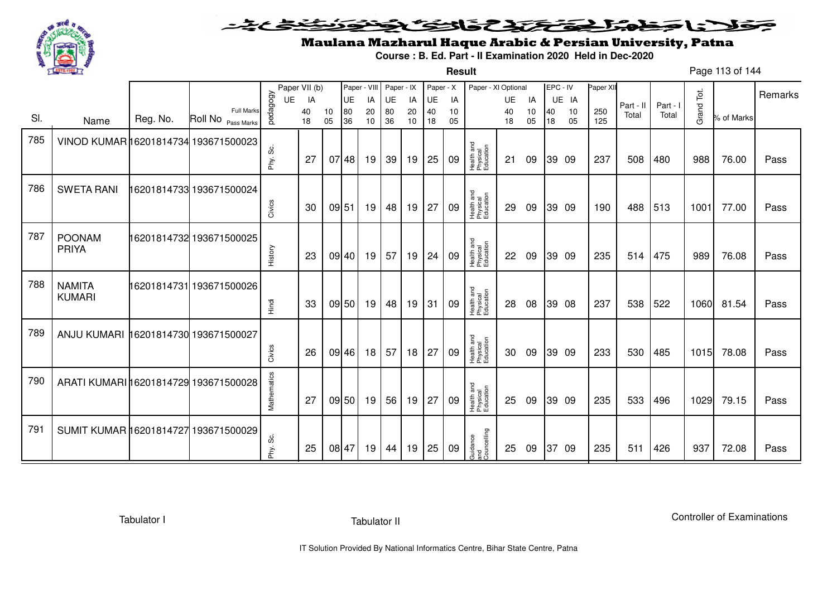

**Result**

# Maulana Mazharul Haque Arabic & Persian University, Patna

**Course : B. Ed. Part - II Examination 2020 Held in Dec-2020**

Page 113 of 144

|     |                                       |          |                                         |             | Paper VII (b) |          | Paper - VIII |                 | Paper - IX |          | Paper - X |          | Paper - XI Optional                 |          |          | EPC - IV |          | Paper XI   |           |          |            |            |         |
|-----|---------------------------------------|----------|-----------------------------------------|-------------|---------------|----------|--------------|-----------------|------------|----------|-----------|----------|-------------------------------------|----------|----------|----------|----------|------------|-----------|----------|------------|------------|---------|
|     |                                       |          |                                         | <b>UE</b>   | IA            |          | UE           | IA              | UE         | IA       | UE        | IA       |                                     | UE       | IA       |          | UE IA    |            | Part - II | Part - I |            |            | Remarks |
| SI. | Name                                  | Reg. No. | <b>Full Marks</b><br>Roll No Pass Marks | pedagogy    | 40<br>18      | 10<br>05 | 80<br>36     | 20<br>10        | 80<br>36   | 20<br>10 | 40<br>18  | 10<br>05 |                                     | 40<br>18 | 10<br>05 | 40<br>18 | 10<br>05 | 250<br>125 | Total     | Total    | Grand Tot. | % of Marks |         |
| 785 | VINOD KUMAR 16201814734 193671500023  |          |                                         |             |               |          |              |                 |            |          |           |          |                                     |          |          |          |          |            |           |          |            |            |         |
|     |                                       |          |                                         | တိ          |               |          |              |                 |            |          |           |          | Health and<br>Physical<br>Education |          |          |          |          |            |           |          |            |            |         |
|     |                                       |          |                                         | Phy.        | 27            |          | 07 48        | 19              | 39         | 19       | 25        | 09       |                                     | 21       | 09       |          | 39 09    | 237        | 508       | 480      | 988        | 76.00      | Pass    |
| 786 | <b>SWETA RANI</b>                     |          | 16201814733 193671500024                |             |               |          |              |                 |            |          |           |          |                                     |          |          |          |          |            |           |          |            |            |         |
|     |                                       |          |                                         |             |               |          |              |                 |            |          |           |          |                                     |          |          |          |          |            |           |          |            |            |         |
|     |                                       |          |                                         | Civics      | 30            | 09 51    |              | 19              | 48         | 19       | 27        | 09       | Health and<br>Physical<br>Education | 29       | 09       |          | 39 09    | 190        | 488       | 513      | 1001       | 77.00      | Pass    |
| 787 | <b>POONAM</b>                         |          | 16201814732 193671500025                |             |               |          |              |                 |            |          |           |          |                                     |          |          |          |          |            |           |          |            |            |         |
|     | <b>PRIYA</b>                          |          |                                         |             |               |          |              |                 |            |          |           |          |                                     |          |          |          |          |            |           |          |            |            |         |
|     |                                       |          |                                         | History     | 23            |          | 09 40        | 19              | 57         | 19       | 24        | 09       | Health and<br>Physical<br>Education | 22       | 09       |          | 39 09    | 235        | 514       | 475      | 989        | 76.08      | Pass    |
| 788 | <b>NAMITA</b>                         |          | 16201814731 193671500026                |             |               |          |              |                 |            |          |           |          |                                     |          |          |          |          |            |           |          |            |            |         |
|     | <b>KUMARI</b>                         |          |                                         |             |               |          |              |                 |            |          |           |          |                                     |          |          |          |          |            |           |          |            |            |         |
|     |                                       |          |                                         | Hindi       | 33            |          | 09 50        | 19              | 48         | 19       | 31        | 09       | Health and<br>Physical<br>Education | 28       | 08       |          | 39 08    | 237        | 538       | 522      | 1060       | 81.54      | Pass    |
| 789 | ANJU KUMARI 16201814730 193671500027  |          |                                         |             |               |          |              |                 |            |          |           |          |                                     |          |          |          |          |            |           |          |            |            |         |
|     |                                       |          |                                         |             |               |          |              |                 |            |          |           |          |                                     |          |          |          |          |            |           |          |            |            |         |
|     |                                       |          |                                         | Civics      | 26            |          | 09 46        | 18              | 57         | 18       | 27        | 09       | Health and<br>Physical<br>Education | 30       | 09       |          | 39 09    | 233        | 530       | 485      | 1015       | 78.08      | Pass    |
| 790 |                                       |          |                                         |             |               |          |              |                 |            |          |           |          |                                     |          |          |          |          |            |           |          |            |            |         |
|     | ARATI KUMARI 16201814729 193671500028 |          |                                         | Mathematics |               |          |              |                 |            |          |           |          |                                     |          |          |          |          |            |           |          |            |            |         |
|     |                                       |          |                                         |             | 27            |          | 09 50        | 19              | 56         | 19       | 27        | 09       | Health and<br>Physical<br>Education | 25       | 09       |          | 39 09    | 235        | 533       | 496      | 1029       | 79.15      | Pass    |
| 791 |                                       |          |                                         |             |               |          |              |                 |            |          |           |          |                                     |          |          |          |          |            |           |          |            |            |         |
|     | SUMIT KUMAR 16201814727 193671500029  |          |                                         | ပ္တ         |               |          |              |                 |            |          |           |          |                                     |          |          |          |          |            |           |          |            |            |         |
|     |                                       |          |                                         | Phy.        | 25            |          | 08 47        | 19 <sup>1</sup> | 44         | 19       | 25        | 09       | Guidance<br>and<br>Councelling      | 25       | 09       |          | 37 09    | 235        | 511       | 426      | 937        | 72.08      | Pass    |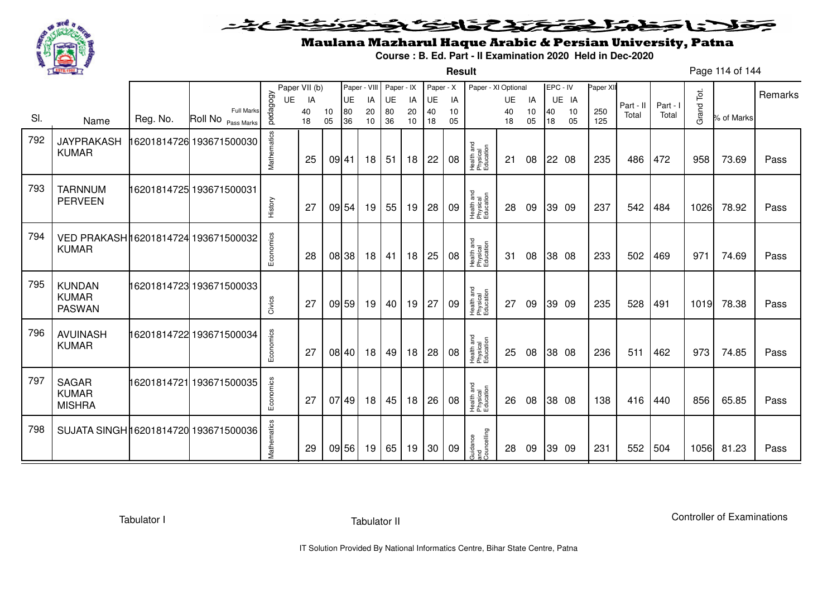

#### فتختخذ فخافى فخذ こえとさ كلاحا وكحورا ◒

**Result**

# Maulana Mazharul Haque Arabic & Persian University, Patna

**Course : B. Ed. Part - II Examination 2020 Held in Dec-2020**

Page 114 of 144

|     |                                                     |          |                                         |             | Paper VII (b) |          | Paper - VIII |          | Paper - IX |          | Paper - X |          | Paper - XI Optional                 |           |          | EPC - IV |          | Paper XII  |           |          |            |            | Remarks |
|-----|-----------------------------------------------------|----------|-----------------------------------------|-------------|---------------|----------|--------------|----------|------------|----------|-----------|----------|-------------------------------------|-----------|----------|----------|----------|------------|-----------|----------|------------|------------|---------|
|     |                                                     |          |                                         | UE          | IA            |          | <b>UE</b>    | IA       | UE         | IA       | UE        | IA       |                                     | <b>UE</b> | IA       |          | UE IA    |            | Part - II | Part - I |            |            |         |
| SI. | Name                                                | Reg. No. | <b>Full Marks</b><br>Roll No Pass Marks | pedagogy    | 40<br>18      | 10<br>05 | 80<br>36     | 20<br>10 | 80<br>36   | 20<br>10 | 40<br>18  | 10<br>05 |                                     | 40<br>18  | 10<br>05 | 40<br>18 | 10<br>05 | 250<br>125 | Total     | Total    | Grand Tot. | % of Marks |         |
| 792 | <b>JAYPRAKASH</b><br><b>KUMAR</b>                   |          | 16201814726 193671500030                | Mathematics | 25            |          | 09 41        | 18       | 51         | 18       | 22        | 08       | Health and<br>Physical<br>Education | 21        | 08       |          | 22 08    | 235        | 486       | 472      | 958        | 73.69      | Pass    |
| 793 | <b>TARNNUM</b><br><b>PERVEEN</b>                    |          | 16201814725 193671500031                | History     | 27            |          | 09 54        | 19       | 55         | 19       | 28        | 09       | Health and<br>Physical<br>Education | 28        | 09       |          | 39 09    | 237        | 542       | 484      | 1026       | 78.92      | Pass    |
| 794 | VED PRAKASH16201814724 193671500032<br><b>KUMAR</b> |          |                                         | Economics   | 28            |          | 08 38        | 18       | 41         | 18       | 25        | 08       | Health and<br>Physical<br>Education | 31        | 08       |          | 38 08    | 233        | 502       | 469      | 971        | 74.69      | Pass    |
| 795 | <b>KUNDAN</b><br><b>KUMAR</b><br><b>PASWAN</b>      |          | 16201814723 193671500033                | Civics      | 27            |          | 09 59        | 19       | 40         | 19       | 27        | 09       | Health and<br>Physical<br>Education | 27        | 09       |          | 39 09    | 235        | 528       | 491      | 1019       | 78.38      | Pass    |
| 796 | <b>AVUINASH</b><br><b>KUMAR</b>                     |          | 16201814722 193671500034                | Economics   | 27            |          | 08 40        | 18       | 49         | 18       | 28        | 08       | Health and<br>Physical<br>Education | 25        | 08       |          | 38 08    | 236        | 511       | 462      | 973        | 74.85      | Pass    |
| 797 | <b>SAGAR</b><br><b>KUMAR</b><br><b>MISHRA</b>       |          | 16201814721 193671500035                | Economics   | 27            |          | 07 49        | 18       | 45         | 18       | 26        | 08       | Health and<br>Physical<br>Education | 26        | 08       |          | 38 08    | 138        | 416       | 440      | 856        | 65.85      | Pass    |
| 798 | SUJATA SINGH 16201814720 193671500036               |          |                                         | Mathematics | 29            |          | 09 56        | 19       | 65         | 19       | 30        | 09       | Guidance<br>and<br>Councelling      | 28        | 09       |          | 39 09    | 231        | 552       | 504      | 1056       | 81.23      | Pass    |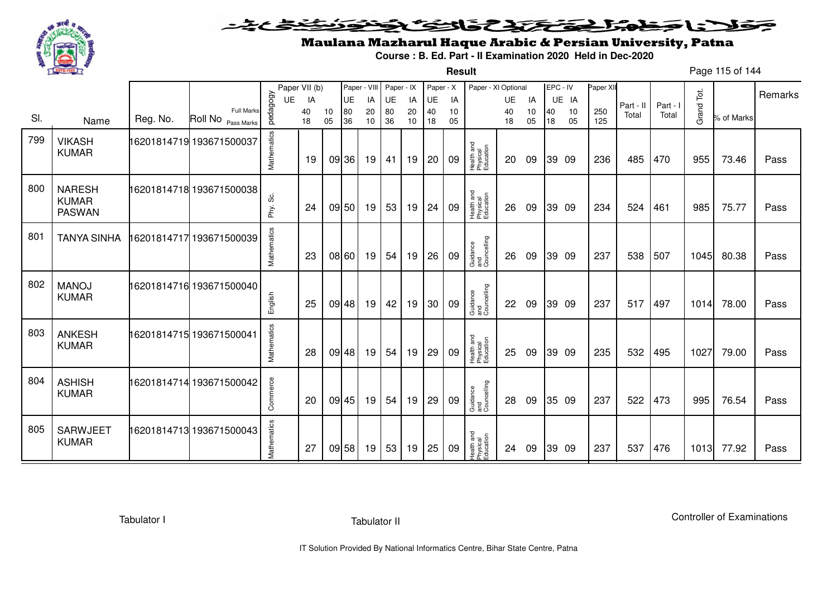

**Result**

# Maulana Mazharul Haque Arabic & Persian University, Patna

**Course : B. Ed. Part - II Examination 2020 Held in Dec-2020**

Page 115 of 144

|     |                                                |          |                                         |             | Paper VII (b) |          | Paper - VIII |          | Paper - IX |          | Paper - X |          | Paper - XI Optional                 |          |          | EPC - IV |          | Paper XII  |           |          |            |            |         |
|-----|------------------------------------------------|----------|-----------------------------------------|-------------|---------------|----------|--------------|----------|------------|----------|-----------|----------|-------------------------------------|----------|----------|----------|----------|------------|-----------|----------|------------|------------|---------|
|     |                                                |          |                                         | <b>UE</b>   | IA            |          | UE           | IA       | UE         | IA       | UE        | IA       |                                     | UE       | IA       |          | UE IA    |            | Part - II | Part - I |            |            | Remarks |
| SI. | Name                                           | Reg. No. | <b>Full Marks</b><br>Roll No Pass Marks | pedagogy    | 40<br>18      | 10<br>05 | 80<br>36     | 20<br>10 | 80<br>36   | 20<br>10 | 40<br>18  | 10<br>05 |                                     | 40<br>18 | 10<br>05 | 40<br>18 | 10<br>05 | 250<br>125 | Total     | Total    | Grand Tot. | % of Marks |         |
| 799 | <b>VIKASH</b><br><b>KUMAR</b>                  |          | 16201814719 193671500037                | Mathematics | 19            |          | 09 36        | 19       | 41         | 19       | 20        | 09       | Health and<br>Physical<br>Education | 20       | 09       |          | 39 09    | 236        | 485       | 470      | 955        | 73.46      | Pass    |
| 800 | <b>NARESH</b><br><b>KUMAR</b><br><b>PASWAN</b> |          | 16201814718 193671500038                | Phy. Sc.    | 24            |          | 09 50        | 19       | 53         | 19       | 24        | 09       | Health and<br>Physical<br>Education | 26       | 09       |          | 39 09    | 234        | 524       | 461      | 985        | 75.77      | Pass    |
| 801 | <b>TANYA SINHA</b>                             |          | 16201814717 193671500039                | Mathematics | 23            |          | 08 60        | 19       | 54         | 19       | 26        | 09       | Guidance<br>and<br>Councelling      | 26       | 09       |          | 39 09    | 237        | 538       | 507      | 1045       | 80.38      | Pass    |
| 802 | <b>MANOJ</b><br><b>KUMAR</b>                   |          | 16201814716 193671500040                | English     | 25            |          | 09 48        | 19       | 42         | 19       | 30        | 09       | Guidance<br>and<br>Councelling      | 22       | 09       |          | 39 09    | 237        | 517       | 497      | 1014       | 78.00      | Pass    |
| 803 | <b>ANKESH</b><br><b>KUMAR</b>                  |          | 16201814715 193671500041                | Mathematics | 28            |          | 09 48        | 19       | 54         | 19       | 29        | 09       | Health and<br>Physical<br>Education | 25       | 09       |          | 39 09    | 235        | 532       | 495      | 1027       | 79.00      | Pass    |
| 804 | <b>ASHISH</b><br><b>KUMAR</b>                  |          | 16201814714 193671500042                | Commerce    | 20            |          | 09 45        | 19       | 54         | 19       | 29        | 09       | Guidance<br>and<br>Councelling      | 28       | 09       |          | 35 09    | 237        | 522       | 473      | 995        | 76.54      | Pass    |
| 805 | <b>SARWJEET</b><br><b>KUMAR</b>                |          | 16201814713 193671500043                | Mathematics | 27            |          | 09 58        | 19       | 53         | 19       | 25        | 09       | Health and<br>Physical<br>Education | 24       | 09       |          | 39 09    | 237        | 537       | 476      | 1013       | 77.92      | Pass    |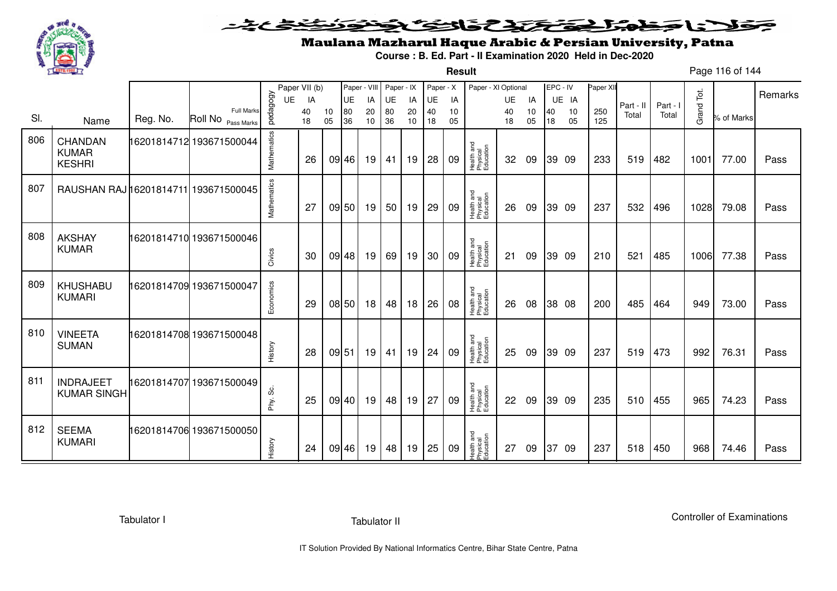

#### فتختخذ فخافى فخذ こえとさ كلاحا وكحورا ◒

**Result**

# Maulana Mazharul Haque Arabic & Persian University, Patna

**Course : B. Ed. Part - II Examination 2020 Held in Dec-2020**

Page 116 of 144

|     |                                          |          |                                  |             | Paper VII (b) |       | Paper - VIII |    | Paper - IX |    | Paper - X |    | Paper - XI Optional                 |    |    | EPC - IV |       | Paper XII |           |          |            |            |         |
|-----|------------------------------------------|----------|----------------------------------|-------------|---------------|-------|--------------|----|------------|----|-----------|----|-------------------------------------|----|----|----------|-------|-----------|-----------|----------|------------|------------|---------|
|     |                                          |          |                                  | <b>UE</b>   | IA            |       | <b>UE</b>    | IA | <b>UE</b>  | IA | UE        | IA |                                     | UE | IA |          | UE IA |           | Part - II | Part - I |            |            | Remarks |
| SI. |                                          | Reg. No. | Full Marks<br>Roll No Pass Marks | pedagogy    | 40            | 10    | 80           | 20 | 80         | 20 | 40        | 10 |                                     | 40 | 10 | 40       | 10    | 250       | Total     | Total    | Grand Tot. | % of Marks |         |
|     | Name                                     |          |                                  |             | 18            | 05    | 36           | 10 | 36         | 10 | 18        | 05 |                                     | 18 | 05 | 18       | 05    | 125       |           |          |            |            |         |
| 806 | CHANDAN<br><b>KUMAR</b><br><b>KESHRI</b> |          | 16201814712 193671500044         | Mathematics | 26            |       | 09 46        | 19 | 41         | 19 | 28        | 09 | Health and<br>Physical<br>Education | 32 | 09 |          | 39 09 | 233       | 519       | 482      | 1001       | 77.00      | Pass    |
| 807 | RAUSHAN RAJ 16201814711 193671500045     |          |                                  | Mathematics | 27            |       | 09 50        | 19 | 50         | 19 | 29        | 09 | Health and<br>Physical<br>Education | 26 | 09 |          | 39 09 | 237       | 532       | 496      | 1028       | 79.08      | Pass    |
| 808 | <b>AKSHAY</b><br><b>KUMAR</b>            |          | 16201814710 193671500046         | Civics      | 30            |       | 09 48        | 19 | 69         | 19 | 30        | 09 | Health and<br>Physical<br>Education | 21 | 09 |          | 39 09 | 210       | 521       | 485      | 1006       | 77.38      | Pass    |
| 809 | <b>KHUSHABU</b><br><b>KUMARI</b>         |          | 16201814709 193671500047         | Economics   | 29            |       | 08 50        | 18 | 48         | 18 | 26        | 08 | Health and<br>Physical<br>Education | 26 | 08 |          | 38 08 | 200       | 485       | 464      | 949        | 73.00      | Pass    |
| 810 | <b>VINEETA</b><br><b>SUMAN</b>           |          | 16201814708 193671500048         | History     | 28            | 09 51 |              | 19 | 41         | 19 | 24        | 09 | Health and<br>Physical<br>Education | 25 | 09 |          | 39 09 | 237       | 519       | 473      | 992        | 76.31      | Pass    |
| 811 | <b>INDRAJEET</b><br><b>KUMAR SINGH</b>   |          | 16201814707 193671500049         | တိ<br>Phy.  | 25            |       | 09 40        | 19 | 48         | 19 | 27        | 09 | Health and<br>Physical<br>Education | 22 | 09 |          | 39 09 | 235       | 510       | 455      | 965        | 74.23      | Pass    |
| 812 | <b>SEEMA</b><br><b>KUMARI</b>            |          | 16201814706 193671500050         | History     | 24            |       | 09 46        | 19 | 48         | 19 | 25        | 09 | Health and<br>Physical<br>Education | 27 | 09 | 37       | -09   | 237       | 518       | 450      | 968        | 74.46      | Pass    |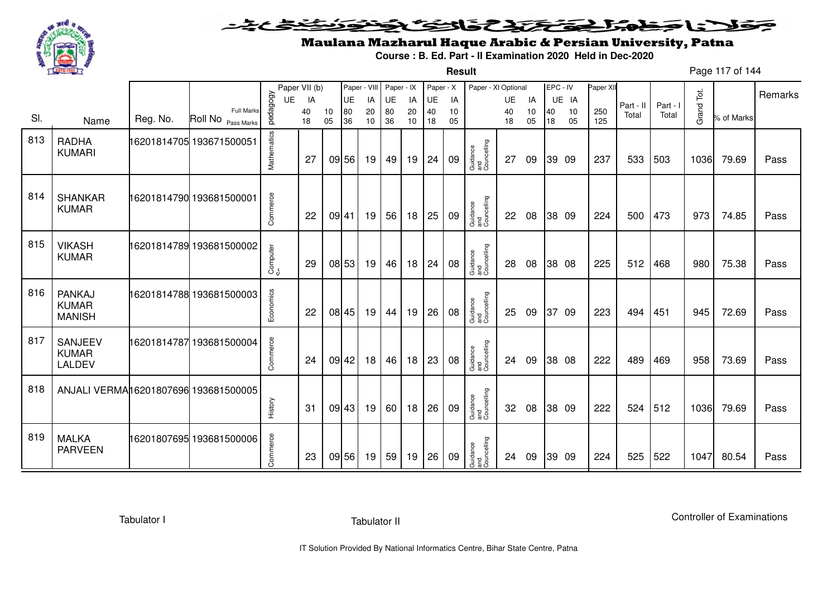

#### <u>خخ خ</u> وحولانا وخدا المتفاع والتوك التفاقيون

**Result**

# Maulana Mazharul Haque Arabic & Persian University, Patna

**Course : B. Ed. Part - II Examination 2020 Held in Dec-2020**

|     |                                                |          |                                  |             | Paper VII (b) |          |          | Paper - VIII | Paper - IX |            | Paper - X |          | Paper - XI Optional            |          |          | EPC - IV |          | Paper XI   |           |          | Tot.               |            | Remarks |
|-----|------------------------------------------------|----------|----------------------------------|-------------|---------------|----------|----------|--------------|------------|------------|-----------|----------|--------------------------------|----------|----------|----------|----------|------------|-----------|----------|--------------------|------------|---------|
|     |                                                |          |                                  | UE          | IA            |          | UE       | IA           | UE         | IA         | UE        | IA       |                                | UE       | IA       |          | UE IA    |            | Part - II | Part - I |                    |            |         |
| SI. | Name                                           | Reg. No. | Full Marks<br>Roll No Pass Marks | pedagogy    | 40<br>18      | 10<br>05 | 80<br>36 | 20<br>10     | 80<br>36   | 20<br>$10$ | 40<br>18  | 10<br>05 |                                | 40<br>18 | 10<br>05 | 40<br>18 | 10<br>05 | 250<br>125 | Total     | Total    | Grand <sup>-</sup> | % of Marks |         |
| 813 | <b>RADHA</b><br><b>KUMARI</b>                  |          | 16201814705 193671500051         | Mathematics | 27            |          | 09 56    | 19           | 49         | 19         | 24        | 09       | Guidance<br>and<br>Councelling | 27       | 09       | 39 09    |          | 237        | 533       | 503      | 1036               | 79.69      | Pass    |
| 814 | <b>SHANKAR</b><br><b>KUMAR</b>                 |          | 16201814790 193681500001         | Commerce    | 22            |          | 09 41    | 19           | 56         | 18         | 25        | 09       | Guidance<br>and<br>Councelling | 22       | 08       | 38 09    |          | 224        | 500       | 473      | 973                | 74.85      | Pass    |
| 815 | <b>VIKASH</b><br><b>KUMAR</b>                  |          | 16201814789 193681500002         | Computer    | 29            |          | 08 53    | 19           | 46         | 18         | 24        | 08       | Guidance<br>and<br>Councelling | 28       | 08       | 38 08    |          | 225        | 512       | 468      | 980                | 75.38      | Pass    |
| 816 | <b>PANKAJ</b><br><b>KUMAR</b><br><b>MANISH</b> |          | 16201814788 193681500003         | Economics   | 22            |          | 08 45    | 19           | 44         | 19         | 26        | 08       | Guidance<br>and<br>Councelling | 25       | 09       | 37 09    |          | 223        | 494       | 451      | 945                | 72.69      | Pass    |
| 817 | SANJEEV<br><b>KUMAR</b><br>LALDEV              |          | 16201814787193681500004          | Commerce    | 24            |          | 09 42    | 18           | 46         | 18         | 23        | 08       | Guidance<br>and<br>Councelling | 24       | 09       | 38 08    |          | 222        | 489       | 469      | 958                | 73.69      | Pass    |
| 818 | ANJALI VERMAI 6201807696 193681500005          |          |                                  | History     | 31            |          | 09 43    | 19           | 60         | 18         | 26        | 09       | Guidance<br>and<br>Councelling | 32       | 08       | 38 09    |          | 222        | 524       | 512      | 1036               | 79.69      | Pass    |
| 819 | <b>MALKA</b><br><b>PARVEEN</b>                 |          | 16201807695 193681500006         | Commerce    | 23            |          | 09 56    | 19           | 59         | 19         | 26        | 09       | Guidance<br>and<br>Councelling | 24       | 09       | 39 09    |          | 224        | 525       | 522      | 1047               | 80.54      | Pass    |

Tabulator I

Page 117 of 144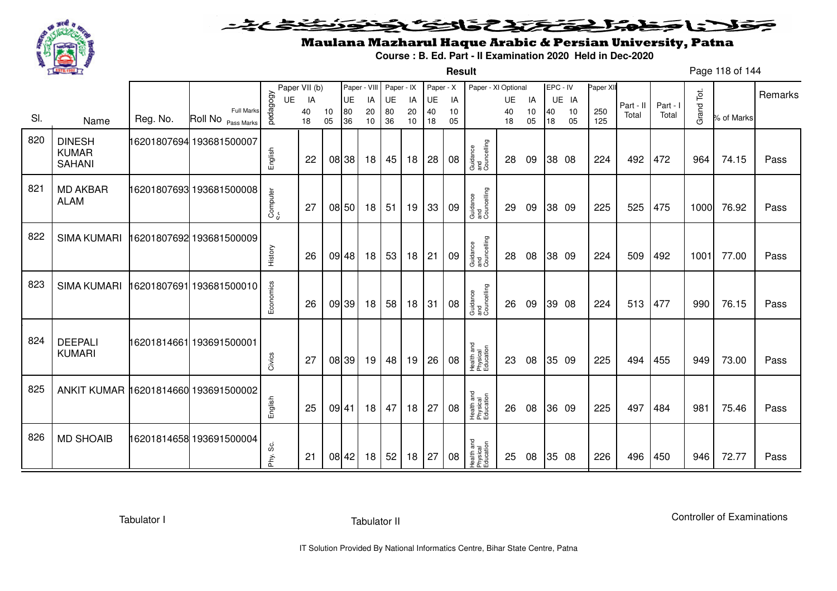

#### <u>یٹی ٹی ٹ</u> فلانا وخدا يقتحنك فالتف ونونوذ ≂

**Result**

# Maulana Mazharul Haque Arabic & Persian University, Patna

**Course : B. Ed. Part - II Examination 2020 Held in Dec-2020**

Page 118 of 144

|     |                                                |             |                                            |            | Paper VII (b) |          | Paper - VIII |          | Paper - IX |          | Paper - X |          | Paper - XI Optional                 |          |          |          | EPC - IV | Paper XI   |           |          |            |            |         |
|-----|------------------------------------------------|-------------|--------------------------------------------|------------|---------------|----------|--------------|----------|------------|----------|-----------|----------|-------------------------------------|----------|----------|----------|----------|------------|-----------|----------|------------|------------|---------|
|     |                                                |             |                                            | <b>UE</b>  | IA            |          | UE           | IA       | <b>UE</b>  | IA       | UE        | IA       |                                     | UE       | IA       |          | UE IA    |            | Part - II | Part - I |            |            | Remarks |
| SI. | Name                                           | Reg. No.    | <b>Full Marks</b><br>Roll No<br>Pass Marks | pedagogy   | 40<br>18      | 10<br>05 | 80<br>36     | 20<br>10 | 80<br>36   | 20<br>10 | 40<br>18  | 10<br>05 |                                     | 40<br>18 | 10<br>05 | 40<br>18 | 10<br>05 | 250<br>125 | Total     | Total    | Grand Tot. | % of Marks |         |
| 820 | <b>DINESH</b><br><b>KUMAR</b><br><b>SAHANI</b> |             | 16201807694 193681500007                   | English    | 22            | 08 38    |              | 18       | 45         | 18       | 28        | 08       | Guidance<br>and<br>Councelling      | 28       | 09       |          | 38 08    | 224        | 492       | 472      | 964        | 74.15      | Pass    |
| 821 | <b>MD AKBAR</b><br><b>ALAM</b>                 |             | 16201807693 193681500008                   | Computer   | 27            |          | 08 50        | 18       | 51         | 19       | 33        | 09       | Guidance<br>and<br>Councelling      | 29       | 09       |          | 38 09    | 225        | 525       | 475      | 1000       | 76.92      | Pass    |
| 822 | <b>SIMA KUMARI</b>                             |             | 16201807692 193681500009                   | History    | 26            | $09$ 48  |              | 18       | 53         | 18       | 21        | 09       | Guidance<br>and<br>Councelling      | 28       | 08       |          | 38 09    | 224        | 509       | 492      | 1001       | 77.00      | Pass    |
| 823 | <b>SIMA KUMARI</b>                             | 16201807691 | 193681500010                               | Economics  | 26            | 09 39    |              | 18       | 58         | 18       | 31        | 08       | Guidance<br>and<br>Councelling      | 26       | 09       |          | 39 08    | 224        | 513       | 477      | 990        | 76.15      | Pass    |
| 824 | <b>DEEPALI</b><br><b>KUMARI</b>                |             | 16201814661 193691500001                   | Civics     | 27            | 08 39    |              | 19       | 48         | 19       | 26        | 08       | Health and<br>Physical<br>Education | 23       | 08       |          | 35 09    | 225        | 494       | 455      | 949        | 73.00      | Pass    |
| 825 | ANKIT KUMAR 16201814660 193691500002           |             |                                            | English    | 25            | 09 41    |              | 18       | 47         | 18       | 27        | 08       | Health and<br>Physical<br>Education | 26       | 08       |          | 36 09    | 225        | 497       | 484      | 981        | 75.46      | Pass    |
| 826 | <b>MD SHOAIB</b>                               |             | 16201814658 193691500004                   | တွ<br>Phy. | 21            | 08 42    |              | 18       | 52         | 18       | 27        | 08       | Health and<br>Physical<br>Education | 25       | 08       |          | 35 08    | 226        | 496       | 450      | 946        | 72.77      | Pass    |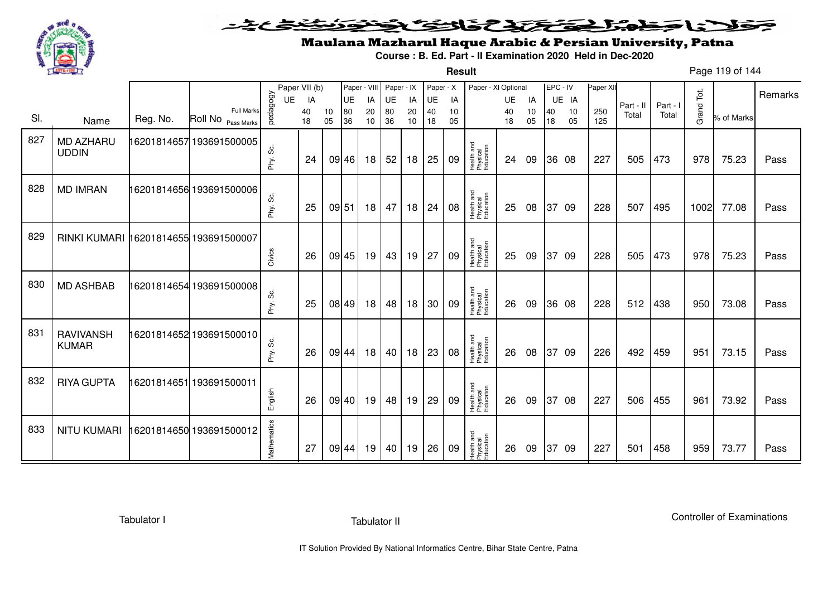

#### فتختخذ فخافى فخذ こえとさ كلاحا وكحورا ◒

**Result**

# Maulana Mazharul Haque Arabic & Persian University, Patna

**Course : B. Ed. Part - II Examination 2020 Held in Dec-2020**

Page 119 of 144

|     |                                       |          |                                         |             | Paper VII (b) |          | Paper - VIII |          | Paper - IX |          | Paper - X |          | Paper - XI Optional                 |          |          | EPC - IV |          | Paper XII  |           |          |            |            | Remarks |
|-----|---------------------------------------|----------|-----------------------------------------|-------------|---------------|----------|--------------|----------|------------|----------|-----------|----------|-------------------------------------|----------|----------|----------|----------|------------|-----------|----------|------------|------------|---------|
|     |                                       |          |                                         | UE          | IA            |          | UE           | IA       | UE         | IA       | UE        | IA       |                                     | UE       | IA       |          | UE IA    |            | Part - II | Part - I |            |            |         |
| SI. | Name                                  | Reg. No. | <b>Full Marks</b><br>Roll No Pass Marks | pedagogy    | 40<br>18      | 10<br>05 | 80<br>36     | 20<br>10 | 80<br>36   | 20<br>10 | 40<br>18  | 10<br>05 |                                     | 40<br>18 | 10<br>05 | 40<br>18 | 10<br>05 | 250<br>125 | Total     | Total    | Grand Tot. | % of Marks |         |
| 827 | <b>MD AZHARU</b><br><b>UDDIN</b>      |          | 16201814657 193691500005                | Phy. Sc.    | 24            |          | 09 46        | 18       | 52         | 18       | 25        | 09       | Health and<br>Physical<br>Education | 24       | 09       |          | 36 08    | 227        | 505       | 473      | 978        | 75.23      | Pass    |
| 828 | <b>MD IMRAN</b>                       |          | 16201814656 193691500006                | Phy. Sc.    | 25            | 09 51    |              | 18       | 47         | 18       | 24        | 08       | Health and<br>Physical<br>Education | 25       | 08       | 37       | - 09     | 228        | 507       | 495      | 1002       | 77.08      | Pass    |
| 829 | RINKI KUMARI 16201814655 193691500007 |          |                                         | Civics      | 26            |          | 09 45        | 19       | 43         | 19       | 27        | 09       | Health and<br>Physical<br>Education | 25       | 09       |          | 37 09    | 228        | 505       | 473      | 978        | 75.23      | Pass    |
| 830 | <b>MD ASHBAB</b>                      |          | 16201814654 193691500008                | Phy. Sc.    | 25            |          | 08 49        | 18       | 48         | 18       | 30        | 09       | Health and<br>Physical<br>Education | 26       | 09       |          | 36 08    | 228        | 512       | 438      | 950        | 73.08      | Pass    |
| 831 | <b>RAVIVANSH</b><br><b>KUMAR</b>      |          | 16201814652 193691500010                | Phy. Sc.    | 26            |          | 09 44        | 18       | 40         | 18       | 23        | 08       | Health and<br>Physical<br>Education | 26       | 08       | 37       | -09      | 226        | 492       | 459      | 951        | 73.15      | Pass    |
| 832 | <b>RIYA GUPTA</b>                     |          | 6201814651 193691500011                 | English     | 26            |          | 09 40        | 19       | 48         | 19       | 29        | 09       | Health and<br>Physical<br>Education | 26       | 09       |          | 37 08    | 227        | 506       | 455      | 961        | 73.92      | Pass    |
| 833 | <b>NITU KUMARI</b>                    |          | 6201814650 193691500012                 | Mathematics | 27            |          | 09 44        | 19       | 40         | 19       | 26        | 09       | Health and<br>Physical<br>Education | 26       | 09       | 37       | -09      | 227        | 501       | 458      | 959        | 73.77      | Pass    |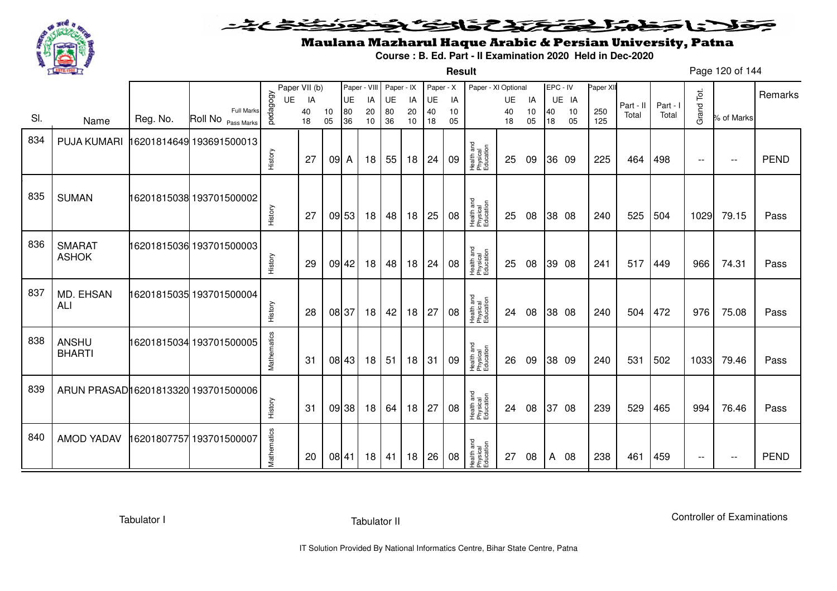

#### <u>یٹی ٹی ٹ</u> فلانا وخدا يقتحنك فالتف ونونوذ ≂

**Result**

# Maulana Mazharul Haque Arabic & Persian University, Patna

**Course : B. Ed. Part - II Examination 2020 Held in Dec-2020**

Page 120 of 144

|     |                                      |          |                                            |             | Paper VII (b) |          | Paper - VIII |          | Paper - IX |          | Paper - X |          | Paper - XI Optional                 |          |          |          | EPC - IV | Paper XII  |           |          |            |               |             |
|-----|--------------------------------------|----------|--------------------------------------------|-------------|---------------|----------|--------------|----------|------------|----------|-----------|----------|-------------------------------------|----------|----------|----------|----------|------------|-----------|----------|------------|---------------|-------------|
|     |                                      |          |                                            | UE          | IA            |          | UE           | IA       | UE         | IA       | <b>UE</b> | IA       |                                     | UE       | IA       |          | UE IA    |            | Part - II | Part - I |            |               | Remarks     |
| SI. | Name                                 | Reg. No. | <b>Full Marks</b><br>Roll No<br>Pass Marks | pedagogy    | 40<br>18      | 10<br>05 | 80<br>36     | 20<br>10 | 80<br>36   | 20<br>10 | 40<br>18  | 10<br>05 |                                     | 40<br>18 | 10<br>05 | 40<br>18 | 10<br>05 | 250<br>125 | Total     | Total    | Grand Tot. | % of Marks    |             |
| 834 | PUJA KUMARI                          |          | 16201814649 193691500013                   |             |               |          |              |          |            |          |           |          | Health and<br>Physical<br>Education |          |          |          |          |            |           |          |            |               |             |
|     |                                      |          |                                            | History     | 27            | 09 A     |              | 18       | 55         | 18       | 24        | 09       |                                     | 25       | 09       |          | 36 09    | 225        | 464       | 498      | $- -$      | $\sim$ $\sim$ | <b>PEND</b> |
| 835 | <b>SUMAN</b>                         |          | 16201815038 193701500002                   | History     | 27            |          | 09 53        | 18       | 48         | 18       | 25        | 08       | Health and<br>Physical<br>Education | 25       | 08       |          | 38 08    | 240        | 525       | 504      | 1029       | 79.15         | Pass        |
| 836 | <b>SMARAT</b><br><b>ASHOK</b>        |          | 16201815036 193701500003                   | History     | 29            |          | 09 42        | 18       | 48         | 18       | 24        | 08       | Health and<br>Physical<br>Education | 25       | 08       |          | 39 08    | 241        | 517       | 449      | 966        | 74.31         | Pass        |
| 837 | MD. EHSAN<br>ALI                     |          | 16201815035 193701500004                   | History     | 28            |          | 08 37        | 18       | 42         | 18       | 27        | 08       | Health and<br>Physical<br>Education | 24       | 08       |          | 38 08    | 240        | 504       | 472      | 976        | 75.08         | Pass        |
| 838 | ANSHU<br><b>BHARTI</b>               |          | 16201815034 193701500005                   | Mathematics | 31            |          | 08 43        | 18       | 51         | 18       | 31        | 09       | Health and<br>Physical<br>Education | 26       | 09       |          | 38 09    | 240        | 531       | 502      | 1033       | 79.46         | Pass        |
| 839 | ARUN PRASAD 16201813320 193701500006 |          |                                            | History     | 31            |          | 09 38        | 18       | 64         | 18       | 27        | 08       | Health and<br>Physical<br>Education | 24       | 08       | 37       | 08       | 239        | 529       | 465      | 994        | 76.46         | Pass        |
| 840 | <b>AMOD YADAV</b>                    |          | 16201807757 193701500007                   | Mathematics | 20            |          | 08 41        | 18       | 41         | 18       | 26        | 08       | Health and<br>Physical<br>Education | 27       | 08       | A        | 08       | 238        | 461       | 459      | $-$        | $-$           | <b>PEND</b> |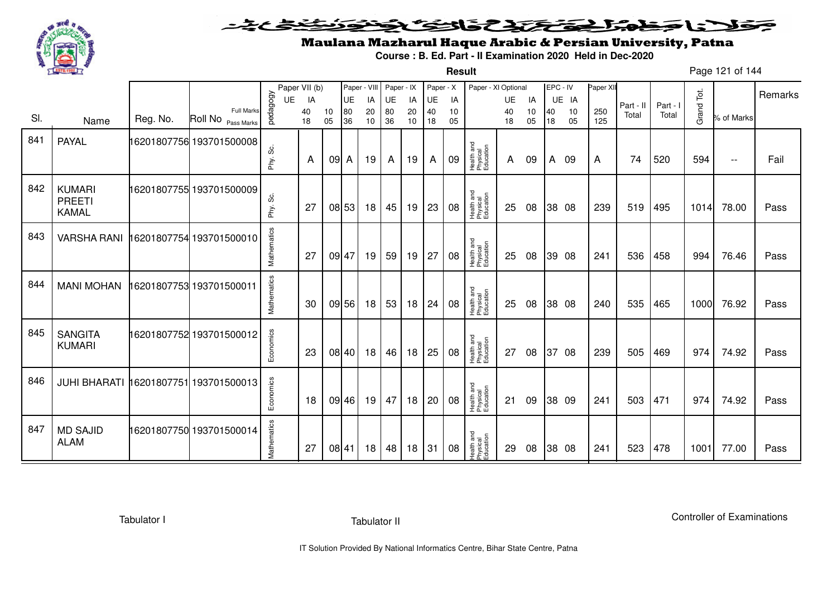

**Result**

# Maulana Mazharul Haque Arabic & Persian University, Patna

**Course : B. Ed. Part - II Examination 2020 Held in Dec-2020**

Page 121 of 144

|     |                                                |          |                                  |                | Paper VII (b)  |          | Paper - VIII   |                | Paper - IX     |                | Paper - X      |                | Paper - XI Optional                 |                |                | EPC - IV |                   | Paper XII  |                    |                   |            |                          | Remarks |
|-----|------------------------------------------------|----------|----------------------------------|----------------|----------------|----------|----------------|----------------|----------------|----------------|----------------|----------------|-------------------------------------|----------------|----------------|----------|-------------------|------------|--------------------|-------------------|------------|--------------------------|---------|
| SI. | Name                                           | Reg. No. | Full Marks<br>Roll No Pass Marks | pedagogy<br>UE | IA<br>40<br>18 | 10<br>05 | UE<br>80<br>36 | IA<br>20<br>10 | UE<br>80<br>36 | IA<br>20<br>10 | UE<br>40<br>18 | IA<br>10<br>05 |                                     | UE<br>40<br>18 | IA<br>10<br>05 | 40<br>18 | UE IA<br>10<br>05 | 250<br>125 | Part - II<br>Total | Part - I<br>Total | Grand Tot. | % of Marks               |         |
| 841 | <b>PAYAL</b>                                   |          | 16201807756 193701500008         | ပ္တဲ<br>Phy.   | A              | $091$ A  |                | 19             | A              | 19             | A              | 09             | Health and<br>Physical<br>Education | A              | 09             | A        | - 09              | A          | 74                 | 520               | 594        | $\overline{\phantom{a}}$ | Fail    |
| 842 | <b>KUMARI</b><br><b>PREETI</b><br><b>KAMAL</b> |          | 16201807755 193701500009         | Phy. Sc.       | 27             |          | 08 53          | 18             | 45             | 19             | 23             | 08             | Health and<br>Physical<br>Education | 25             | 08             |          | 38 08             | 239        | 519                | 495               | 1014       | 78.00                    | Pass    |
| 843 | <b>VARSHA RANI</b>                             |          | 16201807754 193701500010         | Mathematics    | 27             | 09 47    |                | 19             | 59             | 19             | 27             | 08             | Health and<br>Physical<br>Education | 25             | 08             |          | 39 08             | 241        | 536                | 458               | 994        | 76.46                    | Pass    |
| 844 | <b>MANI MOHAN</b>                              |          | 16201807753 193701500011         | Mathematics    | 30             |          | 09 56          | 18             | 53             | 18             | 24             | 08             | Health and<br>Physical<br>Education | 25             | 08             |          | 38 08             | 240        | 535                | 465               | 1000       | 76.92                    | Pass    |
| 845 | <b>SANGITA</b><br><b>KUMARI</b>                |          | 16201807752 193701500012         | Economics      | 23             |          | 08 40          | 18             | 46             | 18             | 25             | 08             | Health and<br>Physical<br>Education | 27             | 08             | 37       | 08                | 239        | 505                | 469               | 974        | 74.92                    | Pass    |
| 846 | JUHI BHARATI 16201807751 193701500013          |          |                                  | Economics      | 18             |          | 09 46          | 19             | 47             | 18             | 20             | 08             | Health and<br>Physical<br>Education | 21             | 09             |          | 38 09             | 241        | 503                | 471               | 974        | 74.92                    | Pass    |
| 847 | <b>MD SAJID</b><br><b>ALAM</b>                 |          | 16201807750 193701500014         | Mathematics    | 27             | 08 41    |                | 18             | 48             | 18             | 31             | 08             | Health and<br>Physical<br>Education | 29             | 08             |          | 38 08             | 241        | 523                | 478               | 1001       | 77.00                    | Pass    |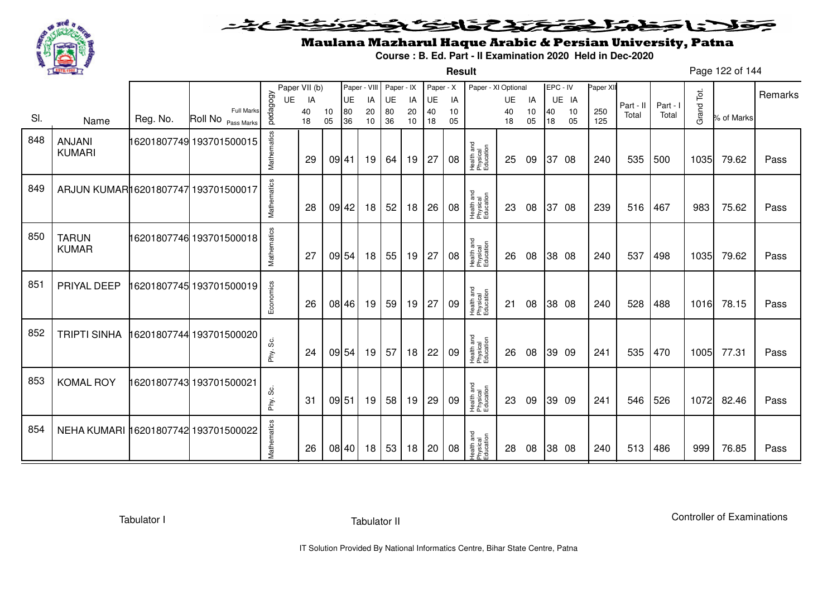

**Result**

# Maulana Mazharul Haque Arabic & Persian University, Patna

**Course : B. Ed. Part - II Examination 2020 Held in Dec-2020**

Page 122 of 144

|     |                                      |          |                                         |             | Paper VII (b) |          |           |          | Paper - VIII Paper - IX |          | Paper - X |          | Paper - XI Optional                 |          |          | EPC - IV |          | Paper XII  |           |          |            |            | Remarks |
|-----|--------------------------------------|----------|-----------------------------------------|-------------|---------------|----------|-----------|----------|-------------------------|----------|-----------|----------|-------------------------------------|----------|----------|----------|----------|------------|-----------|----------|------------|------------|---------|
|     |                                      |          |                                         | UE          | IA            |          | <b>UE</b> | IA       | UE                      | IA       | UE        | IA       |                                     | UE       | IA       |          | UE IA    |            | Part - II | Part - I |            |            |         |
| SI. | Name                                 | Reg. No. | <b>Full Marks</b><br>Roll No Pass Marks | pedagogy    | 40<br>18      | 10<br>05 | 80<br>36  | 20<br>10 | 80<br>36                | 20<br>10 | 40<br>18  | 10<br>05 |                                     | 40<br>18 | 10<br>05 | 40<br>18 | 10<br>05 | 250<br>125 | Total     | Total    | Grand Tot. | % of Marks |         |
| 848 | <b>ANJANI</b><br><b>KUMARI</b>       |          | 16201807749 193701500015                | Mathematics | 29            |          | 09 41     | 19       | 64                      | 19       | 27        | 08       | Health and<br>Physical<br>Education | 25       | 09       |          | 37 08    | 240        | 535       | 500      | 1035       | 79.62      | Pass    |
| 849 | ARJUN KUMAR16201807747 193701500017  |          |                                         | Mathematics | 28            |          | 09 42     | 18       | 52                      | 18       | 26        | 08       | Health and<br>Physical<br>Education | 23       | 08       |          | 37 08    | 239        | 516       | 467      | 983        | 75.62      | Pass    |
| 850 | <b>TARUN</b><br><b>KUMAR</b>         |          | 16201807746 193701500018                | Mathematics | 27            |          | 09 54     | 18       | 55                      | 19       | 27        | 08       | Health and<br>Physical<br>Education | 26       | 08       |          | 38 08    | 240        | 537       | 498      | 1035       | 79.62      | Pass    |
| 851 | PRIYAL DEEP                          |          |                                         | Economics   | 26            |          | 08 46     | 19       | 59                      | 19       | 27        | 09       | Health and<br>Physical<br>Education | 21       | 08       |          | 38 08    | 240        | 528       | 488      | 1016       | 78.15      | Pass    |
| 852 | <b>TRIPTI SINHA</b>                  |          | 16201807744 193701500020                | Phy. Sc.    | 24            |          | 09 54     | 19       | 57                      | 18       | 22        | 09       | Health and<br>Physical<br>Education | 26       | 08       |          | 39 09    | 241        | 535       | 470      | 1005       | 77.31      | Pass    |
| 853 | <b>KOMAL ROY</b>                     |          | 6201807743 193701500021                 | Phy. Sc.    | 31            |          | 09 51     | 19       | 58                      | 19       | 29        | 09       | Health and<br>Physical<br>Education | 23       | 09       |          | 39 09    | 241        | 546       | 526      | 1072       | 82.46      | Pass    |
| 854 | NEHA KUMARI 16201807742 193701500022 |          |                                         | Mathematics | 26            |          | 08 40     | 18       | 53                      | 18       | 20        | 08       | Health and<br>Physical<br>Education | 28       | 08       |          | 38 08    | 240        | 513       | 486      | 999        | 76.85      | Pass    |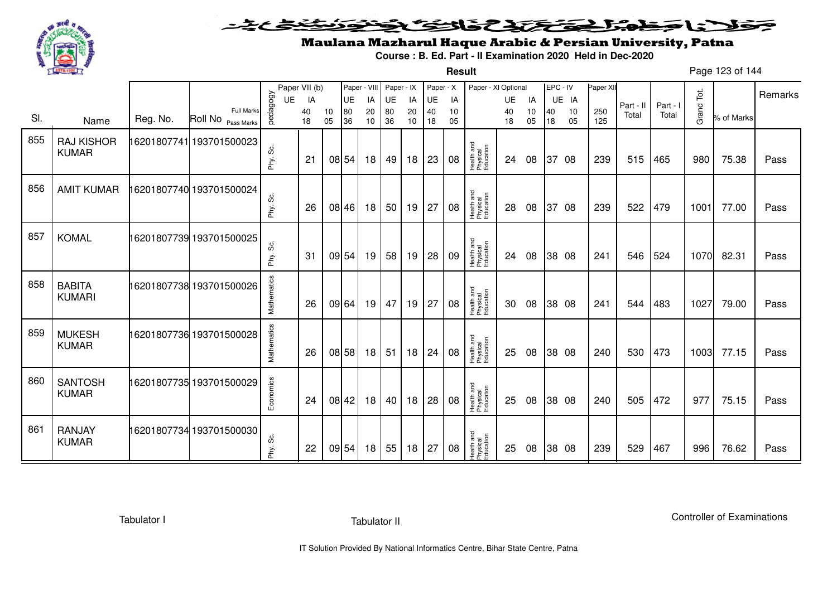

**Result**

# Maulana Mazharul Haque Arabic & Persian University, Patna

**Course : B. Ed. Part - II Examination 2020 Held in Dec-2020**

Page 123 of 144

|     |                                   |          |                                         |              | Paper VII (b) |          | Paper - VIII |          | Paper - IX |          | Paper - X |          | Paper - XI Optional                 |          |          | EPC - IV |          | Paper XII  |           |          |            |            |         |
|-----|-----------------------------------|----------|-----------------------------------------|--------------|---------------|----------|--------------|----------|------------|----------|-----------|----------|-------------------------------------|----------|----------|----------|----------|------------|-----------|----------|------------|------------|---------|
|     |                                   |          |                                         | <b>UE</b>    | IA            |          | UE           | IA       | UE         | IA       | UE        | IA       |                                     | UE       | IA       |          | UE IA    |            | Part - II | Part - I |            |            | Remarks |
| SI. | Name                              | Reg. No. | <b>Full Marks</b><br>Roll No Pass Marks | pedagogy     | 40<br>18      | 10<br>05 | 80<br>36     | 20<br>10 | 80<br>36   | 20<br>10 | 40<br>18  | 10<br>05 |                                     | 40<br>18 | 10<br>05 | 40<br>18 | 10<br>05 | 250<br>125 | Total     | Total    | Grand Tot. | % of Marks |         |
| 855 | <b>RAJ KISHOR</b><br><b>KUMAR</b> |          | 16201807741 193701500023                | တိ<br>Phy.   | 21            |          | 08 54        | 18       | 49         | 18       | 23        | 08       | Health and<br>Physical<br>Education | 24       | 08       |          | 37 08    | 239        | 515       | 465      | 980        | 75.38      | Pass    |
| 856 | <b>AMIT KUMAR</b>                 |          | 16201807740 193701500024                | Phy. Sc.     | 26            |          | 08 46        | 18       | 50         | 19       | 27        | 08       | Health and<br>Physical<br>Education | 28       | 08       | 37       | 08       | 239        | 522       | 479      | 1001       | 77.00      | Pass    |
| 857 | <b>KOMAL</b>                      |          | 16201807739 193701500025                | ပ္တဲ<br>Phy. | 31            | 09 54    |              | 19       | 58         | 19       | 28        | 09       | Health and<br>Physical<br>Education | 24       | 08       |          | 38 08    | 241        | 546       | 524      | 1070       | 82.31      | Pass    |
| 858 | <b>BABITA</b><br><b>KUMARI</b>    |          | 16201807738 193701500026                | Mathematics  | 26            | 09 64    |              | 19       | 47         | 19       | 27        | 08       | Health and<br>Physical<br>Education | 30       | 08       |          | 38 08    | 241        | 544       | 483      | 1027       | 79.00      | Pass    |
| 859 | <b>MUKESH</b><br><b>KUMAR</b>     |          | 16201807736 193701500028                | Mathematics  | 26            |          | 08 58        | 18       | 51         | 18       | 24        | 08       | Health and<br>Physical<br>Education | 25       | 08       |          | 38 08    | 240        | 530       | 473      | 1003       | 77.15      | Pass    |
| 860 | <b>SANTOSH</b><br><b>KUMAR</b>    |          | 16201807735 193701500029                | Economics    | 24            |          | 08 42        | 18       | 40         | 18       | 28        | 08       | Health and<br>Physical<br>Education | 25       | 08       |          | 38 08    | 240        | 505       | 472      | 977        | 75.15      | Pass    |
| 861 | RANJAY<br><b>KUMAR</b>            |          | 16201807734 193701500030                | Phy. Sc.     | 22            |          | 09 54        | 18       | 55         | 18       | 27        | 08       | Health and<br>Physical<br>Education | 25       | 08       |          | 38 08    | 239        | 529       | 467      | 996        | 76.62      | Pass    |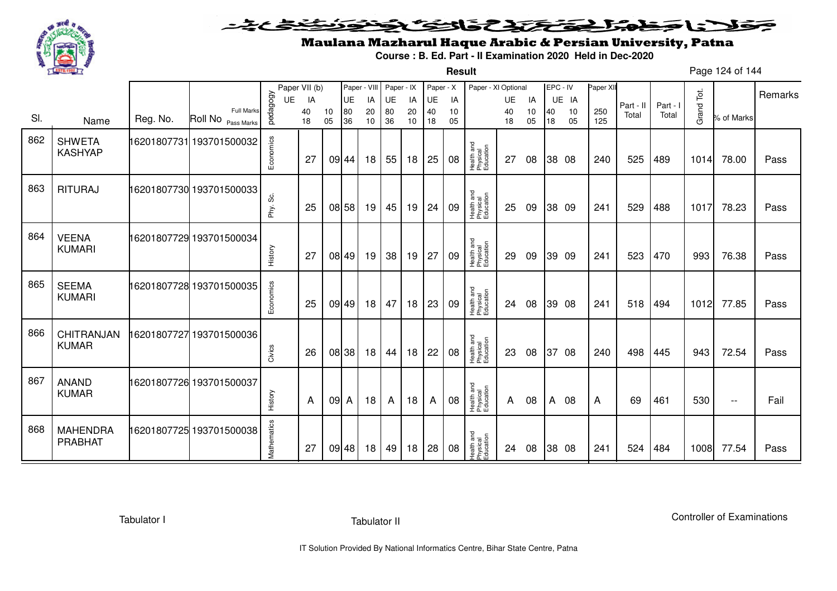

**Result**

# Maulana Mazharul Haque Arabic & Persian University, Patna

**Course : B. Ed. Part - II Examination 2020 Held in Dec-2020**

Page 124 of 144

|     |                                   |          |                                         |             | Paper VII (b) |          | Paper - VIII |          | Paper - IX |          | Paper - X |          | Paper - XI Optional                 |          |          | EPC - IV |          | Paper XII  |           |          |            |                          |         |
|-----|-----------------------------------|----------|-----------------------------------------|-------------|---------------|----------|--------------|----------|------------|----------|-----------|----------|-------------------------------------|----------|----------|----------|----------|------------|-----------|----------|------------|--------------------------|---------|
|     |                                   |          |                                         | <b>UE</b>   | IA            |          | UE           | IA       | UE         | IA       | UE        | IA       |                                     | UE       | IA       |          | UE IA    |            | Part - II | Part - I |            |                          | Remarks |
| SI. | Name                              | Reg. No. | <b>Full Marks</b><br>Roll No Pass Marks | pedagogy    | 40<br>18      | 10<br>05 | 80<br>36     | 20<br>10 | 80<br>36   | 20<br>10 | 40<br>18  | 10<br>05 |                                     | 40<br>18 | 10<br>05 | 40<br>18 | 10<br>05 | 250<br>125 | Total     | Total    | Grand Tot. | % of Marks               |         |
| 862 | <b>SHWETA</b><br><b>KASHYAP</b>   |          | 16201807731 193701500032                | Economics   | 27            |          | 09 44        | 18       | 55         | 18       | 25        | 08       | Health and<br>Physical<br>Education | 27       | 08       |          | 38 08    | 240        | 525       | 489      | 1014       | 78.00                    | Pass    |
| 863 | <b>RITURAJ</b>                    |          | 16201807730 193701500033                | Phy. Sc.    | 25            | 08 58    |              | 19       | 45         | 19       | 24        | 09       | Health and<br>Physical<br>Education | 25       | 09       |          | 38 09    | 241        | 529       | 488      | 1017       | 78.23                    | Pass    |
| 864 | <b>VEENA</b><br><b>KUMARI</b>     |          | 16201807729 193701500034                | History     | 27            |          | 08 49        | 19       | 38         | 19       | 27        | 09       | Health and<br>Physical<br>Education | 29       | 09       |          | 39 09    | 241        | 523       | 470      | 993        | 76.38                    | Pass    |
| 865 | <b>SEEMA</b><br><b>KUMARI</b>     |          | 16201807728 193701500035                | Economics   | 25            |          | 09 49        | 18       | 47         | 18       | 23        | 09       | Health and<br>Physical<br>Education | 24       | 08       |          | 39 08    | 241        | 518       | 494      | 1012       | 77.85                    | Pass    |
| 866 | CHITRANJAN<br><b>KUMAR</b>        |          | 6201807727 193701500036                 | Civics      | 26            | 08 38    |              | 18       | 44         | 18       | 22        | 08       | Health and<br>Physical<br>Education | 23       | 08       | 37       | 08       | 240        | 498       | 445      | 943        | 72.54                    | Pass    |
| 867 | <b>ANAND</b><br><b>KUMAR</b>      |          | 16201807726 193701500037                | History     | A             | 09 A     |              | 18       | A          | 18       | A         | 08       | Health and<br>Physical<br>Education | A        | 08       | A        | 08       | A          | 69        | 461      | 530        | $\overline{\phantom{m}}$ | Fail    |
| 868 | <b>MAHENDRA</b><br><b>PRABHAT</b> |          |                                         | Mathematics | 27            |          | 09 48        | 18       | 49         | 18       | 28        | 08       | Health and<br>Physical<br>Education | 24       | 08       |          | 38 08    | 241        | 524       | 484      | 1008       | 77.54                    | Pass    |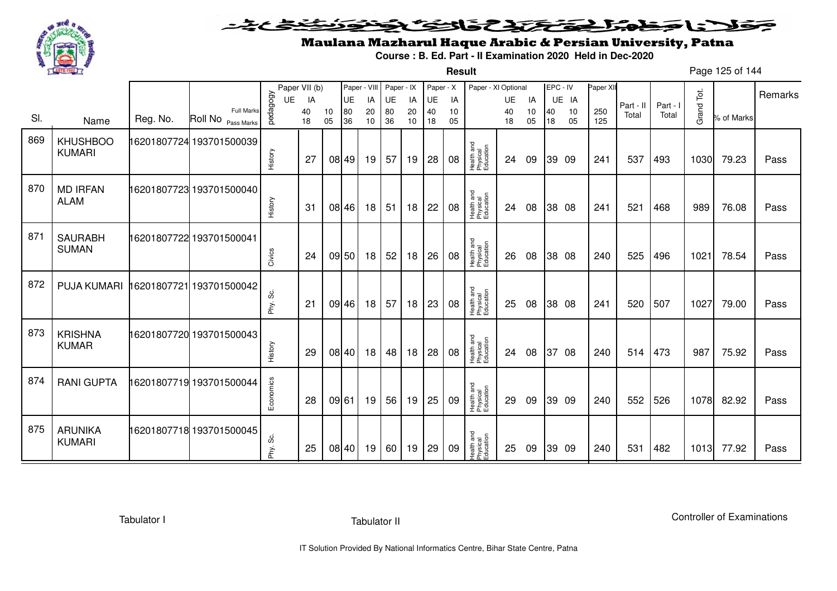

**Result**

# Maulana Mazharul Haque Arabic & Persian University, Patna

**Course : B. Ed. Part - II Examination 2020 Held in Dec-2020**

Page 125 of 144

|     |                                  |          |                                         |           | Paper VII (b) |          | Paper - VIII |          | Paper - IX |          | Paper - X |          | Paper - XI Optional                 |          |          | EPC - IV |          | Paper XI   |           |          |            |            |         |
|-----|----------------------------------|----------|-----------------------------------------|-----------|---------------|----------|--------------|----------|------------|----------|-----------|----------|-------------------------------------|----------|----------|----------|----------|------------|-----------|----------|------------|------------|---------|
|     |                                  |          |                                         | UE        | IA            |          | UE           | IA       | UE         | IA       | UE        | IA       |                                     | UE       | IA       |          | UE IA    |            | Part - II | Part - I |            |            | Remarks |
| SI. | Name                             | Reg. No. | <b>Full Marks</b><br>Roll No Pass Marks | pedagogy  | 40<br>18      | 10<br>05 | 80<br>36     | 20<br>10 | 80<br>36   | 20<br>10 | 40<br>18  | 10<br>05 |                                     | 40<br>18 | 10<br>05 | 40<br>18 | 10<br>05 | 250<br>125 | Total     | Total    | Grand Tot. | % of Marks |         |
| 869 | <b>KHUSHBOO</b><br><b>KUMARI</b> |          | 16201807724 193701500039                | History   | -27           |          | 08 49        | 19       | 57         | 19       | 28        | 08       | Health and<br>Physical<br>Education | 24       | 09       |          | 39 09    | 241        | 537       | 493      | 1030       | 79.23      | Pass    |
| 870 | <b>MD IRFAN</b><br><b>ALAM</b>   |          | 16201807723 193701500040                | History   | 31            |          | 08 46        | 18       | 51         | 18       | 22        | 08       | Health and<br>Physical<br>Education | 24       | 08       |          | 38 08    | 241        | 521       | 468      | 989        | 76.08      | Pass    |
| 871 | <b>SAURABH</b><br><b>SUMAN</b>   |          | 16201807722 193701500041                | Civics    | 24            |          | 09 50        | 18       | 52         | 18       | 26        | 08       | Health and<br>Physical<br>Education | 26       | 08       |          | 38 08    | 240        | 525       | 496      | 1021       | 78.54      | Pass    |
| 872 | <b>PUJA KUMARI</b>               |          | 16201807721 193701500042                | Phy. Sc.  | 21            |          | 09 46        | 18       | 57         | 18       | 23        | 08       | Health and<br>Physical<br>Education | 25       | 08       |          | 38 08    | 241        | 520       | 507      | 1027       | 79.00      | Pass    |
| 873 | <b>KRISHNA</b><br><b>KUMAR</b>   |          | 16201807720 193701500043                | History   | 29            |          | 08 40        | 18       | 48         | 18       | 28        | 08       | Health and<br>Physical<br>Education | 24       | 08       | 37       | 08       | 240        | 514       | 473      | 987        | 75.92      | Pass    |
| 874 | <b>RANI GUPTA</b>                |          | 6201807719 193701500044                 | Economics | 28            | 09 61    |              | 19       | 56         | 19       | 25        | 09       | Health and<br>Physical<br>Education | 29       | 09       |          | 39 09    | 240        | 552       | 526      | 1078       | 82.92      | Pass    |
| 875 | ARUNIKA<br><b>KUMARI</b>         |          | 16201807718 193701500045                | Phy. Sc.  | 25            |          | 08 40        | 19       | 60         | 19       | 29        | 09       | Health and<br>Physical<br>Education | 25       | 09       |          | 39 09    | 240        | 531       | 482      | 1013       | 77.92      | Pass    |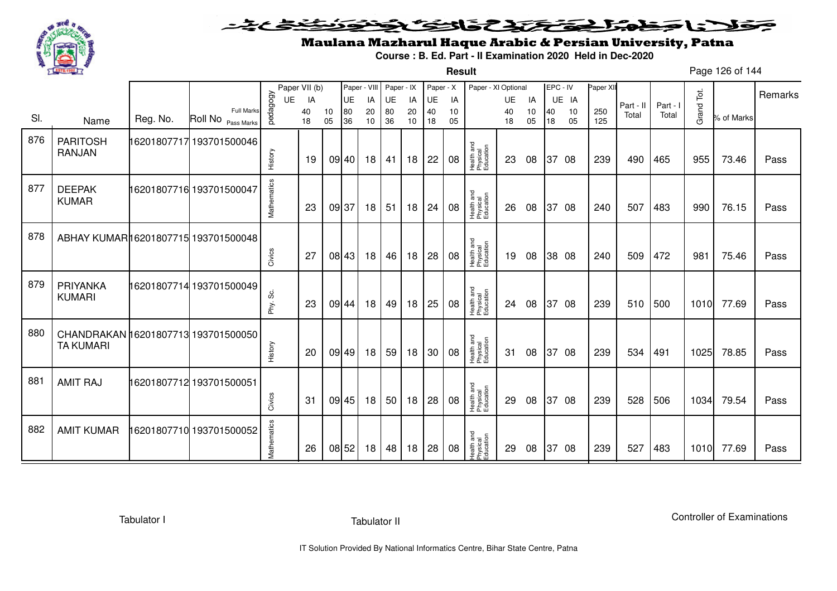

#### فتختخذ فخافى فخذ こえとさ ولادنا وخورا ◒

**Result**

# Maulana Mazharul Haque Arabic & Persian University, Patna

**Course : B. Ed. Part - II Examination 2020 Held in Dec-2020**

Page 126 of 144

|     |                                      |          |                                         |             | Paper VII (b) |          | Paper - VIII |                 | Paper - IX      |          | Paper - X |          | Paper - XI Optional                 |          |          | EPC - IV |          | Paper XI   |           |          |            |            |         |
|-----|--------------------------------------|----------|-----------------------------------------|-------------|---------------|----------|--------------|-----------------|-----------------|----------|-----------|----------|-------------------------------------|----------|----------|----------|----------|------------|-----------|----------|------------|------------|---------|
|     |                                      |          |                                         | UE          | IA            |          | <b>UE</b>    | IA              | UE              | IA       | UE        | IA       |                                     | UE       | IA       |          | UE IA    |            | Part - II | Part - I |            |            | Remarks |
| SI. | Name                                 | Reg. No. | <b>Full Marks</b><br>Roll No Pass Marks | pedagogy    | 40<br>18      | 10<br>05 | 80<br>36     | 20<br>10        | 80<br>36        | 20<br>10 | 40<br>18  | 10<br>05 |                                     | 40<br>18 | 10<br>05 | 40<br>18 | 10<br>05 | 250<br>125 | Total     | Total    | Grand Tot. | % of Marks |         |
|     |                                      |          |                                         |             |               |          |              |                 |                 |          |           |          |                                     |          |          |          |          |            |           |          |            |            |         |
| 876 | <b>PARITOSH</b>                      |          | 16201807717 193701500046                |             |               |          |              |                 |                 |          |           |          |                                     |          |          |          |          |            |           |          |            |            |         |
|     | <b>RANJAN</b>                        |          |                                         | History     | 19            |          | 09 40        | 18 <sup>1</sup> | 41              | 18       | 22        | 08       | Health and<br>Physical<br>Education | 23       | 08       |          | 37 08    | 239        | 490       | 465      | 955        | 73.46      | Pass    |
|     |                                      |          |                                         |             |               |          |              |                 |                 |          |           |          |                                     |          |          |          |          |            |           |          |            |            |         |
| 877 |                                      |          |                                         |             |               |          |              |                 |                 |          |           |          |                                     |          |          |          |          |            |           |          |            |            |         |
|     | <b>DEEPAK</b><br><b>KUMAR</b>        |          | 16201807716 193701500047                |             |               |          |              |                 |                 |          |           |          |                                     |          |          |          |          |            |           |          |            |            |         |
|     |                                      |          |                                         | Mathematics | 23            | 09 37    |              | 18              | 51              | 18       | 24        | 08       | Health and<br>Physical<br>Education | 26       | 08       |          | 37 08    | 240        | 507       | 483      | 990        | 76.15      | Pass    |
|     |                                      |          |                                         |             |               |          |              |                 |                 |          |           |          |                                     |          |          |          |          |            |           |          |            |            |         |
| 878 | ABHAY KUMAR 16201807715 193701500048 |          |                                         |             |               |          |              |                 |                 |          |           |          |                                     |          |          |          |          |            |           |          |            |            |         |
|     |                                      |          |                                         |             |               |          |              |                 |                 |          |           |          |                                     |          |          |          |          |            |           |          |            |            |         |
|     |                                      |          |                                         | Civics      | 27            |          | 08 43        | 18              | 46              | 18       | 28        | 08       | Health and<br>Physical<br>Education | 19       | 08       |          | 38 08    | 240        | 509       | 472      | 981        | 75.46      | Pass    |
|     |                                      |          |                                         |             |               |          |              |                 |                 |          |           |          |                                     |          |          |          |          |            |           |          |            |            |         |
| 879 | PRIYANKA                             |          | 16201807714 193701500049                |             |               |          |              |                 |                 |          |           |          |                                     |          |          |          |          |            |           |          |            |            |         |
|     | <b>KUMARI</b>                        |          |                                         | Phy. Sc.    | 23            |          | 09 44        | 18 <sup>1</sup> | 49              | 18       | 25        | 08       | Health and<br>Physical<br>Education | 24       | 08       |          | 37 08    | 239        | 510       | 500      | 1010       | 77.69      | Pass    |
|     |                                      |          |                                         |             |               |          |              |                 |                 |          |           |          |                                     |          |          |          |          |            |           |          |            |            |         |
| 880 | CHANDRAKAN 16201807713 193701500050  |          |                                         |             |               |          |              |                 |                 |          |           |          |                                     |          |          |          |          |            |           |          |            |            |         |
|     | <b>TA KUMARI</b>                     |          |                                         |             |               |          |              |                 |                 |          |           |          |                                     |          |          |          |          |            |           |          |            |            |         |
|     |                                      |          |                                         | History     | 20            |          | 09 49        | 18              | 59              | 18       | 30        | 08       | Health and<br>Physical<br>Education | 31       | 08       |          | 37 08    | 239        | 534       | 491      | 1025       | 78.85      | Pass    |
|     |                                      |          |                                         |             |               |          |              |                 |                 |          |           |          |                                     |          |          |          |          |            |           |          |            |            |         |
| 881 | <b>AMIT RAJ</b>                      |          | 16201807712 193701500051                |             |               |          |              |                 |                 |          |           |          |                                     |          |          |          |          |            |           |          |            |            |         |
|     |                                      |          |                                         |             | 31            |          | 09 45        | 18              | 50 <sup>1</sup> | 18       | 28        | 08       | Health and<br>Physical<br>Education |          |          |          | 37 08    | 239        | 528       | 506      | 1034       | 79.54      |         |
|     |                                      |          |                                         | Civics      |               |          |              |                 |                 |          |           |          |                                     | 29       | 08       |          |          |            |           |          |            |            | Pass    |
|     |                                      |          |                                         |             |               |          |              |                 |                 |          |           |          |                                     |          |          |          |          |            |           |          |            |            |         |
| 882 | <b>AMIT KUMAR</b>                    |          | 16201807710 193701500052                |             |               |          |              |                 |                 |          |           |          |                                     |          |          |          |          |            |           |          |            |            |         |
|     |                                      |          |                                         | Mathematics | 26            | 08 52    |              | 18 I            | 48              | 18       | 28        | 08       | Health and<br>Physical<br>Education | 29       | 08       | 37       | 08       | 239        | 527       | 483      | 1010       | 77.69      | Pass    |
|     |                                      |          |                                         |             |               |          |              |                 |                 |          |           |          |                                     |          |          |          |          |            |           |          |            |            |         |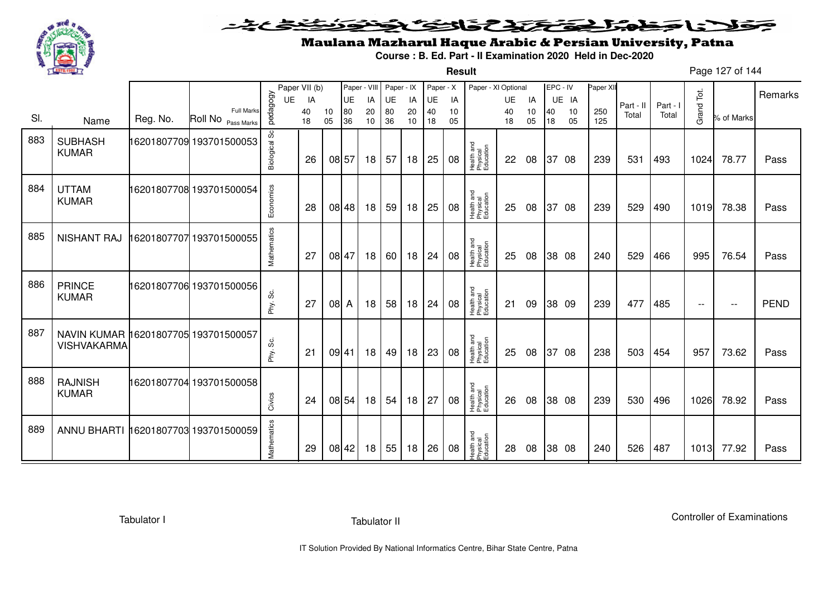

#### فتختخذ فخافى فخذ こえとさ كلاحا وكحورا ◒

**Result**

# Maulana Mazharul Haque Arabic & Persian University, Patna

**Course : B. Ed. Part - II Examination 2020 Held in Dec-2020**

Page 127 of 144

|     |                                                            |          |                                         |               | Paper VII (b) |          | Paper - VIII |          | Paper - IX |          | Paper - X |          | Paper - XI Optional                 |          |          | EPC - IV |          | Paper XI   |                    |          |                          |                          |             |
|-----|------------------------------------------------------------|----------|-----------------------------------------|---------------|---------------|----------|--------------|----------|------------|----------|-----------|----------|-------------------------------------|----------|----------|----------|----------|------------|--------------------|----------|--------------------------|--------------------------|-------------|
|     |                                                            |          |                                         | UE            | IA            |          | UE           | IA       | <b>UE</b>  | IA       | UE        | IA       |                                     | UE       | IA       |          | UE IA    |            |                    | Part - I | Tot.                     |                          | Remarks     |
| SI. | Name                                                       | Reg. No. | <b>Full Marks</b><br>Roll No Pass Marks | pedagogy      | 40<br>18      | 10<br>05 | 80<br>36     | 20<br>10 | 80<br>36   | 20<br>10 | 40<br>18  | 10<br>05 |                                     | 40<br>18 | 10<br>05 | 40<br>18 | 10<br>05 | 250<br>125 | Part - II<br>Total | Total    | Grand                    | % of Marks               |             |
| 883 | <b>SUBHASH</b><br><b>KUMAR</b>                             |          | 16201807709 193701500053                | Biological Sc | 26            | 08 57    |              | 18       | 57         | 18       | 25        | 08       | Health and<br>Physical<br>Education | 22       | 08       |          | 37 08    | 239        | 531                | 493      | 1024                     | 78.77                    | Pass        |
| 884 | <b>UTTAM</b><br><b>KUMAR</b>                               |          | 16201807708 193701500054                | Economics     | 28            |          | 08 48        | 18       | 59         | 18       | 25        | 08       | Health and<br>Physical<br>Education | 25       | 08       |          | 37 08    | 239        | 529                | 490      | 1019                     | 78.38                    | Pass        |
| 885 | <b>NISHANT RAJ</b>                                         |          | 16201807707193701500055                 | Mathematics   | 27            | 08 47    |              | 18       | 60         | 18       | 24        | 08       | Health and<br>Physical<br>Education | 25       | 08       |          | 38 08    | 240        | 529                | 466      | 995                      | 76.54                    | Pass        |
| 886 | <b>PRINCE</b><br><b>KUMAR</b>                              |          | 16201807706 193701500056                | တိ<br>Phy.    | 27            | 08 A     |              | 18       | 58         | 18       | 24        | 08       | Health and<br>Physical<br>Education | 21       | 09       |          | 38 09    | 239        | 477                | 485      | $\overline{\phantom{a}}$ | $\overline{\phantom{m}}$ | <b>PEND</b> |
| 887 | NAVIN KUMAR 16201807705 193701500057<br><b>VISHVAKARMA</b> |          |                                         | Phy. Sc.      | 21            | 09 41    |              | 18       | 49         | 18       | 23        | 08       | Health and<br>Physical<br>Education | 25       | 08       |          | 37 08    | 238        | 503                | 454      | 957                      | 73.62                    | Pass        |
| 888 | <b>RAJNISH</b><br><b>KUMAR</b>                             |          | 16201807704 193701500058                | Civics        | 24            |          | 08 54        | 18       | 54         | 18       | 27        | 08       | Health and<br>Physical<br>Education | 26       | 08       |          | 38 08    | 239        | 530                | 496      | 1026                     | 78.92                    | Pass        |
| 889 | ANNU BHARTI 16201807703 193701500059                       |          |                                         | Mathematics   | 29            |          | 08 42        | 18       | 55         | 18       | 26        | 08       | Health and<br>Physical<br>Education | 28       | 08       |          | 38 08    | 240        | 526                | 487      | 1013                     | 77.92                    | Pass        |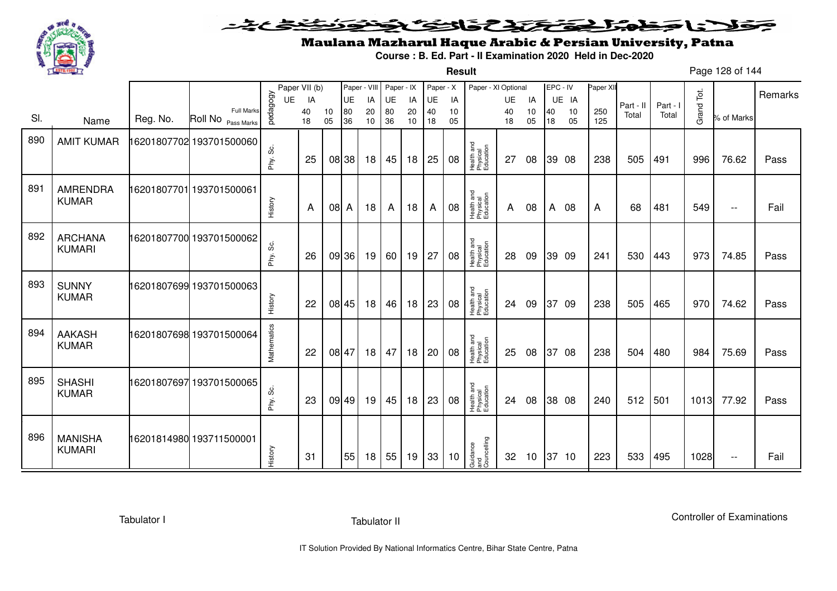

#### <u>یٹی ٹی ٹ</u> فلانا وخدا يؤتى والتوع وتونوز ≂

**Result**

# Maulana Mazharul Haque Arabic & Persian University, Patna

**Course : B. Ed. Part - II Examination 2020 Held in Dec-2020**

Page 128 of 144

|     |                                 |          |                                         |              | Paper VII (b) |          | Paper - VIII |          | Paper - IX |          | Paper - X |          | Paper - XI Optional                 |          |                 | EPC - IV     |          | Paper XII  |           |          |            |                          | Remarks |
|-----|---------------------------------|----------|-----------------------------------------|--------------|---------------|----------|--------------|----------|------------|----------|-----------|----------|-------------------------------------|----------|-----------------|--------------|----------|------------|-----------|----------|------------|--------------------------|---------|
|     |                                 |          |                                         | <b>UE</b>    | IA            |          | UE           | IA       | <b>UE</b>  | IA       | UE        | IA       |                                     | UE       | IA              |              | UE IA    |            | Part - II | Part - I |            |                          |         |
| SI. | Name                            | Reg. No. | <b>Full Marks</b><br>Roll No Pass Marks | pedagogy     | 40<br>18      | 10<br>05 | 80<br>36     | 20<br>10 | 80<br>36   | 20<br>10 | 40<br>18  | 10<br>05 |                                     | 40<br>18 | 10<br>05        | 40<br>18     | 10<br>05 | 250<br>125 | Total     | Total    | Grand Tot. | % of Marks               |         |
| 890 | <b>AMIT KUMAR</b>               |          | 16201807702 193701500060                | ပ္တဲ<br>Phy. | 25            |          | 08 38        | 18       | 45         | 18       | 25        | 08       | Health and<br>Physical<br>Education | 27       | 08              |              | 39 08    | 238        | 505       | 491      | 996        | 76.62                    | Pass    |
| 891 | <b>AMRENDRA</b><br><b>KUMAR</b> |          | 6201807701 193701500061                 | History      | A             | 08 A     |              | 18       | A          | 18       | A         | 08       | Health and<br>Physical<br>Education | A        | 08              | $\mathsf{A}$ | 08       | A          | 68        | 481      | 549        | $\overline{\phantom{m}}$ | Fail    |
| 892 | <b>ARCHANA</b><br><b>KUMARI</b> |          | 16201807700 193701500062                | Phy. Sc.     | 26            |          | 09 36        | 19       | 60         | 19       | 27        | 08       | Health and<br>Physical<br>Education | 28       | 09              |              | 39 09    | 241        | 530       | 443      | 973        | 74.85                    | Pass    |
| 893 | <b>SUNNY</b><br><b>KUMAR</b>    |          | 16201807699 193701500063                | History      | 22            |          | 08 45        | 18       | 46         | 18       | 23        | 08       | Health and<br>Physical<br>Education | 24       | 09              |              | 37 09    | 238        | 505       | 465      | 970        | 74.62                    | Pass    |
| 894 | <b>AAKASH</b><br><b>KUMAR</b>   |          | 16201807698 193701500064                | Mathematics  | 22            | 08 47    |              | 18       | 47         | 18       | 20        | 08       | Health and<br>Physical<br>Education | 25       | 08              | 37           | 08       | 238        | 504       | 480      | 984        | 75.69                    | Pass    |
| 895 | <b>SHASHI</b><br><b>KUMAR</b>   |          | 16201807697 193701500065                | တိ<br>Phy.   | 23            |          | 09 49        | 19       | 45         | 18       | 23        | 08       | Health and<br>Physical<br>Education | 24       | 08              |              | 38 08    | 240        | 512       | 501      | 1013       | 77.92                    | Pass    |
| 896 | <b>MANISHA</b><br><b>KUMARI</b> |          | 16201814980 193711500001                | History      | 31            |          | 55           | 18       | 55         | 19       | 33        | 10       | Guidance<br>and<br>Councelling      | 32       | 10 <sup>°</sup> |              | 37 10    | 223        | 533       | 495      | 1028       | $\overline{\phantom{m}}$ | Fail    |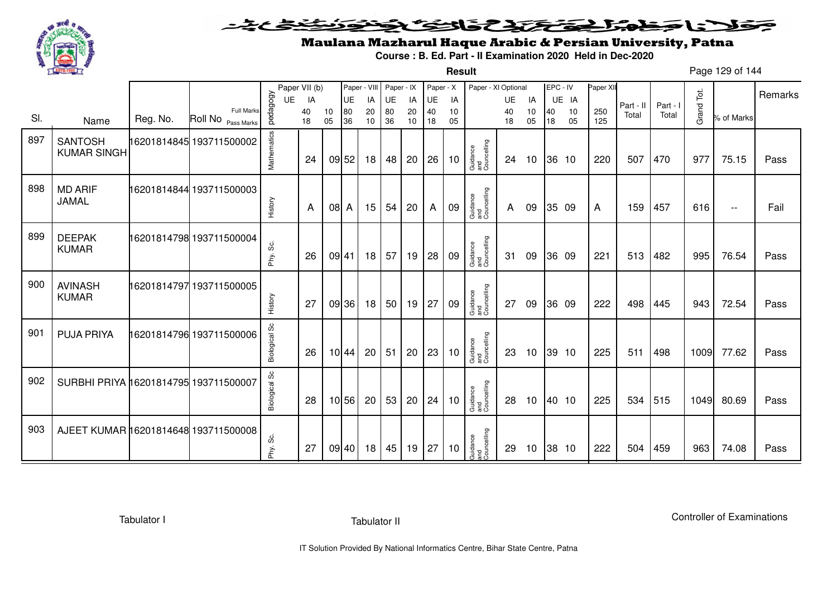

**Result**

# Maulana Mazharul Haque Arabic & Persian University, Patna

**Course : B. Ed. Part - II Examination 2020 Held in Dec-2020**

Page 129 of 144

|     |                                       |          |                                         |               | Paper VII (b) |          | Paper - VIII |          | Paper - IX |          | Paper - X |          | Paper - XI Optional            |              |          | EPC - IV |          | Paper XII  |           |          |            |                          |         |
|-----|---------------------------------------|----------|-----------------------------------------|---------------|---------------|----------|--------------|----------|------------|----------|-----------|----------|--------------------------------|--------------|----------|----------|----------|------------|-----------|----------|------------|--------------------------|---------|
|     |                                       |          |                                         | UE            | IA            |          | UE           | IA       | UE         | IA       | UE        | IA       |                                | UE           | IA       |          | UE IA    |            | Part - II | Part - I |            |                          | Remarks |
| SI. | Name                                  | Reg. No. | <b>Full Marks</b><br>Roll No Pass Marks | pedagogy      | 40<br>18      | 10<br>05 | 80<br>36     | 20<br>10 | 80<br>36   | 20<br>10 | 40<br>18  | 10<br>05 |                                | 40<br>18     | 10<br>05 | 40<br>18 | 10<br>05 | 250<br>125 | Total     | Total    | Grand Tot. | % of Marks               |         |
| 897 | <b>SANTOSH</b><br><b>KUMAR SINGH</b>  |          |                                         | Mathematics   | 24            |          | 09 52        | 18       | 48         | 20       | 26        | 10       | Guidance<br>and<br>Councelling | 24           | 10       |          | 36 10    | 220        | 507       | 470      | 977        | 75.15                    | Pass    |
| 898 | <b>MD ARIF</b><br>JAMAL               |          | 16201814844 193711500003                | History       | A             | 08 A     |              | 15       | 54         | 20       | A         | 09       | Guidance<br>and<br>Councelling | $\mathsf{A}$ | 09       |          | 35 09    | A          | 159       | 457      | 616        | $\overline{\phantom{a}}$ | Fail    |
| 899 | <b>DEEPAK</b><br><b>KUMAR</b>         |          | 16201814798 193711500004                | Phy. Sc.      | 26            | 09 41    |              | 18       | 57         | 19       | 28        | 09       | Guidance<br>and<br>Councelling | 31           | 09       |          | 36 09    | 221        | 513       | 482      | 995        | 76.54                    | Pass    |
| 900 | <b>AVINASH</b><br><b>KUMAR</b>        |          | 16201814797 193711500005                | History       | 27            |          | 09 36        | 18       | 50         | 19       | 27        | 09       | Guidance<br>and<br>Councelling | 27           | 09       |          | 36 09    | 222        | 498       | 445      | 943        | 72.54                    | Pass    |
| 901 | <b>PUJA PRIYA</b>                     |          | 16201814796 193711500006                | Biological Sc | 26            |          | 10 44        | 20       | 51         | 20       | 23        | 10       | Guidance<br>and<br>Councelling | 23           | 10       |          | 39 10    | 225        | 511       | 498      | 1009       | 77.62                    | Pass    |
| 902 | SURBHI PRIYA 16201814795 193711500007 |          |                                         | Biological Sc | 28            |          | 10 56        | 20       | 53         | 20       | 24        | 10       | Guidance<br>and<br>Councelling | 28           | 10       |          | 40 10    | 225        | 534       | 515      | 1049       | 80.69                    | Pass    |
| 903 | AJEET KUMAR 16201814648 193711500008  |          |                                         | Phy. Sc.      | 27            | 09 40    |              | 18       | 45         | 19       | 27        | 10       | Guidance<br>and<br>Councelling | 29           | 10       |          | 38 10    | 222        | 504       | 459      | 963        | 74.08                    | Pass    |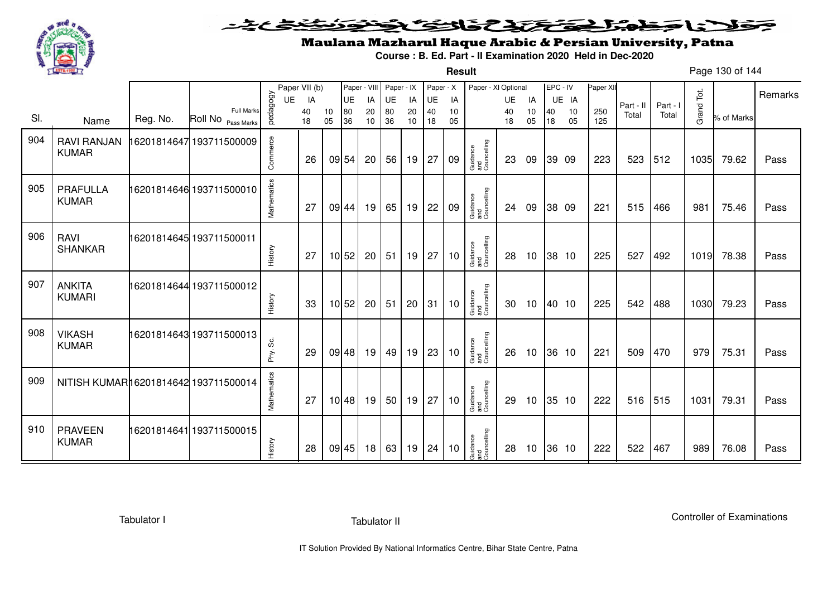

**Result**

# Maulana Mazharul Haque Arabic & Persian University, Patna

**Course : B. Ed. Part - II Examination 2020 Held in Dec-2020**

Page 130 of 144

|     |                                      |          |                                         |             | Paper VII (b) |          | Paper - VIII |          | Paper - IX |          | Paper - X |          | Paper - XI Optional            |          |                 | EPC - IV |          | Paper XII  |           |          |            |            |         |
|-----|--------------------------------------|----------|-----------------------------------------|-------------|---------------|----------|--------------|----------|------------|----------|-----------|----------|--------------------------------|----------|-----------------|----------|----------|------------|-----------|----------|------------|------------|---------|
|     |                                      |          |                                         | UE          | IA            |          | <b>UE</b>    | IA       | UE         | IA       | UE        | IA       |                                | UE       | IA              |          | UE IA    |            | Part - II | Part - I |            |            | Remarks |
| SI. | Name                                 | Reg. No. | <b>Full Marks</b><br>Roll No Pass Marks | pedagogy    | 40<br>18      | 10<br>05 | 80<br>36     | 20<br>10 | 80<br>36   | 20<br>10 | 40<br>18  | 10<br>05 |                                | 40<br>18 | 10<br>05        | 40<br>18 | 10<br>05 | 250<br>125 | Total     | Total    | Grand Tot. | % of Marks |         |
| 904 | <b>RAVI RANJAN</b><br><b>KUMAR</b>   |          | 16201814647 193711500009                | Commerce    | 26            |          | 09 54        | 20       | 56         | 19       | 27        | 09       | Guidance<br>and<br>Councelling | 23       | 09              |          | 39 09    | 223        | 523       | 512      | 1035       | 79.62      | Pass    |
| 905 | <b>PRAFULLA</b><br><b>KUMAR</b>      |          | 16201814646 193711500010                | Mathematics | 27            |          | 09 44        | 19       | 65         | 19       | 22        | 09       | Guidance<br>and<br>Councelling | 24       | 09              |          | 38 09    | 221        | 515       | 466      | 981        | 75.46      | Pass    |
| 906 | <b>RAVI</b><br><b>SHANKAR</b>        |          | 16201814645 193711500011                | History     | 27            |          | 10 52        | 20       | 51         | 19       | 27        | 10       | Guidance<br>and<br>Councelling | 28       | 10 <sup>°</sup> |          | 38 10    | 225        | 527       | 492      | 1019       | 78.38      | Pass    |
| 907 | <b>ANKITA</b><br><b>KUMARI</b>       |          | 16201814644 193711500012                | History     | 33            |          | 10 52        | 20       | 51         | 20       | 31        | 10       | Guidance<br>and<br>Councelling | 30       | 10              |          | 40 10    | 225        | 542       | 488      | 1030       | 79.23      | Pass    |
| 908 | <b>VIKASH</b><br><b>KUMAR</b>        |          | 16201814643 193711500013                | Phy. Sc.    | 29            |          | 09 48        | 19       | 49         | 19       | 23        | 10       | Guidance<br>and<br>Councelling | 26       | 10              |          | 36 10    | 221        | 509       | 470      | 979        | 75.31      | Pass    |
| 909 | NITISH KUMAR16201814642 193711500014 |          |                                         | Mathematics | 27            |          | 10 48        | 19       | 50         | 19       | 27        | 10       | Guidance<br>and<br>Councelling | 29       | 10              |          | 35 10    | 222        | 516       | 515      | 1031       | 79.31      | Pass    |
| 910 | <b>PRAVEEN</b><br><b>KUMAR</b>       |          | 16201814641 193711500015                | History     | 28            |          | 09 45        | 18       | 63         | 19       | 24        | 10       | Guidance<br>and<br>Councelling | 28       | 10 <sup>°</sup> |          | 36 10    | 222        | 522       | 467      | 989        | 76.08      | Pass    |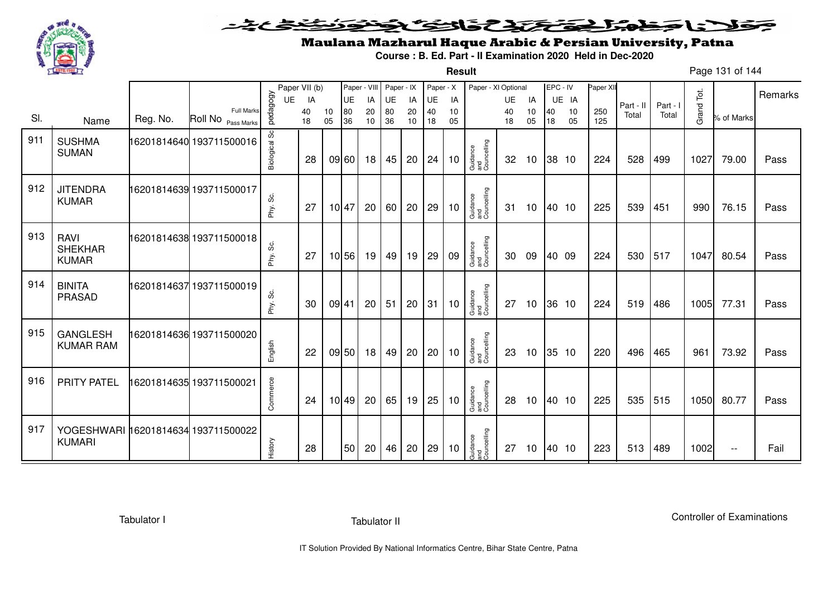

**Result**

# Maulana Mazharul Haque Arabic & Persian University, Patna

**Course : B. Ed. Part - II Examination 2020 Held in Dec-2020**

Page 131 of 144

|     |                                                      |          |                                         |               | Paper VII (b) |          | Paper - VIII |          | Paper - IX |          | Paper - X |          | Paper - XI Optional            |          |          | EPC - IV |          | Paper XII  |           |          |            |                          | Remarks |
|-----|------------------------------------------------------|----------|-----------------------------------------|---------------|---------------|----------|--------------|----------|------------|----------|-----------|----------|--------------------------------|----------|----------|----------|----------|------------|-----------|----------|------------|--------------------------|---------|
|     |                                                      |          |                                         | UE            | IA            |          | UE           | IA       | UE         | IA       | UE        | IA       |                                | UE       | IA       |          | UE IA    |            | Part - II | Part - I |            |                          |         |
| SI. | Name                                                 | Reg. No. | <b>Full Marks</b><br>Roll No Pass Marks | pedagogy      | 40<br>18      | 10<br>05 | 80<br>36     | 20<br>10 | 80<br>36   | 20<br>10 | 40<br>18  | 10<br>05 |                                | 40<br>18 | 10<br>05 | 40<br>18 | 10<br>05 | 250<br>125 | Total     | Total    | Grand Tot. | % of Marks               |         |
| 911 | <b>SUSHMA</b><br><b>SUMAN</b>                        |          | 16201814640 193711500016                | Biological Sc | 28            |          | 09 60        | 18       | 45         | 20       | 24        | 10       | Guidance<br>and<br>Councelling | 32       | 10       | 38 10    |          | 224        | 528       | 499      | 1027       | 79.00                    | Pass    |
| 912 | <b>JITENDRA</b><br><b>KUMAR</b>                      |          | 16201814639 193711500017                | Phy. Sc.      | 27            |          | 10 47        | 20       | 60         | 20       | 29        | 10       | Guidance<br>and<br>Councelling | 31       | 10       | 40 10    |          | 225        | 539       | 451      | 990        | 76.15                    | Pass    |
| 913 | <b>RAVI</b><br><b>SHEKHAR</b><br><b>KUMAR</b>        |          | 16201814638 193711500018                | Phy. Sc.      | 27            |          | 10 56        | 19       | 49         | 19       | 29        | 09       | Guidance<br>and<br>Councelling | 30       | 09       | 40 09    |          | 224        | 530       | 517      | 1047       | 80.54                    | Pass    |
| 914 | <b>BINITA</b><br><b>PRASAD</b>                       |          | 16201814637 193711500019                | Phy. Sc.      | 30            | 09 41    |              | 20       | 51         | 20       | 31        | 10       | Guidance<br>and<br>Councelling | 27       | 10       |          | 36 10    | 224        | 519       | 486      | 1005       | 77.31                    | Pass    |
| 915 | <b>GANGLESH</b><br><b>KUMAR RAM</b>                  |          | 16201814636 193711500020                | English       | 22            |          | 09 50        | 18       | 49         | 20       | 20        | 10       | Guidance<br>and<br>Councelling | 23       | 10       |          | 35 10    | 220        | 496       | 465      | 961        | 73.92                    | Pass    |
| 916 | <b>PRITY PATEL</b>                                   |          | 16201814635 193711500021                | Commerce      | 24            |          | 10 49        | 20       | 65         | 19       | 25        | 10       | Guidance<br>and<br>Councelling | 28       | 10       | 40 10    |          | 225        | 535       | 515      | 1050       | 80.77                    | Pass    |
| 917 | YOGESHWARI 16201814634 193711500022<br><b>KUMARI</b> |          |                                         | History       | 28            |          | 50           | 20       | 46         | 20       | 29        | 10       | Guidance<br>and<br>Councelling | 27       | 10       | 40 10    |          | 223        | 513       | 489      | 1002       | $\overline{\phantom{a}}$ | Fail    |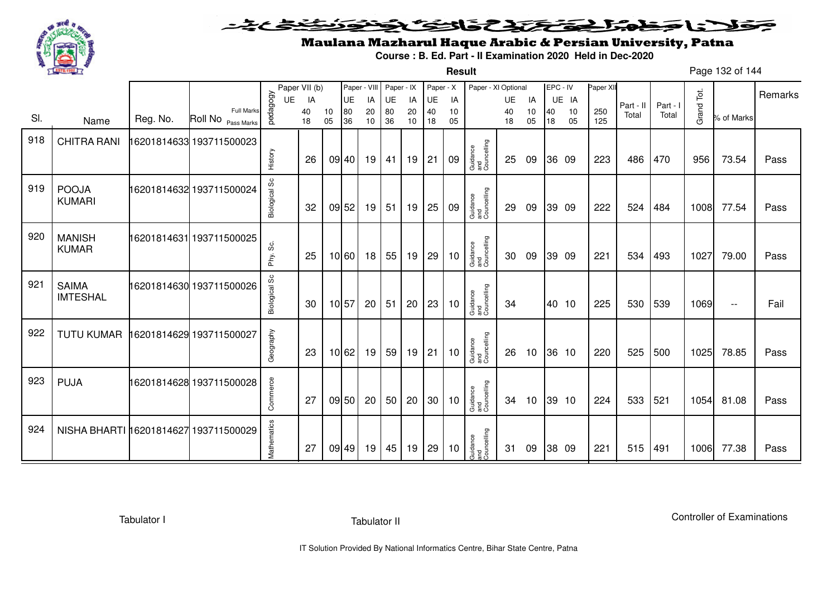

**Result**

# Maulana Mazharul Haque Arabic & Persian University, Patna

**Course : B. Ed. Part - II Examination 2020 Held in Dec-2020**

Page 132 of 144

|     |                                 |          |                          |                | Paper VII (b) |       | Paper - VIII |          | Paper - IX |          | Paper - X |          | Paper - XI Optional            |          |          | EPC - IV |             | Paper XII |                    |                   |            |            | Remarks |
|-----|---------------------------------|----------|--------------------------|----------------|---------------|-------|--------------|----------|------------|----------|-----------|----------|--------------------------------|----------|----------|----------|-------------|-----------|--------------------|-------------------|------------|------------|---------|
|     |                                 |          | <b>Full Marks</b>        | pedagogy<br>UE | IA<br>40      | 10    | UE<br>80     | IA<br>20 | UE<br>80   | IA<br>20 | UE<br>40  | IA<br>10 |                                | UE<br>40 | IA<br>10 | 40       | UE IA<br>10 | 250       | Part - II<br>Total | Part - I<br>Total | Grand Tot. |            |         |
| SI. | Name                            | Reg. No. | Roll No Pass Marks       |                | 18            | 05    | 36           | 10       | 36         | 10       | 18        | 05       |                                | 18       | 05       | 18       | 05          | 125       |                    |                   |            | % of Marks |         |
| 918 | <b>CHITRA RANI</b>              |          | 16201814633 193711500023 |                |               |       |              |          |            |          |           |          |                                |          |          |          |             |           |                    |                   |            |            |         |
|     |                                 |          |                          | History        | 26            |       | 09 40        | 19       | 41         | 19       | 21        | 09       | Guidance<br>and<br>Councelling | 25       | 09       |          | 36 09       | 223       | 486                | 470               | 956        | 73.54      | Pass    |
| 919 | <b>POOJA</b><br><b>KUMARI</b>   |          | 16201814632 193711500024 | Biological Sc  | 32            |       | 09 52        | 19       | 51         | 19       | 25        | 09       | Guidance<br>and<br>Councelling | 29       | 09       |          | 39 09       | 222       | 524                | 484               | 1008       | 77.54      | Pass    |
|     |                                 |          |                          |                |               |       |              |          |            |          |           |          |                                |          |          |          |             |           |                    |                   |            |            |         |
| 920 | <b>MANISH</b><br><b>KUMAR</b>   |          | 16201814631 193711500025 | တိ<br>Phy.     | 25            |       | 10 60        | 18       | 55         | 19       | 29        | 10       | Guidance<br>and<br>Councelling | 30       | 09       |          | 39 09       | 221       | 534                | 493               | 1027       | 79.00      | Pass    |
| 921 | <b>SAIMA</b><br><b>IMTESHAL</b> |          | 16201814630 193711500026 | Biological Sc  | 30            | 10 57 |              | 20       | 51         | 20       | 23        | 10       | Guidance<br>and<br>Councelling | 34       |          |          | 40 10       | 225       | 530                | 539               | 1069       | $- -$      | Fail    |
| 922 | <b>TUTU KUMAR</b>               |          | 16201814629 193711500027 | Geography      | 23            |       | 10 62        | 19       | 59         | 19       | 21        | 10       | Guidance<br>and<br>Councelling | 26       | 10       |          | 36 10       | 220       | 525                | 500               | 1025       | 78.85      | Pass    |
| 923 | <b>PUJA</b>                     |          | 16201814628 193711500028 | Commerce       | 27            |       | 09 50        | 20       | 50         | 20       | 30        | 10       | Guidance<br>and<br>Councelling | 34       | 10       |          | 39 10       | 224       | 533                | 521               | 1054       | 81.08      | Pass    |
| 924 | NISHA BHARTI 16201814627        |          | 193711500029             | Mathematics    | 27            |       | 09 49        | 19       | 45         | 19       | 29        | 10       | Guidance<br>and<br>Councelling | 31       | 09       |          | 38 09       | 221       | 515                | 491               | 1006       | 77.38      | Pass    |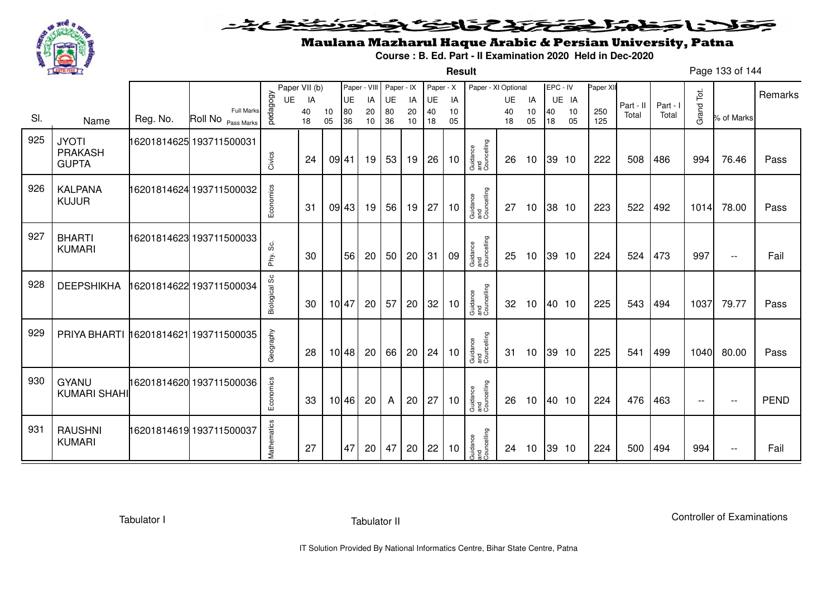

**Result**

# Maulana Mazharul Haque Arabic & Persian University, Patna

**Course : B. Ed. Part - II Examination 2020 Held in Dec-2020**

Page 133 of 144

|     |                                           |          |                                         |               | Paper VII (b) |          | Paper - VIII |          | Paper - IX |          | Paper - X |                       | Paper - XI Optional            |          |                 | EPC - IV |          | Paper XII  |           |          |                          |                   |             |
|-----|-------------------------------------------|----------|-----------------------------------------|---------------|---------------|----------|--------------|----------|------------|----------|-----------|-----------------------|--------------------------------|----------|-----------------|----------|----------|------------|-----------|----------|--------------------------|-------------------|-------------|
|     |                                           |          |                                         | UE            | IA            |          | UE           | IA       | <b>UE</b>  | IA       | UE        | IA                    |                                | UE       | IA              |          | UE IA    |            | Part - II | Part - I |                          |                   | Remarks     |
| SI. | Name                                      | Reg. No. | <b>Full Marks</b><br>Roll No Pass Marks | pedagogy      | 40<br>18      | 10<br>05 | 80<br>36     | 20<br>10 | 80<br>36   | 20<br>10 | 40<br>18  | 10 <sup>1</sup><br>05 |                                | 40<br>18 | 10<br>05        | 40<br>18 | 10<br>05 | 250<br>125 | Total     | Total    | Grand Tot.               | % of Marks        |             |
| 925 | <b>JYOTI</b><br>PRAKASH<br><b>GUPTA</b>   |          | 16201814625 193711500031                | Civics        | 24            | 09 41    |              | 19       | 53         | 19 26    |           | 10                    | Guidance<br>and<br>Councelling | 26       | 10              |          | 39 10    | 222        | 508       | 486      | 994                      | 76.46             | Pass        |
| 926 | <b>KALPANA</b><br><b>KUJUR</b>            |          | 16201814624 193711500032                | Economics     | 31            |          | 09 43        | 19       | 56         | 19       | 27        | 10                    | Guidance<br>and<br>Councelling | 27       | 10              |          | 38 10    | 223        | 522       | 492      | 1014                     | 78.00             | Pass        |
| 927 | <b>BHARTI</b><br><b>KUMARI</b>            |          | 16201814623 193711500033                | တွ<br>Phy.    | 30            |          | 56           | 20       | 50         | 20       | 31        | 09                    | Guidance<br>and<br>Councelling | 25       | 10 <sup>°</sup> |          | 39 10    | 224        | 524       | 473      | 997                      | $\sim$ $\sim$     | Fail        |
| 928 | <b>DEEPSHIKHA</b>                         |          | 16201814622 193711500034                | Biological Sc | 30            | 10 47    |              | 20       | 57         | 20       | 32        | 10                    | Guidance<br>and<br>Councelling | 32       | 10              |          | 40 10    | 225        | 543       | 494      | 1037                     | 79.77             | Pass        |
| 929 | PRIYA BHARTI   16201814621   193711500035 |          |                                         | Geography     | 28            |          | 10 48        | 20       | 66         | 20       | 24        | 10                    | Guidance<br>and<br>Councelling | 31       | 10              |          | 39 10    | 225        | 541       | 499      | 1040                     | 80.00             | Pass        |
| 930 | <b>GYANU</b><br><b>KUMARI SHAHI</b>       |          | 16201814620 193711500036                | Economics     | 33            |          | 10 46        | 20       | A          | 20       | 27        | 10                    | Guidance<br>and<br>Councelling | 26       | 10 <sup>°</sup> | 40 10    |          | 224        | 476       | 463      | $\overline{\phantom{m}}$ | $\qquad \qquad -$ | <b>PEND</b> |
| 931 | <b>RAUSHNI</b><br><b>KUMARI</b>           |          | 16201814619 193711500037                | Mathematics   | 27            |          | 47           | 20       | 47         | 20       | 22        | 10                    | Guidance<br>and<br>Councelling | 24       | 10              |          | 39 10    | 224        | 500       | 494      | 994                      | $- -$             | Fail        |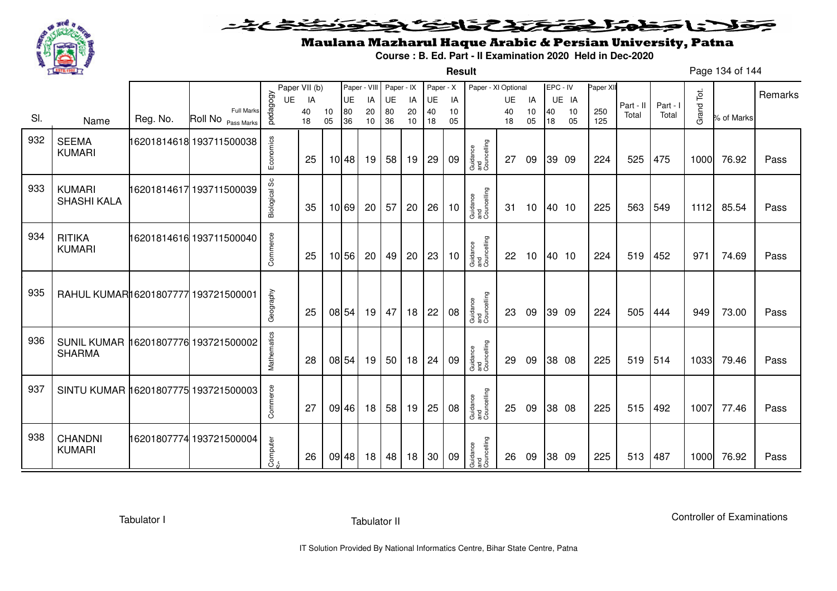

#### <u>یٹی ٹ</u>ے فلانا وخدا يؤكلون فالتؤكلونون ≂

**Result**

# Maulana Mazharul Haque Arabic & Persian University, Patna

**Course : B. Ed. Part - II Examination 2020 Held in Dec-2020**

Page 134 of 144

|     |                                                       |          |                                         |               | Paper VII (b) |          |                   | Paper - VIII    | Paper - IX      |          | Paper - X |          | Paper - XI Optional            |          |          |          | EPC - IV | Paper XI   |           |          |            |            |         |
|-----|-------------------------------------------------------|----------|-----------------------------------------|---------------|---------------|----------|-------------------|-----------------|-----------------|----------|-----------|----------|--------------------------------|----------|----------|----------|----------|------------|-----------|----------|------------|------------|---------|
|     |                                                       |          |                                         | <b>UE</b>     | IA            |          | <b>UE</b>         | IA              | UE              | IA       | <b>UE</b> | IA       |                                | UE       | IA       |          | UE IA    |            | Part - II | Part - I |            |            | Remarks |
| SI. | Name                                                  | Reg. No. | <b>Full Marks</b><br>Roll No Pass Marks | pedagogy      | 40<br>18      | 10<br>05 | 80<br>36          | 20<br>10        | 80<br>36        | 20<br>10 | 40<br>18  | 10<br>05 |                                | 40<br>18 | 10<br>05 | 40<br>18 | 10<br>05 | 250<br>125 | Total     | Total    | Grand Tot. | % of Marks |         |
| 932 | <b>SEEMA</b><br><b>KUMARI</b>                         |          | 16201814618 193711500038                | Economics     | 25            |          | 10 48             | 19              | 58              | 19       | 29        | 09       | Guidance<br>and<br>Councelling | 27       | 09       |          | 39 09    | 224        | 525       | 475      | 1000       | 76.92      | Pass    |
| 933 | <b>KUMARI</b><br><b>SHASHI KALA</b>                   |          | 16201814617 193711500039                | Biological Sc | 35            |          | 10 69             | 20              | 57              | 20       | 26        | 10       | Guidance<br>and<br>Councelling | 31       | 10       |          | 40 10    | 225        | 563       | 549      | 1112       | 85.54      | Pass    |
| 934 | <b>RITIKA</b><br><b>KUMARI</b>                        |          | 16201814616 193711500040                | Commerce      | 25            |          | $10\overline{56}$ | 20              | 49              | 20       | 23        | 10       | Guidance<br>and<br>Councelling | 22       | 10       |          | 40 10    | 224        | 519       | 452      | 971        | 74.69      | Pass    |
| 935 | RAHUL KUMAR16201807777 193721500001                   |          |                                         | Geography     | 25            |          | 08 54             | 19              | 47              | 18       | 22        | 08       | Guidance<br>and<br>Councelling | 23       | 09       |          | 39 09    | 224        | 505       | 444      | 949        | 73.00      | Pass    |
| 936 | SUNIL KUMAR 16201807776 193721500002<br><b>SHARMA</b> |          |                                         | Mathematics   | 28            |          | 08 54             | 19 <sup>1</sup> | 50 <sup>1</sup> | 18       | 24        | 09       | Guidance<br>and<br>Councelling | 29       | 09       |          | 38 08    | 225        | 519       | 514      | 1033       | 79.46      | Pass    |
| 937 | SINTU KUMAR 16201807775 193721500003                  |          |                                         | Commerce      | 27            |          | 09 46             | 18              | 58              | 19       | 25        | 08       | Guidance<br>and<br>Councelling | 25       | 09       |          | 38 08    | 225        | 515       | 492      | 1007       | 77.46      | Pass    |
| 938 | <b>CHANDNI</b><br><b>KUMARI</b>                       |          | 16201807774 193721500004                | Computer      | 26            |          | 09 48             | 18 <sup>1</sup> | 48              | 18       | 30        | 09       | Guidance<br>and<br>Councelling | 26       | 09       |          | 38 09    | 225        | 513       | 487      | 1000       | 76.92      | Pass    |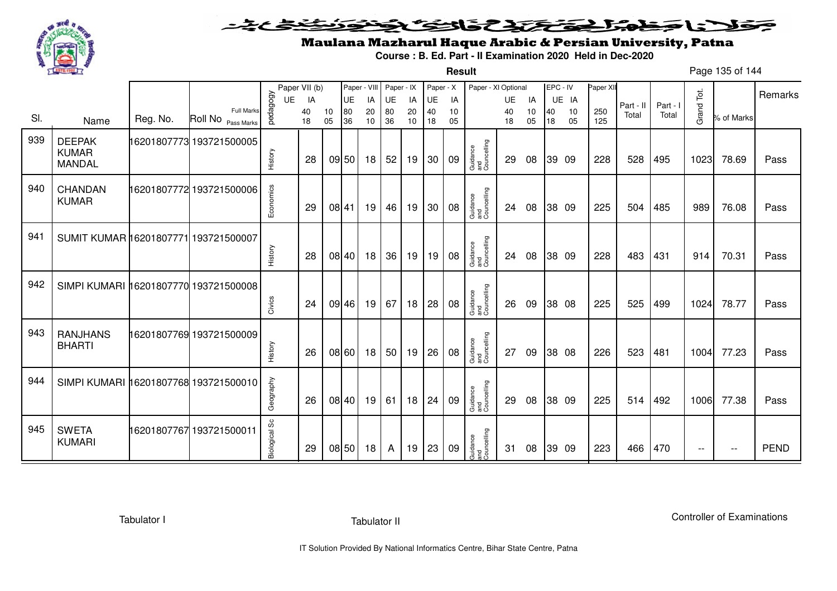

**Result**

# Maulana Mazharul Haque Arabic & Persian University, Patna

**Course : B. Ed. Part - II Examination 2020 Held in Dec-2020**

Page 135 of 144

|     |                                                |          |                                         |               | Paper VII (b) |          |          |          | Paper - VIII Paper - IX |          | Paper - X |          | Paper - XI Optional            |          |          | EPC - IV |          | Paper XII  |           |          |            |               | Remarks     |
|-----|------------------------------------------------|----------|-----------------------------------------|---------------|---------------|----------|----------|----------|-------------------------|----------|-----------|----------|--------------------------------|----------|----------|----------|----------|------------|-----------|----------|------------|---------------|-------------|
|     |                                                |          |                                         | UE            | IA            |          | UE       | IA       | UE                      | IA       | UE        | IA       |                                | UE       | IA       |          | UE IA    |            | Part - II | Part - I |            |               |             |
| SI. | Name                                           | Reg. No. | <b>Full Marks</b><br>Roll No Pass Marks | pedagogy      | 40<br>18      | 10<br>05 | 80<br>36 | 20<br>10 | 80<br>36                | 20<br>10 | 40<br>18  | 10<br>05 |                                | 40<br>18 | 10<br>05 | 40<br>18 | 10<br>05 | 250<br>125 | Total     | Total    | Grand Tot. | % of Marks    |             |
| 939 | <b>DEEPAK</b><br><b>KUMAR</b><br><b>MANDAL</b> |          | 16201807773 193721500005                | History       | 28            |          | 09 50    | 18       | 52                      | 19       | 30        | 09       | Guidance<br>and<br>Councelling | 29       | 08       |          | 39 09    | 228        | 528       | 495      | 1023       | 78.69         | Pass        |
| 940 | <b>CHANDAN</b><br><b>KUMAR</b>                 |          | 16201807772 193721500006                | Economics     | 29            |          | 08 41    | 19       | 46                      | 19       | 30        | 08       | Guidance<br>and<br>Councelling | 24       | 08       |          | 38 09    | 225        | 504       | 485      | 989        | 76.08         | Pass        |
| 941 | SUMIT KUMAR 16201807771 193721500007           |          |                                         | History       | 28            |          | 08 40    | 18       | 36                      | 19       | 19        | 08       | Guidance<br>and<br>Councelling | 24       | 08       |          | 38 09    | 228        | 483       | 431      | 914        | 70.31         | Pass        |
| 942 | SIMPI KUMARI 16201807770 193721500008          |          |                                         | Civics        | 24            |          | 09 46    | 19       | 67                      | 18       | 28        | 08       | Guidance<br>and<br>Councelling | 26       | 09       |          | 38 08    | 225        | 525       | 499      | 1024       | 78.77         | Pass        |
| 943 | <b>RANJHANS</b><br><b>BHARTI</b>               |          | 16201807769 193721500009                | History       | 26            |          | 08 60    | 18       | 50                      | 19       | 26        | 08       | Guidance<br>and<br>Councelling | 27       | 09       |          | 38 08    | 226        | 523       | 481      | 1004       | 77.23         | Pass        |
| 944 | SIMPI KUMARI 16201807768 193721500010          |          |                                         | Geography     | 26            |          | 08 40    | 19       | 61                      | 18       | 24        | 09       | Guidance<br>and<br>Councelling | 29       | 08       |          | 38 09    | 225        | 514       | 492      | 1006       | 77.38         | Pass        |
| 945 | <b>SWETA</b><br><b>KUMARI</b>                  |          | 16201807767 193721500011                | Biological Sc | 29            |          | 08 50    | 18       | A                       | 19       | 23        | 09       | Guidance<br>and<br>Councelling | 31       | 08       |          | 39 09    | 223        | 466       | 470      | $-$        | $\sim$ $\sim$ | <b>PEND</b> |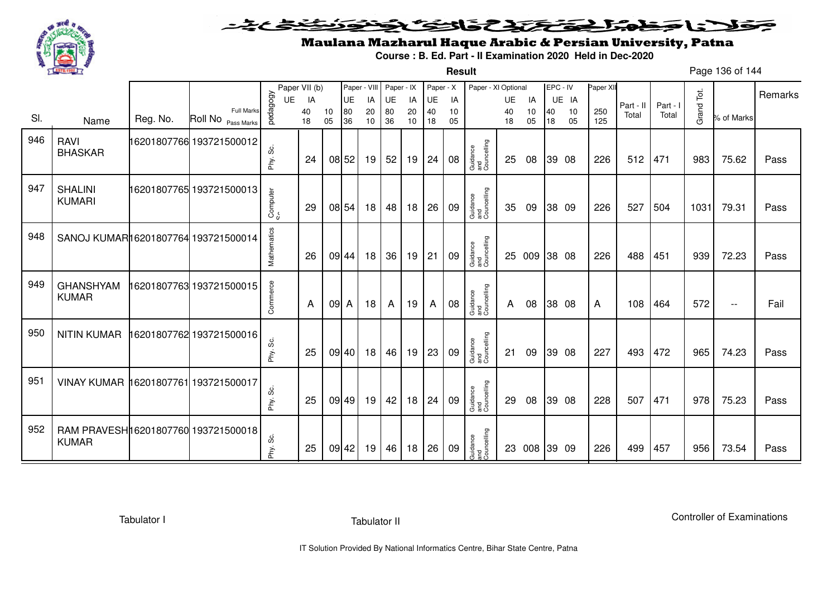

**Result**

# Maulana Mazharul Haque Arabic & Persian University, Patna

**Course : B. Ed. Part - II Examination 2020 Held in Dec-2020**

Page 136 of 144

|     |                                                     |          |                                         |             | Paper VII (b) |          | Paper - VIII |          | Paper - IX |          | Paper - X |          | Paper - XI Optional            |          |          | EPC - IV |          | Paper XII  |           |          |            |            |         |
|-----|-----------------------------------------------------|----------|-----------------------------------------|-------------|---------------|----------|--------------|----------|------------|----------|-----------|----------|--------------------------------|----------|----------|----------|----------|------------|-----------|----------|------------|------------|---------|
|     |                                                     |          |                                         | UE          | IA            |          | <b>UE</b>    | IA       | UE         | IA       | UE        | IA       |                                | UE       | IA       |          | UE IA    |            | Part - II | Part - I |            |            | Remarks |
| SI. | Name                                                | Reg. No. | <b>Full Marks</b><br>Roll No Pass Marks | pedagogy    | 40<br>18      | 10<br>05 | 80<br>36     | 20<br>10 | 80<br>36   | 20<br>10 | 40<br>18  | 10<br>05 |                                | 40<br>18 | 10<br>05 | 40<br>18 | 10<br>05 | 250<br>125 | Total     | Total    | Grand Tot. | % of Marks |         |
| 946 | RAVI<br><b>BHASKAR</b>                              |          | 16201807766 193721500012                | တိ<br>Phy.  | 24            |          | 08 52        | 19       | 52         | 19       | 24        | 08       | Guidance<br>and<br>Councelling | 25       | 08       |          | 39 08    | 226        | 512       | 471      | 983        | 75.62      | Pass    |
| 947 | <b>SHALINI</b><br><b>KUMARI</b>                     |          | 16201807765 193721500013                | Computer    | 29            |          | 08 54        | 18       | 48         | 18       | 26        | 09       | Guidance<br>and<br>Councelling | 35       | 09       |          | 38 09    | 226        | 527       | 504      | 1031       | 79.31      | Pass    |
| 948 | SANOJ KUMAR16201807764 193721500014                 |          |                                         | Mathematics | 26            |          | 09 44        | 18       | 36         | 19       | 21        | 09       | Guidance<br>and<br>Councelling |          | 25 009   |          | 38 08    | 226        | 488       | 451      | 939        | 72.23      | Pass    |
| 949 | <b>GHANSHYAM</b><br><b>KUMAR</b>                    |          | 16201807763 193721500015                | Commerce    | A             | 09 A     |              | 18       | A          | 19       | A         | 08       | Guidance<br>and<br>Councelling | A        | 08       |          | 38 08    | A          | 108       | 464      | 572        | $- -$      | Fail    |
| 950 | <b>NITIN KUMAR</b>                                  |          | 16201807762 193721500016                | Phy. Sc.    | 25            |          | 09 40        | 18       | 46         | 19       | 23        | 09       | Guidance<br>and<br>Councelling | 21       | 09       |          | 39 08    | 227        | 493       | 472      | 965        | 74.23      | Pass    |
| 951 | VINAY KUMAR 16201807761 193721500017                |          |                                         | Phy. Sc.    | 25            |          | 09 49        | 19       | 42         | 18       | 24        | 09       | Guidance<br>and<br>Councelling | 29       | 08       |          | 39 08    | 228        | 507       | 471      | 978        | 75.23      | Pass    |
| 952 | RAM PRAVESH16201807760 193721500018<br><b>KUMAR</b> |          |                                         | Phy. Sc.    | 25            | 09 42    |              | 19       | 46         | 18       | 26        | 09       | Guidance<br>and<br>Councelling |          | 23 008   | 39 09    |          | 226        | 499       | 457      | 956        | 73.54      | Pass    |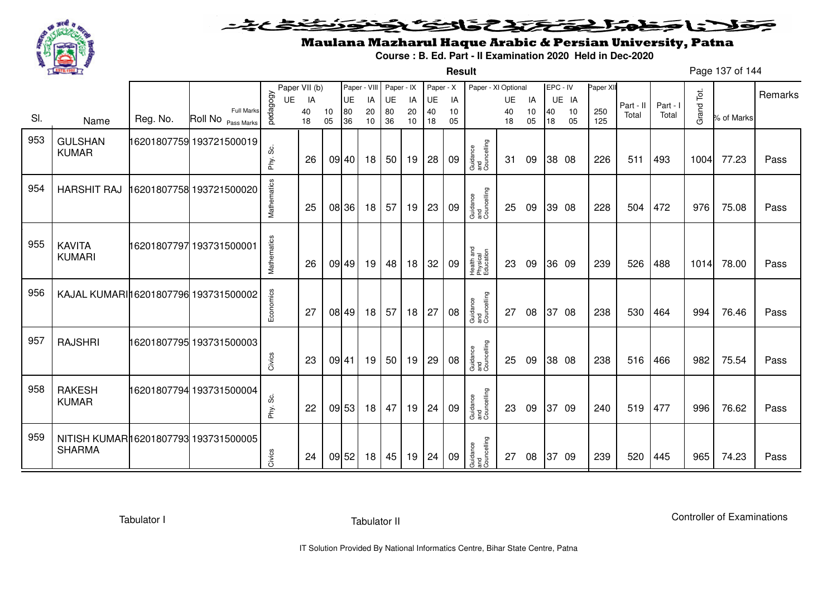

#### <u>یٹی ٹ</u>ے فلانا وخدا يقتحنك فالتف ونونوذ ≂

**Result**

# Maulana Mazharul Haque Arabic & Persian University, Patna

**Course : B. Ed. Part - II Examination 2020 Held in Dec-2020**

Page 137 of 144

|     |                                                       |          |                          |             | Paper VII (b) |       |           | Paper - VIII | Paper - IX |    | Paper - X |    | Paper - XI Optional                 |    |    | EPC - IV |       | Paper XI |                    |                   |            |            |         |
|-----|-------------------------------------------------------|----------|--------------------------|-------------|---------------|-------|-----------|--------------|------------|----|-----------|----|-------------------------------------|----|----|----------|-------|----------|--------------------|-------------------|------------|------------|---------|
|     |                                                       |          |                          | <b>UE</b>   | IA            |       | <b>UE</b> | IA           | UE         | IA | UE        | IA |                                     | UE | IA |          | UE IA |          |                    |                   |            |            | Remarks |
| SI. |                                                       | Reg. No. | <b>Full Marks</b>        | pedagogy    | 40            | 10    | 80        | 20           | 80         | 20 | 40        | 10 |                                     | 40 | 10 | 40       | 10    | 250      | Part - II<br>Total | Part - I<br>Total | Grand Tot. | % of Marks |         |
|     | Name                                                  |          | Roll No Pass Marks       |             | 18            | 05    | 36        | 10           | 36         | 10 | 18        | 05 |                                     | 18 | 05 | 18       | 05    | 125      |                    |                   |            |            |         |
| 953 | <b>GULSHAN</b><br><b>KUMAR</b>                        |          | 16201807759 193721500019 | တိ<br>Phy.  | 26            |       | 09 40     | 18           | 50         | 19 | 28        | 09 | Guidance<br>and<br>Councelling      | 31 | 09 |          | 38 08 | 226      | 511                | 493               | 1004       | 77.23      | Pass    |
| 954 | <b>HARSHIT RAJ</b>                                    |          | 16201807758 193721500020 | Mathematics | 25            |       | 08 36     | 18           | 57         | 19 | 23        | 09 | Guidance<br>and<br>Councelling      | 25 | 09 |          | 39 08 | 228      | 504                | 472               | 976        | 75.08      | Pass    |
| 955 | <b>KAVITA</b><br><b>KUMARI</b>                        |          | 16201807797 193731500001 | Mathematics | 26            |       | 09 49     | 19           | 48         | 18 | 32        | 09 | Health and<br>Physical<br>Education | 23 | 09 |          | 36 09 | 239      | 526                | 488               | 1014       | 78.00      | Pass    |
| 956 | KAJAL KUMARI 16201807796 193731500002                 |          |                          | Economics   | 27            |       | 08 49     | 18           | 57         | 18 | 27        | 08 | Guidance<br>and<br>Councelling      | 27 | 08 |          | 37 08 | 238      | 530                | 464               | 994        | 76.46      | Pass    |
| 957 | <b>RAJSHRI</b>                                        |          | 16201807795 193731500003 | Civics      | 23            | 09 41 |           | 19           | 50         | 19 | 29        | 08 | Guidance<br>and<br>Councelling      | 25 | 09 |          | 38 08 | 238      | 516                | 466               | 982        | 75.54      | Pass    |
| 958 | <b>RAKESH</b><br><b>KUMAR</b>                         |          | 16201807794 193731500004 | Phy. Sc.    | 22            |       | 09 53     | 18           | 47         | 19 | 24        | 09 | Guidance<br>and<br>Councelling      | 23 | 09 |          | 37 09 | 240      | 519                | 477               | 996        | 76.62      | Pass    |
| 959 | NITISH KUMAR16201807793 193731500005<br><b>SHARMA</b> |          |                          | Civics      | 24            |       | 09 52     | 18           | 45         | 19 | 24        | 09 | Guidance<br>and<br>Councelling      | 27 | 08 |          | 37 09 | 239      | 520                | 445               | 965        | 74.23      | Pass    |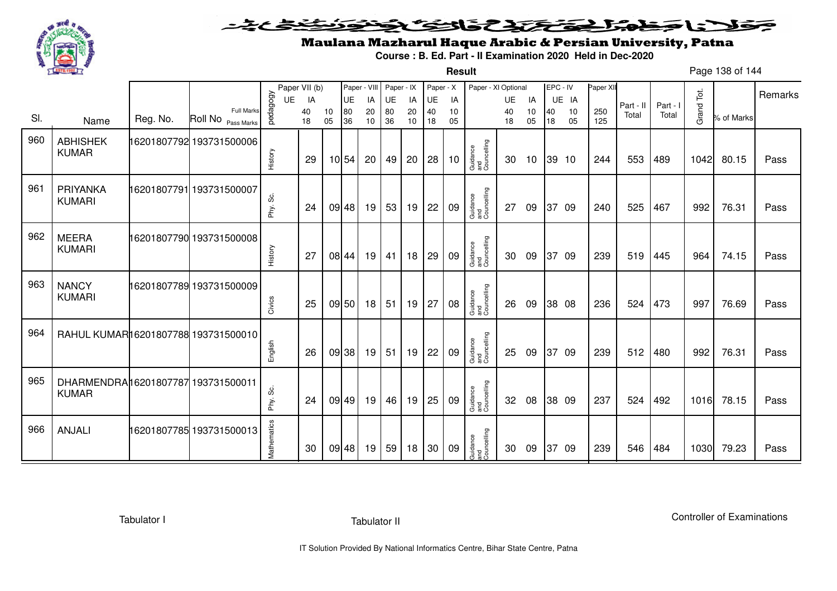

**Result**

# Maulana Mazharul Haque Arabic & Persian University, Patna

**Course : B. Ed. Part - II Examination 2020 Held in Dec-2020**

Page 138 of 144

|     |                                                     |          |                                         |              | Paper VII (b) |          | Paper - VIII |          | Paper - IX |          | Paper - X |          | Paper - XI Optional            |          |          | EPC - IV |          | Paper XII  |           |          |            |            | Remarks |
|-----|-----------------------------------------------------|----------|-----------------------------------------|--------------|---------------|----------|--------------|----------|------------|----------|-----------|----------|--------------------------------|----------|----------|----------|----------|------------|-----------|----------|------------|------------|---------|
|     |                                                     |          |                                         | UE           | IA            |          | <b>UE</b>    | IA       | UE         | IA       | UE        | IA       |                                | UE       | IA       |          | UE IA    |            | Part - II | Part - I |            |            |         |
| SI. | Name                                                | Reg. No. | <b>Full Marks</b><br>Roll No Pass Marks | vedagogy     | 40<br>18      | 10<br>05 | 80<br>36     | 20<br>10 | 80<br>36   | 20<br>10 | 40<br>18  | 10<br>05 |                                | 40<br>18 | 10<br>05 | 40<br>18 | 10<br>05 | 250<br>125 | Total     | Total    | Grand Tot. | % of Marks |         |
| 960 | <b>ABHISHEK</b><br><b>KUMAR</b>                     |          | 16201807792 193731500006                | History      | 29            |          | 10 54        | 20       | 49         | 20       | 28        | 10       | Guidance<br>and<br>Councelling | 30       | 10       |          | 39 10    | 244        | 553       | 489      | 1042       | 80.15      | Pass    |
| 961 | PRIYANKA<br><b>KUMARI</b>                           |          | 16201807791 193731500007                | ပ္တိ<br>Phy. | 24            |          | 09 48        | 19       | 53         | 19       | 22        | 09       | Guidance<br>and<br>Councelling | 27       | 09       |          | 37 09    | 240        | 525       | 467      | 992        | 76.31      | Pass    |
| 962 | <b>MEERA</b><br><b>KUMARI</b>                       |          | 16201807790 193731500008                | History      | 27            |          | 08 44        | 19       | 41         | 18       | 29        | 09       | Guidance<br>and<br>Councelling | 30       | 09       |          | 37 09    | 239        | 519       | 445      | 964        | 74.15      | Pass    |
| 963 | <b>NANCY</b><br><b>KUMARI</b>                       |          | 16201807789 193731500009                | Civics       | 25            |          | 09 50        | 18       | 51         | 19       | 27        | 08       | Guidance<br>and<br>Councelling | 26       | 09       |          | 38 08    | 236        | 524       | 473      | 997        | 76.69      | Pass    |
| 964 | RAHUL KUMAR16201807788 193731500010                 |          |                                         | English      | 26            |          | 09 38        | 19       | 51         | 19       | 22        | 09       | Guidance<br>and<br>Councelling | 25       | 09       |          | 37 09    | 239        | 512       | 480      | 992        | 76.31      | Pass    |
| 965 | DHARMENDRAI16201807787 193731500011<br><b>KUMAR</b> |          |                                         | တိ<br>Phy.   | 24            |          | 09 49        | 19       | 46         | 19       | 25        | 09       | Guidance<br>and<br>Councelling | 32       | 08       |          | 38 09    | 237        | 524       | 492      | 1016       | 78.15      | Pass    |
| 966 | <b>ANJALI</b>                                       |          | 16201807785 193731500013                | Mathematics  | 30            |          | 09 48        | 19       | 59         | 18       | 30        | 09       | Guidance<br>and<br>Councelling | 30       | 09       | 37       | - 09     | 239        | 546       | 484      | 1030       | 79.23      | Pass    |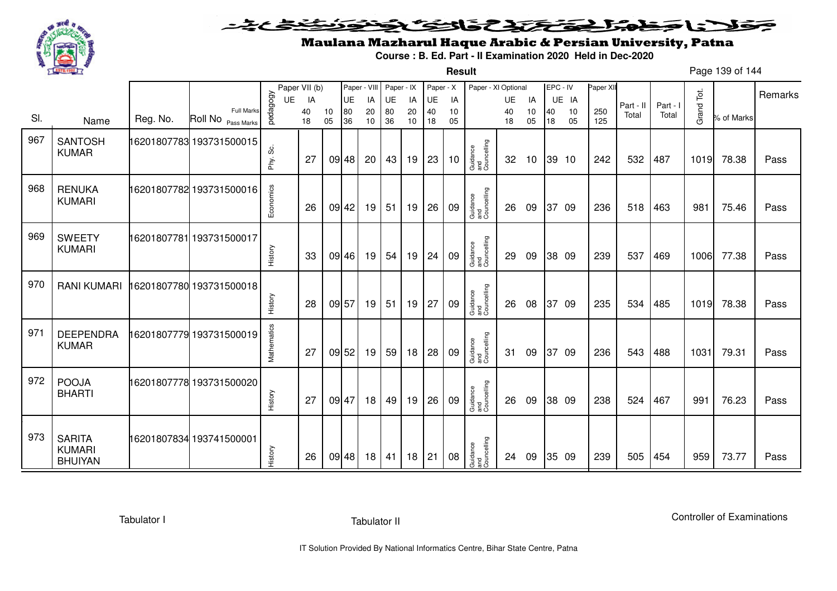

#### <u>یٹی ٹ</u>ے فلانا وخدا يقتحنك فالتف ونونوذ ≂

**Result**

# Maulana Mazharul Haque Arabic & Persian University, Patna

**Course : B. Ed. Part - II Examination 2020 Held in Dec-2020**

Page 139 of 144

|     |                                           |          |                                             |                | Paper VII (b)  |          | Paper - VIII          |                | Paper - IX     |                | Paper - X      |                | Paper - XI Optional            |                       |                |          | EPC - IV          | Paper XII  |                    |                   |            |            | Remarks |
|-----|-------------------------------------------|----------|---------------------------------------------|----------------|----------------|----------|-----------------------|----------------|----------------|----------------|----------------|----------------|--------------------------------|-----------------------|----------------|----------|-------------------|------------|--------------------|-------------------|------------|------------|---------|
| SI. | Name                                      | Reg. No. | Full Marks<br>Roll No <sub>Pass Marks</sub> | pedagogy<br>UE | IA<br>40<br>18 | 10<br>05 | <b>UE</b><br>80<br>36 | IA<br>20<br>10 | UE<br>80<br>36 | IA<br>20<br>10 | UE<br>40<br>18 | IA<br>10<br>05 |                                | <b>UE</b><br>40<br>18 | IA<br>10<br>05 | 40<br>18 | UE IA<br>10<br>05 | 250<br>125 | Part - II<br>Total | Part - I<br>Total | Grand Tot. | % of Marks |         |
| 967 | <b>SANTOSH</b><br><b>KUMAR</b>            |          | 16201807783 193731500015                    | ပ္တဲ<br>Phy.   | 27             |          | 09 48                 | 20             | 43             | 19             | 23             | 10             | Guidance<br>and<br>Councelling | 32                    | 10             |          | 39 10             | 242        | 532                | 487               | 1019       | 78.38      | Pass    |
| 968 | <b>RENUKA</b><br><b>KUMARI</b>            |          | 16201807782 193731500016                    | Economics      | 26             | 09 42    |                       | 19             | 51             | 19             | 26             | 09             | Guidance<br>and<br>Councelling | 26                    | 09             |          | 37 09             | 236        | 518                | 463               | 981        | 75.46      | Pass    |
| 969 | <b>SWEETY</b><br><b>KUMARI</b>            |          | 16201807781 193731500017                    | History        | 33             |          | 09 46                 | 19             | 54             | 19             | 24             | 09             | Guidance<br>and<br>Councelling | 29                    | 09             |          | 38 09             | 239        | 537                | 469               | 1006       | 77.38      | Pass    |
| 970 | <b>RANI KUMARI</b>                        |          | 16201807780 193731500018                    | History        | 28             | 09 57    |                       | 19             | 51             | 19             | 27             | 09             | Guidance<br>and<br>Councelling | 26                    | 08             |          | 37 09             | 235        | 534                | 485               | 1019       | 78.38      | Pass    |
| 971 | <b>DEEPENDRA</b><br><b>KUMAR</b>          |          | 16201807779 193731500019                    | Mathematics    | 27             |          | 09 52                 | 19             | 59             | 18             | 28             | 09             | Guidance<br>and<br>Councelling | 31                    | 09             |          | 37 09             | 236        | 543                | 488               | 1031       | 79.31      | Pass    |
| 972 | <b>POOJA</b><br><b>BHARTI</b>             |          | 16201807778 193731500020                    | History        | 27             | 09 47    |                       | 18             | 49             | 19             | 26             | 09             | Guidance<br>and<br>Councelling | 26                    | 09             |          | 38 09             | 238        | 524                | 467               | 991        | 76.23      | Pass    |
| 973 | <b>SARITA</b><br>KUMARI<br><b>BHUIYAN</b> |          | 16201807834 193741500001                    | History        | 26             |          | 09 48                 | 18             | 41             | 18             | 21             | 08             | Guidance<br>and<br>Councelling | 24                    | 09             |          | 35 09             | 239        | 505                | 454               | 959        | 73.77      | Pass    |

Tabulator I

Tabulator II

Controller of Examinations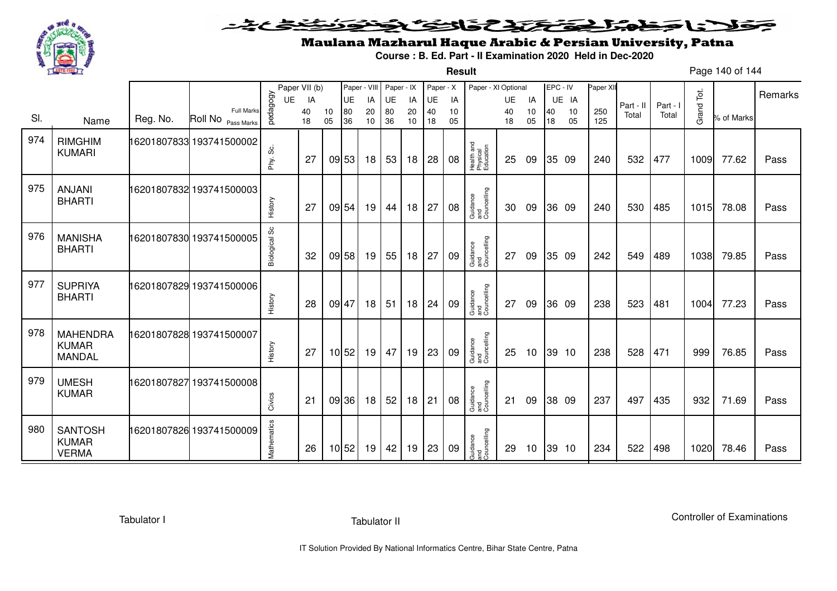

**Result**

# Maulana Mazharul Haque Arabic & Persian University, Patna

**Course : B. Ed. Part - II Examination 2020 Held in Dec-2020**

Page 140 of 144

|     |                                                  |          |                                  |                | Paper VII (b) |    | Paper - VIII    |          | Paper - IX |          | Paper - X       |          | Paper - XI Optional                 |                 |          | EPC - IV |             | Paper XII |                    |                   |            |            | Remarks |
|-----|--------------------------------------------------|----------|----------------------------------|----------------|---------------|----|-----------------|----------|------------|----------|-----------------|----------|-------------------------------------|-----------------|----------|----------|-------------|-----------|--------------------|-------------------|------------|------------|---------|
| SI. |                                                  | Reg. No. | Full Marks<br>Roll No Pass Marks | pedagogy<br>UE | IA<br>40      | 10 | <b>UE</b><br>80 | IA<br>20 | UE<br>80   | IA<br>20 | <b>UE</b><br>40 | IA<br>10 |                                     | <b>UE</b><br>40 | IA<br>10 | 40       | UE IA<br>10 | 250       | Part - II<br>Total | Part - I<br>Total | Grand Tot. | % of Marks |         |
|     | Name                                             |          |                                  |                | 18            | 05 | 36              | 10       | 36         | 10       | 18              | 05       |                                     | 18              | 05       | 18       | 05          | 125       |                    |                   |            |            |         |
| 974 | <b>RIMGHIM</b><br><b>KUMARI</b>                  |          | 16201807833 193741500002         | တိ<br>Phy.     | 27            |    | 09 53           | 18       | 53         | 18       | 28              | 08       | Health and<br>Physical<br>Education | 25              | 09       |          | 35 09       | 240       | 532                | 477               | 1009       | 77.62      | Pass    |
| 975 | <b>ANJANI</b><br><b>BHARTI</b>                   |          | 16201807832 193741500003         | History        | 27            |    | 09 54           | 19       | 44         | 18       | 27              | 08       | Guidance<br>and<br>Councelling      | 30              | 09       |          | 36 09       | 240       | 530                | 485               | 1015       | 78.08      | Pass    |
| 976 | <b>MANISHA</b><br><b>BHARTI</b>                  |          | 16201807830 193741500005         | Biological Sc  | 32            |    | 09 58           | 19       | 55         | 18       | 27              | 09       | Guidance<br>and<br>Councelling      | 27              | 09       |          | 35 09       | 242       | 549                | 489               | 1038       | 79.85      | Pass    |
| 977 | <b>SUPRIYA</b><br><b>BHARTI</b>                  |          | 16201807829 193741500006         | History        | 28            |    | 09 47           | 18       | 51         | 18       | 24              | 09       | Guidance<br>and<br>Councelling      | 27              | 09       |          | 36 09       | 238       | 523                | 481               | 1004       | 77.23      | Pass    |
| 978 | <b>MAHENDRA</b><br><b>KUMAR</b><br><b>MANDAL</b> |          | 16201807828 193741500007         | History        | 27            |    | 10 52           | 19       | 47         | 19       | 23              | 09       | Guidance<br>and<br>Councelling      | 25              | 10       |          | 39 10       | 238       | 528                | 471               | 999        | 76.85      | Pass    |
| 979 | <b>UMESH</b><br><b>KUMAR</b>                     |          | 16201807827193741500008          | Civics         | 21            |    | 09 36           | 18       | 52         | 18       | 21              | 08       | Guidance<br>and<br>Councelling      | 21              | 09       |          | 38 09       | 237       | 497                | 435               | 932        | 71.69      | Pass    |
| 980 | <b>SANTOSH</b><br><b>KUMAR</b><br><b>VERMA</b>   |          | 16201807826 193741500009         | Mathematics    | 26            |    | 10 52           | 19       | 42         | 19       | 23              | 09       | Guidance<br>and<br>Councelling      | 29              | 10       |          | 39 10       | 234       | 522                | 498               | 1020       | 78.46      | Pass    |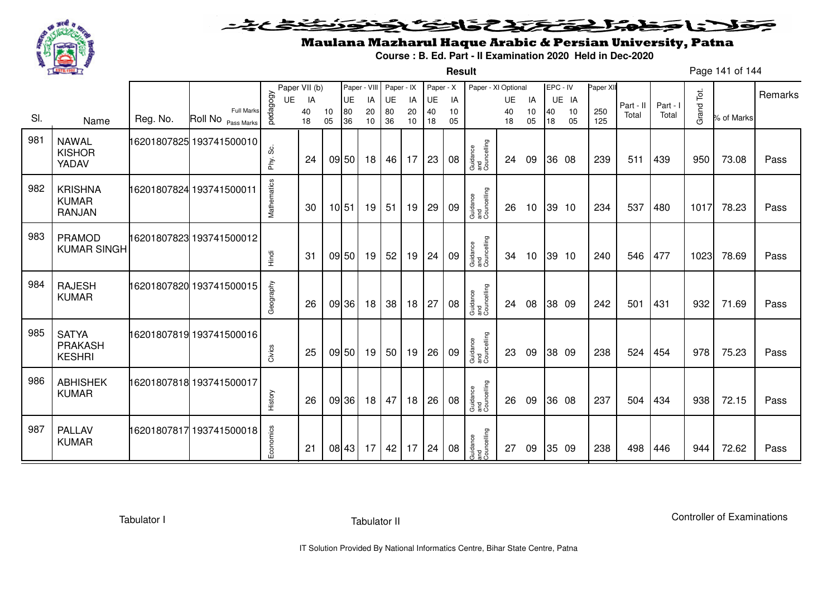

**Result**

# Maulana Mazharul Haque Arabic & Persian University, Patna

**Course : B. Ed. Part - II Examination 2020 Held in Dec-2020**

Page 141 of 144

|     |                                                 |          |                                         |             | Paper VII (b) |          | Paper - VIII |          | Paper - IX |          | Paper - X |          | Paper - XI Optional            |          |          | EPC - IV |          | Paper XII  |           |          |            |            | Remarks |
|-----|-------------------------------------------------|----------|-----------------------------------------|-------------|---------------|----------|--------------|----------|------------|----------|-----------|----------|--------------------------------|----------|----------|----------|----------|------------|-----------|----------|------------|------------|---------|
|     |                                                 |          |                                         | UE          | IA            |          | <b>UE</b>    | IA       | UE         | IA       | UE        | IA       |                                | UE       | IA       |          | UE IA    |            | Part - II | Part - I |            |            |         |
| SI. | Name                                            | Reg. No. | <b>Full Marks</b><br>Roll No Pass Marks | pedagogy    | 40<br>18      | 10<br>05 | 80<br>36     | 20<br>10 | 80<br>36   | 20<br>10 | 40<br>18  | 10<br>05 |                                | 40<br>18 | 10<br>05 | 40<br>18 | 10<br>05 | 250<br>125 | Total     | Total    | Grand Tot. | % of Marks |         |
| 981 | <b>NAWAL</b><br><b>KISHOR</b><br>YADAV          |          | 16201807825 193741500010                | တိ<br>Phy.  | 24            |          | 09 50        | 18       | 46         | 17       | 23        | 08       | Guidance<br>and<br>Councelling | 24       | 09       |          | 36 08    | 239        | 511       | 439      | 950        | 73.08      | Pass    |
| 982 | <b>KRISHNA</b><br><b>KUMAR</b><br><b>RANJAN</b> |          | 16201807824 193741500011                | Mathematics | 30            |          | 10 51        | 19       | 51         | 19       | 29        | 09       | Guidance<br>and<br>Councelling | 26       | 10       |          | 39 10    | 234        | 537       | 480      | 1017       | 78.23      | Pass    |
| 983 | <b>PRAMOD</b><br><b>KUMAR SINGH</b>             |          | 16201807823 193741500012                | Hindi       | 31            |          | 09 50        | 19       | 52         | 19       | 24        | 09       | Guidance<br>and<br>Councelling | 34       | 10       |          | 39 10    | 240        | 546       | 477      | 1023       | 78.69      | Pass    |
| 984 | <b>RAJESH</b><br><b>KUMAR</b>                   |          | 16201807820 193741500015                | Geography   | 26            |          | 09 36        | 18       | 38         | 18       | 27        | 08       | Guidance<br>and<br>Councelling | 24       | 08       |          | 38 09    | 242        | 501       | 431      | 932        | 71.69      | Pass    |
| 985 | <b>SATYA</b><br><b>PRAKASH</b><br><b>KESHRI</b> |          | 16201807819 193741500016                | Civics      | 25            |          | 09 50        | 19       | 50         | 19       | 26        | 09       | Guidance<br>and<br>Councelling | 23       | 09       |          | 38 09    | 238        | 524       | 454      | 978        | 75.23      | Pass    |
| 986 | <b>ABHISHEK</b><br><b>KUMAR</b>                 |          | 16201807818 193741500017                | History     | 26            |          | 09 36        | 18       | 47         | 18       | 26        | 08       | Guidance<br>and<br>Councelling | 26       | 09       |          | 36 08    | 237        | 504       | 434      | 938        | 72.15      | Pass    |
| 987 | <b>PALLAV</b><br><b>KUMAR</b>                   |          | 16201807817 193741500018                | Economics   | 21            |          | 08 43        | 17       | 42         | 17       | 24        | 08       | Guidance<br>and<br>Councelling | 27       | 09       |          | 35 09    | 238        | 498       | 446      | 944        | 72.62      | Pass    |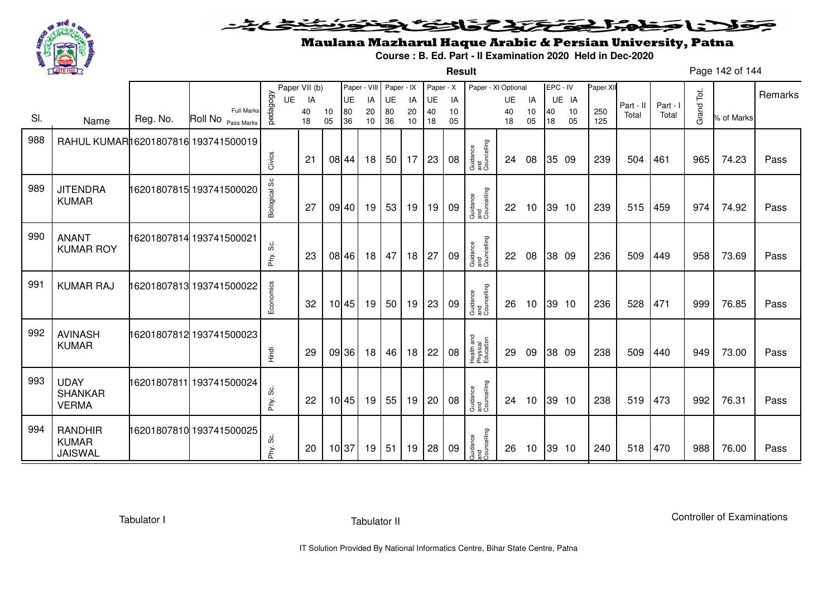

**Result**

# Maulana Mazharul Haque Arabic & Persian University, Patna

**Course : B. Ed. Part - II Examination 2020 Held in Dec-2020**

Page 142 of 144

|     |                                                  |          |                                         |               | Paper VII (b) |          | Paper - VIII |          | Paper - IX      |          | Paper - X |          | Paper - XI Optional                 |          |          | EPC - IV |          | Paper XII  |           |          |            |            | Remarks |
|-----|--------------------------------------------------|----------|-----------------------------------------|---------------|---------------|----------|--------------|----------|-----------------|----------|-----------|----------|-------------------------------------|----------|----------|----------|----------|------------|-----------|----------|------------|------------|---------|
|     |                                                  |          |                                         | UE            | IA            |          | UE           | IA       | UE              | IA       | <b>UE</b> | IA       |                                     | UE       | IA       |          | UE IA    |            | Part - II | Part - I |            |            |         |
| SI. | Name                                             | Reg. No. | <b>Full Marks</b><br>Roll No Pass Marks | pedagogy      | 40<br>18      | 10<br>05 | 80<br>36     | 20<br>10 | 80<br>36        | 20<br>10 | 40<br>18  | 10<br>05 |                                     | 40<br>18 | 10<br>05 | 40<br>18 | 10<br>05 | 250<br>125 | Total     | Total    | Grand Tot. | % of Marks |         |
| 988 | RAHUL KUMAR16201807816 193741500019              |          |                                         |               |               |          |              |          |                 |          |           |          |                                     |          |          |          |          |            |           |          |            |            |         |
|     |                                                  |          |                                         | Civics        | 21            |          | 08 44        | 18       | 50 l            | 17       | 23        | 08       | Guidance<br>and<br>Councelling      | 24       | 08       |          | 35 09    | 239        | 504       | 461      | 965        | 74.23      | Pass    |
| 989 | <b>JITENDRA</b><br><b>KUMAR</b>                  |          | 16201807815 193741500020                | Biological Sc | 27            |          | 09 40        | 19       | 53              | 19       | 19        | 09       | Guidance<br>and<br>Councelling      | 22       | 10       |          | 39 10    | 239        | 515       | 459      | 974        | 74.92      | Pass    |
| 990 | <b>ANANT</b><br><b>KUMAR ROY</b>                 |          | 16201807814 193741500021                | တွဲ<br>Phy.   | 23            |          | 08 46        | 18       | 47              | 18       | 27        | 09       | Guidance<br>and<br>Councelling      | 22       | 08       |          | 38 09    | 236        | 509       | 449      | 958        | 73.69      | Pass    |
| 991 | <b>KUMAR RAJ</b>                                 |          | 16201807813 193741500022                | Economics     | 32            |          | 10 45        | 19       | 50 <sup>1</sup> | 19       | 23        | 09       | Guidance<br>and<br>Councelling      | 26       | 10       |          | 39 10    | 236        | 528       | 471      | 999        | 76.85      | Pass    |
| 992 | <b>AVINASH</b><br><b>KUMAR</b>                   |          | 16201807812 193741500023                | Hindi         | 29            |          | 09 36        | 18       | 46              | 18       | 22        | 08       | Health and<br>Physical<br>Education | 29       | 09       |          | 38 09    | 238        | 509       | 440      | 949        | 73.00      | Pass    |
| 993 | <b>UDAY</b><br><b>SHANKAR</b><br><b>VERMA</b>    |          | 16201807811 193741500024                | တိ<br>Phy.    | 22            |          | 10 45        | 19       | 55              | 19       | 20        | 08       | Guidance<br>and<br>Councelling      | 24       | 10       |          | 39 10    | 238        | 519       | 473      | 992        | 76.31      | Pass    |
| 994 | <b>RANDHIR</b><br><b>KUMAR</b><br><b>JAISWAL</b> |          | 16201807810 193741500025                | ပ္တဲ<br>Phy.  | 20            | 10 37    |              | 19       | 51              | 19       | 28        | 09       | Guidance<br>and<br>Councelling      | 26       | 10       |          | 39 10    | 240        | 518       | 470      | 988        | 76.00      | Pass    |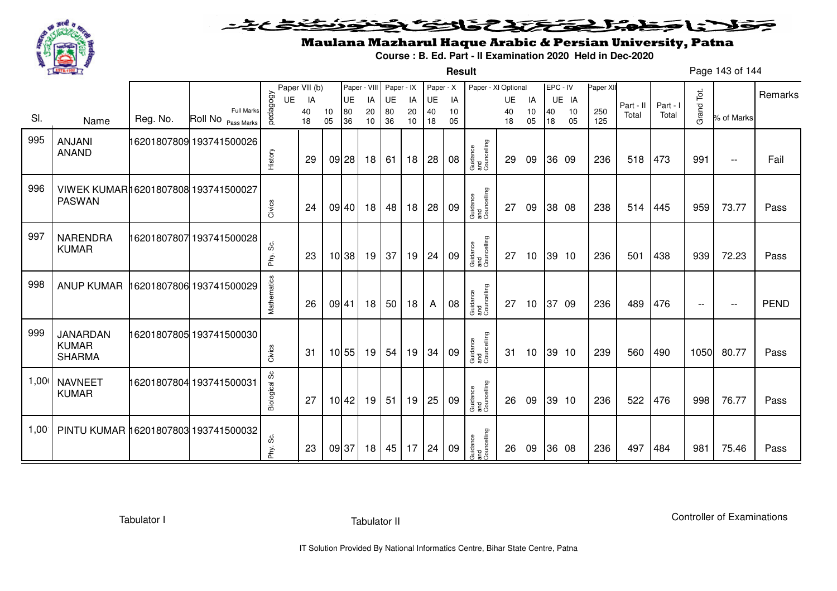

**Result**

# Maulana Mazharul Haque Arabic & Persian University, Patna

**Course : B. Ed. Part - II Examination 2020 Held in Dec-2020**

Page 143 of 144

|      |                                                      |          |                                  |                      | Paper VII (b) |          | Paper - VIII |          | Paper - IX      |          | Paper - X    |          | Paper - XI Optional            |          |                 | EPC - IV |          | Paper XII  |           |          |                          |                          |             |
|------|------------------------------------------------------|----------|----------------------------------|----------------------|---------------|----------|--------------|----------|-----------------|----------|--------------|----------|--------------------------------|----------|-----------------|----------|----------|------------|-----------|----------|--------------------------|--------------------------|-------------|
|      |                                                      |          |                                  | <b>UE</b>            | IA            |          | UE           | IA       | UE              | IA       | UE           | IA       |                                | UE       | IA              |          | UE IA    |            | Part - II | Part - I |                          |                          | Remarks     |
| SI.  | Name                                                 | Reg. No. | Full Marks<br>Roll No Pass Marks | pedagogy             | 40<br>18      | 10<br>05 | 80<br>36     | 20<br>10 | 80<br>36        | 20<br>10 | 40<br>18     | 10<br>05 |                                | 40<br>18 | 10<br>05        | 40<br>18 | 10<br>05 | 250<br>125 | Total     | Total    | Grand Tot.               | % of Marks               |             |
| 995  | <b>ANJANI</b><br><b>ANAND</b>                        |          | 16201807809 193741500026         | History              | 29            | $09$ 28  |              | 18       | 61              | 18       | 28           | 08       | Guidance<br>and<br>Councelling | 29       | 09              |          | 36 09    | 236        | 518       | 473      | 991                      | $- -$                    | Fail        |
| 996  | VIWEK KUMAR16201807808 193741500027<br><b>PASWAN</b> |          |                                  | Civics               | 24            |          | 09 40        | 18       | 48              | 18       | 28           | 09       | Guidance<br>and<br>Councelling | 27       | 09              |          | 38 08    | 238        | 514       | 445      | 959                      | 73.77                    | Pass        |
| 997  | <b>NARENDRA</b><br><b>KUMAR</b>                      |          | 16201807807 193741500028         | တွဲ<br>Phy.          | 23            |          | 10 38        | 19       | 37              | 19       | 24           | 09       | Guidance<br>and<br>Councelling | 27       | 10 <sup>°</sup> |          | 39 10    | 236        | 501       | 438      | 939                      | 72.23                    | Pass        |
| 998  | <b>ANUP KUMAR</b>                                    |          | 16201807806 193741500029         | Mathematics          | 26            | 09 41    |              | 18       | 50 <sub>1</sub> | 18       | A            | 08       | Guidance<br>and<br>Councelling | 27       | 10              | 37 09    |          | 236        | 489       | 476      | $\overline{\phantom{m}}$ | $\overline{\phantom{m}}$ | <b>PEND</b> |
| 999  | JANARDAN<br><b>KUMAR</b><br><b>SHARMA</b>            |          | 16201807805 193741500030         | Civics               | 31            |          | 10 55        | 19       | 54              | 19       | 34           | 09       | Guidance<br>and<br>Councelling | 31       | 10              |          | 39 10    | 239        | 560       | 490      | 1050                     | 80.77                    | Pass        |
| 1,00 | <b>NAVNEET</b><br><b>KUMAR</b>                       |          | 16201807804 193741500031         | <b>Biological Sc</b> | 27            |          | $10$ 42      | 19       | 51              | 19       | 25           | 09       | Guidance<br>and<br>Councelling | 26       | 09              |          | 39 10    | 236        | 522       | 476      | 998                      | 76.77                    | Pass        |
| 1,00 | PINTU KUMAR 16201807803 193741500032                 |          |                                  | ပ္တဲ<br>Phy.         | 23            | 09 37    |              | 18       | 45              |          | $17 \mid 24$ | 09       | Guidance<br>and<br>Councelling | 26       | 09              |          | 36 08    | 236        | 497       | 484      | 981                      | 75.46                    | Pass        |